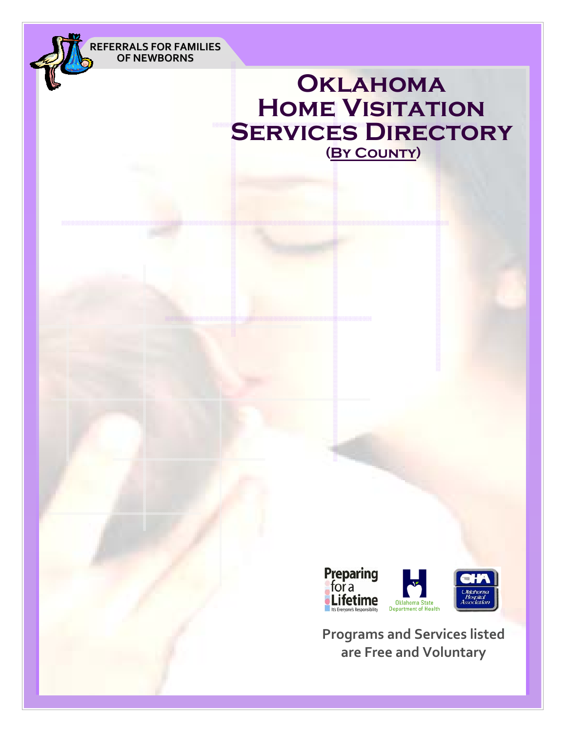**REFERRALS FOR FAMILIES OF NEWBORNS**

# **Oklahoma Home Visitation SERVICES DIRECTORY (By County)**



**Programs and Services listed are Free and Voluntary**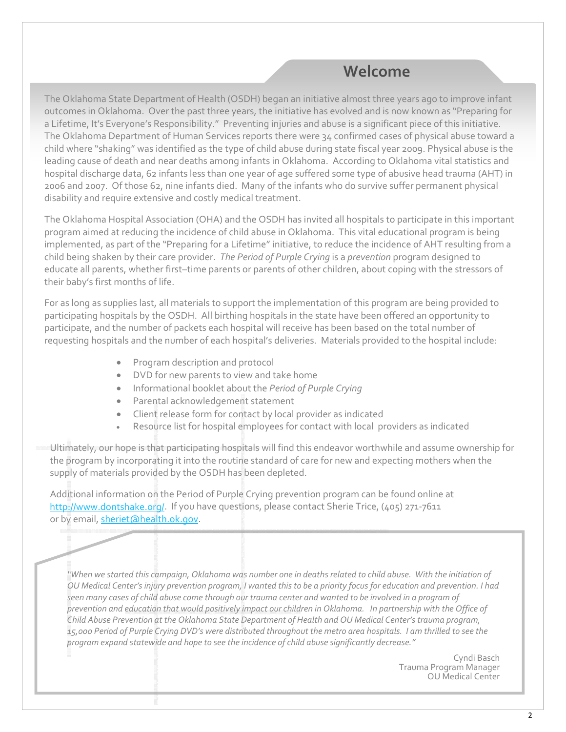## **Welcome**

The Oklahoma State Department of Health (OSDH) began an initiative almost three years ago to improve infant outcomes in Oklahoma. Over the past three years, the initiative has evolved and is now known as "Preparing for a Lifetime, It's Everyone's Responsibility." Preventing injuries and abuse is a significant piece of this initiative. The Oklahoma Department of Human Services reports there were 34 confirmed cases of physical abuse toward a child where "shaking" was identified as the type of child abuse during state fiscal year 2009. Physical abuse is the leading cause of death and near deaths among infants in Oklahoma. According to Oklahoma vital statistics and hospital discharge data, 62 infants less than one year of age suffered some type of abusive head trauma (AHT) in 2006 and 2007. Of those 62, nine infants died. Many of the infants who do survive suffer permanent physical disability and require extensive and costly medical treatment.

The Oklahoma Hospital Association (OHA) and the OSDH has invited all hospitals to participate in this important program aimed at reducing the incidence of child abuse in Oklahoma. This vital educational program is being implemented, as part of the "Preparing for a Lifetime" initiative, to reduce the incidence of AHT resulting from a child being shaken by their care provider. *The Period of Purple Crying* is a *prevention* program designed to educate all parents, whether first–time parents or parents of other children, about coping with the stressors of their baby's first months of life.

For as long as supplies last, all materials to support the implementation of this program are being provided to participating hospitals by the OSDH. All birthing hospitals in the state have been offered an opportunity to participate, and the number of packets each hospital will receive has been based on the total number of requesting hospitals and the number of each hospital's deliveries. Materials provided to the hospital include:

- Program description and protocol
- DVD for new parents to view and take home
- Informational booklet about the *Period of Purple Crying*
- Parental acknowledgement statement
- Client release form for contact by local provider as indicated
- Resource list for hospital employees for contact with local providers as indicated

Ultimately, our hope is that participating hospitals will find this endeavor worthwhile and assume ownership for the program by incorporating it into the routine standard of care for new and expecting mothers when the supply of materials provided by the OSDH has been depleted.

Additional information on the Period of Purple Crying prevention program can be found online at http://www.dontshake.org/. If you have questions, please contact Sherie Trice, (405) 271-7611 or by email, sheriet@health.ok.gov.

"When we started this campaign, Oklahoma was number one in deaths related to child abuse. With the initiation of OU Medical Center's injury prevention program, I wanted this to be a priority focus for education and prevention. I had seen many cases of child abuse come through our trauma center and wanted to be involved in a program of prevention and education that would positively impact our children in Oklahoma. In partnership with the Office of *Child Abuse Prevention at the Oklahoma State Department of Health and OU Medical Center's trauma program,* 15,000 Period of Purple Crying DVD's were distributed throughout the metro area hospitals. I am thrilled to see the *program expand statewide and hope to see the incidence of child abuse significantly decrease."*

> Cyndi Basch Trauma Program Manager OU Medical Center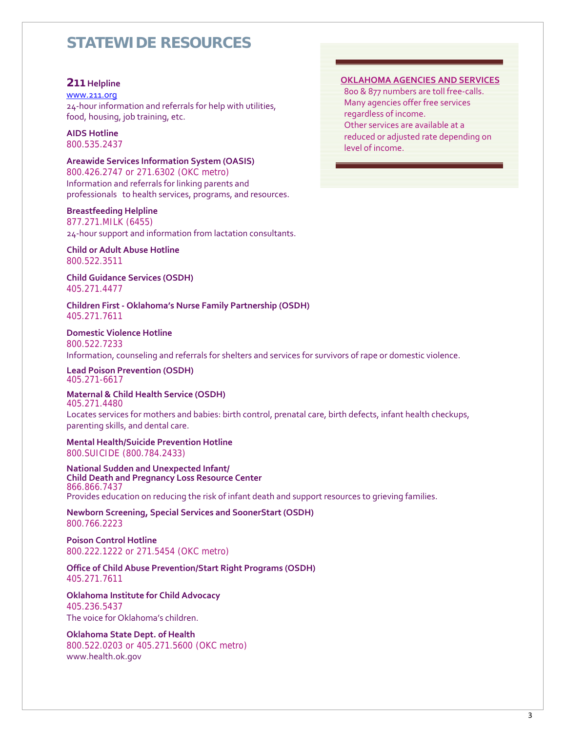#### **211 Helpline**

#### www.211.org

24‐hour information and referrals for help with utilities, food, housing, job training, etc.

**AIDS Hotline**

800.535.2437

**Areawide Services Information System (OASIS)** 

800.426.2747 or 271.6302 (OKC metro) Information and referrals for linking parents and professionals to health services, programs, and resources.

#### **Breastfeeding Helpline**

877.271.MILK (6455) 24‐hour support and information from lactation consultants.

#### **Child or Adult Abuse Hotline** 800.522.3511

**Child Guidance Services (OSDH)**  405.271.4477

**Children First ‐ Oklahoma's Nurse Family Partnership (OSDH)** 405.271.7611

**Domestic Violence Hotline** 800.522.7233 Information, counseling and referrals for shelters and services for survivors of rape or domestic violence.

**Lead Poison Prevention (OSDH)** 405.271-6617

#### **Maternal & Child Health Service (OSDH)** 405.271.4480

Locates services for mothers and babies: birth control, prenatal care, birth defects, infant health checkups, parenting skills, and dental care.

**Mental Health/Suicide Prevention Hotline** 800.SUICIDE (800.784.2433)

**National Sudden and Unexpected Infant/ Child Death and Pregnancy Loss Resource Center** 866.866.7437 Provides education on reducing the risk of infant death and support resources to grieving families.

**Newborn Screening, Special Services and SoonerStart (OSDH)** 800.766.2223

**Poison Control Hotline** 800.222.1222 or 271.5454 (OKC metro)

**Office of Child Abuse Prevention/Start Right Programs (OSDH)** 405.271.7611

**Oklahoma Institute for Child Advocacy** 405.236.5437 The voice for Oklahoma's children.

**Oklahoma State Dept. of Health** 800.522.0203 or 405.271.5600 (OKC metro) www.health.ok.gov

#### **OKLAHOMA AGENCIES AND SERVICES**

800 & 877 numbers are toll free-calls. Many agencies offer free services regardless of income. Other services are available at a reduced or adjusted rate depending on level of income.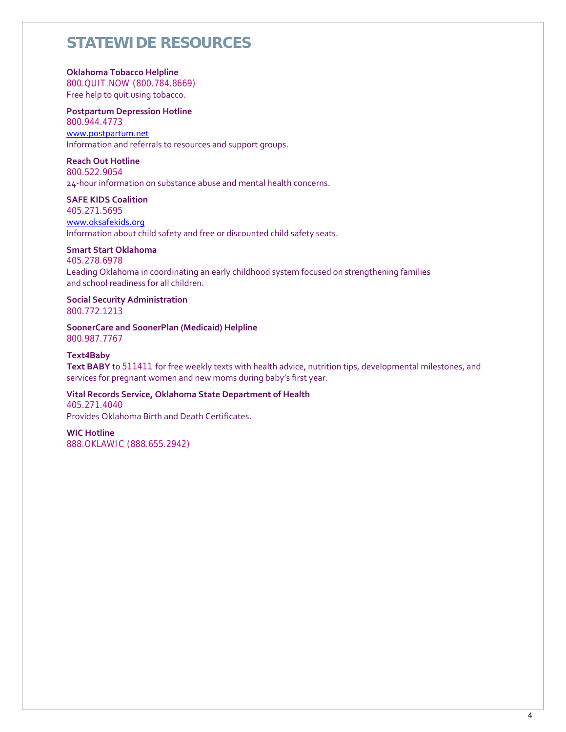#### **Oklahoma Tobacco Helpline**

800.QUIT.NOW (800.784.8669) Free help to quit using tobacco.

#### **Postpartum Depression Hotline** 800.944.4773 www.postpartum.net

Information and referrals to resources and support groups.

#### **Reach Out Hotline**

800.522.9054 24‐hour information on substance abuse and mental health concerns.

#### **SAFE KIDS Coalition**

405.271.5695 www.oksafekids.org Information about child safety and free or discounted child safety seats.

#### **Smart Start Oklahoma**

405.278.6978 Leading Oklahoma in coordinating an early childhood system focused on strengthening families and school readiness for all children.

#### **Social Security Administration**

800.772.1213

#### **SoonerCare and SoonerPlan (Medicaid) Helpline**  800.987.7767

**Text4Baby**

#### **Text BABY** to 511411 for free weekly texts with health advice, nutrition tips, developmental milestones, and services for pregnant women and new moms during baby's first year.

#### **Vital Records Service, Oklahoma State Department of Health**

405.271.4040 Provides Oklahoma Birth and Death Certificates.

#### **WIC Hotline**

888.OKLAWIC (888.655.2942)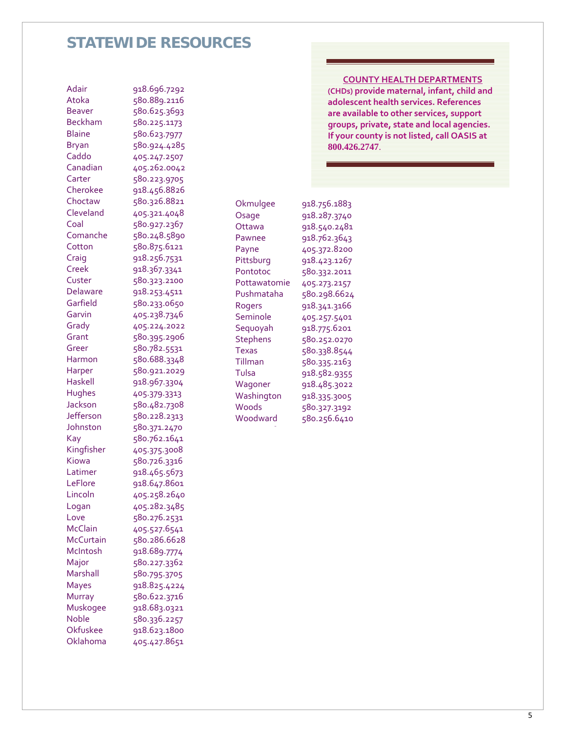| <b>Adair</b>     | 918.696.7292 |
|------------------|--------------|
| Atoka            | 580.889.2116 |
| <b>Beaver</b>    | 580.625.3693 |
| <b>Beckham</b>   | 580.225.1173 |
| <b>Blaine</b>    | 580.623.7977 |
| <b>Bryan</b>     | 580.924.4285 |
| Caddo            | 405.247.2507 |
| Canadian         | 405.262.0042 |
| Carter           | 580.223.9705 |
| Cherokee         | 918.456.8826 |
| Choctaw          | 580.326.8821 |
| Cleveland        | 405.321.4048 |
| Coal             | 580.927.2367 |
| Comanche         | 580.248.5890 |
| Cotton           | 580.875.6121 |
| Craig            | 918.256.7531 |
| Creek            | 918.367.3341 |
| Custer           | 580.323.2100 |
| Delaware         | 918.253.4511 |
| Garfield         | 580.233.0650 |
| Garvin           | 405.238.7346 |
| Grady            | 405.224.2022 |
| Grant            | 580.395.2906 |
| Greer            | 580.782.5531 |
| Harmon           | 580.688.3348 |
| Harper           | 580.921.2029 |
| Haskell          | 918.967.3304 |
| Hughes           | 405.379.3313 |
| Jackson          | 580.482.7308 |
| Jefferson        | 580.228.2313 |
| Johnston         | 580.371.2470 |
| Kay              | 580.762.1641 |
| Kingfisher       | 405.375.3008 |
| Kiowa            | 580.726.3316 |
| Latimer          | 918.465.5673 |
| LeFlore          | 918.647.8601 |
| Lincoln          | 405.258.2640 |
| Logan            | 405.282.3485 |
| Love             | 580.276.2531 |
| McClain          | 405.527.6541 |
| <b>McCurtain</b> | 580.286.6628 |
| McIntosh         | 918.689.7774 |
| Major            | 580.227.3362 |
| Marshall         | 580.795.3705 |
| <b>Mayes</b>     | 918.825.4224 |
| Murray           | 580.622.3716 |
| Muskogee         | 918.683.0321 |
| Noble            | 580.336.2257 |
| Okfuskee         | 918.623.1800 |
| Oklahoma         | 405.427.8651 |
|                  |              |

#### **COUNTY HEALTH DEPARTMENTS**

**(CHDs) provide maternal, infant, child and adolescent health services. References are available to other services, support groups, private, state and local agencies. If your county is not listed, call OASIS at 800.426.2747**.

| Okmulgee        | 918.756.1883 |
|-----------------|--------------|
| Osage           | 918.287.3740 |
| Ottawa          | 918.540.2481 |
| Pawnee          | 918.762.3643 |
| Payne           | 405.372.8200 |
| Pittsburg       | 918.423.1267 |
| Pontotoc        | 580.332.2011 |
| Pottawatomie    | 405.273.2157 |
| Pushmataha      | 580.298.6624 |
| Rogers          | 918.341.3166 |
| Seminole        | 405.257.5401 |
| Sequoyah        | 918.775.6201 |
| <b>Stephens</b> | 580.252.0270 |
| Texas           | 580.338.8544 |
| Tillman         | 580.335.2163 |
| Tulsa           | 918.582.9355 |
| Wagoner         | 918.485.3022 |
| Washington      | 918.335.3005 |
| Woods           | 580.327.3192 |
| Woodward        | 580.256.6410 |

7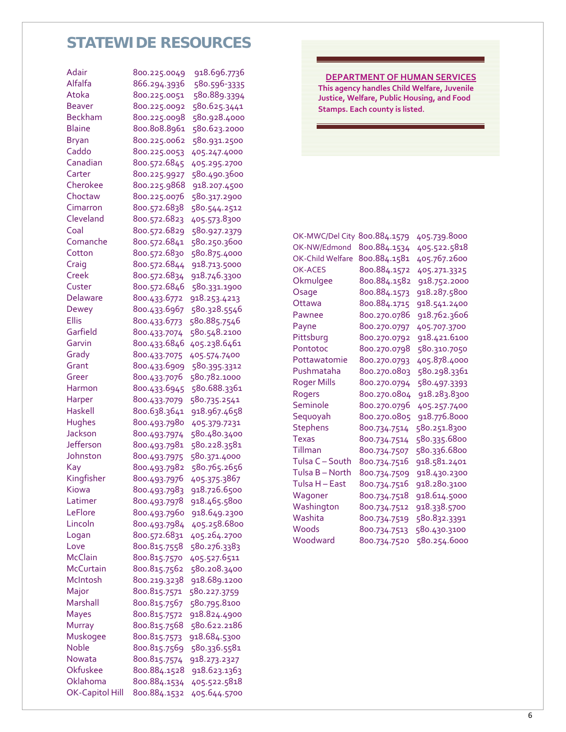| Adair                  | 800.225.0049 | 918.696.7736 |
|------------------------|--------------|--------------|
| Alfalfa                | 866.294.3936 | 580.596-3335 |
| Atoka                  | 800.225.0051 | 580.889.3394 |
| <b>Beaver</b>          | 800.225.0092 | 580.625.3441 |
| <b>Beckham</b>         | 800.225.0098 | 580.928.4000 |
| <b>Blaine</b>          | 800.808.8961 | 580.623.2000 |
| <b>Bryan</b>           | 800.225.0062 | 580.931.2500 |
| Caddo                  | 800.225.0053 | 405.247.4000 |
| Canadian               | 800.572.6845 | 405.295.2700 |
| Carter                 | 800.225.9927 | 580.490.3600 |
| Cherokee               | 800.225.9868 | 918.207.4500 |
| Choctaw                | 800.225.0076 | 580.317.2900 |
| Cimarron               | 800.572.6838 | 580.544.2512 |
| Cleveland              | 800.572.6823 | 405.573.8300 |
| Coal                   | 800.572.6829 | 580.927.2379 |
| Comanche               | 800.572.6841 | 580.250.3600 |
| Cotton                 | 800.572.6830 | 580.875.4000 |
| Craig                  | 800.572.6844 | 918.713.5000 |
| Creek                  | 800.572.6834 | 918.746.3300 |
| Custer                 | 800.572.6846 | 580.331.1900 |
| Delaware               | 800.433.6772 | 918.253.4213 |
| Dewey                  | 800.433.6967 | 580.328.5546 |
| <b>Ellis</b>           | 800.433.6773 | 580.885.7546 |
| Garfield               | 800.433.7074 | 580.548.2100 |
| Garvin                 | 800.433.6846 | 405.238.6461 |
| Grady                  | 800.433.7075 | 405.574.7400 |
| Grant                  | 800.433.6909 | 580.395.3312 |
| Greer                  | 800.433.7076 | 580.782.1000 |
| Harmon                 | 800.433.6945 | 580.688.3361 |
| Harper                 | 800.433.7079 | 580.735.2541 |
| <b>Haskell</b>         | 800.638.3641 | 918.967.4658 |
| Hughes                 | 800.493.7980 | 405.379.7231 |
| Jackson                | 800.493.7974 | 580.480.3400 |
| Jefferson              | 800.493.7981 | 580.228.3581 |
| Johnston               | 800.493.7975 | 580.371.4000 |
| Kay                    | 800.493.7982 | 580.765.2656 |
| Kingfisher             | 800.493.7976 | 405.375.3867 |
| Kiowa                  | 800.493.7983 | 918.726.6500 |
| Latimer                | 800.493.7978 | 918.465.5800 |
| LeFlore                | 800.493.7960 | 918.649.2300 |
| Lincoln                | 800.493.7984 | 405.258.6800 |
| Logan                  | 800.572.6831 | 405.264.2700 |
| Love                   | 800.815.7558 | 580.276.3383 |
| <b>McClain</b>         | 800.815.7570 | 405.527.6511 |
| <b>McCurtain</b>       | 800.815.7562 | 580.208.3400 |
| McIntosh               | 800.219.3238 | 918.689.1200 |
| Major                  | 800.815.7571 | 580.227.3759 |
| Marshall               | 800.815.7567 | 580.795.8100 |
| Mayes                  | 800.815.7572 | 918.824.4900 |
| Murray                 | 800.815.7568 | 580.622.2186 |
| Muskogee               | 800.815.7573 | 918.684.5300 |
| Noble                  | 800.815.7569 | 580.336.5581 |
| Nowata                 | 800.815.7574 | 918.273.2327 |
| Okfuskee               | 800.884.1528 | 918.623.1363 |
| Oklahoma               | 800.884.1534 | 405.522.5818 |
| <b>OK-Capitol Hill</b> | 800.884.1532 | 405.644.5700 |

#### **DEPARTMENT OF HUMAN SERVICES This agency handles Child Welfare, Juvenile Justice, Welfare, Public Housing, and Food Stamps. Each county is listed**.

| OK-MWC/Del City    | 800.884.1579 | 405.739.8000 |
|--------------------|--------------|--------------|
| OK-NW/Edmond       | 800.884.1534 | 405.522.5818 |
| OK-Child Welfare   | 800.884.1581 | 405.767.2600 |
| OK-ACES            | 800.884.1572 | 405.271.3325 |
| Okmulgee           | 800.884.1582 | 918.752.2000 |
| Osage              | 800.884.1573 | 918.287.5800 |
| Ottawa             | 800.884.1715 | 918.541.2400 |
| Pawnee             | 800.270.0786 | 918.762.3606 |
| Payne              | 800.270.0797 | 405.707.3700 |
| Pittsburg          | 800.270.0792 | 918.421.6100 |
| Pontotoc           | 800.270.0798 | 580.310.7050 |
| Pottawatomie       | 800.270.0793 | 405.878.4000 |
| Pushmataha         | 800.270.0803 | 580.298.3361 |
| <b>Roger Mills</b> | 800.270.0794 | 580.497.3393 |
| Rogers             | 800.270.0804 | 918.283.8300 |
| Seminole           | 800.270.0796 | 405.257.7400 |
| Sequoyah           | 800.270.0805 | 918.776.8000 |
| <b>Stephens</b>    | 800.734.7514 | 580.251.8300 |
| <b>Texas</b>       | 800.734.7514 | 580.335.6800 |
| Tillman            | 800.734.7507 | 580.336.6800 |
| Tulsa C - South    | 800.734.7516 | 918.581.2401 |
| Tulsa B - North    | 800.734.7509 | 918.430.2300 |
| Tulsa H - East     | 800.734.7516 | 918.280.3100 |
| Wagoner            | 800.734.7518 | 918.614.5000 |
| Washington         | 800.734.7512 | 918.338.5700 |
| Washita            | 800.734.7519 | 580.832.3391 |
| Woods              | 800.734.7513 | 580.430.3100 |
| Woodward           | 800.734.7520 | 580.254.6000 |
|                    |              |              |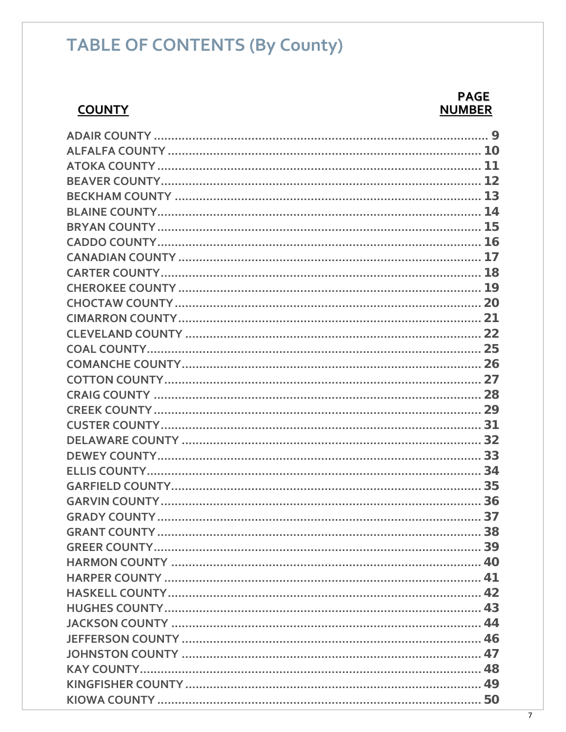# **TABLE OF CONTENTS (By County)**

#### **COUNTY**

#### **PAGE NUMBER**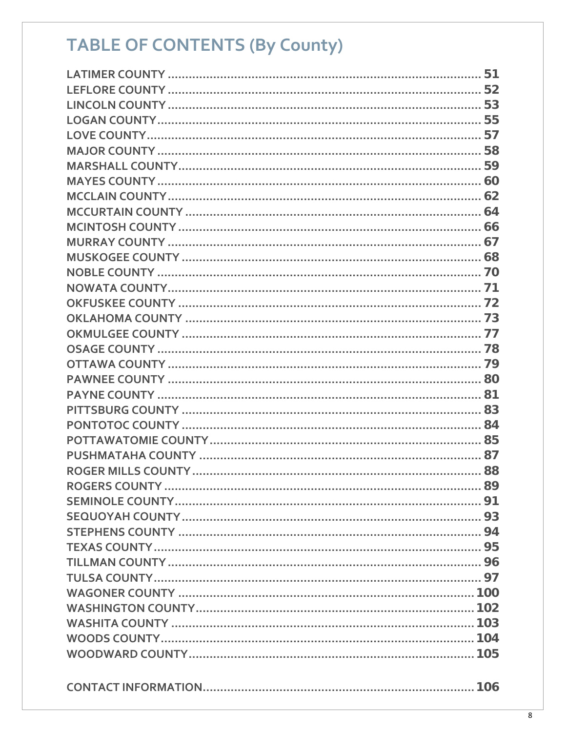# **TABLE OF CONTENTS (By County)**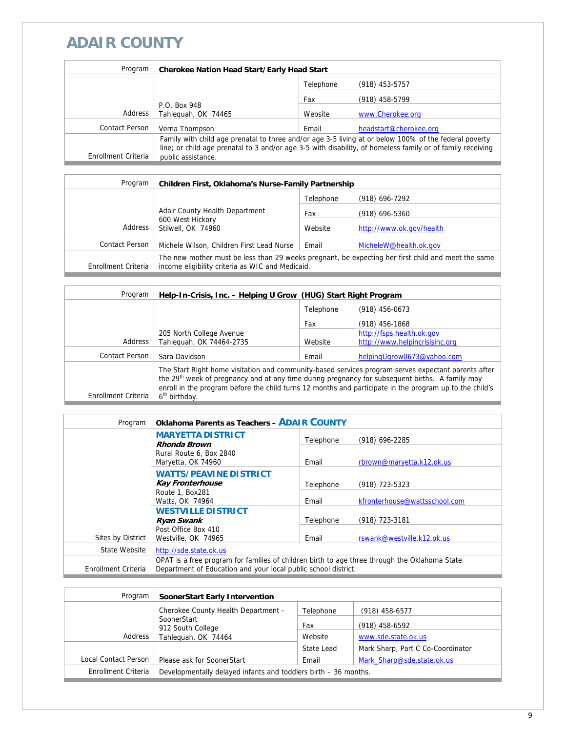# **ADAIR COUNTY**

| Program               | <b>Cherokee Nation Head Start/Early Head Start</b>                                                                                                                                                                                        |           |                        |
|-----------------------|-------------------------------------------------------------------------------------------------------------------------------------------------------------------------------------------------------------------------------------------|-----------|------------------------|
|                       |                                                                                                                                                                                                                                           | Telephone | (918) 453-5757         |
|                       |                                                                                                                                                                                                                                           | Fax       | (918) 458-5799         |
| Address               | P.O. Box 948<br>Tahlequah, OK 74465                                                                                                                                                                                                       | Website   | www.Cherokee.org       |
| <b>Contact Person</b> | Verna Thompson                                                                                                                                                                                                                            | Email     | headstart@cherokee.org |
| Enrollment Criteria   | Family with child age prenatal to three and/or age 3-5 living at or below 100% of the federal poverty<br>line; or child age prenatal to 3 and/or age 3-5 with disability, of homeless family or of family receiving<br>public assistance. |           |                        |

| Program             | Children First, Oklahoma's Nurse-Family Partnership                                                                                                    |           |                          |
|---------------------|--------------------------------------------------------------------------------------------------------------------------------------------------------|-----------|--------------------------|
|                     |                                                                                                                                                        | Telephone | (918) 696-7292           |
|                     | Adair County Health Department                                                                                                                         | Fax       | $(918)$ 696-5360         |
| Address             | 600 West Hickory<br>Stilwell, OK 74960                                                                                                                 | Website   | http://www.ok.gov/health |
| Contact Person      | Michele Wilson, Children First Lead Nurse                                                                                                              | Email     | MicheleW@health.ok.gov   |
| Enrollment Criteria | The new mother must be less than 29 weeks pregnant, be expecting her first child and meet the same<br>income eligibility criteria as WIC and Medicaid. |           |                          |

| Program             | Help-In-Crisis, Inc. - Helping U Grow (HUG) Start Right Program                                                                                                                                                                                                                                                                                            |           |                                |
|---------------------|------------------------------------------------------------------------------------------------------------------------------------------------------------------------------------------------------------------------------------------------------------------------------------------------------------------------------------------------------------|-----------|--------------------------------|
|                     |                                                                                                                                                                                                                                                                                                                                                            | Telephone | $(918)$ 456-0673               |
|                     |                                                                                                                                                                                                                                                                                                                                                            | Fax       | $(918)$ 456-1868               |
|                     | 205 North College Avenue                                                                                                                                                                                                                                                                                                                                   |           | http://fsps.health.ok.gov      |
| Address             | Tahleguah, OK 74464-2735                                                                                                                                                                                                                                                                                                                                   | Website   | http://www.helpincrisisinc.org |
| Contact Person      | Sara Davidson                                                                                                                                                                                                                                                                                                                                              | Email     | helpingUgrow0673@yahoo.com     |
| Enrollment Criteria | The Start Right home visitation and community-based services program serves expectant parents after<br>the 29 <sup>th</sup> week of pregnancy and at any time during pregnancy for subsequent births. A family may<br>enroll in the program before the child turns 12 months and participate in the program up to the child's<br>6 <sup>th</sup> birthday. |           |                                |

| Program             | <b>Oklahoma Parents as Teachers - ADAIR COUNTY</b>                                            |           |                               |
|---------------------|-----------------------------------------------------------------------------------------------|-----------|-------------------------------|
|                     | <b>MARYETTA DISTRICT</b><br>Rhonda Brown                                                      | Telephone | (918) 696-2285                |
|                     | Rural Route 6, Box 2840                                                                       |           |                               |
|                     | Maryetta, OK 74960                                                                            | Email     | rbrown@maryetta.k12.ok.us     |
|                     | <b>WATTS/PEAVINE DISTRICT</b><br><b>Kay Fronterhouse</b>                                      | Telephone | (918) 723-5323                |
|                     | Route 1, Box281<br>Watts, OK 74964                                                            | Email     | kfronterhouse@wattsschool.com |
|                     | <b>WESTVILLE DISTRICT</b><br><b>Ryan Swank</b>                                                | Telephone | (918) 723-3181                |
| Sites by District   | Post Office Box 410<br>Westville, OK 74965                                                    | Email     | rswank@westville.k12.ok.us    |
| State Website       | http://sde.state.ok.us                                                                        |           |                               |
|                     | OPAT is a free program for families of children birth to age three through the Oklahoma State |           |                               |
| Enrollment Criteria | Department of Education and your local public school district.                                |           |                               |

| Program              | <b>SoonerStart Early Intervention</b>                           |            |                                   |
|----------------------|-----------------------------------------------------------------|------------|-----------------------------------|
|                      | Cherokee County Health Department -                             | Telephone  | $(918)$ 458-6577                  |
|                      | SoonerStart<br>912 South College                                | Fax        | (918) 458-6592                    |
| Address              | Tahleguah, OK 74464                                             | Website    | www.sde.state.ok.us               |
|                      |                                                                 | State Lead | Mark Sharp, Part C Co-Coordinator |
| Local Contact Person | Please ask for SoonerStart                                      | Email      | Mark Sharp@sde.state.ok.us        |
| Enrollment Criteria  | Developmentally delayed infants and toddlers birth - 36 months. |            |                                   |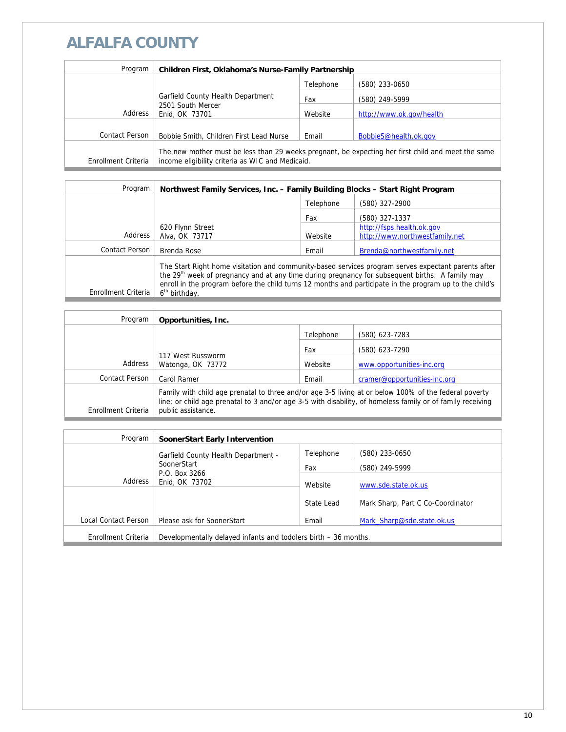## **ALFALFA COUNTY**

| Program             | <b>Children First, Oklahoma's Nurse-Family Partnership</b>                                                                                             |           |                          |
|---------------------|--------------------------------------------------------------------------------------------------------------------------------------------------------|-----------|--------------------------|
|                     |                                                                                                                                                        | Telephone | (580) 233-0650           |
|                     | Garfield County Health Department                                                                                                                      | Fax       | (580) 249-5999           |
| Address             | 2501 South Mercer<br>Enid, OK 73701                                                                                                                    | Website   | http://www.ok.gov/health |
| Contact Person      | Bobbie Smith, Children First Lead Nurse                                                                                                                | Email     | BobbieS@health.ok.gov    |
| Enrollment Criteria | The new mother must be less than 29 weeks pregnant, be expecting her first child and meet the same<br>income eligibility criteria as WIC and Medicaid. |           |                          |

| Program             | Northwest Family Services, Inc. - Family Building Blocks - Start Right Program                                                                                                                                                                                                                                                                             |           |                                |
|---------------------|------------------------------------------------------------------------------------------------------------------------------------------------------------------------------------------------------------------------------------------------------------------------------------------------------------------------------------------------------------|-----------|--------------------------------|
|                     |                                                                                                                                                                                                                                                                                                                                                            | Telephone | (580) 327-2900                 |
|                     |                                                                                                                                                                                                                                                                                                                                                            | Fax       | (580) 327-1337                 |
|                     | 620 Flynn Street                                                                                                                                                                                                                                                                                                                                           |           | http://fsps.health.ok.gov      |
| Address             | Alva, OK 73717                                                                                                                                                                                                                                                                                                                                             | Website   | http://www.northwestfamily.net |
| Contact Person      | Brenda Rose                                                                                                                                                                                                                                                                                                                                                | Email     | Brenda@northwestfamily.net     |
| Enrollment Criteria | The Start Right home visitation and community-based services program serves expectant parents after<br>the 29 <sup>th</sup> week of pregnancy and at any time during pregnancy for subsequent births. A family may<br>enroll in the program before the child turns 12 months and participate in the program up to the child's<br>6 <sup>th</sup> birthday. |           |                                |

| Program             | Opportunities, Inc.                                                                                                                                                                                                                       |           |                              |
|---------------------|-------------------------------------------------------------------------------------------------------------------------------------------------------------------------------------------------------------------------------------------|-----------|------------------------------|
|                     |                                                                                                                                                                                                                                           | Telephone | (580) 623-7283               |
|                     | 117 West Russworm<br>Watonga, OK 73772                                                                                                                                                                                                    | Fax       | (580) 623-7290               |
| Address             |                                                                                                                                                                                                                                           | Website   | www.opportunities-inc.org    |
| Contact Person      | Carol Ramer                                                                                                                                                                                                                               | Email     | cramer@opportunities-inc.org |
| Enrollment Criteria | Family with child age prenatal to three and/or age 3-5 living at or below 100% of the federal poverty<br>line; or child age prenatal to 3 and/or age 3-5 with disability, of homeless family or of family receiving<br>public assistance. |           |                              |

| Program              | SoonerStart Early Intervention                                  |            |                                   |
|----------------------|-----------------------------------------------------------------|------------|-----------------------------------|
|                      | <b>Garfield County Health Department -</b>                      | Telephone  | (580) 233-0650                    |
|                      | SoonerStart<br>P.O. Box 3266<br>Address<br>Enid, OK 73702       | Fax        | (580) 249-5999                    |
|                      |                                                                 | Website    | www.sde.state.ok.us               |
|                      |                                                                 | State Lead | Mark Sharp, Part C Co-Coordinator |
| Local Contact Person | Please ask for SoonerStart                                      | Email      | Mark Sharp@sde.state.ok.us        |
| Enrollment Criteria  | Developmentally delayed infants and toddlers birth - 36 months. |            |                                   |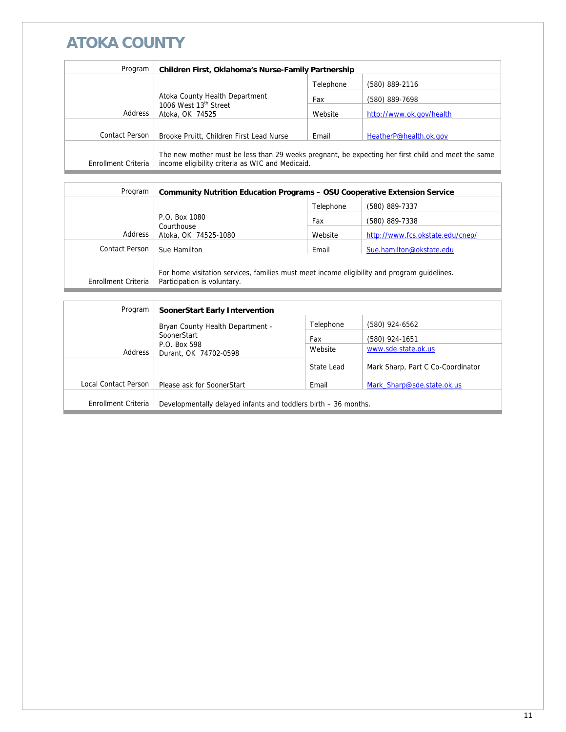# **ATOKA COUNTY**

| Program             | Children First, Oklahoma's Nurse-Family Partnership                                                                                                    |           |                          |
|---------------------|--------------------------------------------------------------------------------------------------------------------------------------------------------|-----------|--------------------------|
|                     |                                                                                                                                                        | Telephone | (580) 889-2116           |
|                     | Atoka County Health Department<br>1006 West 13 <sup>th</sup> Street<br>Atoka, OK 74525                                                                 | Fax       | (580) 889-7698           |
| Address             |                                                                                                                                                        | Website   | http://www.ok.gov/health |
|                     |                                                                                                                                                        |           |                          |
| Contact Person      | Brooke Pruitt, Children First Lead Nurse                                                                                                               | Email     | HeatherP@health.ok.gov   |
| Enrollment Criteria | The new mother must be less than 29 weeks pregnant, be expecting her first child and meet the same<br>income eligibility criteria as WIC and Medicaid. |           |                          |

| Program             | <b>Community Nutrition Education Programs - OSU Cooperative Extension Service</b>                                          |           |                                  |
|---------------------|----------------------------------------------------------------------------------------------------------------------------|-----------|----------------------------------|
|                     |                                                                                                                            | Telephone | (580) 889-7337                   |
|                     | P.O. Box 1080                                                                                                              | Fax       | (580) 889-7338                   |
| Address             | Courthouse<br>Atoka, OK 74525-1080                                                                                         | Website   | http://www.fcs.okstate.edu/cnep/ |
| Contact Person      | Sue Hamilton                                                                                                               | Email     | Sue.hamilton@okstate.edu         |
| Enrollment Criteria | For home visitation services, families must meet income eligibility and program quidelines.<br>Participation is voluntary. |           |                                  |
|                     |                                                                                                                            |           |                                  |

| Program              | <b>SoonerStart Early Intervention</b>                           |            |                                   |
|----------------------|-----------------------------------------------------------------|------------|-----------------------------------|
|                      | Bryan County Health Department -                                | Telephone  | (580) 924-6562                    |
|                      | SoonerStart<br>P.O. Box 598<br>Address<br>Durant, OK 74702-0598 | Fax        | (580) 924-1651                    |
|                      |                                                                 | Website    | www.sde.state.ok.us               |
|                      |                                                                 | State Lead | Mark Sharp, Part C Co-Coordinator |
| Local Contact Person | Please ask for SoonerStart                                      | Email      | Mark Sharp@sde.state.ok.us        |
| Enrollment Criteria  | Developmentally delayed infants and toddlers birth – 36 months. |            |                                   |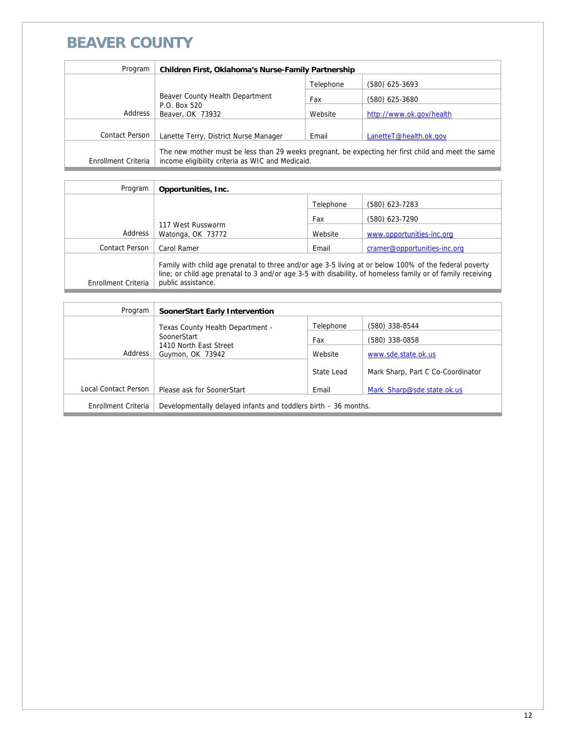#### **BEAVER COUNTY**

| Program             | Children First, Oklahoma's Nurse-Family Partnership                                                                                                    |           |                          |
|---------------------|--------------------------------------------------------------------------------------------------------------------------------------------------------|-----------|--------------------------|
|                     |                                                                                                                                                        | Telephone | $(580)$ 625-3693         |
|                     | Beaver County Health Department<br>P.O. Box 520<br>Beaver, OK 73932                                                                                    | Fax       | (580) 625-3680           |
| Address             |                                                                                                                                                        | Website   | http://www.ok.gov/health |
| Contact Person      | Lanette Terry, District Nurse Manager                                                                                                                  | Email     | LanetteT@health.ok.gov   |
|                     |                                                                                                                                                        |           |                          |
| Enrollment Criteria | The new mother must be less than 29 weeks pregnant, be expecting her first child and meet the same<br>income eligibility criteria as WIC and Medicaid. |           |                          |

| Program             | Opportunities, Inc.                                                                                                                                                                                                                       |           |                              |
|---------------------|-------------------------------------------------------------------------------------------------------------------------------------------------------------------------------------------------------------------------------------------|-----------|------------------------------|
|                     |                                                                                                                                                                                                                                           | Telephone | (580) 623-7283               |
|                     |                                                                                                                                                                                                                                           | Fax       | (580) 623-7290               |
| Address             | 117 West Russworm<br>Watonga, OK 73772                                                                                                                                                                                                    | Website   | www.opportunities-inc.org    |
| Contact Person      | Carol Ramer                                                                                                                                                                                                                               | Email     | cramer@opportunities-inc.org |
| Enrollment Criteria | Family with child age prenatal to three and/or age 3-5 living at or below 100% of the federal poverty<br>line; or child age prenatal to 3 and/or age 3-5 with disability, of homeless family or of family receiving<br>public assistance. |           |                              |

| Program              | SoonerStart Early Intervention                                  |            |                                   |
|----------------------|-----------------------------------------------------------------|------------|-----------------------------------|
|                      | Texas County Health Department -                                | Telephone  | (580) 338-8544                    |
|                      | SoonerStart                                                     | Fax        | (580) 338-0858                    |
| Address              | 1410 North East Street<br>Guymon, OK 73942                      | Website    | www.sde.state.ok.us               |
|                      |                                                                 | State Lead | Mark Sharp, Part C Co-Coordinator |
| Local Contact Person | Please ask for SoonerStart                                      | Email      | Mark Sharp@sde.state.ok.us        |
| Enrollment Criteria  | Developmentally delayed infants and toddlers birth – 36 months. |            |                                   |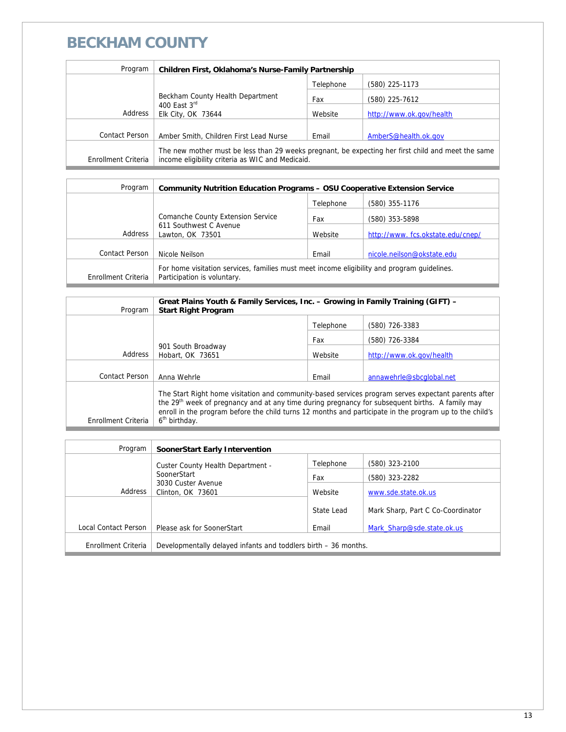#### **BECKHAM COUNTY**

| Program             | Children First, Oklahoma's Nurse-Family Partnership                                                                                                    |           |                          |
|---------------------|--------------------------------------------------------------------------------------------------------------------------------------------------------|-----------|--------------------------|
|                     |                                                                                                                                                        | Telephone | (580) 225-1173           |
|                     | Beckham County Health Department                                                                                                                       | Fax       | (580) 225-7612           |
| Address             | 400 East 3rd<br>Elk City, OK 73644                                                                                                                     | Website   | http://www.ok.gov/health |
|                     |                                                                                                                                                        |           |                          |
| Contact Person      | Amber Smith, Children First Lead Nurse                                                                                                                 | Email     | AmberS@health.ok.gov     |
| Enrollment Criteria | The new mother must be less than 29 weeks pregnant, be expecting her first child and meet the same<br>income eligibility criteria as WIC and Medicaid. |           |                          |

| Program             | <b>Community Nutrition Education Programs - OSU Cooperative Extension Service</b>           |           |                                  |  |
|---------------------|---------------------------------------------------------------------------------------------|-----------|----------------------------------|--|
|                     |                                                                                             | Telephone | (580) 355-1176                   |  |
|                     | Comanche County Extension Service                                                           | Fax       | (580) 353-5898                   |  |
| Address             | 611 Southwest C Avenue<br>Lawton, OK 73501                                                  | Website   | http://www.fcs.okstate.edu/cnep/ |  |
| Contact Person      | Nicole Neilson                                                                              | Email     | nicole.neilson@okstate.edu       |  |
|                     | For home visitation services, families must meet income eligibility and program quidelines. |           |                                  |  |
| Enrollment Criteria | Participation is voluntary.                                                                 |           |                                  |  |

| Program             | Great Plains Youth & Family Services, Inc. - Growing in Family Training (GIFT) -<br><b>Start Right Program</b>                                                                                                                                                                                                                                             |           |                          |
|---------------------|------------------------------------------------------------------------------------------------------------------------------------------------------------------------------------------------------------------------------------------------------------------------------------------------------------------------------------------------------------|-----------|--------------------------|
|                     |                                                                                                                                                                                                                                                                                                                                                            | Telephone | (580) 726-3383           |
|                     | 901 South Broadway<br>Hobart, OK 73651                                                                                                                                                                                                                                                                                                                     | Fax       | (580) 726-3384           |
| Address             |                                                                                                                                                                                                                                                                                                                                                            | Website   | http://www.ok.gov/health |
|                     |                                                                                                                                                                                                                                                                                                                                                            |           |                          |
| Contact Person      | Anna Wehrle                                                                                                                                                                                                                                                                                                                                                | Email     | annawehrle@sbcqlobal.net |
| Enrollment Criteria | The Start Right home visitation and community-based services program serves expectant parents after<br>the 29 <sup>th</sup> week of pregnancy and at any time during pregnancy for subsequent births. A family may<br>enroll in the program before the child turns 12 months and participate in the program up to the child's<br>6 <sup>th</sup> birthday. |           |                          |

| Program              | SoonerStart Early Intervention                                  |            |                                   |
|----------------------|-----------------------------------------------------------------|------------|-----------------------------------|
|                      | Custer County Health Department -                               | Telephone  | (580) 323-2100                    |
|                      | SoonerStart<br>3030 Custer Avenue<br>Clinton, OK 73601          | Fax        | (580) 323-2282                    |
| Address              |                                                                 | Website    | www.sde.state.ok.us               |
|                      |                                                                 | State Lead | Mark Sharp, Part C Co-Coordinator |
| Local Contact Person | Please ask for SoonerStart                                      | Email      | Mark Sharp@sde.state.ok.us        |
| Enrollment Criteria  | Developmentally delayed infants and toddlers birth – 36 months. |            |                                   |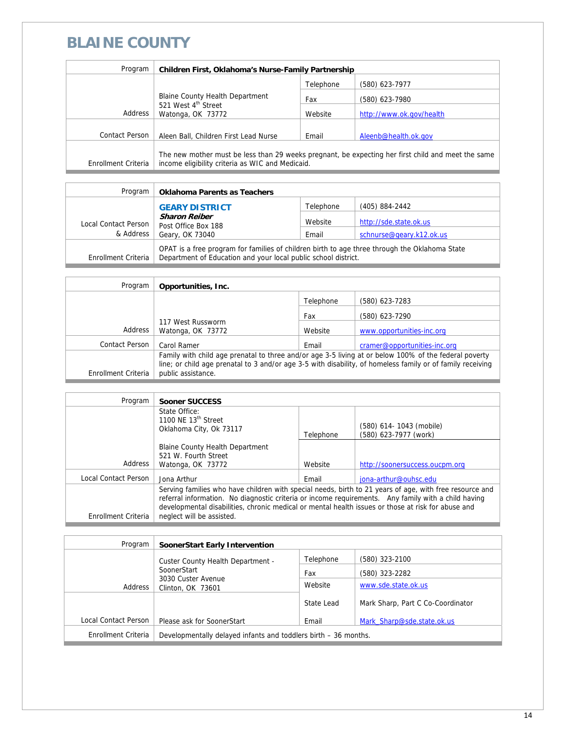### **BLAINE COUNTY**

| Program             | Children First, Oklahoma's Nurse-Family Partnership                                            |           |                                                                                                    |
|---------------------|------------------------------------------------------------------------------------------------|-----------|----------------------------------------------------------------------------------------------------|
|                     |                                                                                                | Telephone | (580) 623-7977                                                                                     |
|                     | <b>Blaine County Health Department</b><br>521 West 4 <sup>th</sup> Street<br>Watonga, OK 73772 | Fax       | (580) 623-7980                                                                                     |
| Address             |                                                                                                | Website   | http://www.ok.gov/health                                                                           |
|                     |                                                                                                |           |                                                                                                    |
| Contact Person      | Aleen Ball, Children First Lead Nurse                                                          | Email     | Aleenb@health.ok.gov                                                                               |
| Enrollment Criteria | income eligibility criteria as WIC and Medicaid.                                               |           | The new mother must be less than 29 weeks pregnant, be expecting her first child and meet the same |

| Program              | <b>Oklahoma Parents as Teachers</b>                                                                                                                             |           |                          |
|----------------------|-----------------------------------------------------------------------------------------------------------------------------------------------------------------|-----------|--------------------------|
|                      | <b>GEARY DISTRICT</b>                                                                                                                                           | Telephone | (405) 884-2442           |
| Local Contact Person | <b>Sharon Reiber</b><br>Post Office Box 188                                                                                                                     | Website   | http://sde.state.ok.us   |
| & Address            | Geary, OK 73040                                                                                                                                                 | Email     | schnurse@geary.k12.ok.us |
| Enrollment Criteria  | OPAT is a free program for families of children birth to age three through the Oklahoma State<br>Department of Education and your local public school district. |           |                          |

| Program             | Opportunities, Inc.                                                                                                                                                                                                                       |           |                              |
|---------------------|-------------------------------------------------------------------------------------------------------------------------------------------------------------------------------------------------------------------------------------------|-----------|------------------------------|
|                     |                                                                                                                                                                                                                                           | Telephone | (580) 623-7283               |
|                     |                                                                                                                                                                                                                                           | Fax       | (580) 623-7290               |
| Address             | 117 West Russworm<br>Watonga, OK 73772                                                                                                                                                                                                    | Website   | www.opportunities-inc.org    |
| Contact Person      | Carol Ramer                                                                                                                                                                                                                               | Email     | cramer@opportunities-inc.org |
| Enrollment Criteria | Family with child age prenatal to three and/or age 3-5 living at or below 100% of the federal poverty<br>line; or child age prenatal to 3 and/or age 3-5 with disability, of homeless family or of family receiving<br>public assistance. |           |                              |

| Program              | Sooner SUCCESS                                                                                                                                                                                                                                                                                                                                    |           |                                                  |
|----------------------|---------------------------------------------------------------------------------------------------------------------------------------------------------------------------------------------------------------------------------------------------------------------------------------------------------------------------------------------------|-----------|--------------------------------------------------|
|                      | State Office:<br>1100 NF $13th$ Street<br>Oklahoma City, Ok 73117                                                                                                                                                                                                                                                                                 | Telephone | (580) 614-1043 (mobile)<br>(580) 623-7977 (work) |
| Address              | <b>Blaine County Health Department</b><br>521 W. Fourth Street<br>Watonga, OK 73772                                                                                                                                                                                                                                                               | Website   | http://soonersuccess.oucpm.org                   |
| Local Contact Person | Jona Arthur                                                                                                                                                                                                                                                                                                                                       | Email     | iona-arthur@ouhsc.edu                            |
| Enrollment Criteria  | Serving families who have children with special needs, birth to 21 years of age, with free resource and<br>referral information. No diagnostic criteria or income requirements. Any family with a child having<br>developmental disabilities, chronic medical or mental health issues or those at risk for abuse and<br>neglect will be assisted. |           |                                                  |

| Program              | SoonerStart Early Intervention                                  |            |                                   |
|----------------------|-----------------------------------------------------------------|------------|-----------------------------------|
|                      | Custer County Health Department -                               | Telephone  | (580) 323-2100                    |
|                      | SoonerStart                                                     | Fax        | (580) 323-2282                    |
| Address              | 3030 Custer Avenue<br>Clinton, OK 73601                         | Website    | www.sde.state.ok.us               |
|                      |                                                                 | State Lead | Mark Sharp, Part C Co-Coordinator |
| Local Contact Person | Please ask for SoonerStart                                      | Email      | Mark Sharp@sde.state.ok.us        |
| Enrollment Criteria  | Developmentally delayed infants and toddlers birth - 36 months. |            |                                   |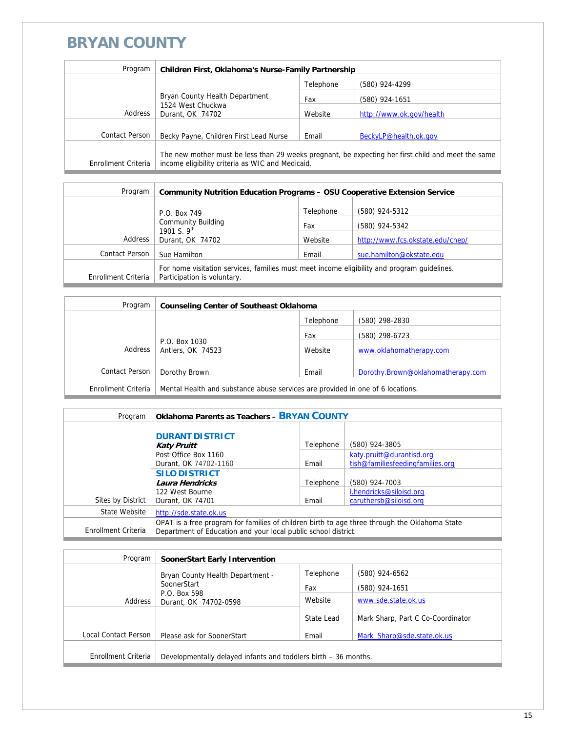#### **BRYAN COUNTY**

| Program             | Children First, Oklahoma's Nurse-Family Partnership                                                                                                    |           |                          |
|---------------------|--------------------------------------------------------------------------------------------------------------------------------------------------------|-----------|--------------------------|
|                     |                                                                                                                                                        | Telephone | (580) 924-4299           |
|                     | Bryan County Health Department<br>1524 West Chuckwa<br>Address<br>Durant, OK 74702                                                                     | Fax       | (580) 924-1651           |
|                     |                                                                                                                                                        | Website   | http://www.ok.gov/health |
|                     |                                                                                                                                                        |           |                          |
| Contact Person      | Becky Payne, Children First Lead Nurse                                                                                                                 | Email     | BeckyLP@health.ok.gov    |
| Enrollment Criteria | The new mother must be less than 29 weeks pregnant, be expecting her first child and meet the same<br>income eligibility criteria as WIC and Medicaid. |           |                          |

| Program                                       | <b>Community Nutrition Education Programs - OSU Cooperative Extension Service</b>                                          |                |                                  |
|-----------------------------------------------|----------------------------------------------------------------------------------------------------------------------------|----------------|----------------------------------|
|                                               | P.O. Box 749                                                                                                               | Telephone      | (580) 924-5312                   |
| <b>Community Building</b><br>1901 S. $9^{th}$ | Fax                                                                                                                        | (580) 924-5342 |                                  |
| Address                                       | Durant, OK 74702                                                                                                           | Website        | http://www.fcs.okstate.edu/cnep/ |
| Contact Person                                | Sue Hamilton                                                                                                               | Email          | sue.hamilton@okstate.edu         |
| Enrollment Criteria                           | For home visitation services, families must meet income eligibility and program quidelines.<br>Participation is voluntary. |                |                                  |

| Program             | <b>Counseling Center of Southeast Oklahoma</b>                                 |           |                                   |
|---------------------|--------------------------------------------------------------------------------|-----------|-----------------------------------|
|                     |                                                                                | Telephone | (580) 298-2830                    |
|                     |                                                                                | Fax       | (580) 298-6723                    |
| Address             | P.O. Box 1030<br>Antlers, OK 74523                                             | Website   | www.oklahomatherapy.com           |
|                     |                                                                                |           |                                   |
| Contact Person      | Dorothy Brown                                                                  | Email     | Dorothy.Brown@oklahomatherapy.com |
| Enrollment Criteria | Mental Health and substance abuse services are provided in one of 6 locations. |           |                                   |

| Program             | <b>Oklahoma Parents as Teachers - BRYAN COUNTY</b>                                                                                                              |           |                                                               |
|---------------------|-----------------------------------------------------------------------------------------------------------------------------------------------------------------|-----------|---------------------------------------------------------------|
|                     | <b>DURANT DISTRICT</b><br><b>Katy Pruitt</b>                                                                                                                    | Telephone | (580) 924-3805                                                |
|                     | Post Office Box 1160<br>Durant, OK 74702-1160                                                                                                                   | Email     | katy.pruitt@durantisd.org<br>tish@familiesfeedingfamilies.org |
|                     | <b>SILO DISTRICT</b><br>Laura Hendricks                                                                                                                         | Telephone | (580) 924-7003                                                |
| Sites by District   | 122 West Bourne<br>Durant, OK 74701                                                                                                                             | Email     | I.hendricks@siloisd.org<br>caruthersb@siloisd.org             |
| State Website       | http://sde.state.ok.us                                                                                                                                          |           |                                                               |
| Enrollment Criteria | OPAT is a free program for families of children birth to age three through the Oklahoma State<br>Department of Education and your local public school district. |           |                                                               |

| Program              | SoonerStart Early Intervention                                  |            |                                   |
|----------------------|-----------------------------------------------------------------|------------|-----------------------------------|
|                      | Bryan County Health Department -                                | Telephone  | (580) 924-6562                    |
|                      | SoonerStart<br>P.O. Box 598<br>Address<br>Durant, OK 74702-0598 | Fax        | (580) 924-1651                    |
|                      |                                                                 | Website    | www.sde.state.ok.us               |
|                      |                                                                 | State Lead | Mark Sharp, Part C Co-Coordinator |
| Local Contact Person | Please ask for SoonerStart                                      | Email      | Mark Sharp@sde.state.ok.us        |
|                      |                                                                 |            |                                   |
| Enrollment Criteria  | Developmentally delayed infants and toddlers birth – 36 months. |            |                                   |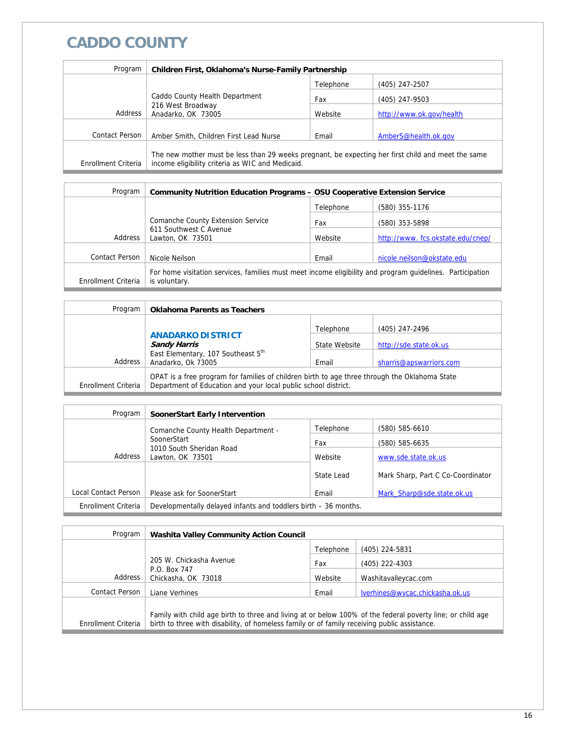# **CADDO COUNTY**

| Program             | Children First, Oklahoma's Nurse-Family Partnership                                                                                                    |           |                          |
|---------------------|--------------------------------------------------------------------------------------------------------------------------------------------------------|-----------|--------------------------|
|                     |                                                                                                                                                        | Telephone | (405) 247-2507           |
|                     | Caddo County Health Department<br>216 West Broadway<br>Address<br>Anadarko, OK 73005                                                                   | Fax       | (405) 247-9503           |
|                     |                                                                                                                                                        | Website   | http://www.ok.gov/health |
|                     |                                                                                                                                                        |           |                          |
| Contact Person      | Amber Smith, Children First Lead Nurse                                                                                                                 | Email     | AmberS@health.ok.gov     |
| Enrollment Criteria | The new mother must be less than 29 weeks pregnant, be expecting her first child and meet the same<br>income eligibility criteria as WIC and Medicaid. |           |                          |

| Program             | <b>Community Nutrition Education Programs - OSU Cooperative Extension Service</b>                                          |           |                                  |
|---------------------|----------------------------------------------------------------------------------------------------------------------------|-----------|----------------------------------|
|                     |                                                                                                                            | Telephone | (580) 355-1176                   |
|                     | Comanche County Extension Service                                                                                          | Fax       | (580) 353-5898                   |
| Address             | 611 Southwest C Avenue<br>Lawton, OK 73501                                                                                 | Website   | http://www.fcs.okstate.edu/cnep/ |
|                     |                                                                                                                            |           |                                  |
| Contact Person      | Nicole Neilson                                                                                                             | Email     | nicole.neilson@okstate.edu       |
| Enrollment Criteria | For home visitation services, families must meet income eligibility and program quidelines. Participation<br>is voluntary. |           |                                  |

| Program             | <b>Oklahoma Parents as Teachers</b>                                                                                                                             |               |                         |  |
|---------------------|-----------------------------------------------------------------------------------------------------------------------------------------------------------------|---------------|-------------------------|--|
|                     |                                                                                                                                                                 | Telephone     | (405) 247-2496          |  |
|                     | <b>ANADARKO DISTRICT</b><br><b>Sandy Harris</b>                                                                                                                 | State Website | http://sde.state.ok.us  |  |
| Address             | East Elementary, 107 Southeast 5th<br>Anadarko, Ok 73005                                                                                                        | Email         | sharris@apswarriors.com |  |
| Enrollment Criteria | OPAT is a free program for families of children birth to age three through the Oklahoma State<br>Department of Education and your local public school district. |               |                         |  |

| Program              | SoonerStart Early Intervention                                  |            |                                   |
|----------------------|-----------------------------------------------------------------|------------|-----------------------------------|
|                      | Comanche County Health Department -                             | Telephone  | (580) 585-6610                    |
|                      | SoonerStart                                                     | Fax        | (580) 585-6635                    |
| Address              | 1010 South Sheridan Road<br>Lawton, OK 73501                    | Website    | www.sde.state.ok.us               |
|                      |                                                                 | State Lead | Mark Sharp, Part C Co-Coordinator |
| Local Contact Person | Please ask for SoonerStart                                      | Email      | Mark Sharp@sde.state.ok.us        |
| Enrollment Criteria  | Developmentally delayed infants and toddlers birth – 36 months. |            |                                   |

| Program             | <b>Washita Valley Community Action Council</b>                                                                                                                                                             |           |                                 |
|---------------------|------------------------------------------------------------------------------------------------------------------------------------------------------------------------------------------------------------|-----------|---------------------------------|
|                     |                                                                                                                                                                                                            | Telephone | (405) 224-5831                  |
|                     | 205 W. Chickasha Avenue<br>P.O. Box 747<br>Chickasha, OK 73018                                                                                                                                             | Fax       | (405) 222-4303                  |
| Address             |                                                                                                                                                                                                            | Website   | Washitavalleycac.com            |
| Contact Person      | Liane Verhines                                                                                                                                                                                             | Email     | lverhines@wycac.chickasha.ok.us |
| Enrollment Criteria | Family with child age birth to three and living at or below 100% of the federal poverty line; or child age<br>birth to three with disability, of homeless family or of family receiving public assistance. |           |                                 |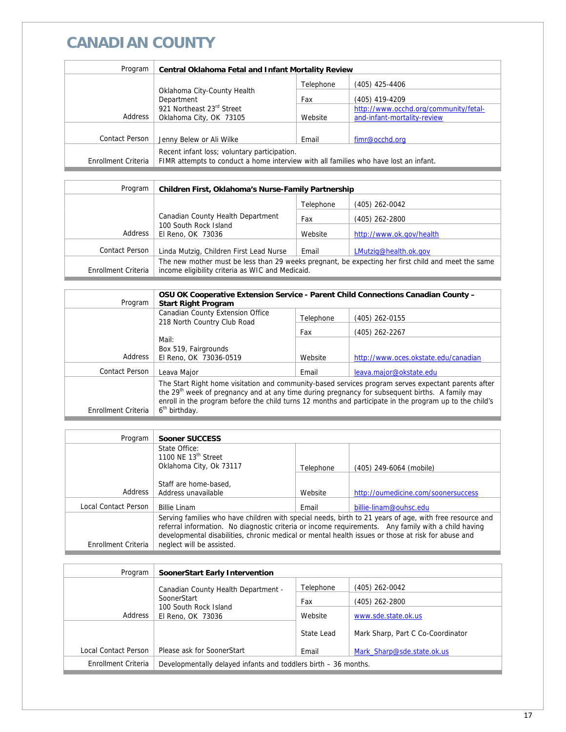# **CANADIAN COUNTY**

| Program             | Central Oklahoma Fetal and Infant Mortality Review                                                                                   |           |                                       |
|---------------------|--------------------------------------------------------------------------------------------------------------------------------------|-----------|---------------------------------------|
|                     |                                                                                                                                      | Telephone | (405) 425-4406                        |
|                     | Oklahoma City-County Health<br>Department<br>921 Northeast 23rd Street                                                               | Fax       | (405) 419-4209                        |
|                     |                                                                                                                                      |           | http://www.occhd.org/community/fetal- |
| Address             | Oklahoma City, OK 73105                                                                                                              | Website   | and-infant-mortality-review           |
| Contact Person      | Jenny Belew or Ali Wilke                                                                                                             | Email     | fimr@occhd.org                        |
| Enrollment Criteria | Recent infant loss; voluntary participation.<br>FIMR attempts to conduct a home interview with all families who have lost an infant. |           |                                       |

| Program             | Children First, Oklahoma's Nurse-Family Partnership                                                                                                    |           |                          |
|---------------------|--------------------------------------------------------------------------------------------------------------------------------------------------------|-----------|--------------------------|
|                     |                                                                                                                                                        | Telephone | $(405)$ 262-0042         |
|                     | Canadian County Health Department                                                                                                                      | Fax       | $(405)$ 262-2800         |
| Address             | 100 South Rock Island<br>El Reno, OK 73036                                                                                                             | Website   | http://www.ok.gov/health |
| Contact Person      | Linda Mutzig, Children First Lead Nurse                                                                                                                | Email     | LMutzig@health.ok.gov    |
| Enrollment Criteria | The new mother must be less than 29 weeks pregnant, be expecting her first child and meet the same<br>income eligibility criteria as WIC and Medicaid. |           |                          |
|                     |                                                                                                                                                        |           |                          |

| Program             | OSU OK Cooperative Extension Service - Parent Child Connections Canadian County -<br><b>Start Right Program</b>                                                                                                                                                                                                                                            |           |                                      |
|---------------------|------------------------------------------------------------------------------------------------------------------------------------------------------------------------------------------------------------------------------------------------------------------------------------------------------------------------------------------------------------|-----------|--------------------------------------|
|                     | Canadian County Extension Office<br>218 North Country Club Road                                                                                                                                                                                                                                                                                            | Telephone | (405) 262-0155                       |
|                     |                                                                                                                                                                                                                                                                                                                                                            | Fax       | (405) 262-2267                       |
|                     | Mail:                                                                                                                                                                                                                                                                                                                                                      |           |                                      |
|                     | Box 519, Fairgrounds                                                                                                                                                                                                                                                                                                                                       |           |                                      |
| Address             | El Reno, OK 73036-0519                                                                                                                                                                                                                                                                                                                                     | Website   | http://www.oces.okstate.edu/canadian |
| Contact Person      | Leava Maior                                                                                                                                                                                                                                                                                                                                                | Email     | leava.major@okstate.edu              |
| Enrollment Criteria | The Start Right home visitation and community-based services program serves expectant parents after<br>the 29 <sup>th</sup> week of pregnancy and at any time during pregnancy for subsequent births. A family may<br>enroll in the program before the child turns 12 months and participate in the program up to the child's<br>6 <sup>th</sup> birthday. |           |                                      |

| Program              | Sooner SUCCESS                                                                                                                                                                                                                                                                                                       |           |                                     |
|----------------------|----------------------------------------------------------------------------------------------------------------------------------------------------------------------------------------------------------------------------------------------------------------------------------------------------------------------|-----------|-------------------------------------|
|                      | State Office:                                                                                                                                                                                                                                                                                                        |           |                                     |
|                      | 1100 NE $13th$ Street                                                                                                                                                                                                                                                                                                |           |                                     |
|                      | Oklahoma City, Ok 73117                                                                                                                                                                                                                                                                                              | Telephone | (405) 249-6064 (mobile)             |
|                      |                                                                                                                                                                                                                                                                                                                      |           |                                     |
|                      | Staff are home-based.                                                                                                                                                                                                                                                                                                |           |                                     |
| Address              | Address unavailable                                                                                                                                                                                                                                                                                                  | Website   | http://oumedicine.com/soonersuccess |
| Local Contact Person | <b>Billie Linam</b>                                                                                                                                                                                                                                                                                                  | Fmail     | billie-linam@ouhsc.edu              |
|                      | Serving families who have children with special needs, birth to 21 years of age, with free resource and<br>referral information. No diagnostic criteria or income requirements. Any family with a child having<br>developmental disabilities, chronic medical or mental health issues or those at risk for abuse and |           |                                     |
| Enrollment Criteria  | neglect will be assisted.                                                                                                                                                                                                                                                                                            |           |                                     |

| Program              | SoonerStart Early Intervention                                       |            |                                   |
|----------------------|----------------------------------------------------------------------|------------|-----------------------------------|
|                      | Canadian County Health Department -                                  | Telephone  | $(405)$ 262-0042                  |
|                      | SoonerStart<br>100 South Rock Island<br>Address<br>El Reno, OK 73036 | Fax        | $(405)$ 262-2800                  |
|                      |                                                                      | Website    | www.sde.state.ok.us               |
|                      |                                                                      | State Lead | Mark Sharp, Part C Co-Coordinator |
| Local Contact Person | Please ask for SoonerStart                                           | Email      | Mark Sharp@sde.state.ok.us        |
| Enrollment Criteria  | Developmentally delayed infants and toddlers birth – 36 months.      |            |                                   |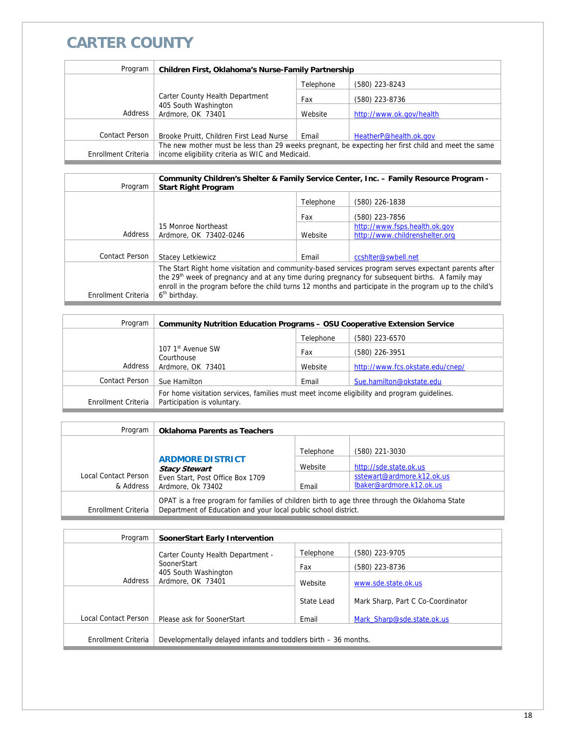# **CARTER COUNTY**

| Program             | Children First, Oklahoma's Nurse-Family Partnership                                                |           |                          |
|---------------------|----------------------------------------------------------------------------------------------------|-----------|--------------------------|
|                     |                                                                                                    | Telephone | (580) 223-8243           |
|                     | Carter County Health Department                                                                    | Fax       | (580) 223-8736           |
| Address             | 405 South Washington<br>Ardmore, OK 73401                                                          | Website   | http://www.ok.gov/health |
|                     |                                                                                                    |           |                          |
| Contact Person      | Brooke Pruitt, Children First Lead Nurse                                                           | Email     | HeatherP@health.ok.gov   |
|                     | The new mother must be less than 29 weeks pregnant, be expecting her first child and meet the same |           |                          |
| Enrollment Criteria | income eligibility criteria as WIC and Medicaid.                                                   |           |                          |

| Program             | Community Children's Shelter & Family Service Center, Inc. - Family Resource Program -<br><b>Start Right Program</b>                                                                                                                                                                                                          |           |                                |
|---------------------|-------------------------------------------------------------------------------------------------------------------------------------------------------------------------------------------------------------------------------------------------------------------------------------------------------------------------------|-----------|--------------------------------|
|                     |                                                                                                                                                                                                                                                                                                                               | Telephone | (580) 226-1838                 |
|                     |                                                                                                                                                                                                                                                                                                                               | Fax       | (580) 223-7856                 |
|                     | 15 Monroe Northeast                                                                                                                                                                                                                                                                                                           |           | http://www.fsps.health.ok.gov  |
| Address             | Ardmore, OK 73402-0246                                                                                                                                                                                                                                                                                                        | Website   | http://www.childrenshelter.org |
| Contact Person      | <b>Stacey Letkiewicz</b>                                                                                                                                                                                                                                                                                                      | Email     | ccshiter@swbell.net            |
|                     |                                                                                                                                                                                                                                                                                                                               |           |                                |
|                     | The Start Right home visitation and community-based services program serves expectant parents after<br>the 29 <sup>th</sup> week of pregnancy and at any time during pregnancy for subsequent births. A family may<br>enroll in the program before the child turns 12 months and participate in the program up to the child's |           |                                |
| Enrollment Criteria | 6 <sup>th</sup> birthday.                                                                                                                                                                                                                                                                                                     |           |                                |

| Program             | <b>Community Nutrition Education Programs - OSU Cooperative Extension Service</b>                                          |           |                                  |
|---------------------|----------------------------------------------------------------------------------------------------------------------------|-----------|----------------------------------|
|                     |                                                                                                                            | Telephone | (580) 223-6570                   |
|                     | 107 1 <sup>st</sup> Avenue SW<br>Courthouse<br>Ardmore, OK 73401                                                           | Fax       | (580) 226-3951                   |
| Address             |                                                                                                                            | Website   | http://www.fcs.okstate.edu/cnep/ |
| Contact Person      | Sue Hamilton                                                                                                               | Email     | Sue.hamilton@okstate.edu         |
| Enrollment Criteria | For home visitation services, families must meet income eligibility and program quidelines.<br>Participation is voluntary. |           |                                  |

| Program              | <b>Oklahoma Parents as Teachers</b>                                                                                                                             |           |                            |
|----------------------|-----------------------------------------------------------------------------------------------------------------------------------------------------------------|-----------|----------------------------|
|                      |                                                                                                                                                                 | Telephone | (580) 221-3030             |
|                      | <b>ARDMORE DISTRICT</b><br><b>Stacy Stewart</b>                                                                                                                 | Website   | http://sde.state.ok.us     |
| Local Contact Person | Even Start, Post Office Box 1709                                                                                                                                |           | sstewart@ardmore.k12.ok.us |
| & Address            | Ardmore, Ok 73402                                                                                                                                               | Email     | lbaker@ardmore.k12.ok.us   |
| Enrollment Criteria  | OPAT is a free program for families of children birth to age three through the Oklahoma State<br>Department of Education and your local public school district. |           |                            |

| SoonerStart Early Intervention                                  |                                                                                         |                                   |
|-----------------------------------------------------------------|-----------------------------------------------------------------------------------------|-----------------------------------|
|                                                                 | Telephone                                                                               | (580) 223-9705                    |
| SoonerStart                                                     | Fax                                                                                     | (580) 223-8736                    |
| Ardmore, OK 73401                                               | Website                                                                                 | www.sde.state.ok.us               |
|                                                                 | State Lead                                                                              | Mark Sharp, Part C Co-Coordinator |
|                                                                 |                                                                                         |                                   |
|                                                                 |                                                                                         | Mark Sharp@sde.state.ok.us        |
| Developmentally delayed infants and toddlers birth – 36 months. |                                                                                         |                                   |
|                                                                 | Carter County Health Department -<br>405 South Washington<br>Please ask for SoonerStart | Email                             |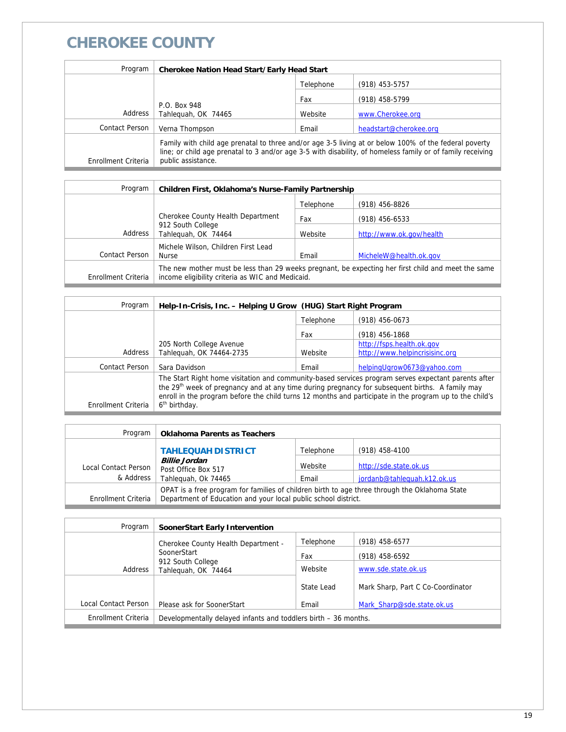# **CHEROKEE COUNTY**

| Program             | <b>Cherokee Nation Head Start/Early Head Start</b>                                                                                                                                                                                        |           |                        |
|---------------------|-------------------------------------------------------------------------------------------------------------------------------------------------------------------------------------------------------------------------------------------|-----------|------------------------|
|                     |                                                                                                                                                                                                                                           | Telephone | (918) 453-5757         |
|                     |                                                                                                                                                                                                                                           | Fax       | (918) 458-5799         |
| Address             | P.O. Box 948<br>Tahlequah, OK 74465                                                                                                                                                                                                       | Website   | www.Cherokee.org       |
| Contact Person      | Verna Thompson                                                                                                                                                                                                                            | Email     | headstart@cherokee.org |
| Enrollment Criteria | Family with child age prenatal to three and/or age 3-5 living at or below 100% of the federal poverty<br>line; or child age prenatal to 3 and/or age 3-5 with disability, of homeless family or of family receiving<br>public assistance. |           |                        |

| Program             | Children First, Oklahoma's Nurse-Family Partnership                                                                                                    |           |                          |
|---------------------|--------------------------------------------------------------------------------------------------------------------------------------------------------|-----------|--------------------------|
|                     |                                                                                                                                                        | Telephone | $(918)$ 456-8826         |
|                     | Cherokee County Health Department                                                                                                                      | Fax       | $(918)$ 456-6533         |
| Address             | 912 South College<br>Tahleguah, OK 74464                                                                                                               | Website   | http://www.ok.gov/health |
|                     | Michele Wilson, Children First Lead                                                                                                                    |           |                          |
| Contact Person      | <b>Nurse</b>                                                                                                                                           | Email     | MicheleW@health.ok.gov   |
| Enrollment Criteria | The new mother must be less than 29 weeks pregnant, be expecting her first child and meet the same<br>income eligibility criteria as WIC and Medicaid. |           |                          |
|                     |                                                                                                                                                        |           |                          |

| Program             | Help-In-Crisis, Inc. - Helping U Grow (HUG) Start Right Program                                                                                                                                                                                                                                                               |           |                                |
|---------------------|-------------------------------------------------------------------------------------------------------------------------------------------------------------------------------------------------------------------------------------------------------------------------------------------------------------------------------|-----------|--------------------------------|
|                     |                                                                                                                                                                                                                                                                                                                               | Telephone | $(918)$ 456-0673               |
|                     |                                                                                                                                                                                                                                                                                                                               | Fax       | $(918)$ 456-1868               |
|                     | 205 North College Avenue                                                                                                                                                                                                                                                                                                      |           | http://fsps.health.ok.gov      |
| Address             | Tahlequah, OK 74464-2735                                                                                                                                                                                                                                                                                                      | Website   | http://www.helpincrisisinc.org |
| Contact Person      | Sara Davidson                                                                                                                                                                                                                                                                                                                 | Email     | helpingUgrow0673@yahoo.com     |
|                     | The Start Right home visitation and community-based services program serves expectant parents after<br>the 29 <sup>th</sup> week of pregnancy and at any time during pregnancy for subsequent births. A family may<br>enroll in the program before the child turns 12 months and participate in the program up to the child's |           |                                |
| Enrollment Criteria | 6 <sup>th</sup> birthday.                                                                                                                                                                                                                                                                                                     |           |                                |

| Program              | <b>Oklahoma Parents as Teachers</b>                                                                                                                             |           |                             |
|----------------------|-----------------------------------------------------------------------------------------------------------------------------------------------------------------|-----------|-----------------------------|
|                      | <b>TAHLEQUAH DISTRICT</b>                                                                                                                                       | Telephone | $(918)$ 458-4100            |
| Local Contact Person | <b>Billie Jordan</b><br>Post Office Box 517                                                                                                                     | Website   | http://sde.state.ok.us      |
| & Address            | Tahleguah, Ok 74465                                                                                                                                             | Email     | jordanb@tahlequah.k12.ok.us |
| Enrollment Criteria  | OPAT is a free program for families of children birth to age three through the Oklahoma State<br>Department of Education and your local public school district. |           |                             |

| Program              | SoonerStart Early Intervention                                  |            |                                   |
|----------------------|-----------------------------------------------------------------|------------|-----------------------------------|
|                      | Cherokee County Health Department -                             | Telephone  | $(918)$ 458-6577                  |
|                      | SoonerStart                                                     | Fax        | $(918)$ 458-6592                  |
| Address              | 912 South College<br>Tahleguah, OK 74464                        | Website    | www.sde.state.ok.us               |
|                      |                                                                 | State Lead | Mark Sharp, Part C Co-Coordinator |
| Local Contact Person | Please ask for SoonerStart                                      | Email      | Mark Sharp@sde.state.ok.us        |
| Enrollment Criteria  | Developmentally delayed infants and toddlers birth – 36 months. |            |                                   |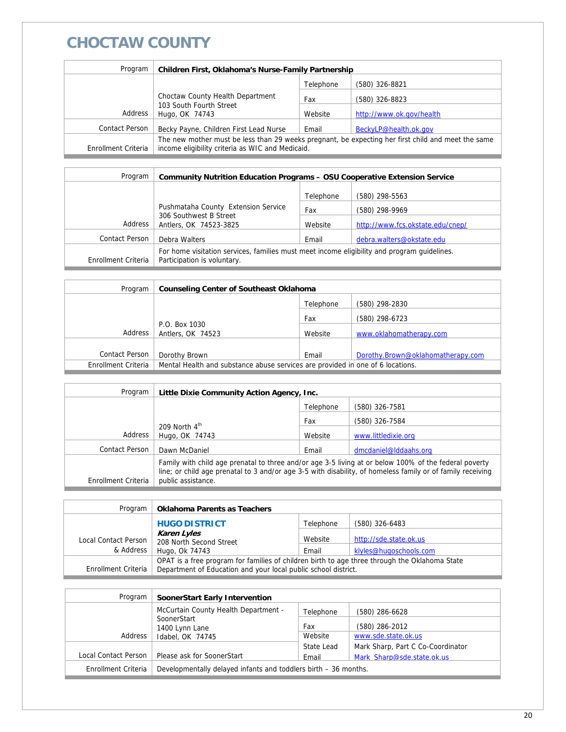### **CHOCTAW COUNTY**

| Program             | Children First, Oklahoma's Nurse-Family Partnership                                                                                                    |           |                          |
|---------------------|--------------------------------------------------------------------------------------------------------------------------------------------------------|-----------|--------------------------|
|                     |                                                                                                                                                        | Telephone | (580) 326-8821           |
|                     | Choctaw County Health Department                                                                                                                       | Fax       | (580) 326-8823           |
| Address             | 103 South Fourth Street<br>Hugo, OK 74743                                                                                                              | Website   | http://www.ok.gov/health |
| Contact Person      | Becky Payne, Children First Lead Nurse                                                                                                                 | Email     | BeckyLP@health.ok.gov    |
| Enrollment Criteria | The new mother must be less than 29 weeks pregnant, be expecting her first child and meet the same<br>income eligibility criteria as WIC and Medicaid. |           |                          |

| Program             | <b>Community Nutrition Education Programs - OSU Cooperative Extension Service</b>                                          |           |                                  |
|---------------------|----------------------------------------------------------------------------------------------------------------------------|-----------|----------------------------------|
|                     |                                                                                                                            | Telephone | (580) 298-5563                   |
|                     | Pushmataha County Extension Service                                                                                        | Fax       | (580) 298-9969                   |
| Address             | 306 Southwest B Street<br>Antlers, OK 74523-3825                                                                           | Website   | http://www.fcs.okstate.edu/cnep/ |
| Contact Person      | Debra Walters                                                                                                              | Email     | debra.walters@okstate.edu        |
| Enrollment Criteria | For home visitation services, families must meet income eligibility and program quidelines.<br>Participation is voluntary. |           |                                  |

| Program             | <b>Counseling Center of Southeast Oklahoma</b>                                 |           |                                   |
|---------------------|--------------------------------------------------------------------------------|-----------|-----------------------------------|
|                     |                                                                                | Telephone | (580) 298-2830                    |
|                     |                                                                                | Fax       | (580) 298-6723                    |
| Address             | P.O. Box 1030<br>Antlers, OK 74523                                             | Website   | www.oklahomatherapy.com           |
|                     |                                                                                |           |                                   |
| Contact Person      | Dorothy Brown                                                                  | Email     | Dorothy.Brown@oklahomatherapy.com |
| Enrollment Criteria | Mental Health and substance abuse services are provided in one of 6 locations. |           |                                   |

| Program             | Little Dixie Community Action Agency, Inc.                                                                                                                                                                                                |           |                       |
|---------------------|-------------------------------------------------------------------------------------------------------------------------------------------------------------------------------------------------------------------------------------------|-----------|-----------------------|
|                     |                                                                                                                                                                                                                                           | Telephone | (580) 326-7581        |
|                     | 209 North $4^{\text{th}}$                                                                                                                                                                                                                 | Fax       | (580) 326-7584        |
| Address             | Hugo, OK 74743                                                                                                                                                                                                                            | Website   | www.littledixie.org   |
| Contact Person      | Dawn McDaniel                                                                                                                                                                                                                             | Email     | dmcdaniel@lddaahs.org |
| Enrollment Criteria | Family with child age prenatal to three and/or age 3-5 living at or below 100% of the federal poverty<br>line; or child age prenatal to 3 and/or age 3-5 with disability, of homeless family or of family receiving<br>public assistance. |           |                       |

| Program              | <b>Oklahoma Parents as Teachers</b>                                                                                                                             |           |                        |
|----------------------|-----------------------------------------------------------------------------------------------------------------------------------------------------------------|-----------|------------------------|
|                      | <b>HUGO DISTRICT</b>                                                                                                                                            | Telephone | (580) 326-6483         |
| Local Contact Person | Karen Lyles<br>208 North Second Street                                                                                                                          | Website   | http://sde.state.ok.us |
| & Address            | Hugo, Ok 74743                                                                                                                                                  | Email     | klyles@hugoschools.com |
| Enrollment Criteria  | OPAT is a free program for families of children birth to age three through the Oklahoma State<br>Department of Education and your local public school district. |           |                        |

| Program              | <b>SoonerStart Early Intervention</b>                           |            |                                   |
|----------------------|-----------------------------------------------------------------|------------|-----------------------------------|
|                      | McCurtain County Health Department -                            | Telephone  | (580) 286-6628                    |
|                      | SoonerStart<br>1400 Lynn Lane                                   | Fax        | (580) 286-2012                    |
| Address              | Idabel, OK 74745                                                | Website    | www.sde.state.ok.us               |
|                      |                                                                 | State Lead | Mark Sharp, Part C Co-Coordinator |
| Local Contact Person | Please ask for SoonerStart                                      | Email      | Mark Sharp@sde.state.ok.us        |
| Enrollment Criteria  | Developmentally delayed infants and toddlers birth – 36 months. |            |                                   |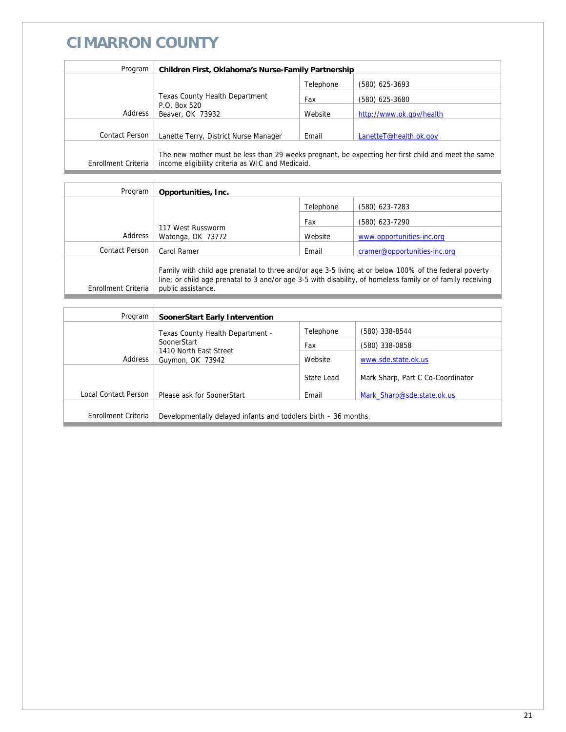# **CIMARRON COUNTY**

| Program             | Children First, Oklahoma's Nurse-Family Partnership                                                                                                    |           |                          |
|---------------------|--------------------------------------------------------------------------------------------------------------------------------------------------------|-----------|--------------------------|
|                     |                                                                                                                                                        | Telephone | (580) 625-3693           |
|                     | Texas County Health Department                                                                                                                         | Fax       | (580) 625-3680           |
| Address             | P.O. Box 520<br>Beaver, OK 73932                                                                                                                       | Website   | http://www.ok.gov/health |
|                     |                                                                                                                                                        |           |                          |
| Contact Person      | Lanette Terry, District Nurse Manager                                                                                                                  | Email     | LanetteT@health.ok.gov   |
| Enrollment Criteria | The new mother must be less than 29 weeks pregnant, be expecting her first child and meet the same<br>income eligibility criteria as WIC and Medicaid. |           |                          |

| Program             | Opportunities, Inc.                                                                                                                                                                                                                       |           |                              |
|---------------------|-------------------------------------------------------------------------------------------------------------------------------------------------------------------------------------------------------------------------------------------|-----------|------------------------------|
|                     |                                                                                                                                                                                                                                           | Telephone | (580) 623-7283               |
|                     |                                                                                                                                                                                                                                           | Fax       | (580) 623-7290               |
| Address             | 117 West Russworm<br>Watonga, OK 73772                                                                                                                                                                                                    | Website   | www.opportunities-inc.org    |
| Contact Person      | Carol Ramer                                                                                                                                                                                                                               | Email     | cramer@opportunities-inc.org |
| Enrollment Criteria | Family with child age prenatal to three and/or age 3-5 living at or below 100% of the federal poverty<br>line; or child age prenatal to 3 and/or age 3-5 with disability, of homeless family or of family receiving<br>public assistance. |           |                              |

| Program              | SoonerStart Early Intervention                                  |            |                                   |
|----------------------|-----------------------------------------------------------------|------------|-----------------------------------|
|                      | Texas County Health Department -                                | Telephone  | (580) 338-8544                    |
|                      | SoonerStart                                                     | Fax        | (580) 338-0858                    |
| Address              | 1410 North East Street<br>Guymon, OK 73942                      | Website    | www.sde.state.ok.us               |
|                      |                                                                 | State Lead | Mark Sharp, Part C Co-Coordinator |
| Local Contact Person | Please ask for SoonerStart                                      | Email      | Mark Sharp@sde.state.ok.us        |
|                      |                                                                 |            |                                   |
| Enrollment Criteria  | Developmentally delayed infants and toddlers birth – 36 months. |            |                                   |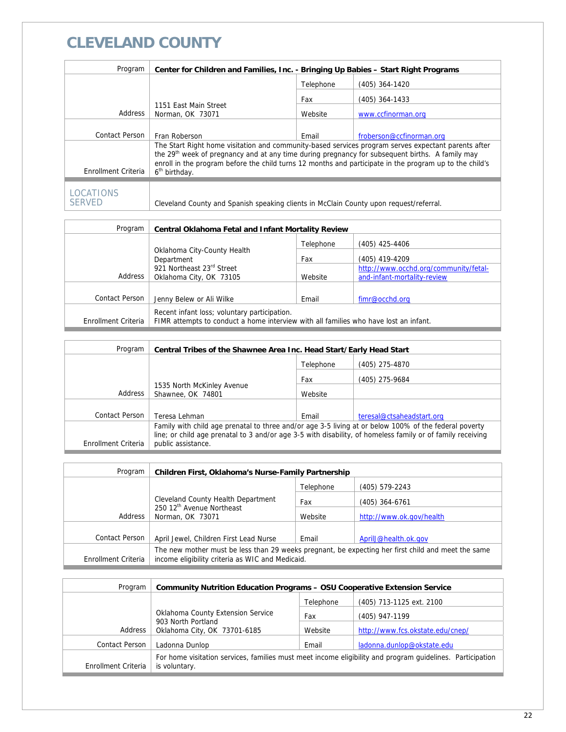#### **CLEVELAND COUNTY**

| Program                    | Center for Children and Families, Inc. - Bringing Up Babies - Start Right Programs                                                                                                                                                                                                                                                                         |           |                          |  |
|----------------------------|------------------------------------------------------------------------------------------------------------------------------------------------------------------------------------------------------------------------------------------------------------------------------------------------------------------------------------------------------------|-----------|--------------------------|--|
|                            |                                                                                                                                                                                                                                                                                                                                                            | Telephone | (405) 364-1420           |  |
|                            |                                                                                                                                                                                                                                                                                                                                                            | Fax       | $(405)$ 364-1433         |  |
| Address                    | 1151 East Main Street<br>Norman, OK 73071                                                                                                                                                                                                                                                                                                                  | Website   | www.ccfinorman.org       |  |
|                            |                                                                                                                                                                                                                                                                                                                                                            |           |                          |  |
| <b>Contact Person</b>      | Fran Roberson                                                                                                                                                                                                                                                                                                                                              | Email     | froberson@ccfinorman.org |  |
| Enrollment Criteria        | The Start Right home visitation and community-based services program serves expectant parents after<br>the 29 <sup>th</sup> week of pregnancy and at any time during pregnancy for subsequent births. A family may<br>enroll in the program before the child turns 12 months and participate in the program up to the child's<br>6 <sup>th</sup> birthday. |           |                          |  |
|                            |                                                                                                                                                                                                                                                                                                                                                            |           |                          |  |
| LOCATIONS<br><b>SERVED</b> | Cleveland County and Spanish speaking clients in McClain County upon request/referral.                                                                                                                                                                                                                                                                     |           |                          |  |

| Program             | <b>Central Oklahoma Fetal and Infant Mortality Review</b>                            |           |                                       |
|---------------------|--------------------------------------------------------------------------------------|-----------|---------------------------------------|
|                     |                                                                                      | Telephone | (405) 425-4406                        |
|                     | Oklahoma City-County Health<br>Department                                            | Fax       | (405) 419-4209                        |
|                     | 921 Northeast 23rd Street                                                            |           | http://www.occhd.org/community/fetal- |
| Address             | Oklahoma City, OK 73105                                                              | Website   | and-infant-mortality-review           |
|                     |                                                                                      |           |                                       |
| Contact Person      | Jenny Belew or Ali Wilke                                                             | Email     | fimr@occhd.org                        |
|                     | Recent infant loss; voluntary participation.                                         |           |                                       |
| Enrollment Criteria | FIMR attempts to conduct a home interview with all families who have lost an infant. |           |                                       |

| Program             | Central Tribes of the Shawnee Area Inc. Head Start/Early Head Start                                                                                                                                                 |           |                           |
|---------------------|---------------------------------------------------------------------------------------------------------------------------------------------------------------------------------------------------------------------|-----------|---------------------------|
|                     |                                                                                                                                                                                                                     | Telephone | (405) 275-4870            |
|                     |                                                                                                                                                                                                                     | Fax       | (405) 275-9684            |
| Address             | 1535 North McKinley Avenue<br>Shawnee, OK 74801                                                                                                                                                                     | Website   |                           |
|                     |                                                                                                                                                                                                                     |           |                           |
| Contact Person      | Teresa Lehman                                                                                                                                                                                                       | Email     | teresal@ctsaheadstart.org |
|                     | Family with child age prenatal to three and/or age 3-5 living at or below 100% of the federal poverty<br>line; or child age prenatal to 3 and/or age 3-5 with disability, of homeless family or of family receiving |           |                           |
| Enrollment Criteria | public assistance.                                                                                                                                                                                                  |           |                           |

| Program               | Children First, Oklahoma's Nurse-Family Partnership                                                                                                    |           |                          |
|-----------------------|--------------------------------------------------------------------------------------------------------------------------------------------------------|-----------|--------------------------|
|                       |                                                                                                                                                        | Telephone | (405) 579-2243           |
|                       | Cleveland County Health Department                                                                                                                     | Fax       | (405) 364-6761           |
| Address               | 250 12 <sup>th</sup> Avenue Northeast<br>Norman, OK 73071                                                                                              | Website   | http://www.ok.gov/health |
|                       |                                                                                                                                                        |           |                          |
| <b>Contact Person</b> | April Jewel, Children First Lead Nurse                                                                                                                 | Email     | April J@health.ok.gov    |
| Enrollment Criteria   | The new mother must be less than 29 weeks pregnant, be expecting her first child and meet the same<br>income eligibility criteria as WIC and Medicaid. |           |                          |

| Program             | <b>Community Nutrition Education Programs - OSU Cooperative Extension Service</b>                                          |           |                                  |  |
|---------------------|----------------------------------------------------------------------------------------------------------------------------|-----------|----------------------------------|--|
|                     |                                                                                                                            | Telephone | (405) 713-1125 ext. 2100         |  |
|                     | Oklahoma County Extension Service                                                                                          | Fax       | (405) 947-1199                   |  |
| Address             | 903 North Portland<br>Oklahoma City, OK 73701-6185                                                                         | Website   | http://www.fcs.okstate.edu/cnep/ |  |
| Contact Person      | Ladonna Dunlop                                                                                                             | Email     | ladonna.dunlop@okstate.edu       |  |
| Enrollment Criteria | For home visitation services, families must meet income eligibility and program guidelines. Participation<br>is voluntary. |           |                                  |  |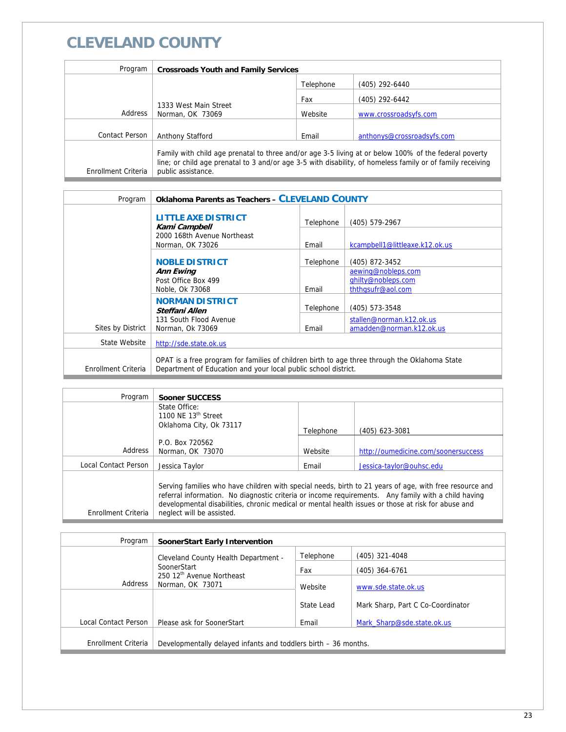### **CLEVELAND COUNTY**

| Program             | <b>Crossroads Youth and Family Services</b>                                                                                                                                                                                               |           |                            |
|---------------------|-------------------------------------------------------------------------------------------------------------------------------------------------------------------------------------------------------------------------------------------|-----------|----------------------------|
|                     |                                                                                                                                                                                                                                           | Telephone | (405) 292-6440             |
|                     |                                                                                                                                                                                                                                           | Fax       | (405) 292-6442             |
| Address             | 1333 West Main Street<br>Norman, OK 73069                                                                                                                                                                                                 | Website   | www.crossroadsyfs.com      |
|                     |                                                                                                                                                                                                                                           |           |                            |
| Contact Person      | Anthony Stafford                                                                                                                                                                                                                          | Email     | anthonys@crossroadsyfs.com |
| Enrollment Criteria | Family with child age prenatal to three and/or age 3-5 living at or below 100% of the federal poverty<br>line; or child age prenatal to 3 and/or age 3-5 with disability, of homeless family or of family receiving<br>public assistance. |           |                            |

| Program             | <b>Oklahoma Parents as Teachers - CLEVELAND COUNTY</b>                                                                                                          |           |                                                               |
|---------------------|-----------------------------------------------------------------------------------------------------------------------------------------------------------------|-----------|---------------------------------------------------------------|
|                     | <b>LITTLE AXE DISTRICT</b><br>Kami Campbell                                                                                                                     | Telephone | (405) 579-2967                                                |
|                     | 2000 168th Avenue Northeast<br>Norman, OK 73026                                                                                                                 | Email     | kcampbell1@littleaxe.k12.ok.us                                |
|                     | <b>NOBLE DISTRICT</b>                                                                                                                                           | Telephone | (405) 872-3452                                                |
|                     | <b>Ann Ewing</b><br>Post Office Box 499<br>Noble, Ok 73068                                                                                                      | Email     | aewing@nobleps.com<br>ghilty@nobleps.com<br>ththqsufr@aol.com |
|                     | <b>NORMAN DISTRICT</b><br>Steffani Allen                                                                                                                        | Telephone | (405) 573-3548                                                |
| Sites by District   | 131 South Flood Avenue<br>Norman, Ok 73069                                                                                                                      | Email     | stallen@norman.k12.ok.us<br>amadden@norman.k12.ok.us          |
| State Website       | http://sde.state.ok.us                                                                                                                                          |           |                                                               |
| Enrollment Criteria | OPAT is a free program for families of children birth to age three through the Oklahoma State<br>Department of Education and your local public school district. |           |                                                               |

| Program                     | Sooner SUCCESS                                                                                                                                                                                                                                                                                                                                    |           |                                     |
|-----------------------------|---------------------------------------------------------------------------------------------------------------------------------------------------------------------------------------------------------------------------------------------------------------------------------------------------------------------------------------------------|-----------|-------------------------------------|
|                             | State Office:<br>1100 NF 13 <sup>th</sup> Street<br>Oklahoma City, Ok 73117                                                                                                                                                                                                                                                                       | Telephone | (405) 623-3081                      |
| Address                     | P.O. Box 720562<br>Norman, OK 73070                                                                                                                                                                                                                                                                                                               | Website   | http://oumedicine.com/soonersuccess |
| <b>Local Contact Person</b> | Jessica Taylor                                                                                                                                                                                                                                                                                                                                    | Email     | Jessica-taylor@ouhsc.edu            |
| Enrollment Criteria         | Serving families who have children with special needs, birth to 21 years of age, with free resource and<br>referral information. No diagnostic criteria or income requirements. Any family with a child having<br>developmental disabilities, chronic medical or mental health issues or those at risk for abuse and<br>neglect will be assisted. |           |                                     |

| Program              | SoonerStart Early Intervention                                  |            |                                   |
|----------------------|-----------------------------------------------------------------|------------|-----------------------------------|
|                      | Cleveland County Health Department -                            | Telephone  | (405) 321-4048                    |
|                      | SoonerStart                                                     | Fax        | (405) 364-6761                    |
| Address              | 250 12th Avenue Northeast<br>Norman, OK 73071                   | Website    | www.sde.state.ok.us               |
|                      |                                                                 | State Lead | Mark Sharp, Part C Co-Coordinator |
| Local Contact Person | Please ask for SoonerStart                                      | Email      | Mark Sharp@sde.state.ok.us        |
|                      |                                                                 |            |                                   |
| Enrollment Criteria  | Developmentally delayed infants and toddlers birth – 36 months. |            |                                   |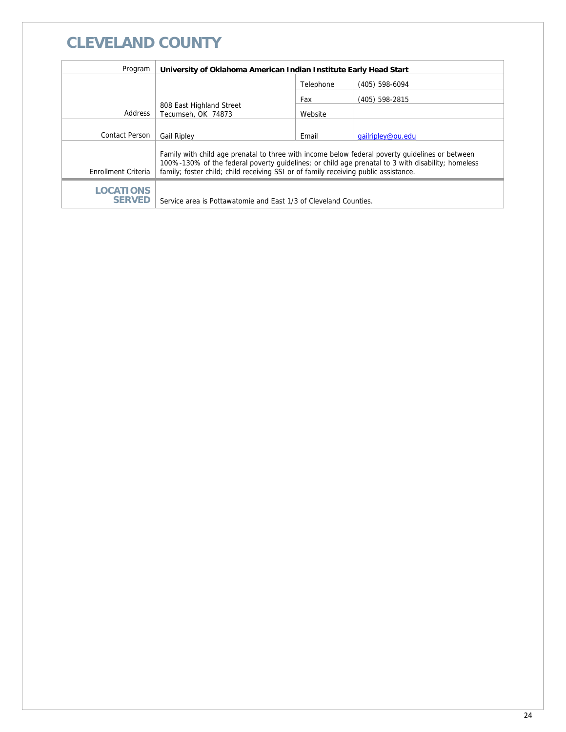# **CLEVELAND COUNTY**

| Program                           | University of Oklahoma American Indian Institute Early Head Start                                                                                                                                                                                                                           |           |                   |  |
|-----------------------------------|---------------------------------------------------------------------------------------------------------------------------------------------------------------------------------------------------------------------------------------------------------------------------------------------|-----------|-------------------|--|
|                                   |                                                                                                                                                                                                                                                                                             | Telephone | (405) 598-6094    |  |
|                                   |                                                                                                                                                                                                                                                                                             | Fax       | (405) 598-2815    |  |
| Address                           | 808 East Highland Street<br>Tecumseh, OK 74873                                                                                                                                                                                                                                              | Website   |                   |  |
|                                   |                                                                                                                                                                                                                                                                                             |           |                   |  |
| Contact Person                    | <b>Gail Ripley</b>                                                                                                                                                                                                                                                                          | Email     | gailripley@ou.edu |  |
| Enrollment Criteria               | Family with child age prenatal to three with income below federal poverty quidelines or between<br>100%-130% of the federal poverty quidelines; or child age prenatal to 3 with disability; homeless<br>family; foster child; child receiving SSI or of family receiving public assistance. |           |                   |  |
| <b>LOCATIONS</b><br><b>SERVED</b> | Service area is Pottawatomie and East 1/3 of Cleveland Counties.                                                                                                                                                                                                                            |           |                   |  |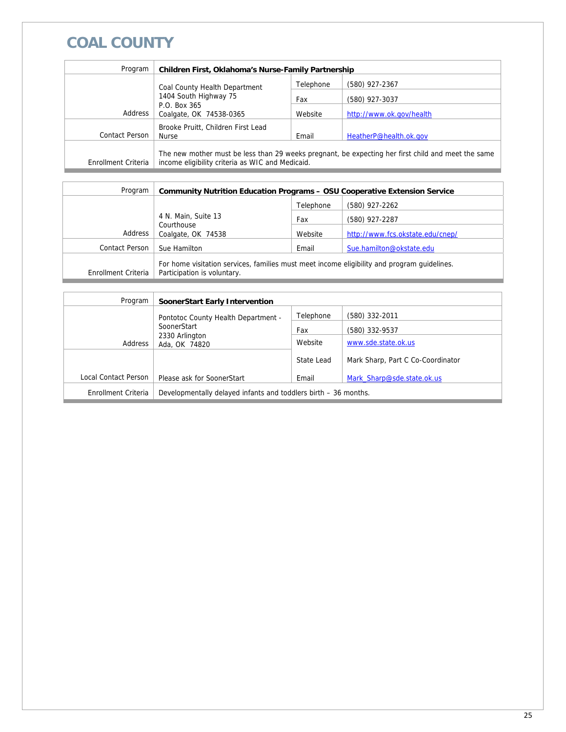# **COAL COUNTY**

| Program             | Children First, Oklahoma's Nurse-Family Partnership                                                                                                    |           |                          |  |  |
|---------------------|--------------------------------------------------------------------------------------------------------------------------------------------------------|-----------|--------------------------|--|--|
|                     | Coal County Health Department<br>1404 South Highway 75                                                                                                 | Telephone | (580) 927-2367           |  |  |
|                     |                                                                                                                                                        | Fax       | (580) 927-3037           |  |  |
| Address             | P.O. Box 365<br>Coalgate, OK 74538-0365                                                                                                                | Website   | http://www.ok.gov/health |  |  |
| Contact Person      | Brooke Pruitt, Children First Lead<br>Email<br>HeatherP@health.ok.gov<br>Nurse                                                                         |           |                          |  |  |
| Enrollment Criteria | The new mother must be less than 29 weeks pregnant, be expecting her first child and meet the same<br>income eligibility criteria as WIC and Medicaid. |           |                          |  |  |

| Program             | <b>Community Nutrition Education Programs - OSU Cooperative Extension Service</b>                                          |           |                                  |  |
|---------------------|----------------------------------------------------------------------------------------------------------------------------|-----------|----------------------------------|--|
|                     |                                                                                                                            | Telephone | (580) 927-2262                   |  |
|                     | 4 N. Main, Suite 13                                                                                                        | Fax       | (580) 927-2287                   |  |
| Address             | Courthouse<br>Coalgate, OK 74538                                                                                           | Website   | http://www.fcs.okstate.edu/cnep/ |  |
| Contact Person      | Sue Hamilton                                                                                                               | Email     | Sue.hamilton@okstate.edu         |  |
| Enrollment Criteria | For home visitation services, families must meet income eligibility and program quidelines.<br>Participation is voluntary. |           |                                  |  |

| Program              | <b>SoonerStart Early Intervention</b>                           |            |                                   |
|----------------------|-----------------------------------------------------------------|------------|-----------------------------------|
|                      | Pontotoc County Health Department -                             | Telephone  | (580) 332-2011                    |
|                      | SoonerStart                                                     |            | (580) 332-9537                    |
| Address              | 2330 Arlington<br>Ada, OK 74820                                 | Website    | www.sde.state.ok.us               |
|                      |                                                                 | State Lead | Mark Sharp, Part C Co-Coordinator |
| Local Contact Person | Please ask for SoonerStart                                      | Email      | Mark Sharp@sde.state.ok.us        |
| Enrollment Criteria  | Developmentally delayed infants and toddlers birth – 36 months. |            |                                   |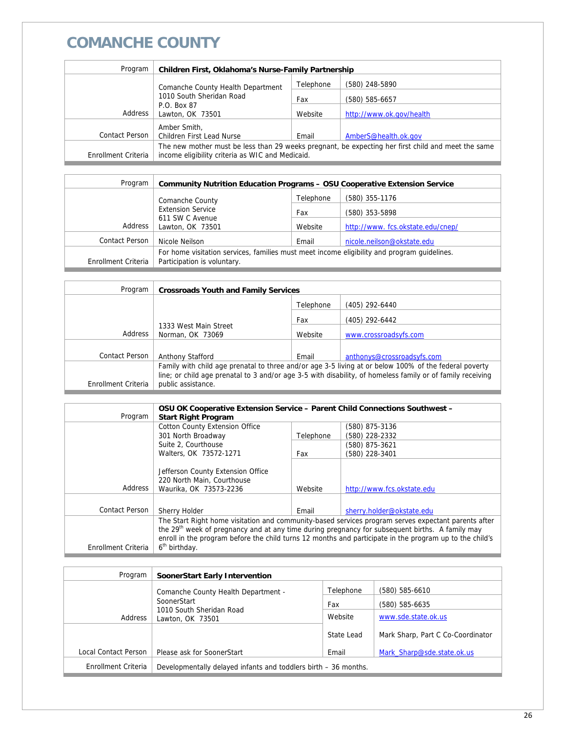# **COMANCHE COUNTY**

| Program             | <b>Children First, Oklahoma's Nurse-Family Partnership</b>                                         |           |                          |  |
|---------------------|----------------------------------------------------------------------------------------------------|-----------|--------------------------|--|
|                     | Comanche County Health Department                                                                  | Telephone | (580) 248-5890           |  |
|                     | 1010 South Sheridan Road                                                                           | Fax       | (580) 585-6657           |  |
| Address             | P.O. Box 87<br>Lawton, OK 73501                                                                    | Website   | http://www.ok.gov/health |  |
| Contact Person      | Amber Smith,<br>Children First Lead Nurse                                                          | Email     | AmberS@health.ok.gov     |  |
|                     | The new mother must be less than 29 weeks pregnant, be expecting her first child and meet the same |           |                          |  |
| Enrollment Criteria | income eligibility criteria as WIC and Medicaid.                                                   |           |                          |  |

| Program             | <b>Community Nutrition Education Programs - OSU Cooperative Extension Service</b>                                          |           |                                  |  |
|---------------------|----------------------------------------------------------------------------------------------------------------------------|-----------|----------------------------------|--|
|                     | Comanche County<br><b>Extension Service</b><br>611 SW C Avenue<br>Address<br>Lawton, OK 73501                              | Telephone | (580) 355-1176                   |  |
|                     |                                                                                                                            | Fax       | (580) 353-5898                   |  |
|                     |                                                                                                                            | Website   | http://www.fcs.okstate.edu/cnep/ |  |
| Contact Person      | Nicole Neilson                                                                                                             | Email     | nicole.neilson@okstate.edu       |  |
| Enrollment Criteria | For home visitation services, families must meet income eligibility and program quidelines.<br>Participation is voluntary. |           |                                  |  |

| Program             | <b>Crossroads Youth and Family Services</b>                                                                |           |                            |
|---------------------|------------------------------------------------------------------------------------------------------------|-----------|----------------------------|
|                     |                                                                                                            | Telephone | (405) 292-6440             |
|                     | Fax                                                                                                        |           | (405) 292-6442             |
| Address             | 1333 West Main Street<br>Norman, OK 73069                                                                  | Website   | www.crossroadsyfs.com      |
|                     |                                                                                                            |           |                            |
| Contact Person      | Anthony Stafford                                                                                           | Email     | anthonys@crossroadsyfs.com |
|                     | Family with child age prenatal to three and/or age 3-5 living at or below 100% of the federal poverty      |           |                            |
|                     | line; or child age prenatal to 3 and/or age 3-5 with disability, of homeless family or of family receiving |           |                            |
| Enrollment Criteria | public assistance.                                                                                         |           |                            |

| Program               | OSU OK Cooperative Extension Service - Parent Child Connections Southwest -<br><b>Start Right Program</b>                                                                                                                                                                                                                                                  |           |                                  |
|-----------------------|------------------------------------------------------------------------------------------------------------------------------------------------------------------------------------------------------------------------------------------------------------------------------------------------------------------------------------------------------------|-----------|----------------------------------|
|                       | <b>Cotton County Extension Office</b><br>301 North Broadway                                                                                                                                                                                                                                                                                                | Telephone | (580) 875-3136<br>(580) 228-2332 |
|                       | Suite 2, Courthouse<br>Walters, OK 73572-1271                                                                                                                                                                                                                                                                                                              | Fax       | (580) 875-3621<br>(580) 228-3401 |
| Address               | Jefferson County Extension Office<br>220 North Main, Courthouse<br>Waurika, OK 73573-2236                                                                                                                                                                                                                                                                  | Website   | http://www.fcs.okstate.edu       |
| <b>Contact Person</b> | <b>Sherry Holder</b>                                                                                                                                                                                                                                                                                                                                       | Email     | sherry.holder@okstate.edu        |
| Enrollment Criteria   | The Start Right home visitation and community-based services program serves expectant parents after<br>the 29 <sup>th</sup> week of pregnancy and at any time during pregnancy for subsequent births. A family may<br>enroll in the program before the child turns 12 months and participate in the program up to the child's<br>6 <sup>th</sup> birthday. |           |                                  |

| Program              | SoonerStart Early Intervention                                  |            |                                   |
|----------------------|-----------------------------------------------------------------|------------|-----------------------------------|
|                      | Comanche County Health Department -                             | Telephone  | (580) 585-6610                    |
|                      | SoonerStart                                                     |            | (580) 585-6635                    |
| Address              | 1010 South Sheridan Road<br>Lawton, OK 73501                    | Website    | www.sde.state.ok.us               |
|                      |                                                                 | State Lead | Mark Sharp, Part C Co-Coordinator |
| Local Contact Person | Please ask for SoonerStart                                      | Email      | Mark Sharp@sde.state.ok.us        |
| Enrollment Criteria  | Developmentally delayed infants and toddlers birth - 36 months. |            |                                   |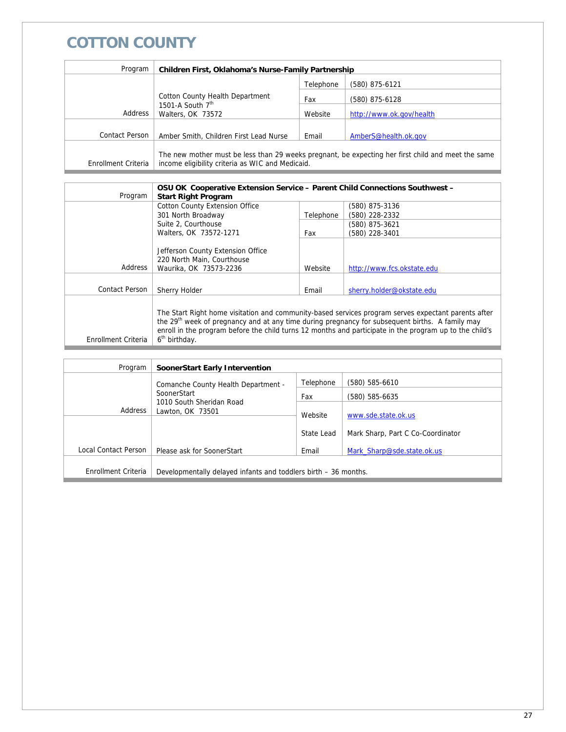# **COTTON COUNTY**

| Program               | Children First, Oklahoma's Nurse-Family Partnership                                                                                                    |           |                          |
|-----------------------|--------------------------------------------------------------------------------------------------------------------------------------------------------|-----------|--------------------------|
|                       |                                                                                                                                                        | Telephone | (580) 875-6121           |
|                       | <b>Cotton County Health Department</b>                                                                                                                 | Fax       | (580) 875-6128           |
| Address               | 1501-A South $7th$<br>Walters, OK 73572                                                                                                                | Website   | http://www.ok.gov/health |
| <b>Contact Person</b> | Amber Smith, Children First Lead Nurse                                                                                                                 | Email     | AmberS@health.ok.gov     |
| Enrollment Criteria   | The new mother must be less than 29 weeks pregnant, be expecting her first child and meet the same<br>income eligibility criteria as WIC and Medicaid. |           |                          |

|                     | OSU OK Cooperative Extension Service - Parent Child Connections Southwest -                                 |           |                                                                                                     |  |
|---------------------|-------------------------------------------------------------------------------------------------------------|-----------|-----------------------------------------------------------------------------------------------------|--|
| Program             | <b>Start Right Program</b>                                                                                  |           |                                                                                                     |  |
|                     | <b>Cotton County Extension Office</b>                                                                       |           | (580) 875-3136                                                                                      |  |
|                     | 301 North Broadway                                                                                          | Telephone | (580) 228-2332                                                                                      |  |
|                     | Suite 2. Courthouse                                                                                         |           | (580) 875-3621                                                                                      |  |
|                     | Walters, OK 73572-1271                                                                                      | Fax       | (580) 228-3401                                                                                      |  |
|                     |                                                                                                             |           |                                                                                                     |  |
|                     | Jefferson County Extension Office                                                                           |           |                                                                                                     |  |
|                     | 220 North Main, Courthouse                                                                                  |           |                                                                                                     |  |
| Address             | Waurika, OK 73573-2236                                                                                      | Website   | http://www.fcs.okstate.edu                                                                          |  |
|                     |                                                                                                             |           |                                                                                                     |  |
| Contact Person      | <b>Sherry Holder</b>                                                                                        | Email     | sherry.holder@okstate.edu                                                                           |  |
|                     |                                                                                                             |           |                                                                                                     |  |
|                     |                                                                                                             |           | The Start Right home visitation and community-based services program serves expectant parents after |  |
|                     | the 29 <sup>th</sup> week of pregnancy and at any time during pregnancy for subsequent births. A family may |           |                                                                                                     |  |
|                     | enroll in the program before the child turns 12 months and participate in the program up to the child's     |           |                                                                                                     |  |
| Enrollment Criteria | 6 <sup>th</sup> birthday.                                                                                   |           |                                                                                                     |  |
|                     |                                                                                                             |           |                                                                                                     |  |

| Program              | SoonerStart Early Intervention                                  |            |                                   |
|----------------------|-----------------------------------------------------------------|------------|-----------------------------------|
|                      | Comanche County Health Department -                             | Telephone  | (580) 585-6610                    |
|                      | SoonerStart                                                     | Fax        | (580) 585-6635                    |
| Address              | 1010 South Sheridan Road<br>Lawton, OK 73501                    | Website    | www.sde.state.ok.us               |
|                      |                                                                 | State Lead | Mark Sharp, Part C Co-Coordinator |
| Local Contact Person | Please ask for SoonerStart                                      | Email      | Mark Sharp@sde.state.ok.us        |
| Enrollment Criteria  | Developmentally delayed infants and toddlers birth – 36 months. |            |                                   |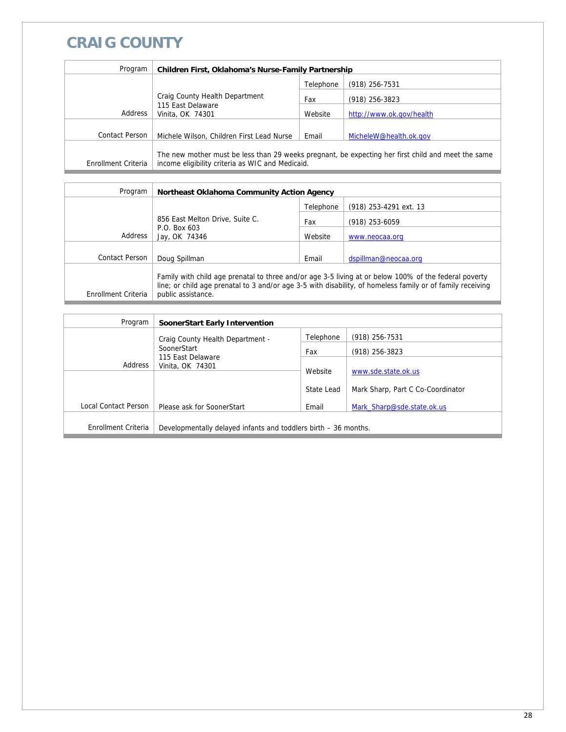# **CRAIG COUNTY**

| Program                        | Children First, Oklahoma's Nurse-Family Partnership                                                                                                    |           |                          |  |
|--------------------------------|--------------------------------------------------------------------------------------------------------------------------------------------------------|-----------|--------------------------|--|
|                                |                                                                                                                                                        | Telephone | $(918)$ 256-7531         |  |
| Craig County Health Department |                                                                                                                                                        | Fax       | $(918)$ 256-3823         |  |
| Address                        | 115 East Delaware<br>Vinita, OK 74301                                                                                                                  | Website   | http://www.ok.gov/health |  |
|                                |                                                                                                                                                        |           |                          |  |
| Contact Person                 | Michele Wilson, Children First Lead Nurse                                                                                                              | Email     | MicheleW@health.ok.gov   |  |
| Enrollment Criteria            | The new mother must be less than 29 weeks pregnant, be expecting her first child and meet the same<br>income eligibility criteria as WIC and Medicaid. |           |                          |  |

| Program             | Northeast Oklahoma Community Action Agency                                                                                                                                                                                                |           |                          |  |
|---------------------|-------------------------------------------------------------------------------------------------------------------------------------------------------------------------------------------------------------------------------------------|-----------|--------------------------|--|
|                     |                                                                                                                                                                                                                                           | Telephone | $(918)$ 253-4291 ext. 13 |  |
|                     | 856 East Melton Drive, Suite C.<br>Fax<br>P.O. Box 603<br>Address<br>Website<br>Jay, OK 74346                                                                                                                                             |           | $(918)$ 253-6059         |  |
|                     |                                                                                                                                                                                                                                           |           | www.neocaa.org           |  |
|                     |                                                                                                                                                                                                                                           |           |                          |  |
| Contact Person      | Doug Spillman                                                                                                                                                                                                                             | Email     | dspillman@neocaa.org     |  |
| Enrollment Criteria | Family with child age prenatal to three and/or age 3-5 living at or below 100% of the federal poverty<br>line; or child age prenatal to 3 and/or age 3-5 with disability, of homeless family or of family receiving<br>public assistance. |           |                          |  |

| Program              | SoonerStart Early Intervention                                  |            |                                   |
|----------------------|-----------------------------------------------------------------|------------|-----------------------------------|
|                      | Craig County Health Department -                                | Telephone  | $(918)$ 256-7531                  |
|                      | SoonerStart<br>115 East Delaware<br>Address<br>Vinita, OK 74301 | Fax        | (918) 256-3823                    |
|                      |                                                                 | Website    | www.sde.state.ok.us               |
|                      |                                                                 | State Lead | Mark Sharp, Part C Co-Coordinator |
| Local Contact Person | Please ask for SoonerStart                                      | Email      | Mark Sharp@sde.state.ok.us        |
| Enrollment Criteria  | Developmentally delayed infants and toddlers birth – 36 months. |            |                                   |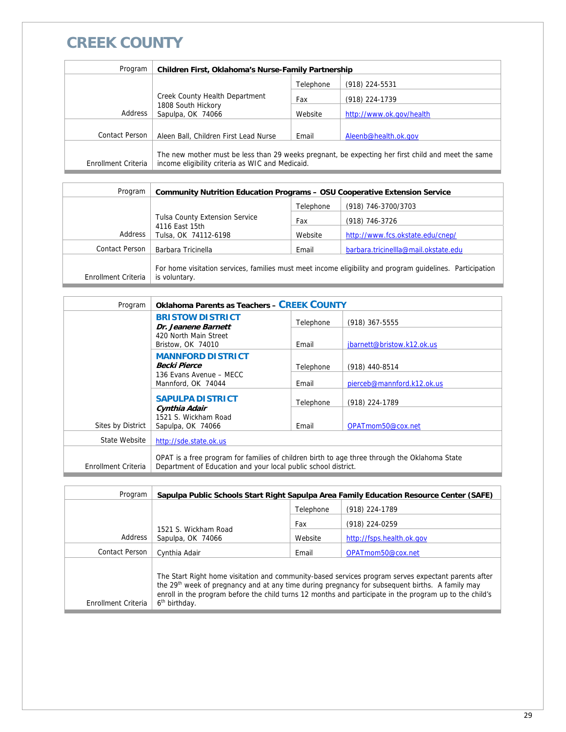# **CREEK COUNTY**

| Program             | Children First, Oklahoma's Nurse-Family Partnership                                                                                                    |           |                          |  |
|---------------------|--------------------------------------------------------------------------------------------------------------------------------------------------------|-----------|--------------------------|--|
|                     |                                                                                                                                                        | Telephone | (918) 224-5531           |  |
|                     | Creek County Health Department                                                                                                                         | Fax       | (918) 224-1739           |  |
| Address             | 1808 South Hickory<br>Sapulpa, OK 74066                                                                                                                |           | http://www.ok.gov/health |  |
|                     |                                                                                                                                                        |           |                          |  |
| Contact Person      | Aleen Ball, Children First Lead Nurse                                                                                                                  | Email     | Aleenb@health.ok.gov     |  |
| Enrollment Criteria | The new mother must be less than 29 weeks pregnant, be expecting her first child and meet the same<br>income eligibility criteria as WIC and Medicaid. |           |                          |  |

| Program             | <b>Community Nutrition Education Programs - OSU Cooperative Extension Service</b>                                          |           |                                      |  |
|---------------------|----------------------------------------------------------------------------------------------------------------------------|-----------|--------------------------------------|--|
|                     |                                                                                                                            | Telephone | (918) 746-3700/3703                  |  |
|                     | <b>Tulsa County Extension Service</b><br>Fax                                                                               |           | (918) 746-3726                       |  |
| Address             | 4116 East 15th<br>Tulsa, OK 74112-6198                                                                                     | Website   | http://www.fcs.okstate.edu/cnep/     |  |
| Contact Person      | Barbara Tricinella                                                                                                         | Email     | barbara.tricinellla@mail.okstate.edu |  |
| Enrollment Criteria | For home visitation services, families must meet income eligibility and program quidelines. Participation<br>is voluntary. |           |                                      |  |

| Program             | <b>Oklahoma Parents as Teachers - CREEK COUNTY</b>             |           |                                                                                               |  |  |
|---------------------|----------------------------------------------------------------|-----------|-----------------------------------------------------------------------------------------------|--|--|
|                     | <b>BRISTOW DISTRICT</b><br>Dr. Jeanene Barnett                 | Telephone | (918) 367-5555                                                                                |  |  |
|                     | 420 North Main Street<br>Bristow, OK 74010                     | Email     | jbarnett@bristow.k12.ok.us                                                                    |  |  |
|                     | <b>MANNFORD DISTRICT</b><br><b>Becki Pierce</b>                | Telephone | (918) 440-8514                                                                                |  |  |
|                     | 136 Evans Avenue - MECC<br>Mannford, OK 74044                  | Email     | pierceb@mannford.k12.ok.us                                                                    |  |  |
|                     | <b>SAPULPA DISTRICT</b>                                        | Telephone | (918) 224-1789                                                                                |  |  |
| Sites by District   | Cynthia Adair<br>1521 S. Wickham Road<br>Sapulpa, OK 74066     | Email     | OPATmom50@cox.net                                                                             |  |  |
| State Website       | http://sde.state.ok.us                                         |           |                                                                                               |  |  |
| Enrollment Criteria | Department of Education and your local public school district. |           | OPAT is a free program for families of children birth to age three through the Oklahoma State |  |  |

| Program             |                                           |           | Sapulpa Public Schools Start Right Sapulpa Area Family Education Resource Center (SAFE)                                                                                                                                                                                                                                       |
|---------------------|-------------------------------------------|-----------|-------------------------------------------------------------------------------------------------------------------------------------------------------------------------------------------------------------------------------------------------------------------------------------------------------------------------------|
|                     |                                           | Telephone | (918) 224-1789                                                                                                                                                                                                                                                                                                                |
|                     | Fax                                       |           | (918) 224-0259                                                                                                                                                                                                                                                                                                                |
| Address             | 1521 S. Wickham Road<br>Sapulpa, OK 74066 | Website   | http://fsps.health.ok.gov                                                                                                                                                                                                                                                                                                     |
| Contact Person      | Cynthia Adair                             | Email     | OPATmom50@cox.net                                                                                                                                                                                                                                                                                                             |
| Enrollment Criteria | 6 <sup>th</sup> birthday.                 |           | The Start Right home visitation and community-based services program serves expectant parents after<br>the 29 <sup>th</sup> week of pregnancy and at any time during pregnancy for subsequent births. A family may<br>enroll in the program before the child turns 12 months and participate in the program up to the child's |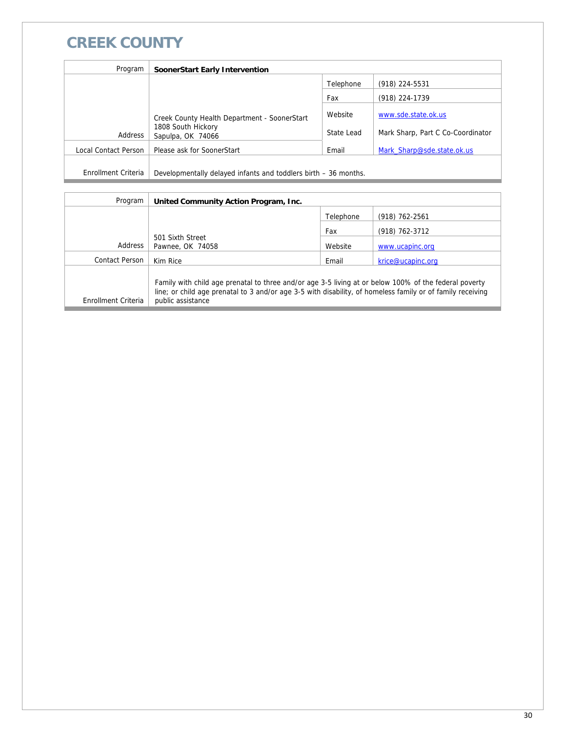# **CREEK COUNTY**

| Program              | SoonerStart Early Intervention                                                          |                       |                                                          |
|----------------------|-----------------------------------------------------------------------------------------|-----------------------|----------------------------------------------------------|
|                      |                                                                                         | Telephone             | (918) 224-5531                                           |
|                      |                                                                                         | Fax                   | (918) 224-1739                                           |
| Address              | Creek County Health Department - SoonerStart<br>1808 South Hickory<br>Sapulpa, OK 74066 | Website<br>State Lead | www.sde.state.ok.us<br>Mark Sharp, Part C Co-Coordinator |
| Local Contact Person | Please ask for SoonerStart                                                              | Email                 | Mark Sharp@sde.state.ok.us                               |
| Enrollment Criteria  | Developmentally delayed infants and toddlers birth – 36 months.                         |                       |                                                          |

| Program             | United Community Action Program, Inc.                                                                                                                                                                                                    |           |                   |
|---------------------|------------------------------------------------------------------------------------------------------------------------------------------------------------------------------------------------------------------------------------------|-----------|-------------------|
|                     |                                                                                                                                                                                                                                          | Telephone | $(918)$ 762-2561  |
|                     |                                                                                                                                                                                                                                          | Fax       | (918) 762-3712    |
| Address             | 501 Sixth Street<br>Pawnee, OK 74058                                                                                                                                                                                                     | Website   | www.ucapinc.org   |
|                     |                                                                                                                                                                                                                                          |           |                   |
| Contact Person      | Kim Rice                                                                                                                                                                                                                                 | Email     | krice@ucapinc.org |
| Enrollment Criteria | Family with child age prenatal to three and/or age 3-5 living at or below 100% of the federal poverty<br>line; or child age prenatal to 3 and/or age 3-5 with disability, of homeless family or of family receiving<br>public assistance |           |                   |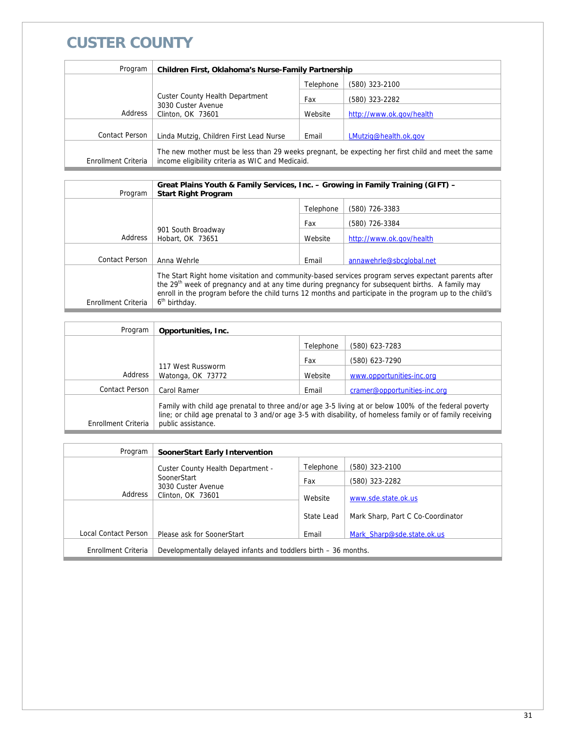# **CUSTER COUNTY**

| Program             | Children First, Oklahoma's Nurse-Family Partnership                                                                                                    |           |                          |  |
|---------------------|--------------------------------------------------------------------------------------------------------------------------------------------------------|-----------|--------------------------|--|
|                     |                                                                                                                                                        | Telephone | (580) 323-2100           |  |
|                     | <b>Custer County Health Department</b>                                                                                                                 |           | (580) 323-2282           |  |
| Address             | 3030 Custer Avenue<br>Clinton, OK 73601                                                                                                                | Website   | http://www.ok.gov/health |  |
|                     |                                                                                                                                                        |           |                          |  |
| Contact Person      | Linda Mutzig, Children First Lead Nurse                                                                                                                | Email     | LMutzig@health.ok.gov    |  |
| Enrollment Criteria | The new mother must be less than 29 weeks pregnant, be expecting her first child and meet the same<br>income eligibility criteria as WIC and Medicaid. |           |                          |  |

| Program             | Great Plains Youth & Family Services, Inc. - Growing in Family Training (GIFT) -<br><b>Start Right Program</b>                                                                                                                                                                                                                                             |           |                          |  |  |
|---------------------|------------------------------------------------------------------------------------------------------------------------------------------------------------------------------------------------------------------------------------------------------------------------------------------------------------------------------------------------------------|-----------|--------------------------|--|--|
|                     |                                                                                                                                                                                                                                                                                                                                                            | Telephone | (580) 726-3383           |  |  |
|                     |                                                                                                                                                                                                                                                                                                                                                            | Fax       | (580) 726-3384           |  |  |
| Address             | 901 South Broadway<br>Hobart, OK 73651                                                                                                                                                                                                                                                                                                                     | Website   | http://www.ok.gov/health |  |  |
| Contact Person      | Anna Wehrle                                                                                                                                                                                                                                                                                                                                                | Email     | annawehrle@sbcqlobal.net |  |  |
| Enrollment Criteria | The Start Right home visitation and community-based services program serves expectant parents after<br>the 29 <sup>th</sup> week of pregnancy and at any time during pregnancy for subsequent births. A family may<br>enroll in the program before the child turns 12 months and participate in the program up to the child's<br>6 <sup>th</sup> birthday. |           |                          |  |  |

| Program             | Opportunities, Inc.                                                                                                                                                                                                                       |           |                              |
|---------------------|-------------------------------------------------------------------------------------------------------------------------------------------------------------------------------------------------------------------------------------------|-----------|------------------------------|
|                     |                                                                                                                                                                                                                                           | Telephone | (580) 623-7283               |
|                     |                                                                                                                                                                                                                                           | Fax       | (580) 623-7290               |
| Address             | 117 West Russworm<br>Watonga, OK 73772                                                                                                                                                                                                    | Website   | www.opportunities-inc.org    |
| Contact Person      | Carol Ramer                                                                                                                                                                                                                               | Email     | cramer@opportunities-inc.org |
| Enrollment Criteria | Family with child age prenatal to three and/or age 3-5 living at or below 100% of the federal poverty<br>line; or child age prenatal to 3 and/or age 3-5 with disability, of homeless family or of family receiving<br>public assistance. |           |                              |

| Program              | SoonerStart Early Intervention                                    |            |                                   |
|----------------------|-------------------------------------------------------------------|------------|-----------------------------------|
|                      | <b>Custer County Health Department -</b>                          | Telephone  | (580) 323-2100                    |
|                      | SoonerStart<br>3030 Custer Avenue<br>Address<br>Clinton, OK 73601 | Fax        | (580) 323-2282                    |
|                      |                                                                   | Website    | www.sde.state.ok.us               |
|                      |                                                                   | State Lead | Mark Sharp, Part C Co-Coordinator |
| Local Contact Person | Please ask for SoonerStart                                        | Email      | Mark Sharp@sde.state.ok.us        |
| Enrollment Criteria  | Developmentally delayed infants and toddlers birth – 36 months.   |            |                                   |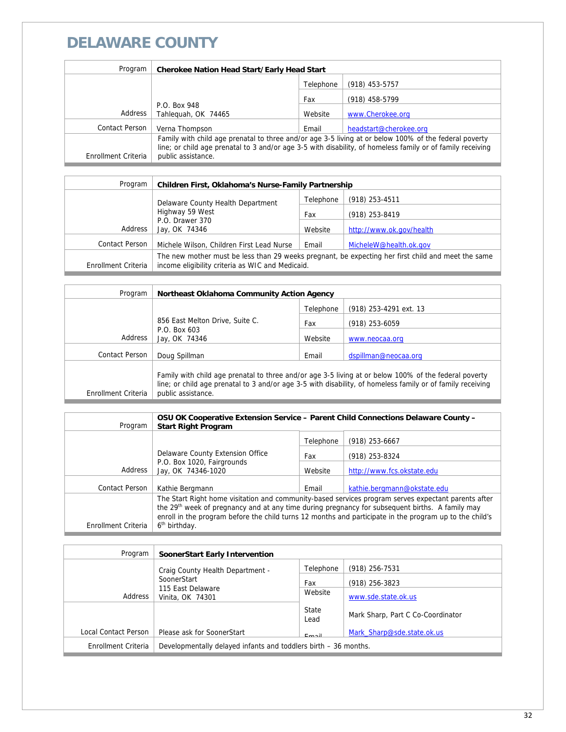# **DELAWARE COUNTY**

| Program             | <b>Cherokee Nation Head Start/Early Head Start</b>                                                                                                                                                                  |           |                        |
|---------------------|---------------------------------------------------------------------------------------------------------------------------------------------------------------------------------------------------------------------|-----------|------------------------|
|                     |                                                                                                                                                                                                                     | Telephone | (918) 453-5757         |
|                     |                                                                                                                                                                                                                     | Fax       | (918) 458-5799         |
| Address             | P.O. Box 948<br>Tahlequah, OK 74465                                                                                                                                                                                 | Website   | www.Cherokee.org       |
|                     |                                                                                                                                                                                                                     |           |                        |
| Contact Person      | Verna Thompson                                                                                                                                                                                                      | Email     | headstart@cherokee.org |
|                     | Family with child age prenatal to three and/or age 3-5 living at or below 100% of the federal poverty<br>line; or child age prenatal to 3 and/or age 3-5 with disability, of homeless family or of family receiving |           |                        |
| Enrollment Criteria | public assistance.                                                                                                                                                                                                  |           |                        |

| Program             | Children First, Oklahoma's Nurse-Family Partnership                                                                                                    |           |                          |
|---------------------|--------------------------------------------------------------------------------------------------------------------------------------------------------|-----------|--------------------------|
|                     | Delaware County Health Department                                                                                                                      | Telephone | $(918)$ 253-4511         |
|                     | Highway 59 West<br>P.O. Drawer 370<br>Jay, OK 74346                                                                                                    | Fax       | (918) 253-8419           |
| Address             |                                                                                                                                                        | Website   | http://www.ok.gov/health |
| Contact Person      | Michele Wilson, Children First Lead Nurse                                                                                                              | Email     | MicheleW@health.ok.gov   |
| Enrollment Criteria | The new mother must be less than 29 weeks pregnant, be expecting her first child and meet the same<br>income eligibility criteria as WIC and Medicaid. |           |                          |

| Program             | Northeast Oklahoma Community Action Agency                                                                                                                                                                                                |           |                        |
|---------------------|-------------------------------------------------------------------------------------------------------------------------------------------------------------------------------------------------------------------------------------------|-----------|------------------------|
|                     |                                                                                                                                                                                                                                           | Telephone | (918) 253-4291 ext. 13 |
|                     | 856 East Melton Drive, Suite C.                                                                                                                                                                                                           | Fax       | (918) 253-6059         |
| Address             | P.O. Box 603<br>Jay, OK 74346                                                                                                                                                                                                             | Website   | www.neocaa.org         |
| Contact Person      | Doug Spillman                                                                                                                                                                                                                             | Email     | dspillman@neocaa.org   |
| Enrollment Criteria | Family with child age prenatal to three and/or age 3-5 living at or below 100% of the federal poverty<br>line; or child age prenatal to 3 and/or age 3-5 with disability, of homeless family or of family receiving<br>public assistance. |           |                        |

| Program             | OSU OK Cooperative Extension Service - Parent Child Connections Delaware County -<br><b>Start Right Program</b>                                                                                                                                                                                                               |           |                             |
|---------------------|-------------------------------------------------------------------------------------------------------------------------------------------------------------------------------------------------------------------------------------------------------------------------------------------------------------------------------|-----------|-----------------------------|
|                     |                                                                                                                                                                                                                                                                                                                               | Telephone | $(918)$ 253-6667            |
|                     | Delaware County Extension Office<br>P.O. Box 1020, Fairgrounds<br>Jay, OK 74346-1020                                                                                                                                                                                                                                          | Fax       | (918) 253-8324              |
| Address             |                                                                                                                                                                                                                                                                                                                               | Website   | http://www.fcs.okstate.edu  |
| Contact Person      | Kathie Bergmann                                                                                                                                                                                                                                                                                                               | Email     | kathie.bergmann@okstate.edu |
|                     | The Start Right home visitation and community-based services program serves expectant parents after<br>the 29 <sup>th</sup> week of pregnancy and at any time during pregnancy for subsequent births. A family may<br>enroll in the program before the child turns 12 months and participate in the program up to the child's |           |                             |
| Enrollment Criteria | 6 <sup>th</sup> birthday.                                                                                                                                                                                                                                                                                                     |           |                             |

| Program              | SoonerStart Early Intervention                                  |               |                                   |
|----------------------|-----------------------------------------------------------------|---------------|-----------------------------------|
|                      | Craig County Health Department -                                | Telephone     | $(918)$ 256-7531                  |
|                      | SoonerStart                                                     | Fax           | $(918)$ 256-3823                  |
| Address              | 115 East Delaware<br>Vinita, OK 74301                           | Website       | www.sde.state.ok.us               |
|                      |                                                                 | State<br>Lead | Mark Sharp, Part C Co-Coordinator |
| Local Contact Person | Please ask for SoonerStart                                      | Email         | Mark Sharp@sde.state.ok.us        |
| Enrollment Criteria  | Developmentally delayed infants and toddlers birth – 36 months. |               |                                   |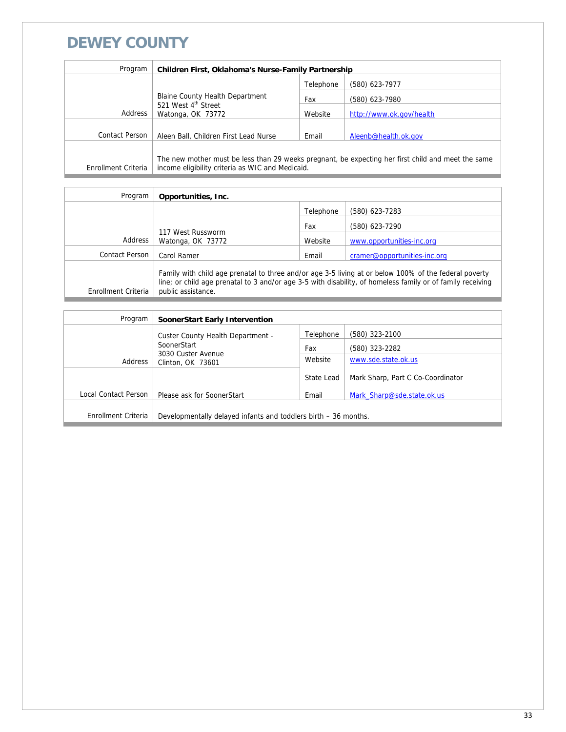### **DEWEY COUNTY**

| Program             | Children First, Oklahoma's Nurse-Family Partnership  |           |                                                                                                    |
|---------------------|------------------------------------------------------|-----------|----------------------------------------------------------------------------------------------------|
|                     |                                                      | Telephone | (580) 623-7977                                                                                     |
|                     | Blaine County Health Department                      | Fax       | (580) 623-7980                                                                                     |
| Address             | 521 West 4 <sup>th</sup> Street<br>Watonga, OK 73772 | Website   | http://www.ok.gov/health                                                                           |
| Contact Person      |                                                      |           |                                                                                                    |
|                     | Aleen Ball, Children First Lead Nurse                | Email     | Aleenb@health.ok.gov                                                                               |
| Enrollment Criteria | income eligibility criteria as WIC and Medicaid.     |           | The new mother must be less than 29 weeks pregnant, be expecting her first child and meet the same |

| Program             | Opportunities, Inc.                                                                                                                                                                                                                       |           |                              |
|---------------------|-------------------------------------------------------------------------------------------------------------------------------------------------------------------------------------------------------------------------------------------|-----------|------------------------------|
|                     |                                                                                                                                                                                                                                           | Telephone | (580) 623-7283               |
|                     |                                                                                                                                                                                                                                           | Fax       | (580) 623-7290               |
| Address             | 117 West Russworm<br>Watonga, OK 73772                                                                                                                                                                                                    | Website   | www.opportunities-inc.org    |
| Contact Person      | Carol Ramer                                                                                                                                                                                                                               | Email     | cramer@opportunities-inc.org |
| Enrollment Criteria | Family with child age prenatal to three and/or age 3-5 living at or below 100% of the federal poverty<br>line; or child age prenatal to 3 and/or age 3-5 with disability, of homeless family or of family receiving<br>public assistance. |           |                              |

| Program              | SoonerStart Early Intervention                                  |            |                                   |
|----------------------|-----------------------------------------------------------------|------------|-----------------------------------|
|                      | Custer County Health Department -                               | Telephone  | (580) 323-2100                    |
|                      | SoonerStart                                                     | Fax        | (580) 323-2282                    |
| Address              | 3030 Custer Avenue<br>Clinton, OK 73601                         | Website    | www.sde.state.ok.us               |
|                      |                                                                 | State Lead | Mark Sharp, Part C Co-Coordinator |
| Local Contact Person | Please ask for SoonerStart                                      | Email      | Mark Sharp@sde.state.ok.us        |
|                      |                                                                 |            |                                   |
| Enrollment Criteria  | Developmentally delayed infants and toddlers birth – 36 months. |            |                                   |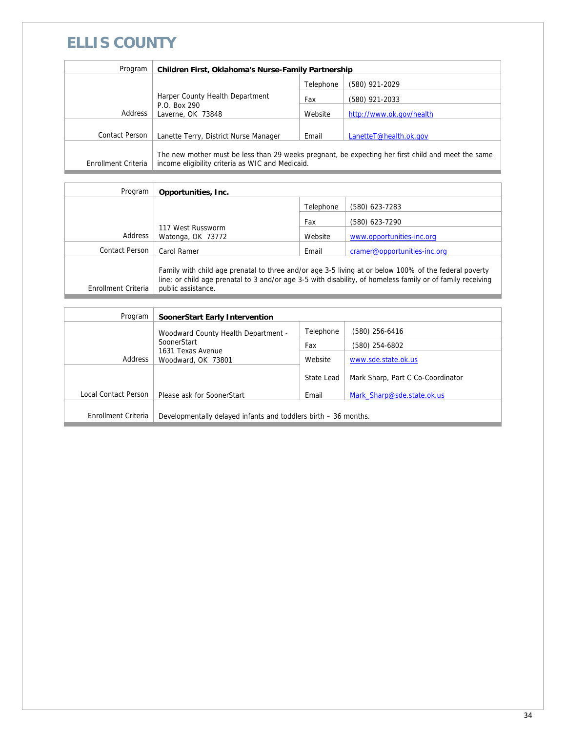# **ELLIS COUNTY**

| Program             | Children First, Oklahoma's Nurse-Family Partnership                                                                                                    |           |                          |
|---------------------|--------------------------------------------------------------------------------------------------------------------------------------------------------|-----------|--------------------------|
|                     |                                                                                                                                                        | Telephone | (580) 921-2029           |
|                     | Harper County Health Department<br>P.O. Box 290<br>Laverne, OK 73848                                                                                   | Fax       | (580) 921-2033           |
| Address             |                                                                                                                                                        | Website   | http://www.ok.gov/health |
|                     |                                                                                                                                                        |           |                          |
| Contact Person      | Lanette Terry, District Nurse Manager                                                                                                                  | Email     | LanetteT@health.ok.gov   |
| Enrollment Criteria | The new mother must be less than 29 weeks pregnant, be expecting her first child and meet the same<br>income eligibility criteria as WIC and Medicaid. |           |                          |

| Program             | Opportunities, Inc.                                                                                                                                                                                                                       |           |                              |
|---------------------|-------------------------------------------------------------------------------------------------------------------------------------------------------------------------------------------------------------------------------------------|-----------|------------------------------|
|                     |                                                                                                                                                                                                                                           | Telephone | (580) 623-7283               |
|                     |                                                                                                                                                                                                                                           | Fax       | (580) 623-7290               |
| Address             | 117 West Russworm<br>Watonga, OK 73772                                                                                                                                                                                                    | Website   | www.opportunities-inc.org    |
| Contact Person      | Carol Ramer                                                                                                                                                                                                                               | Email     | cramer@opportunities-inc.org |
| Enrollment Criteria | Family with child age prenatal to three and/or age 3-5 living at or below 100% of the federal poverty<br>line; or child age prenatal to 3 and/or age 3-5 with disability, of homeless family or of family receiving<br>public assistance. |           |                              |

| Program              | <b>SoonerStart Early Intervention</b>                           |            |                                   |
|----------------------|-----------------------------------------------------------------|------------|-----------------------------------|
|                      | Woodward County Health Department -                             | Telephone  | (580) 256-6416                    |
|                      | SoonerStart                                                     | Fax        | (580) 254-6802                    |
| Address              | 1631 Texas Avenue<br>Woodward, OK 73801                         | Website    | www.sde.state.ok.us               |
|                      |                                                                 | State Lead | Mark Sharp, Part C Co-Coordinator |
| Local Contact Person | Please ask for SoonerStart                                      | Email      | Mark Sharp@sde.state.ok.us        |
|                      |                                                                 |            |                                   |
| Enrollment Criteria  | Developmentally delayed infants and toddlers birth - 36 months. |            |                                   |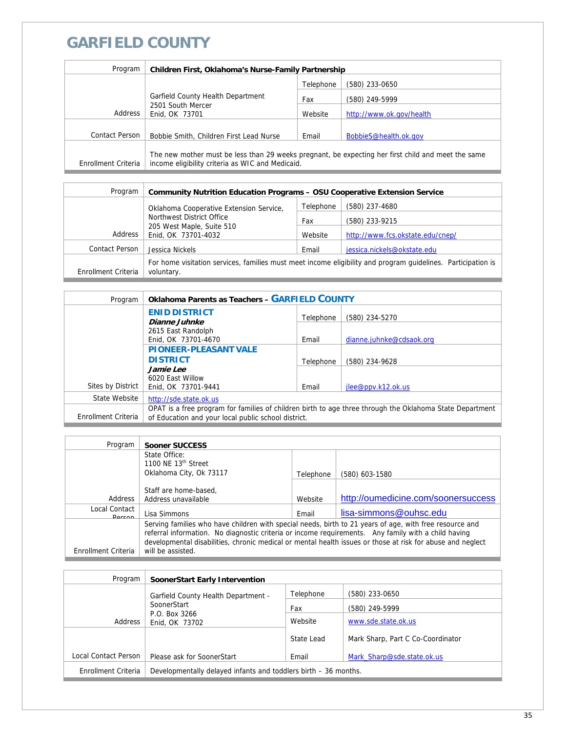# **GARFIELD COUNTY**

| Program             | <b>Children First, Oklahoma's Nurse-Family Partnership</b>               |           |                                                                                                    |
|---------------------|--------------------------------------------------------------------------|-----------|----------------------------------------------------------------------------------------------------|
|                     |                                                                          | Telephone | (580) 233-0650                                                                                     |
|                     | Garfield County Health Department<br>2501 South Mercer<br>Enid, OK 73701 | Fax       | (580) 249-5999                                                                                     |
| Address             |                                                                          | Website   | http://www.ok.gov/health                                                                           |
|                     |                                                                          |           |                                                                                                    |
| Contact Person      | Bobbie Smith, Children First Lead Nurse                                  | Email     | BobbieS@health.ok.gov                                                                              |
| Enrollment Criteria | income eligibility criteria as WIC and Medicaid.                         |           | The new mother must be less than 29 weeks pregnant, be expecting her first child and meet the same |

| Program             | <b>Community Nutrition Education Programs - OSU Cooperative Extension Service</b>                                          |           |                                  |
|---------------------|----------------------------------------------------------------------------------------------------------------------------|-----------|----------------------------------|
|                     | Oklahoma Cooperative Extension Service,<br>Northwest District Office<br>205 West Maple, Suite 510<br>Enid, OK 73701-4032   | Telephone | (580) 237-4680                   |
|                     |                                                                                                                            | Fax       | (580) 233-9215                   |
| Address             |                                                                                                                            | Website   | http://www.fcs.okstate.edu/cnep/ |
| Contact Person      | Jessica Nickels                                                                                                            | Email     | jessica.nickels@okstate.edu      |
| Enrollment Criteria | For home visitation services, families must meet income eligibility and program quidelines. Participation is<br>voluntary. |           |                                  |

| Program             | <b>Oklahoma Parents as Teachers - GARFIELD COUNTY</b>                                                                                                           |           |                          |
|---------------------|-----------------------------------------------------------------------------------------------------------------------------------------------------------------|-----------|--------------------------|
|                     | <b>ENID DISTRICT</b><br>Dianne Juhnke                                                                                                                           | Telephone | (580) 234-5270           |
|                     | 2615 East Randolph<br>Enid, OK 73701-4670                                                                                                                       | Email     | dianne.juhnke@cdsaok.org |
|                     | <b>PIONEER-PLEASANT VALE</b><br><b>DISTRICT</b>                                                                                                                 | Telephone | (580) 234-9628           |
| Sites by District   | Jamie Lee<br>6020 East Willow<br>Enid, OK 73701-9441                                                                                                            | Email     | jlee@ppv.k12.ok.us       |
| State Website       | http://sde.state.ok.us                                                                                                                                          |           |                          |
| Enrollment Criteria | OPAT is a free program for families of children birth to age three through the Oklahoma State Department<br>of Education and your local public school district. |           |                          |

| Program             | Sooner SUCCESS                                                                                                                                                                                                                                                                                                               |           |                                     |
|---------------------|------------------------------------------------------------------------------------------------------------------------------------------------------------------------------------------------------------------------------------------------------------------------------------------------------------------------------|-----------|-------------------------------------|
|                     | State Office:                                                                                                                                                                                                                                                                                                                |           |                                     |
|                     | 1100 NE $13th$ Street                                                                                                                                                                                                                                                                                                        |           |                                     |
|                     | Oklahoma City, Ok 73117                                                                                                                                                                                                                                                                                                      | Telephone | (580) 603-1580                      |
|                     |                                                                                                                                                                                                                                                                                                                              |           |                                     |
|                     | Staff are home-based,                                                                                                                                                                                                                                                                                                        |           |                                     |
| <b>Address</b>      | Address unavailable                                                                                                                                                                                                                                                                                                          | Website   | http://oumedicine.com/soonersuccess |
| Local Contact       |                                                                                                                                                                                                                                                                                                                              |           |                                     |
| Dorcon              | Lisa Simmons                                                                                                                                                                                                                                                                                                                 | Email     | lisa-simmons@ouhsc.edu              |
|                     | Serving families who have children with special needs, birth to 21 years of age, with free resource and<br>referral information. No diagnostic criteria or income requirements. Any family with a child having<br>developmental disabilities, chronic medical or mental health issues or those at risk for abuse and neglect |           |                                     |
| Enrollment Criteria | will be assisted.                                                                                                                                                                                                                                                                                                            |           |                                     |

| Program              | <b>SoonerStart Early Intervention</b>                           |            |                                   |
|----------------------|-----------------------------------------------------------------|------------|-----------------------------------|
|                      | <b>Garfield County Health Department -</b>                      | Telephone  | (580) 233-0650                    |
|                      | SoonerStart                                                     | Fax        | (580) 249-5999                    |
| Address              | P.O. Box 3266<br>Enid, OK 73702                                 | Website    | www.sde.state.ok.us               |
|                      |                                                                 | State Lead | Mark Sharp, Part C Co-Coordinator |
| Local Contact Person | Please ask for SoonerStart                                      | Email      | Mark Sharp@sde.state.ok.us        |
| Enrollment Criteria  | Developmentally delayed infants and toddlers birth – 36 months. |            |                                   |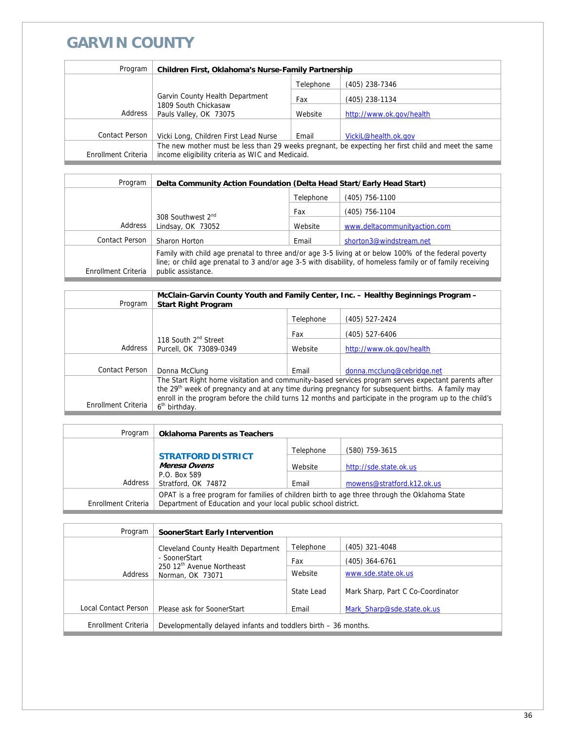## **GARVIN COUNTY**

| Program             | Children First, Oklahoma's Nurse-Family Partnership                                                |           |                          |
|---------------------|----------------------------------------------------------------------------------------------------|-----------|--------------------------|
|                     |                                                                                                    | Telephone | (405) 238-7346           |
|                     | Garvin County Health Department                                                                    | Fax       | (405) 238-1134           |
| Address             | 1809 South Chickasaw<br>Pauls Valley, OK 73075                                                     | Website   | http://www.ok.gov/health |
|                     |                                                                                                    |           |                          |
| Contact Person      | Vicki Long, Children First Lead Nurse                                                              | Email     | VickiL@health.ok.gov     |
|                     | The new mother must be less than 29 weeks pregnant, be expecting her first child and meet the same |           |                          |
| Enrollment Criteria | income eligibility criteria as WIC and Medicaid.                                                   |           |                          |

| Program             | Delta Community Action Foundation (Delta Head Start/Early Head Start)                                                                                                                                                                     |           |                              |
|---------------------|-------------------------------------------------------------------------------------------------------------------------------------------------------------------------------------------------------------------------------------------|-----------|------------------------------|
|                     |                                                                                                                                                                                                                                           | Telephone | (405) 756-1100               |
|                     |                                                                                                                                                                                                                                           | Fax       | (405) 756-1104               |
| Address             | 308 Southwest 2 <sup>nd</sup><br>Lindsay, OK 73052                                                                                                                                                                                        | Website   | www.deltacommunityaction.com |
| Contact Person      | Sharon Horton                                                                                                                                                                                                                             | Email     | shorton3@windstream.net      |
| Enrollment Criteria | Family with child age prenatal to three and/or age 3-5 living at or below 100% of the federal poverty<br>line; or child age prenatal to 3 and/or age 3-5 with disability, of homeless family or of family receiving<br>public assistance. |           |                              |

| Program             | <b>Start Right Program</b>                                                                                                                                                                                                                                                                                                                                 |           | McClain-Garvin County Youth and Family Center, Inc. - Healthy Beginnings Program - |
|---------------------|------------------------------------------------------------------------------------------------------------------------------------------------------------------------------------------------------------------------------------------------------------------------------------------------------------------------------------------------------------|-----------|------------------------------------------------------------------------------------|
|                     |                                                                                                                                                                                                                                                                                                                                                            | Telephone | (405) 527-2424                                                                     |
|                     |                                                                                                                                                                                                                                                                                                                                                            | Fax       | (405) 527-6406                                                                     |
| Address             | 118 South 2 <sup>nd</sup> Street<br>Purcell, OK 73089-0349                                                                                                                                                                                                                                                                                                 | Website   | http://www.ok.gov/health                                                           |
|                     |                                                                                                                                                                                                                                                                                                                                                            |           |                                                                                    |
| Contact Person      | Donna McClung                                                                                                                                                                                                                                                                                                                                              | Email     | donna.mcclung@cebridge.net                                                         |
| Enrollment Criteria | The Start Right home visitation and community-based services program serves expectant parents after<br>the 29 <sup>th</sup> week of pregnancy and at any time during pregnancy for subsequent births. A family may<br>enroll in the program before the child turns 12 months and participate in the program up to the child's<br>6 <sup>th</sup> birthday. |           |                                                                                    |

| Program             | <b>Oklahoma Parents as Teachers</b>                                                                                                                             |           |                            |
|---------------------|-----------------------------------------------------------------------------------------------------------------------------------------------------------------|-----------|----------------------------|
|                     |                                                                                                                                                                 | Telephone | (580) 759-3615             |
|                     | <b>STRATFORD DISTRICT</b><br>Meresa Owens                                                                                                                       | Website   | http://sde.state.ok.us     |
| Address             | P.O. Box 589<br>Stratford, OK 74872                                                                                                                             | Email     | mowens@stratford.k12.ok.us |
| Enrollment Criteria | OPAT is a free program for families of children birth to age three through the Oklahoma State<br>Department of Education and your local public school district. |           |                            |

| Program              | <b>SoonerStart Early Intervention</b>                           |            |                                   |
|----------------------|-----------------------------------------------------------------|------------|-----------------------------------|
|                      | Cleveland County Health Department                              | Telephone  | (405) 321-4048                    |
|                      | - SoonerStart<br>250 12 <sup>th</sup> Avenue Northeast          | Fax        | (405) 364-6761                    |
| Address              | Norman, OK 73071                                                | Website    | www.sde.state.ok.us               |
|                      |                                                                 | State Lead | Mark Sharp, Part C Co-Coordinator |
| Local Contact Person | Please ask for SoonerStart                                      | Email      | Mark Sharp@sde.state.ok.us        |
| Enrollment Criteria  | Developmentally delayed infants and toddlers birth - 36 months. |            |                                   |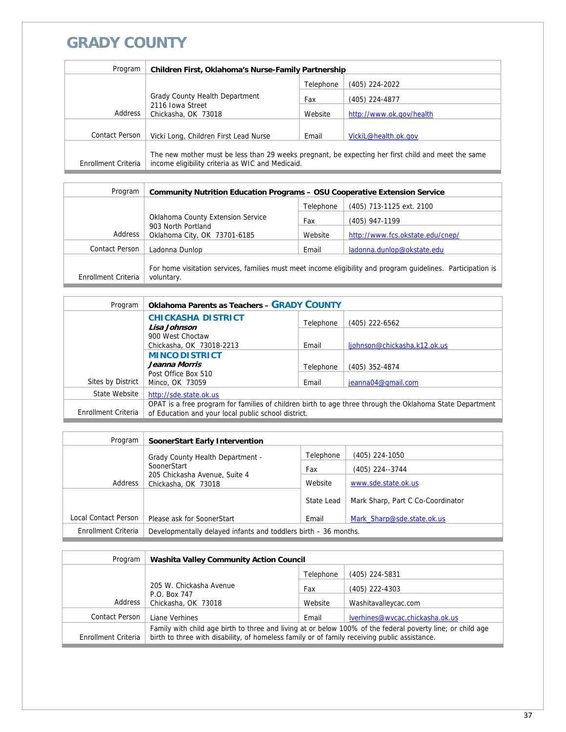## **GRADY COUNTY**

| Program             | <b>Children First, Oklahoma's Nurse-Family Partnership</b>                                                                                             |           |                          |
|---------------------|--------------------------------------------------------------------------------------------------------------------------------------------------------|-----------|--------------------------|
|                     |                                                                                                                                                        | Telephone | (405) 224-2022           |
|                     | Grady County Health Department                                                                                                                         | Fax       | (405) 224-4877           |
| Address             | 2116 Iowa Street<br>Chickasha, OK 73018                                                                                                                | Website   | http://www.ok.gov/health |
|                     |                                                                                                                                                        |           |                          |
| Contact Person      | Vicki Long, Children First Lead Nurse                                                                                                                  | Email     | VickiL@health.ok.gov     |
| Enrollment Criteria | The new mother must be less than 29 weeks pregnant, be expecting her first child and meet the same<br>income eligibility criteria as WIC and Medicaid. |           |                          |

| Program             | <b>Community Nutrition Education Programs - OSU Cooperative Extension Service</b> |           |                                                                                                              |
|---------------------|-----------------------------------------------------------------------------------|-----------|--------------------------------------------------------------------------------------------------------------|
|                     |                                                                                   | Telephone | (405) 713-1125 ext. 2100                                                                                     |
|                     | Oklahoma County Extension Service                                                 | Fax       | (405) 947-1199                                                                                               |
| Address             | 903 North Portland<br>Oklahoma City, OK 73701-6185                                | Website   | http://www.fcs.okstate.edu/cnep/                                                                             |
| Contact Person      | Ladonna Dunlop                                                                    | Email     | ladonna.dunlop@okstate.edu                                                                                   |
| Enrollment Criteria | voluntary.                                                                        |           | For home visitation services, families must meet income eligibility and program quidelines. Participation is |

| Program             | <b>Oklahoma Parents as Teachers - GRADY COUNTY</b>                                                                                                              |           |                              |
|---------------------|-----------------------------------------------------------------------------------------------------------------------------------------------------------------|-----------|------------------------------|
|                     | <b>CHICKASHA DISTRICT</b><br>Lisa Johnson                                                                                                                       | Telephone | (405) 222-6562               |
|                     | 900 West Choctaw<br>Chickasha, OK 73018-2213                                                                                                                    | Email     | ljohnson@chickasha.k12.ok.us |
|                     | <b>MINCO DISTRICT</b>                                                                                                                                           |           |                              |
|                     | Jeanna Morris                                                                                                                                                   | Telephone | (405) 352-4874               |
| Sites by District   | Post Office Box 510<br>Minco, OK 73059                                                                                                                          | Email     | jeanna04@gmail.com           |
| State Website       | http://sde.state.ok.us                                                                                                                                          |           |                              |
| Enrollment Criteria | OPAT is a free program for families of children birth to age three through the Oklahoma State Department<br>of Education and your local public school district. |           |                              |

| Program              | <b>SoonerStart Early Intervention</b>                           |            |                                   |
|----------------------|-----------------------------------------------------------------|------------|-----------------------------------|
|                      | <b>Grady County Health Department -</b>                         | Telephone  | (405) 224-1050                    |
|                      | SoonerStart                                                     | Fax        | (405) 224--3744                   |
| Address              | 205 Chickasha Avenue, Suite 4<br>Chickasha, OK 73018            | Website    | www.sde.state.ok.us               |
|                      |                                                                 | State Lead | Mark Sharp, Part C Co-Coordinator |
| Local Contact Person | Please ask for SoonerStart                                      | Email      | Mark Sharp@sde.state.ok.us        |
| Enrollment Criteria  | Developmentally delayed infants and toddlers birth - 36 months. |            |                                   |

| Program             | <b>Washita Valley Community Action Council</b>                                                                                                                                                             |           |                                 |
|---------------------|------------------------------------------------------------------------------------------------------------------------------------------------------------------------------------------------------------|-----------|---------------------------------|
|                     |                                                                                                                                                                                                            | Telephone | $(405)$ 224-5831                |
|                     | 205 W. Chickasha Avenue                                                                                                                                                                                    | Fax       | (405) 222-4303                  |
| Address             | P.O. Box 747<br>Chickasha, OK 73018                                                                                                                                                                        | Website   | Washitavalleycac.com            |
| Contact Person      | Liane Verhines                                                                                                                                                                                             | Email     | lverhines@wvcac.chickasha.ok.us |
| Enrollment Criteria | Family with child age birth to three and living at or below 100% of the federal poverty line; or child age<br>birth to three with disability, of homeless family or of family receiving public assistance. |           |                                 |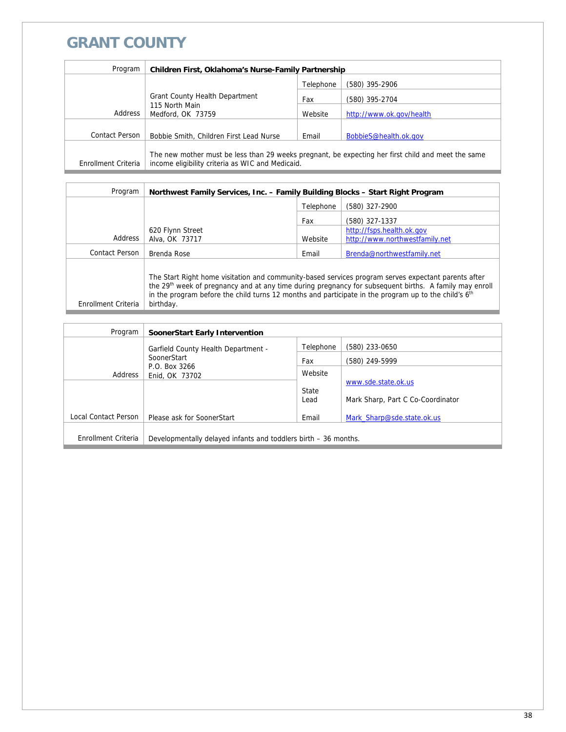## **GRANT COUNTY**

| Program             | <b>Children First, Oklahoma's Nurse-Family Partnership</b>                                                                                             |           |                          |
|---------------------|--------------------------------------------------------------------------------------------------------------------------------------------------------|-----------|--------------------------|
|                     |                                                                                                                                                        | Telephone | (580) 395-2906           |
|                     | <b>Grant County Health Department</b><br>115 North Main<br>Medford, OK 73759                                                                           | Fax       | (580) 395-2704           |
| Address             |                                                                                                                                                        | Website   | http://www.ok.gov/health |
|                     |                                                                                                                                                        |           |                          |
| Contact Person      | Bobbie Smith, Children First Lead Nurse                                                                                                                | Email     | BobbieS@health.ok.gov    |
| Enrollment Criteria | The new mother must be less than 29 weeks pregnant, be expecting her first child and meet the same<br>income eligibility criteria as WIC and Medicaid. |           |                          |

| Program             | Northwest Family Services, Inc. - Family Building Blocks - Start Right Program                                                                                                                                                       |           |                                                                                                                    |
|---------------------|--------------------------------------------------------------------------------------------------------------------------------------------------------------------------------------------------------------------------------------|-----------|--------------------------------------------------------------------------------------------------------------------|
|                     |                                                                                                                                                                                                                                      | Telephone | (580) 327-2900                                                                                                     |
|                     |                                                                                                                                                                                                                                      | Fax       | (580) 327-1337                                                                                                     |
|                     | 620 Flynn Street                                                                                                                                                                                                                     |           | http://fsps.health.ok.gov                                                                                          |
| Address             | Alva, OK 73717                                                                                                                                                                                                                       | Website   | http://www.northwestfamily.net                                                                                     |
| Contact Person      | Brenda Rose                                                                                                                                                                                                                          | Email     | Brenda@northwestfamily.net                                                                                         |
| Enrollment Criteria | The Start Right home visitation and community-based services program serves expectant parents after<br>in the program before the child turns 12 months and participate in the program up to the child's 6 <sup>th</sup><br>birthday. |           | the 29 <sup>th</sup> week of pregnancy and at any time during pregnancy for subsequent births. A family may enroll |

| Program              | SoonerStart Early Intervention                                  |                |                                   |
|----------------------|-----------------------------------------------------------------|----------------|-----------------------------------|
|                      | Garfield County Health Department -                             | Telephone      | (580) 233-0650                    |
| SoonerStart          | Fax                                                             | (580) 249-5999 |                                   |
| Address              | P.O. Box 3266<br>Enid, OK 73702                                 | Website        |                                   |
|                      |                                                                 | State          | www.sde.state.ok.us               |
|                      |                                                                 | Lead           | Mark Sharp, Part C Co-Coordinator |
| Local Contact Person | Please ask for SoonerStart                                      | Email          | Mark Sharp@sde.state.ok.us        |
|                      |                                                                 |                |                                   |
| Enrollment Criteria  | Developmentally delayed infants and toddlers birth – 36 months. |                |                                   |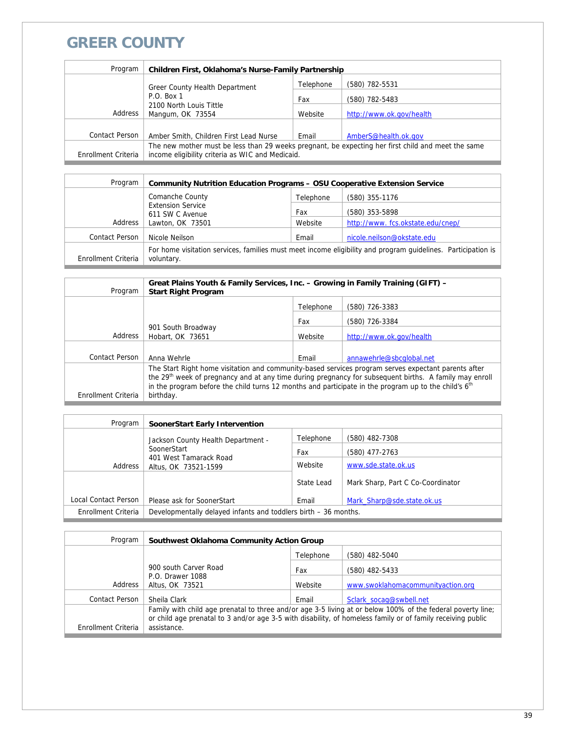### **GREER COUNTY**

| Program             | <b>Children First, Oklahoma's Nurse-Family Partnership</b>                                                                                             |           |                          |
|---------------------|--------------------------------------------------------------------------------------------------------------------------------------------------------|-----------|--------------------------|
|                     | Greer County Health Department                                                                                                                         | Telephone | (580) 782-5531           |
|                     | $P.O.$ Box 1                                                                                                                                           | Fax       | (580) 782-5483           |
| Address             | 2100 North Louis Tittle<br>Mangum, OK 73554                                                                                                            | Website   | http://www.ok.gov/health |
|                     |                                                                                                                                                        |           |                          |
| Contact Person      | Amber Smith, Children First Lead Nurse                                                                                                                 | Email     | AmberS@health.ok.gov     |
| Enrollment Criteria | The new mother must be less than 29 weeks pregnant, be expecting her first child and meet the same<br>income eligibility criteria as WIC and Medicaid. |           |                          |

| <b>Community Nutrition Education Programs - OSU Cooperative Extension Service</b>                                          |                                             |                                  |
|----------------------------------------------------------------------------------------------------------------------------|---------------------------------------------|----------------------------------|
| Comanche County                                                                                                            | Telephone                                   | (580) 355-1176                   |
|                                                                                                                            | Fax                                         | (580) 353-5898                   |
| Lawton, OK 73501                                                                                                           | Website                                     | http://www.fcs.okstate.edu/cnep/ |
| Nicole Neilson                                                                                                             | Email                                       | nicole.neilson@okstate.edu       |
| For home visitation services, families must meet income eligibility and program guidelines. Participation is<br>voluntary. |                                             |                                  |
|                                                                                                                            | <b>Extension Service</b><br>611 SW C Avenue |                                  |

| Program             | Great Plains Youth & Family Services, Inc. - Growing in Family Training (GIFT) -<br><b>Start Right Program</b>                                                                                                                                                                                                                                |           |                          |
|---------------------|-----------------------------------------------------------------------------------------------------------------------------------------------------------------------------------------------------------------------------------------------------------------------------------------------------------------------------------------------|-----------|--------------------------|
|                     |                                                                                                                                                                                                                                                                                                                                               | Telephone | (580) 726-3383           |
|                     | 901 South Broadway<br>Hobart, OK 73651                                                                                                                                                                                                                                                                                                        | Fax       | (580) 726-3384           |
| Address             |                                                                                                                                                                                                                                                                                                                                               | Website   | http://www.ok.gov/health |
|                     |                                                                                                                                                                                                                                                                                                                                               |           |                          |
| Contact Person      | Anna Wehrle                                                                                                                                                                                                                                                                                                                                   | Email     | annawehrle@sbcqlobal.net |
|                     | The Start Right home visitation and community-based services program serves expectant parents after<br>the 29 <sup>th</sup> week of pregnancy and at any time during pregnancy for subsequent births. A family may enroll<br>in the program before the child turns 12 months and participate in the program up to the child's 6 <sup>th</sup> |           |                          |
| Enrollment Criteria | birthday.                                                                                                                                                                                                                                                                                                                                     |           |                          |

| Program              | <b>SoonerStart Early Intervention</b>                           |            |                                   |
|----------------------|-----------------------------------------------------------------|------------|-----------------------------------|
|                      | Jackson County Health Department -                              | Telephone  | (580) 482-7308                    |
|                      | SoonerStart                                                     | Fax        | (580) 477-2763                    |
| Address              | 401 West Tamarack Road<br>Altus, OK 73521-1599                  | Website    | www.sde.state.ok.us               |
|                      |                                                                 | State Lead | Mark Sharp, Part C Co-Coordinator |
| Local Contact Person | Please ask for SoonerStart                                      | Email      | Mark Sharp@sde.state.ok.us        |
| Enrollment Criteria  | Developmentally delayed infants and toddlers birth - 36 months. |            |                                   |

| Program             | Southwest Oklahoma Community Action Group                                                                                                                                                                                                 |           |                                   |
|---------------------|-------------------------------------------------------------------------------------------------------------------------------------------------------------------------------------------------------------------------------------------|-----------|-----------------------------------|
|                     |                                                                                                                                                                                                                                           | Telephone | (580) 482-5040                    |
|                     | 900 south Carver Road                                                                                                                                                                                                                     | Fax       | (580) 482-5433                    |
| Address             | P.O. Drawer 1088<br>Altus, OK 73521                                                                                                                                                                                                       | Website   | www.swoklahomacommunityaction.org |
| Contact Person      | Sheila Clark                                                                                                                                                                                                                              | Email     | Sclark socag@swbell.net           |
| Enrollment Criteria | Family with child age prenatal to three and/or age 3-5 living at or below 100% of the federal poverty line;<br>or child age prenatal to 3 and/or age 3-5 with disability, of homeless family or of family receiving public<br>assistance. |           |                                   |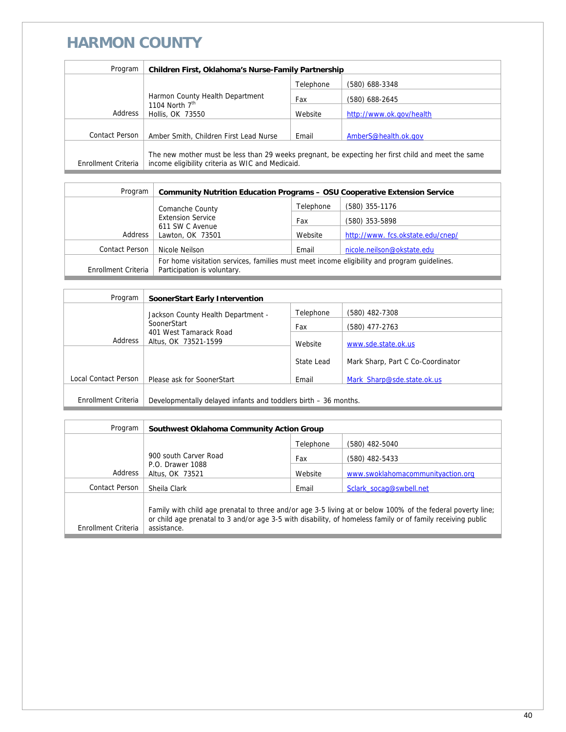### **HARMON COUNTY**

| Program               | Children First, Oklahoma's Nurse-Family Partnership                                                                                                    |           |                          |
|-----------------------|--------------------------------------------------------------------------------------------------------------------------------------------------------|-----------|--------------------------|
|                       |                                                                                                                                                        | Telephone | (580) 688-3348           |
|                       | Harmon County Health Department                                                                                                                        | Fax       | (580) 688-2645           |
| Address               | 1104 North $7th$<br>Hollis, OK 73550                                                                                                                   | Website   | http://www.ok.gov/health |
| <b>Contact Person</b> |                                                                                                                                                        |           |                          |
|                       | Amber Smith, Children First Lead Nurse                                                                                                                 | Email     | AmberS@health.ok.gov     |
| Enrollment Criteria   | The new mother must be less than 29 weeks pregnant, be expecting her first child and meet the same<br>income eligibility criteria as WIC and Medicaid. |           |                          |

| Program             | <b>Community Nutrition Education Programs - OSU Cooperative Extension Service</b>                                          |           |                                  |
|---------------------|----------------------------------------------------------------------------------------------------------------------------|-----------|----------------------------------|
|                     | Comanche County                                                                                                            | Telephone | (580) 355-1176                   |
|                     | <b>Extension Service</b><br>611 SW C Avenue<br>Address<br>Lawton, OK 73501                                                 | Fax       | (580) 353-5898                   |
|                     |                                                                                                                            | Website   | http://www.fcs.okstate.edu/cnep/ |
| Contact Person      | Nicole Neilson                                                                                                             | Email     | nicole.neilson@okstate.edu       |
| Enrollment Criteria | For home visitation services, families must meet income eligibility and program quidelines.<br>Participation is voluntary. |           |                                  |

| Program              | SoonerStart Early Intervention                                                                                 |            |                                   |
|----------------------|----------------------------------------------------------------------------------------------------------------|------------|-----------------------------------|
|                      | Jackson County Health Department -<br>SoonerStart<br>401 West Tamarack Road<br>Address<br>Altus, OK 73521-1599 | Telephone  | (580) 482-7308                    |
|                      |                                                                                                                | Fax        | (580) 477-2763                    |
|                      |                                                                                                                | Website    | www.sde.state.ok.us               |
|                      |                                                                                                                | State Lead | Mark Sharp, Part C Co-Coordinator |
| Local Contact Person | Please ask for SoonerStart                                                                                     | Email      | Mark Sharp@sde.state.ok.us        |
|                      |                                                                                                                |            |                                   |
| Enrollment Criteria  | Developmentally delayed infants and toddlers birth - 36 months.                                                |            |                                   |

| Program             | Southwest Oklahoma Community Action Group                                                                                                                                                                                                 |           |                                   |
|---------------------|-------------------------------------------------------------------------------------------------------------------------------------------------------------------------------------------------------------------------------------------|-----------|-----------------------------------|
|                     |                                                                                                                                                                                                                                           | Telephone | (580) 482-5040                    |
|                     | 900 south Carver Road<br>P.O. Drawer 1088<br>Address<br>Altus, OK 73521                                                                                                                                                                   | Fax       | (580) 482-5433                    |
|                     |                                                                                                                                                                                                                                           | Website   | www.swoklahomacommunityaction.org |
| Contact Person      | Sheila Clark                                                                                                                                                                                                                              | Email     | Sclark socag@swbell.net           |
| Enrollment Criteria | Family with child age prenatal to three and/or age 3-5 living at or below 100% of the federal poverty line;<br>or child age prenatal to 3 and/or age 3-5 with disability, of homeless family or of family receiving public<br>assistance. |           |                                   |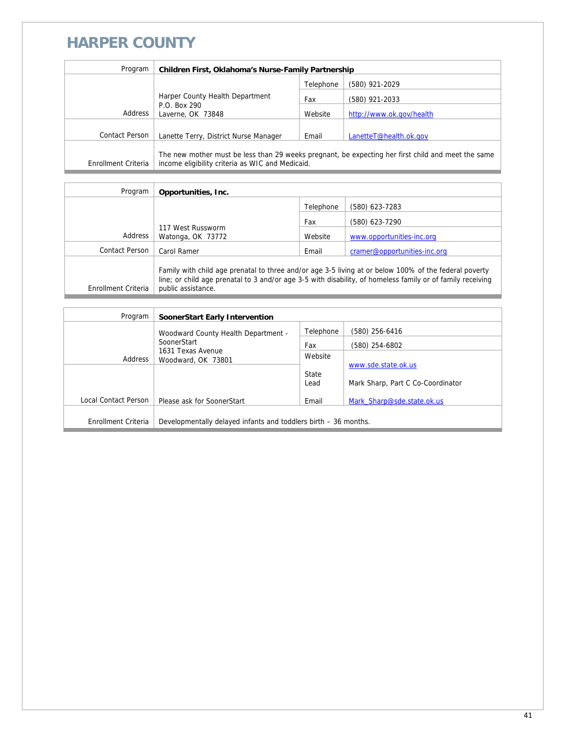#### **HARPER COUNTY**

| Program             | <b>Children First, Oklahoma's Nurse-Family Partnership</b>                                                                                             |           |                          |
|---------------------|--------------------------------------------------------------------------------------------------------------------------------------------------------|-----------|--------------------------|
|                     |                                                                                                                                                        | Telephone | (580) 921-2029           |
|                     | Harper County Health Department<br>P.O. Box 290<br>Address<br>Laverne, OK 73848                                                                        | Fax       | (580) 921-2033           |
|                     |                                                                                                                                                        | Website   | http://www.ok.gov/health |
|                     |                                                                                                                                                        |           |                          |
| Contact Person      | Lanette Terry, District Nurse Manager                                                                                                                  | Email     | LanetteT@health.ok.gov   |
| Enrollment Criteria | The new mother must be less than 29 weeks pregnant, be expecting her first child and meet the same<br>income eligibility criteria as WIC and Medicaid. |           |                          |

| Program             | Opportunities, Inc.                                                                                                                                                                                                                       |           |                              |
|---------------------|-------------------------------------------------------------------------------------------------------------------------------------------------------------------------------------------------------------------------------------------|-----------|------------------------------|
|                     |                                                                                                                                                                                                                                           | Telephone | (580) 623-7283               |
|                     |                                                                                                                                                                                                                                           | Fax       | (580) 623-7290               |
| Address             | 117 West Russworm<br>Watonga, OK 73772                                                                                                                                                                                                    | Website   | www.opportunities-inc.org    |
| Contact Person      | Carol Ramer                                                                                                                                                                                                                               | Email     | cramer@opportunities-inc.org |
| Enrollment Criteria | Family with child age prenatal to three and/or age 3-5 living at or below 100% of the federal poverty<br>line; or child age prenatal to 3 and/or age 3-5 with disability, of homeless family or of family receiving<br>public assistance. |           |                              |

| Program              | SoonerStart Early Intervention                                    |           |                                   |
|----------------------|-------------------------------------------------------------------|-----------|-----------------------------------|
|                      | Woodward County Health Department -                               | Telephone | (580) 256-6416                    |
|                      | SoonerStart<br>1631 Texas Avenue<br>Address<br>Woodward, OK 73801 | Fax       | (580) 254-6802                    |
|                      |                                                                   | Website   |                                   |
|                      |                                                                   | State     | www.sde.state.ok.us               |
|                      |                                                                   | Lead      | Mark Sharp, Part C Co-Coordinator |
| Local Contact Person | Please ask for SoonerStart                                        | Email     | Mark Sharp@sde.state.ok.us        |
|                      |                                                                   |           |                                   |
| Enrollment Criteria  | Developmentally delayed infants and toddlers birth – 36 months.   |           |                                   |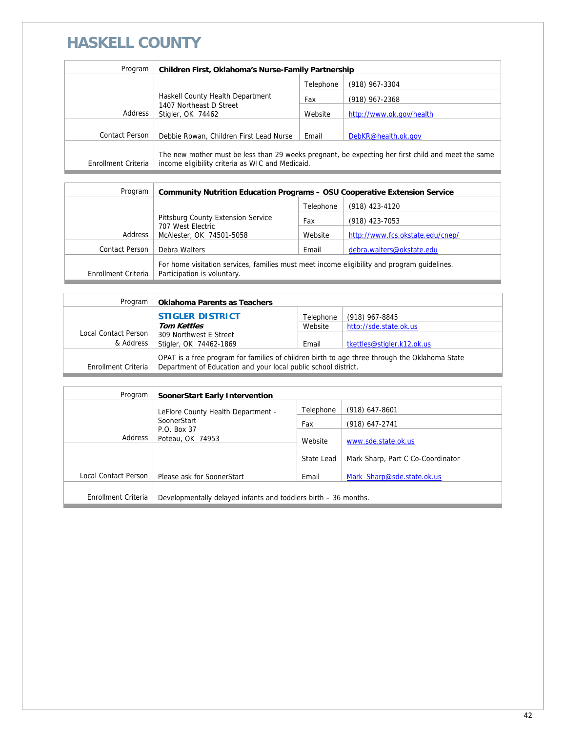# **HASKELL COUNTY**

| Program             | Children First, Oklahoma's Nurse-Family Partnership                                                                                                    |           |                          |
|---------------------|--------------------------------------------------------------------------------------------------------------------------------------------------------|-----------|--------------------------|
|                     |                                                                                                                                                        | Telephone | (918) 967-3304           |
|                     | Haskell County Health Department<br>1407 Northeast D Street<br>Stigler, OK 74462                                                                       | Fax       | $(918)$ 967-2368         |
| Address             |                                                                                                                                                        | Website   | http://www.ok.gov/health |
|                     |                                                                                                                                                        |           |                          |
| Contact Person      | Debbie Rowan, Children First Lead Nurse                                                                                                                | Email     | DebKR@health.ok.gov      |
| Enrollment Criteria | The new mother must be less than 29 weeks pregnant, be expecting her first child and meet the same<br>income eligibility criteria as WIC and Medicaid. |           |                          |

| Program             | <b>Community Nutrition Education Programs - OSU Cooperative Extension Service</b>                                          |           |                                  |
|---------------------|----------------------------------------------------------------------------------------------------------------------------|-----------|----------------------------------|
|                     |                                                                                                                            | Telephone | (918) 423-4120                   |
|                     | Pittsburg County Extension Service                                                                                         | Fax       | $(918)$ 423-7053                 |
| Address             | 707 West Electric<br>McAlester, OK 74501-5058                                                                              | Website   | http://www.fcs.okstate.edu/cnep/ |
| Contact Person      | Debra Walters                                                                                                              | Email     | debra.walters@okstate.edu        |
| Enrollment Criteria | For home visitation services, families must meet income eligibility and program quidelines.<br>Participation is voluntary. |           |                                  |

| Program              | <b>Oklahoma Parents as Teachers</b>                                                                                                                             |           |                            |
|----------------------|-----------------------------------------------------------------------------------------------------------------------------------------------------------------|-----------|----------------------------|
|                      | <b>STIGLER DISTRICT</b>                                                                                                                                         | Telephone | (918) 967-8845             |
|                      | <b>Tom Kettles</b>                                                                                                                                              | Website   | http://sde.state.ok.us     |
| Local Contact Person | 309 Northwest E Street                                                                                                                                          |           |                            |
| & Address            | Stigler, OK 74462-1869                                                                                                                                          | Email     | tkettles@stigler.k12.ok.us |
| Enrollment Criteria  | OPAT is a free program for families of children birth to age three through the Oklahoma State<br>Department of Education and your local public school district. |           |                            |

| Program              | SoonerStart Early Intervention                                  |                  |                                   |
|----------------------|-----------------------------------------------------------------|------------------|-----------------------------------|
|                      | LeFlore County Health Department -<br>SoonerStart               | Telephone<br>Fax | (918) 647-8601<br>(918) 647-2741  |
| Address              | P.O. Box 37<br>Poteau, OK 74953                                 | Website          | www.sde.state.ok.us               |
|                      |                                                                 | State Lead       | Mark Sharp, Part C Co-Coordinator |
| Local Contact Person | Please ask for SoonerStart                                      | Email            | Mark Sharp@sde.state.ok.us        |
| Enrollment Criteria  | Developmentally delayed infants and toddlers birth – 36 months. |                  |                                   |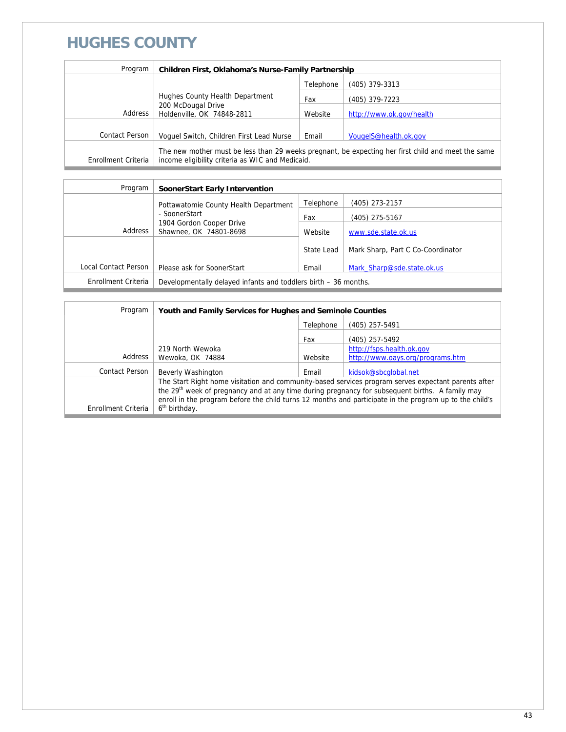### **HUGHES COUNTY**

| Program             | Children First, Oklahoma's Nurse-Family Partnership                                                                                                    |           |                          |
|---------------------|--------------------------------------------------------------------------------------------------------------------------------------------------------|-----------|--------------------------|
|                     |                                                                                                                                                        | Telephone | $(405)$ 379-3313         |
|                     | Hughes County Health Department                                                                                                                        | Fax       | (405) 379-7223           |
| Address             | 200 McDougal Drive<br>Holdenville, OK 74848-2811                                                                                                       | Website   | http://www.ok.gov/health |
| Contact Person      | Voquel Switch, Children First Lead Nurse                                                                                                               | Email     | VougeIS@health.ok.gov    |
| Enrollment Criteria | The new mother must be less than 29 weeks pregnant, be expecting her first child and meet the same<br>income eligibility criteria as WIC and Medicaid. |           |                          |

| Program              | SoonerStart Early Intervention                                                                                          |            |                                   |
|----------------------|-------------------------------------------------------------------------------------------------------------------------|------------|-----------------------------------|
|                      | Pottawatomie County Health Department<br>- SoonerStart<br>1904 Gordon Cooper Drive<br>Address<br>Shawnee, OK 74801-8698 | Telephone  | (405) 273-2157                    |
|                      |                                                                                                                         | Fax        | (405) 275-5167                    |
|                      |                                                                                                                         | Website    | www.sde.state.ok.us               |
|                      |                                                                                                                         | State Lead | Mark Sharp, Part C Co-Coordinator |
| Local Contact Person | Please ask for SoonerStart                                                                                              | Email      | Mark Sharp@sde.state.ok.us        |
| Enrollment Criteria  | Developmentally delayed infants and toddlers birth – 36 months.                                                         |            |                                   |

| Program               | Youth and Family Services for Hughes and Seminole Counties                                                  |           |                                  |
|-----------------------|-------------------------------------------------------------------------------------------------------------|-----------|----------------------------------|
|                       |                                                                                                             | Telephone | $(405)$ 257-5491                 |
|                       |                                                                                                             | Fax       | (405) 257-5492                   |
|                       | 219 North Wewoka                                                                                            |           | http://fsps.health.ok.gov        |
| Address               | Wewoka, OK 74884                                                                                            | Website   | http://www.oays.org/programs.htm |
| <b>Contact Person</b> | Beverly Washington                                                                                          | Email     | kidsok@sbcqlobal.net             |
|                       | The Start Right home visitation and community-based services program serves expectant parents after         |           |                                  |
|                       | the 29 <sup>th</sup> week of pregnancy and at any time during pregnancy for subsequent births. A family may |           |                                  |
|                       | enroll in the program before the child turns 12 months and participate in the program up to the child's     |           |                                  |
| Enrollment Criteria   | 6 <sup>th</sup> birthday.                                                                                   |           |                                  |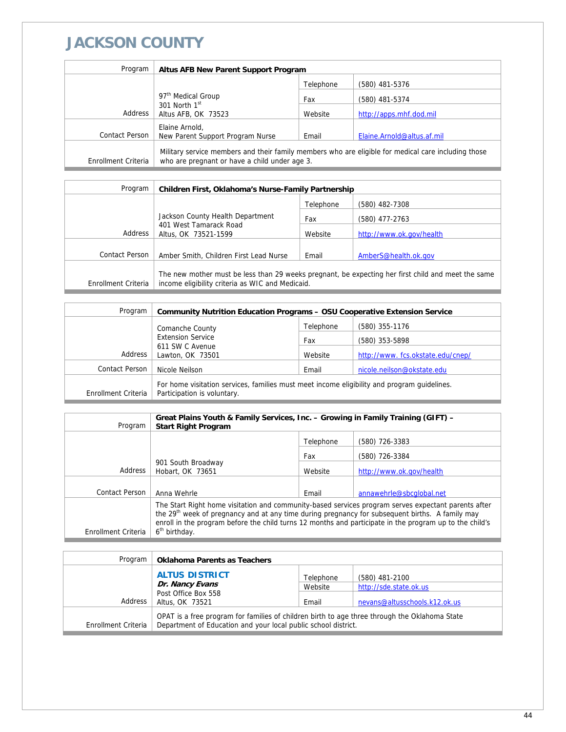## **JACKSON COUNTY**

| Program             | Altus AFB New Parent Support Program                                                                                                                 |           |                            |
|---------------------|------------------------------------------------------------------------------------------------------------------------------------------------------|-----------|----------------------------|
|                     |                                                                                                                                                      | Telephone | (580) 481-5376             |
|                     | 97 <sup>th</sup> Medical Group<br>301 North $1st$<br>Altus AFB, OK 73523                                                                             | Fax       | (580) 481-5374             |
| Address             |                                                                                                                                                      | Website   | http://apps.mhf.dod.mil    |
|                     | Elaine Arnold,                                                                                                                                       |           |                            |
| Contact Person      | New Parent Support Program Nurse                                                                                                                     | Email     | Elaine.Arnold@altus.af.mil |
| Enrollment Criteria | Military service members and their family members who are eligible for medical care including those<br>who are pregnant or have a child under age 3. |           |                            |

| Program             | Children First, Oklahoma's Nurse-Family Partnership                                                                                                    |           |                          |
|---------------------|--------------------------------------------------------------------------------------------------------------------------------------------------------|-----------|--------------------------|
|                     |                                                                                                                                                        | Telephone | (580) 482-7308           |
|                     | Jackson County Health Department<br>401 West Tamarack Road<br>Altus, OK 73521-1599                                                                     | Fax       | (580) 477-2763           |
| Address             |                                                                                                                                                        | Website   | http://www.ok.gov/health |
|                     |                                                                                                                                                        |           |                          |
| Contact Person      | Amber Smith, Children First Lead Nurse                                                                                                                 | Email     | AmberS@health.ok.gov     |
| Enrollment Criteria | The new mother must be less than 29 weeks pregnant, be expecting her first child and meet the same<br>income eligibility criteria as WIC and Medicaid. |           |                          |

| Program                  | <b>Community Nutrition Education Programs - OSU Cooperative Extension Service</b>                                          |                |                                  |
|--------------------------|----------------------------------------------------------------------------------------------------------------------------|----------------|----------------------------------|
|                          | Comanche County                                                                                                            | Telephone      | (580) 355-1176                   |
| <b>Extension Service</b> | Fax                                                                                                                        | (580) 353-5898 |                                  |
| Address                  | 611 SW C Avenue<br>Lawton, OK 73501                                                                                        | Website        | http://www.fcs.okstate.edu/cnep/ |
| Contact Person           | Nicole Neilson                                                                                                             | Email          | nicole.neilson@okstate.edu       |
| Enrollment Criteria      | For home visitation services, families must meet income eligibility and program quidelines.<br>Participation is voluntary. |                |                                  |

| Program             | Great Plains Youth & Family Services, Inc. - Growing in Family Training (GIFT) -<br><b>Start Right Program</b>                                                                                                                                                                                                                                             |           |                          |
|---------------------|------------------------------------------------------------------------------------------------------------------------------------------------------------------------------------------------------------------------------------------------------------------------------------------------------------------------------------------------------------|-----------|--------------------------|
|                     |                                                                                                                                                                                                                                                                                                                                                            | Telephone | (580) 726-3383           |
|                     |                                                                                                                                                                                                                                                                                                                                                            | Fax       | (580) 726-3384           |
| Address             | 901 South Broadway<br>Hobart, OK 73651                                                                                                                                                                                                                                                                                                                     | Website   | http://www.ok.gov/health |
| Contact Person      | Anna Wehrle                                                                                                                                                                                                                                                                                                                                                | Fmail     | annawehrle@sbcqlobal.net |
| Enrollment Criteria | The Start Right home visitation and community-based services program serves expectant parents after<br>the 29 <sup>th</sup> week of pregnancy and at any time during pregnancy for subsequent births. A family may<br>enroll in the program before the child turns 12 months and participate in the program up to the child's<br>6 <sup>th</sup> birthday. |           |                          |

| Program             | <b>Oklahoma Parents as Teachers</b>                                                                                                                             |                |                               |
|---------------------|-----------------------------------------------------------------------------------------------------------------------------------------------------------------|----------------|-------------------------------|
|                     | <b>ALTUS DISTRICT</b>                                                                                                                                           | (580) 481-2100 |                               |
|                     | Dr. Nancy Evans                                                                                                                                                 | Website        | http://sde.state.ok.us        |
|                     | Post Office Box 558                                                                                                                                             |                |                               |
| Address             | Altus, OK 73521                                                                                                                                                 | Email          | nevans@altusschools.k12.ok.us |
| Enrollment Criteria | OPAT is a free program for families of children birth to age three through the Oklahoma State<br>Department of Education and your local public school district. |                |                               |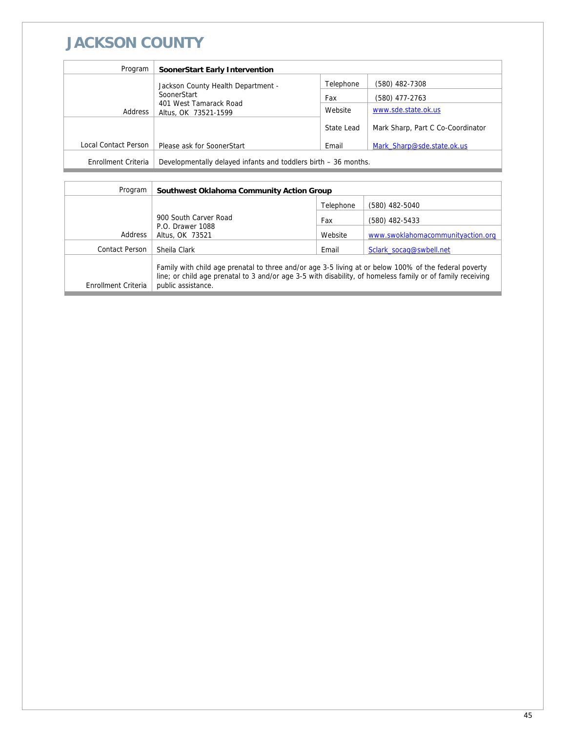## **JACKSON COUNTY**

| Program              | SoonerStart Early Intervention                                  |            |                                   |
|----------------------|-----------------------------------------------------------------|------------|-----------------------------------|
|                      | Jackson County Health Department -                              | Telephone  | (580) 482-7308                    |
|                      | SoonerStart                                                     | Fax        | (580) 477-2763                    |
| Address              | 401 West Tamarack Road<br>Altus, OK 73521-1599                  | Website    | www.sde.state.ok.us               |
|                      |                                                                 | State Lead | Mark Sharp, Part C Co-Coordinator |
| Local Contact Person | Please ask for SoonerStart                                      | Email      | Mark Sharp@sde.state.ok.us        |
| Enrollment Criteria  | Developmentally delayed infants and toddlers birth – 36 months. |            |                                   |

| Program             | Southwest Oklahoma Community Action Group                                                                                                                                                                                                 |           |                                   |  |
|---------------------|-------------------------------------------------------------------------------------------------------------------------------------------------------------------------------------------------------------------------------------------|-----------|-----------------------------------|--|
|                     |                                                                                                                                                                                                                                           | Telephone | (580) 482-5040                    |  |
|                     | 900 South Carver Road<br>P.O. Drawer 1088<br>Address<br>Altus, OK 73521                                                                                                                                                                   | Fax       | (580) 482-5433                    |  |
|                     |                                                                                                                                                                                                                                           | Website   | www.swoklahomacommunityaction.org |  |
| Contact Person      | Sheila Clark                                                                                                                                                                                                                              | Email     | Sclark socag@swbell.net           |  |
| Enrollment Criteria | Family with child age prenatal to three and/or age 3-5 living at or below 100% of the federal poverty<br>line; or child age prenatal to 3 and/or age 3-5 with disability, of homeless family or of family receiving<br>public assistance. |           |                                   |  |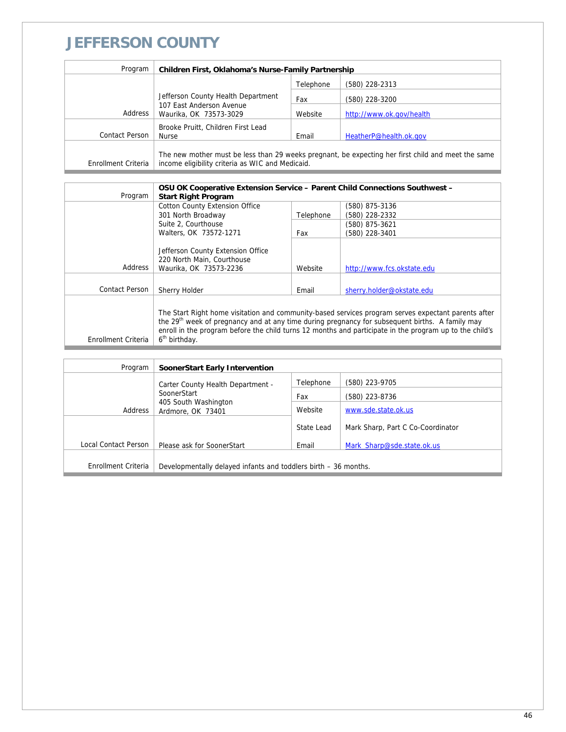### **JEFFERSON COUNTY**

| Program             | Children First, Oklahoma's Nurse-Family Partnership                                                                                                    |           |                          |
|---------------------|--------------------------------------------------------------------------------------------------------------------------------------------------------|-----------|--------------------------|
|                     |                                                                                                                                                        | Telephone | (580) 228-2313           |
|                     | Jefferson County Health Department                                                                                                                     | Fax       | (580) 228-3200           |
| Address             | 107 East Anderson Avenue<br>Waurika, OK 73573-3029                                                                                                     | Website   | http://www.ok.gov/health |
|                     | Brooke Pruitt, Children First Lead                                                                                                                     |           |                          |
| Contact Person      | Nurse                                                                                                                                                  | Email     | HeatherP@health.ok.gov   |
| Enrollment Criteria | The new mother must be less than 29 weeks pregnant, be expecting her first child and meet the same<br>income eligibility criteria as WIC and Medicaid. |           |                          |

| Program             | OSU OK Cooperative Extension Service - Parent Child Connections Southwest -<br><b>Start Right Program</b>                                                                                                                                                                                                                                                  |           |                            |
|---------------------|------------------------------------------------------------------------------------------------------------------------------------------------------------------------------------------------------------------------------------------------------------------------------------------------------------------------------------------------------------|-----------|----------------------------|
|                     | <b>Cotton County Extension Office</b>                                                                                                                                                                                                                                                                                                                      |           | (580) 875-3136             |
|                     | 301 North Broadway                                                                                                                                                                                                                                                                                                                                         | Telephone | (580) 228-2332             |
|                     | Suite 2, Courthouse                                                                                                                                                                                                                                                                                                                                        |           | (580) 875-3621             |
|                     | Walters, OK 73572-1271                                                                                                                                                                                                                                                                                                                                     | Fax       | (580) 228-3401             |
| Address             | Jefferson County Extension Office<br>220 North Main, Courthouse<br>Waurika, OK 73573-2236                                                                                                                                                                                                                                                                  | Website   | http://www.fcs.okstate.edu |
| Contact Person      | Sherry Holder                                                                                                                                                                                                                                                                                                                                              | Email     | sherry.holder@okstate.edu  |
| Enrollment Criteria | The Start Right home visitation and community-based services program serves expectant parents after<br>the 29 <sup>th</sup> week of pregnancy and at any time during pregnancy for subsequent births. A family may<br>enroll in the program before the child turns 12 months and participate in the program up to the child's<br>6 <sup>th</sup> birthday. |           |                            |

| Program              | SoonerStart Early Intervention                                      |            |                                   |
|----------------------|---------------------------------------------------------------------|------------|-----------------------------------|
|                      | Carter County Health Department -                                   | Telephone  | (580) 223-9705                    |
|                      | SoonerStart<br>405 South Washington<br>Address<br>Ardmore, OK 73401 | Fax        | (580) 223-8736                    |
|                      |                                                                     | Website    | www.sde.state.ok.us               |
|                      |                                                                     | State Lead | Mark Sharp, Part C Co-Coordinator |
| Local Contact Person | Please ask for SoonerStart                                          | Email      | Mark Sharp@sde.state.ok.us        |
|                      |                                                                     |            |                                   |
| Enrollment Criteria  | Developmentally delayed infants and toddlers birth – 36 months.     |            |                                   |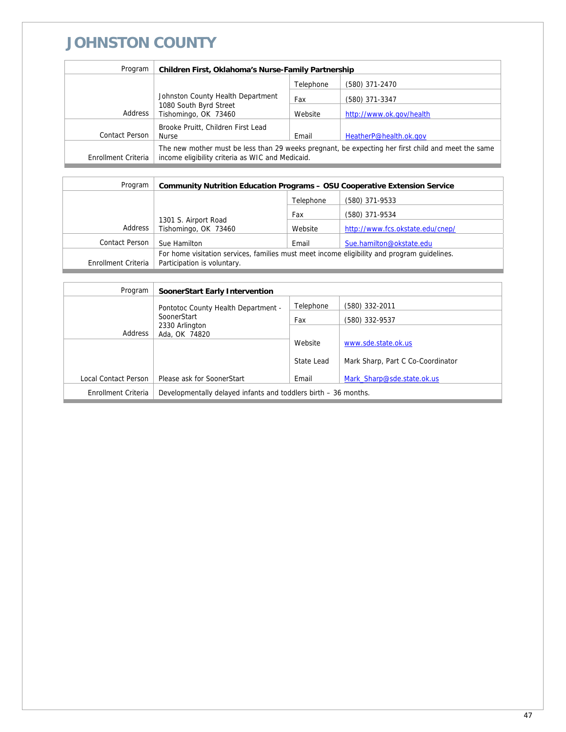# **JOHNSTON COUNTY**

| Program             | <b>Children First, Oklahoma's Nurse-Family Partnership</b>                                                                                             |           |                          |
|---------------------|--------------------------------------------------------------------------------------------------------------------------------------------------------|-----------|--------------------------|
|                     |                                                                                                                                                        | Telephone | (580) 371-2470           |
|                     | Johnston County Health Department                                                                                                                      | Fax       | (580) 371-3347           |
| Address             | 1080 South Byrd Street<br>Tishomingo, OK 73460                                                                                                         | Website   | http://www.ok.gov/health |
|                     | Brooke Pruitt, Children First Lead                                                                                                                     |           |                          |
| Contact Person      | <b>Nurse</b>                                                                                                                                           | Email     | HeatherP@health.ok.gov   |
| Enrollment Criteria | The new mother must be less than 29 weeks pregnant, be expecting her first child and meet the same<br>income eligibility criteria as WIC and Medicaid. |           |                          |

| Program             | <b>Community Nutrition Education Programs - OSU Cooperative Extension Service</b>           |           |                                  |
|---------------------|---------------------------------------------------------------------------------------------|-----------|----------------------------------|
|                     |                                                                                             | Telephone | (580) 371-9533                   |
|                     |                                                                                             | Fax       | (580) 371-9534                   |
| Address             | 1301 S. Airport Road<br>Tishomingo, OK 73460                                                | Website   | http://www.fcs.okstate.edu/cnep/ |
| Contact Person      | Sue Hamilton                                                                                | Email     | Sue.hamilton@okstate.edu         |
|                     | For home visitation services, families must meet income eligibility and program quidelines. |           |                                  |
| Enrollment Criteria | Participation is voluntary.                                                                 |           |                                  |

| Program              | <b>SoonerStart Early Intervention</b>                           |            |                                   |
|----------------------|-----------------------------------------------------------------|------------|-----------------------------------|
|                      | Pontotoc County Health Department -                             | Telephone  | (580) 332-2011                    |
|                      | SoonerStart                                                     | Fax        | (580) 332-9537                    |
| Address              | 2330 Arlington<br>Ada, OK 74820                                 |            |                                   |
|                      |                                                                 | Website    | www.sde.state.ok.us               |
|                      |                                                                 | State Lead | Mark Sharp, Part C Co-Coordinator |
| Local Contact Person | Please ask for SoonerStart                                      | Email      | Mark Sharp@sde.state.ok.us        |
| Enrollment Criteria  | Developmentally delayed infants and toddlers birth – 36 months. |            |                                   |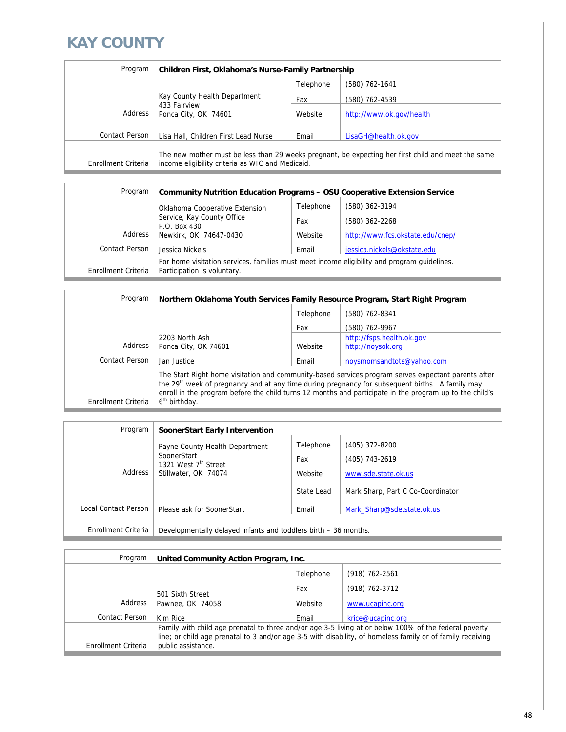# **KAY COUNTY**

| Program             | Children First, Oklahoma's Nurse-Family Partnership |           |                                                                                                    |
|---------------------|-----------------------------------------------------|-----------|----------------------------------------------------------------------------------------------------|
|                     |                                                     | Telephone | (580) 762-1641                                                                                     |
|                     | Kay County Health Department                        | Fax       | (580) 762-4539                                                                                     |
| Address             | 433 Fairview<br>Ponca City, OK 74601                | Website   | http://www.ok.gov/health                                                                           |
|                     |                                                     |           |                                                                                                    |
| Contact Person      | Lisa Hall, Children First Lead Nurse                | Email     | LisaGH@health.ok.gov                                                                               |
| Enrollment Criteria | income eligibility criteria as WIC and Medicaid.    |           | The new mother must be less than 29 weeks pregnant, be expecting her first child and meet the same |

| Program             | <b>Community Nutrition Education Programs - OSU Cooperative Extension Service</b>                                          |           |                                  |
|---------------------|----------------------------------------------------------------------------------------------------------------------------|-----------|----------------------------------|
|                     | Oklahoma Cooperative Extension                                                                                             | Telephone | (580) 362-3194                   |
|                     | Service, Kay County Office                                                                                                 | Fax       | (580) 362-2268                   |
| Address             | P.O. Box 430<br>Newkirk, OK 74647-0430                                                                                     | Website   | http://www.fcs.okstate.edu/cnep/ |
| Contact Person      | Jessica Nickels                                                                                                            | Email     | jessica.nickels@okstate.edu      |
| Enrollment Criteria | For home visitation services, families must meet income eligibility and program guidelines.<br>Participation is voluntary. |           |                                  |
|                     |                                                                                                                            |           |                                  |

| Program             | Northern Oklahoma Youth Services Family Resource Program, Start Right Program                                                                                                                                                                                                                                                                              |           |                           |
|---------------------|------------------------------------------------------------------------------------------------------------------------------------------------------------------------------------------------------------------------------------------------------------------------------------------------------------------------------------------------------------|-----------|---------------------------|
|                     |                                                                                                                                                                                                                                                                                                                                                            | Telephone | (580) 762-8341            |
|                     |                                                                                                                                                                                                                                                                                                                                                            | Fax       | (580) 762-9967            |
|                     | 2203 North Ash                                                                                                                                                                                                                                                                                                                                             |           | http://fsps.health.ok.gov |
| Address             | Ponca City, OK 74601                                                                                                                                                                                                                                                                                                                                       | Website   | http://noysok.org         |
| Contact Person      | Jan Justice                                                                                                                                                                                                                                                                                                                                                | Email     | noysmomsandtots@yahoo.com |
| Enrollment Criteria | The Start Right home visitation and community-based services program serves expectant parents after<br>the 29 <sup>th</sup> week of pregnancy and at any time during pregnancy for subsequent births. A family may<br>enroll in the program before the child turns 12 months and participate in the program up to the child's<br>6 <sup>th</sup> birthday. |           |                           |

| Program              | <b>SoonerStart Early Intervention</b>                                              |            |                                   |
|----------------------|------------------------------------------------------------------------------------|------------|-----------------------------------|
|                      | Payne County Health Department -                                                   | Telephone  | (405) 372-8200                    |
|                      | SoonerStart<br>1321 West 7 <sup>th</sup> Street<br>Address<br>Stillwater, OK 74074 | Fax        | (405) 743-2619                    |
|                      |                                                                                    | Website    | www.sde.state.ok.us               |
|                      |                                                                                    | State Lead | Mark Sharp, Part C Co-Coordinator |
| Local Contact Person | Please ask for SoonerStart                                                         | Email      | Mark Sharp@sde.state.ok.us        |
|                      |                                                                                    |            |                                   |
| Enrollment Criteria  | Developmentally delayed infants and toddlers birth - 36 months.                    |            |                                   |

| Program             | United Community Action Program, Inc.                                                                      |           |                    |
|---------------------|------------------------------------------------------------------------------------------------------------|-----------|--------------------|
|                     |                                                                                                            | Telephone | $(918) 762 - 2561$ |
|                     |                                                                                                            | Fax       | (918) 762-3712     |
| Address             | 501 Sixth Street<br>Pawnee, OK 74058                                                                       | Website   | www.ucapinc.org    |
| Contact Person      | Kim Rice                                                                                                   | Email     | krice@ucapinc.org  |
|                     | Family with child age prenatal to three and/or age 3-5 living at or below 100% of the federal poverty      |           |                    |
|                     | line; or child age prenatal to 3 and/or age 3-5 with disability, of homeless family or of family receiving |           |                    |
| Enrollment Criteria | public assistance.                                                                                         |           |                    |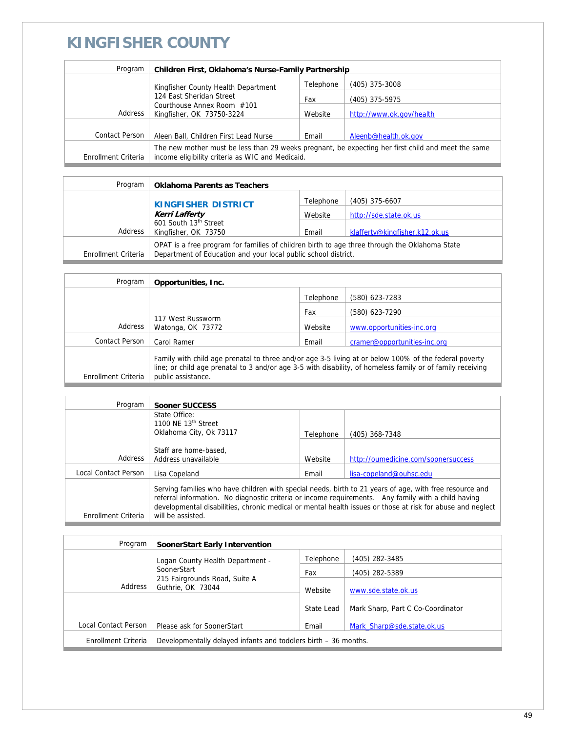### **KINGFISHER COUNTY**

| Program             | Children First, Oklahoma's Nurse-Family Partnership                                                                                                    |           |                          |
|---------------------|--------------------------------------------------------------------------------------------------------------------------------------------------------|-----------|--------------------------|
|                     | Kingfisher County Health Department                                                                                                                    | Telephone | (405) 375-3008           |
|                     | 124 East Sheridan Street<br>Courthouse Annex Room #101<br>Kingfisher, OK 73750-3224                                                                    | Fax       | (405) 375-5975           |
| Address             |                                                                                                                                                        | Website   | http://www.ok.gov/health |
|                     |                                                                                                                                                        |           |                          |
| Contact Person      | Aleen Ball, Children First Lead Nurse                                                                                                                  | Email     | Aleenb@health.ok.gov     |
| Enrollment Criteria | The new mother must be less than 29 weeks pregnant, be expecting her first child and meet the same<br>income eligibility criteria as WIC and Medicaid. |           |                          |

| Program             | <b>Oklahoma Parents as Teachers</b>                                                                                                                             |           |                                |
|---------------------|-----------------------------------------------------------------------------------------------------------------------------------------------------------------|-----------|--------------------------------|
|                     | <b>KINGFISHER DISTRICT</b><br><b>Kerri Lafferty</b>                                                                                                             | Telephone | $(405)$ 375-6607               |
|                     |                                                                                                                                                                 | Website   | http://sde.state.ok.us         |
| Address             | 601 South 13th Street<br>Kingfisher, OK 73750                                                                                                                   | Email     | klafferty@kingfisher.k12.ok.us |
| Enrollment Criteria | OPAT is a free program for families of children birth to age three through the Oklahoma State<br>Department of Education and your local public school district. |           |                                |

| Program             | Opportunities, Inc.                                                                                                                                                                                                                       |           |                              |
|---------------------|-------------------------------------------------------------------------------------------------------------------------------------------------------------------------------------------------------------------------------------------|-----------|------------------------------|
|                     |                                                                                                                                                                                                                                           | Telephone | (580) 623-7283               |
|                     | 117 West Russworm<br>Watonga, OK 73772                                                                                                                                                                                                    | Fax       | (580) 623-7290               |
| Address             |                                                                                                                                                                                                                                           | Website   | www.opportunities-inc.org    |
| Contact Person      | Carol Ramer                                                                                                                                                                                                                               | Email     | cramer@opportunities-inc.org |
| Enrollment Criteria | Family with child age prenatal to three and/or age 3-5 living at or below 100% of the federal poverty<br>line; or child age prenatal to 3 and/or age 3-5 with disability, of homeless family or of family receiving<br>public assistance. |           |                              |

| Program              | Sooner SUCCESS                                                                                                                                                                                                                                                                                                               |           |                                     |
|----------------------|------------------------------------------------------------------------------------------------------------------------------------------------------------------------------------------------------------------------------------------------------------------------------------------------------------------------------|-----------|-------------------------------------|
|                      | State Office:                                                                                                                                                                                                                                                                                                                |           |                                     |
|                      | 1100 NE $13th$ Street                                                                                                                                                                                                                                                                                                        |           |                                     |
|                      | Oklahoma City, Ok 73117                                                                                                                                                                                                                                                                                                      | Telephone | (405) 368-7348                      |
|                      |                                                                                                                                                                                                                                                                                                                              |           |                                     |
|                      | Staff are home-based,                                                                                                                                                                                                                                                                                                        |           |                                     |
| Address              | Address unavailable                                                                                                                                                                                                                                                                                                          | Website   | http://oumedicine.com/soonersuccess |
| Local Contact Person | Lisa Copeland                                                                                                                                                                                                                                                                                                                | Email     | lisa-copeland@ouhsc.edu             |
|                      | Serving families who have children with special needs, birth to 21 years of age, with free resource and<br>referral information. No diagnostic criteria or income requirements. Any family with a child having<br>developmental disabilities, chronic medical or mental health issues or those at risk for abuse and neglect |           |                                     |
| Enrollment Criteria  | will be assisted.                                                                                                                                                                                                                                                                                                            |           |                                     |

| Program              | SoonerStart Early Intervention                                               |            |                                   |
|----------------------|------------------------------------------------------------------------------|------------|-----------------------------------|
|                      | Logan County Health Department -                                             | Telephone  | (405) 282-3485                    |
|                      | SoonerStart<br>215 Fairgrounds Road, Suite A<br>Address<br>Guthrie, OK 73044 | Fax        | (405) 282-5389                    |
|                      |                                                                              | Website    | www.sde.state.ok.us               |
|                      |                                                                              | State Lead | Mark Sharp, Part C Co-Coordinator |
| Local Contact Person | Please ask for SoonerStart                                                   | Email      | Mark Sharp@sde.state.ok.us        |
| Enrollment Criteria  | Developmentally delayed infants and toddlers birth – 36 months.              |            |                                   |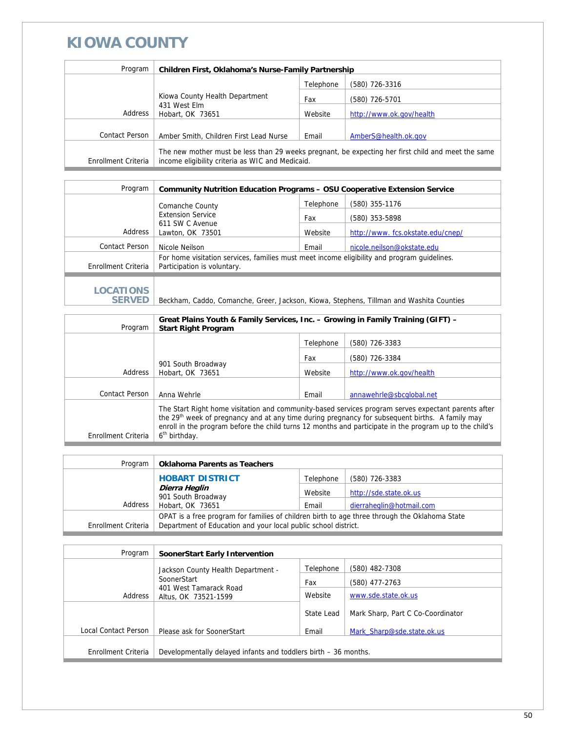#### **KIOWA COUNTY**

| Program             | Children First, Oklahoma's Nurse-Family Partnership                                                                                                    |           |                          |
|---------------------|--------------------------------------------------------------------------------------------------------------------------------------------------------|-----------|--------------------------|
|                     |                                                                                                                                                        | Telephone | (580) 726-3316           |
|                     | Kiowa County Health Department<br>431 West Elm<br>Hobart, OK 73651                                                                                     | Fax       | (580) 726-5701           |
| Address             |                                                                                                                                                        | Website   | http://www.ok.gov/health |
|                     |                                                                                                                                                        |           |                          |
| Contact Person      | Amber Smith, Children First Lead Nurse                                                                                                                 | Email     | AmberS@health.ok.gov     |
| Enrollment Criteria | The new mother must be less than 29 weeks pregnant, be expecting her first child and meet the same<br>income eligibility criteria as WIC and Medicaid. |           |                          |

| Program             | <b>Community Nutrition Education Programs - OSU Cooperative Extension Service</b>                                          |           |                                  |  |
|---------------------|----------------------------------------------------------------------------------------------------------------------------|-----------|----------------------------------|--|
|                     | Comanche County                                                                                                            | Telephone | (580) 355-1176                   |  |
|                     | <b>Extension Service</b>                                                                                                   | Fax       | (580) 353-5898                   |  |
| Address             | 611 SW C Avenue<br>Lawton, OK 73501                                                                                        | Website   | http://www.fcs.okstate.edu/cnep/ |  |
| Contact Person      | Nicole Neilson                                                                                                             | Email     | nicole.neilson@okstate.edu       |  |
| Enrollment Criteria | For home visitation services, families must meet income eligibility and program quidelines.<br>Participation is voluntary. |           |                                  |  |
|                     |                                                                                                                            |           |                                  |  |
| <b>LOCATIONS</b>    |                                                                                                                            |           |                                  |  |

SERVED | Beckham, Caddo, Comanche, Greer, Jackson, Kiowa, Stephens, Tillman and Washita Counties

|                     | Great Plains Youth & Family Services, Inc. - Growing in Family Training (GIFT) -                                                                                                                                                                                                                                                                           |           |                          |
|---------------------|------------------------------------------------------------------------------------------------------------------------------------------------------------------------------------------------------------------------------------------------------------------------------------------------------------------------------------------------------------|-----------|--------------------------|
| Program             | <b>Start Right Program</b>                                                                                                                                                                                                                                                                                                                                 |           |                          |
|                     |                                                                                                                                                                                                                                                                                                                                                            | Telephone | (580) 726-3383           |
|                     |                                                                                                                                                                                                                                                                                                                                                            | Fax       | (580) 726-3384           |
| Address             | 901 South Broadway<br>Hobart, OK 73651                                                                                                                                                                                                                                                                                                                     | Website   | http://www.ok.gov/health |
|                     |                                                                                                                                                                                                                                                                                                                                                            |           |                          |
| Contact Person      | Anna Wehrle                                                                                                                                                                                                                                                                                                                                                | Email     | annawehrle@sbcglobal.net |
| Enrollment Criteria | The Start Right home visitation and community-based services program serves expectant parents after<br>the 29 <sup>th</sup> week of pregnancy and at any time during pregnancy for subsequent births. A family may<br>enroll in the program before the child turns 12 months and participate in the program up to the child's<br>6 <sup>th</sup> birthday. |           |                          |

| Program             | <b>Oklahoma Parents as Teachers</b>                                                           |           |                          |
|---------------------|-----------------------------------------------------------------------------------------------|-----------|--------------------------|
|                     | <b>HOBART DISTRICT</b>                                                                        | Telephone | (580) 726-3383           |
|                     | Dierra Heglin<br>901 South Broadway                                                           | Website   | http://sde.state.ok.us   |
| Address             | Hobart, OK 73651                                                                              | Email     | dierraheglin@hotmail.com |
|                     | OPAT is a free program for families of children birth to age three through the Oklahoma State |           |                          |
| Enrollment Criteria | Department of Education and your local public school district.                                |           |                          |

| Program              | SoonerStart Early Intervention                                  |            |                                   |
|----------------------|-----------------------------------------------------------------|------------|-----------------------------------|
|                      | Jackson County Health Department -                              | Telephone  | (580) 482-7308                    |
|                      | SoonerStart                                                     | Fax        | (580) 477-2763                    |
| Address              | 401 West Tamarack Road<br>Altus, OK 73521-1599                  | Website    | www.sde.state.ok.us               |
|                      |                                                                 | State Lead | Mark Sharp, Part C Co-Coordinator |
| Local Contact Person | Please ask for SoonerStart                                      | Email      | Mark Sharp@sde.state.ok.us        |
| Enrollment Criteria  | Developmentally delayed infants and toddlers birth – 36 months. |            |                                   |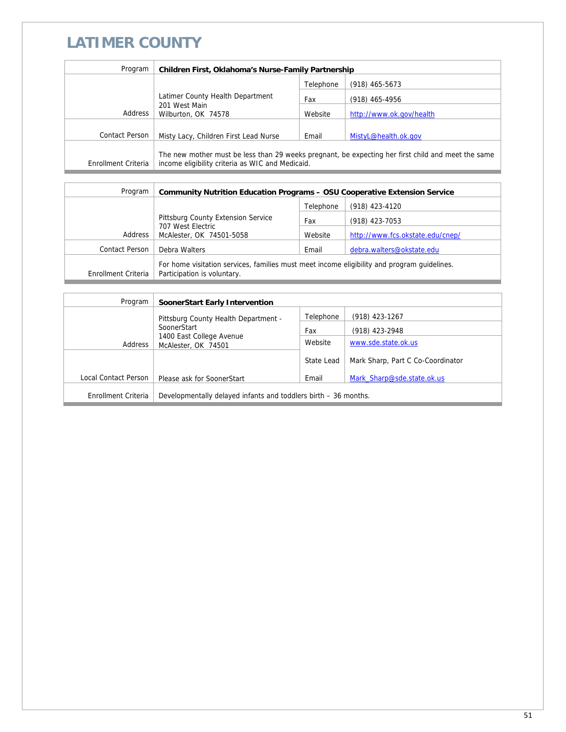# **LATIMER COUNTY**

| Program             | Children First, Oklahoma's Nurse-Family Partnership                                                                                                    |           |                          |
|---------------------|--------------------------------------------------------------------------------------------------------------------------------------------------------|-----------|--------------------------|
|                     |                                                                                                                                                        | Telephone | $(918)$ 465-5673         |
|                     | Latimer County Health Department<br>201 West Main<br>Wilburton, OK 74578                                                                               | Fax       | $(918)$ 465-4956         |
| Address             |                                                                                                                                                        | Website   | http://www.ok.gov/health |
|                     |                                                                                                                                                        |           |                          |
| Contact Person      | Misty Lacy, Children First Lead Nurse                                                                                                                  | Email     | MistyL@health.ok.gov     |
| Enrollment Criteria | The new mother must be less than 29 weeks pregnant, be expecting her first child and meet the same<br>income eligibility criteria as WIC and Medicaid. |           |                          |

| Program             | <b>Community Nutrition Education Programs - OSU Cooperative Extension Service</b>                                          |           |                                  |
|---------------------|----------------------------------------------------------------------------------------------------------------------------|-----------|----------------------------------|
|                     |                                                                                                                            | Telephone | (918) 423-4120                   |
|                     | Pittsburg County Extension Service                                                                                         | Fax       | (918) 423-7053                   |
| Address             | 707 West Electric<br>McAlester, OK 74501-5058                                                                              | Website   | http://www.fcs.okstate.edu/cnep/ |
| Contact Person      | Debra Walters                                                                                                              | Email     | debra.walters@okstate.edu        |
| Enrollment Criteria | For home visitation services, families must meet income eligibility and program guidelines.<br>Participation is voluntary. |           |                                  |

| Program              | <b>SoonerStart Early Intervention</b>                                     |            |                                   |
|----------------------|---------------------------------------------------------------------------|------------|-----------------------------------|
|                      | Pittsburg County Health Department -                                      | Telephone  | (918) 423-1267                    |
|                      | SoonerStart<br>1400 East College Avenue<br>Address<br>McAlester, OK 74501 | Fax        | (918) 423-2948                    |
|                      |                                                                           | Website    | www.sde.state.ok.us               |
|                      |                                                                           | State Lead | Mark Sharp, Part C Co-Coordinator |
| Local Contact Person | Please ask for SoonerStart                                                | Email      | Mark Sharp@sde.state.ok.us        |
| Enrollment Criteria  | Developmentally delayed infants and toddlers birth – 36 months.           |            |                                   |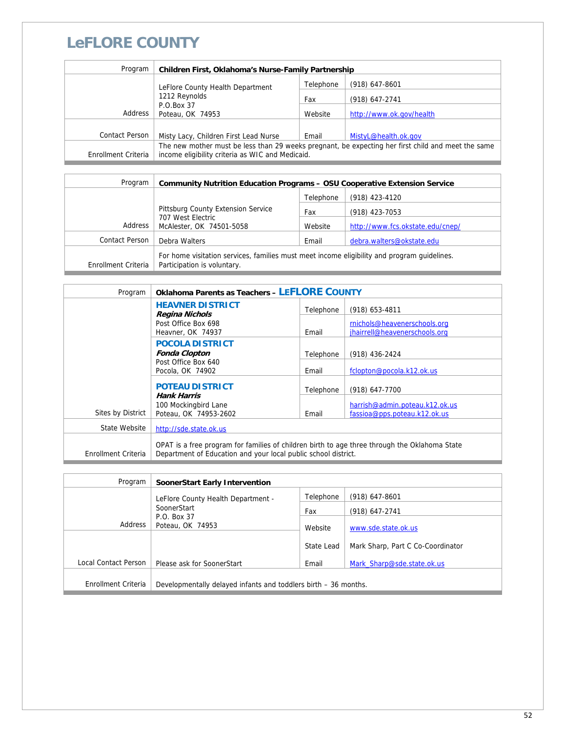## **LeFLORE COUNTY**

| Program             | Children First, Oklahoma's Nurse-Family Partnership                                                                                                    |           |                          |
|---------------------|--------------------------------------------------------------------------------------------------------------------------------------------------------|-----------|--------------------------|
|                     | LeFlore County Health Department                                                                                                                       | Telephone | $(918)$ 647-8601         |
|                     | 1212 Reynolds                                                                                                                                          | Fax       | (918) 647-2741           |
| Address             | P.O.Box 37<br>Poteau, OK 74953                                                                                                                         | Website   | http://www.ok.gov/health |
|                     |                                                                                                                                                        |           |                          |
| Contact Person      | Misty Lacy, Children First Lead Nurse                                                                                                                  | Email     | MistyL@health.ok.gov     |
| Enrollment Criteria | The new mother must be less than 29 weeks pregnant, be expecting her first child and meet the same<br>income eligibility criteria as WIC and Medicaid. |           |                          |
|                     |                                                                                                                                                        |           |                          |

| Program             | <b>Community Nutrition Education Programs - OSU Cooperative Extension Service</b>                                          |           |                                  |
|---------------------|----------------------------------------------------------------------------------------------------------------------------|-----------|----------------------------------|
|                     |                                                                                                                            | Telephone | (918) 423-4120                   |
|                     | Pittsburg County Extension Service<br>707 West Electric<br>McAlester, OK 74501-5058                                        | Fax       | (918) 423-7053                   |
| Address             |                                                                                                                            | Website   | http://www.fcs.okstate.edu/cnep/ |
| Contact Person      | Debra Walters                                                                                                              | Email     | debra.walters@okstate.edu        |
| Enrollment Criteria | For home visitation services, families must meet income eligibility and program quidelines.<br>Participation is voluntary. |           |                                  |

| Program             | <b>Oklahoma Parents as Teachers - LEFLORE COUNTY</b>                                                                                                            |           |                                                                |
|---------------------|-----------------------------------------------------------------------------------------------------------------------------------------------------------------|-----------|----------------------------------------------------------------|
|                     | <b>HEAVNER DISTRICT</b><br><b>Regina Nichols</b>                                                                                                                | Telephone | $(918)$ 653-4811                                               |
|                     | Post Office Box 698<br>Heavner, OK 74937                                                                                                                        | Email     | rnichols@heavenerschools.org<br>jhairrell@heavenerschools.org  |
|                     | <b>POCOLA DISTRICT</b><br><b>Fonda Clopton</b>                                                                                                                  | Telephone | $(918)$ 436-2424                                               |
|                     | Post Office Box 640<br>Pocola, OK 74902                                                                                                                         | Email     | fclopton@pocola.k12.ok.us                                      |
|                     | <b>POTEAU DISTRICT</b><br><b>Hank Harris</b>                                                                                                                    | Telephone | (918) 647-7700                                                 |
| Sites by District   | 100 Mockingbird Lane<br>Poteau, OK 74953-2602                                                                                                                   | Email     | harrish@admin.poteau.k12.ok.us<br>fassioa@pps.poteau.k12.ok.us |
| State Website       | http://sde.state.ok.us                                                                                                                                          |           |                                                                |
| Enrollment Criteria | OPAT is a free program for families of children birth to age three through the Oklahoma State<br>Department of Education and your local public school district. |           |                                                                |

| Program              | SoonerStart Early Intervention                                  |                |                                   |
|----------------------|-----------------------------------------------------------------|----------------|-----------------------------------|
|                      | LeFlore County Health Department -                              | Telephone      | $(918)$ 647-8601                  |
| SoonerStart          | Fax                                                             | (918) 647-2741 |                                   |
| Address              | P.O. Box 37<br>Poteau, OK 74953                                 | Website        | www.sde.state.ok.us               |
|                      |                                                                 | State Lead     | Mark Sharp, Part C Co-Coordinator |
| Local Contact Person | Please ask for SoonerStart                                      | Email          | Mark Sharp@sde.state.ok.us        |
| Enrollment Criteria  | Developmentally delayed infants and toddlers birth – 36 months. |                |                                   |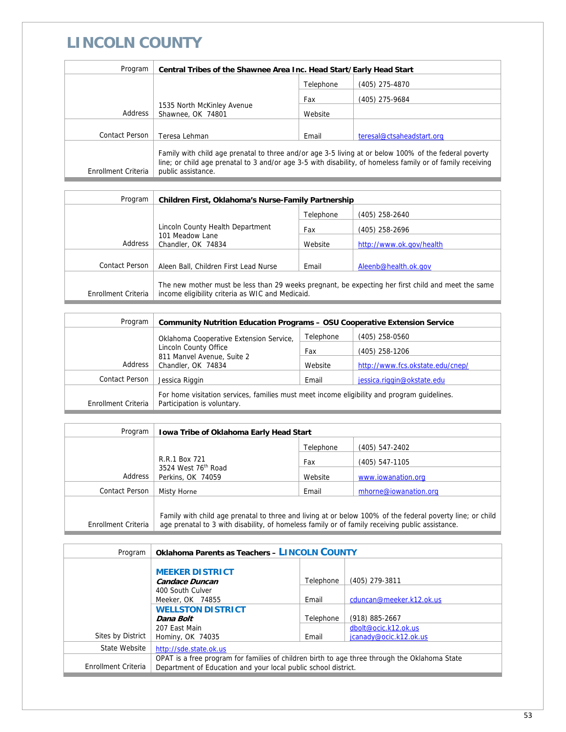## **LINCOLN COUNTY**

| Program             | Central Tribes of the Shawnee Area Inc. Head Start/Early Head Start                                                                                                                                                                       |           |                           |
|---------------------|-------------------------------------------------------------------------------------------------------------------------------------------------------------------------------------------------------------------------------------------|-----------|---------------------------|
|                     |                                                                                                                                                                                                                                           | Telephone | (405) 275-4870            |
|                     |                                                                                                                                                                                                                                           | Fax       | (405) 275-9684            |
| Address             | 1535 North McKinley Avenue<br>Shawnee, OK 74801                                                                                                                                                                                           | Website   |                           |
|                     |                                                                                                                                                                                                                                           |           |                           |
| Contact Person      | Teresa Lehman                                                                                                                                                                                                                             | Email     | teresal@ctsaheadstart.org |
| Enrollment Criteria | Family with child age prenatal to three and/or age 3-5 living at or below 100% of the federal poverty<br>line; or child age prenatal to 3 and/or age 3-5 with disability, of homeless family or of family receiving<br>public assistance. |           |                           |

| Program             | Children First, Oklahoma's Nurse-Family Partnership                                                                                                    |           |                          |
|---------------------|--------------------------------------------------------------------------------------------------------------------------------------------------------|-----------|--------------------------|
|                     |                                                                                                                                                        | Telephone | (405) 258-2640           |
|                     | Lincoln County Health Department                                                                                                                       | Fax       | (405) 258-2696           |
| Address             | 101 Meadow Lane<br>Chandler, OK 74834                                                                                                                  | Website   | http://www.ok.gov/health |
|                     |                                                                                                                                                        |           |                          |
| Contact Person      | Aleen Ball, Children First Lead Nurse                                                                                                                  | Email     | Aleenb@health.ok.gov     |
| Enrollment Criteria | The new mother must be less than 29 weeks pregnant, be expecting her first child and meet the same<br>income eligibility criteria as WIC and Medicaid. |           |                          |

| Program                                 | <b>Community Nutrition Education Programs - OSU Cooperative Extension Service</b>                                          |                |                                  |  |
|-----------------------------------------|----------------------------------------------------------------------------------------------------------------------------|----------------|----------------------------------|--|
| Oklahoma Cooperative Extension Service, | Telephone                                                                                                                  | (405) 258-0560 |                                  |  |
|                                         | Lincoln County Office<br>811 Manvel Avenue, Suite 2<br>Address<br>Chandler, OK 74834                                       | Fax            | $(405)$ 258-1206                 |  |
|                                         |                                                                                                                            | Website        | http://www.fcs.okstate.edu/cnep/ |  |
| Contact Person                          | Jessica Riggin                                                                                                             | Email          | jessica.riggin@okstate.edu       |  |
| Enrollment Criteria                     | For home visitation services, families must meet income eligibility and program guidelines.<br>Participation is voluntary. |                |                                  |  |

| Program             | <b>Iowa Tribe of Oklahoma Early Head Start</b>                                                                                                                                                               |           |                       |
|---------------------|--------------------------------------------------------------------------------------------------------------------------------------------------------------------------------------------------------------|-----------|-----------------------|
|                     |                                                                                                                                                                                                              | Telephone | (405) 547-2402        |
|                     | R.R.1 Box 721                                                                                                                                                                                                | Fax       | $(405)$ 547-1105      |
| Address             | 3524 West 76 <sup>th</sup> Road<br>Perkins, OK 74059                                                                                                                                                         | Website   | www.iowanation.org    |
| Contact Person      | Misty Horne                                                                                                                                                                                                  | Email     | mhorne@iowanation.org |
| Enrollment Criteria | Family with child age prenatal to three and living at or below 100% of the federal poverty line; or child<br>age prenatal to 3 with disability, of homeless family or of family receiving public assistance. |           |                       |

| Program             | <b>Oklahoma Parents as Teachers - LINCOLN COUNTY</b>                                                                                                            |           |                                                |
|---------------------|-----------------------------------------------------------------------------------------------------------------------------------------------------------------|-----------|------------------------------------------------|
|                     | <b>MEEKER DISTRICT</b><br><b>Candace Duncan</b>                                                                                                                 | Telephone | (405) 279-3811                                 |
|                     | 400 South Culver<br>Meeker, OK 74855                                                                                                                            | Email     | cduncan@meeker.k12.ok.us                       |
|                     | <b>WELLSTON DISTRICT</b><br>Dana Bolt                                                                                                                           | Telephone | $(918) 885 - 2667$                             |
| Sites by District   | 207 East Main<br>Hominy, OK 74035                                                                                                                               | Email     | dbolt@ocic.k12.ok.us<br>jcanady@ocic.k12.ok.us |
| State Website       | http://sde.state.ok.us                                                                                                                                          |           |                                                |
| Enrollment Criteria | OPAT is a free program for families of children birth to age three through the Oklahoma State<br>Department of Education and your local public school district. |           |                                                |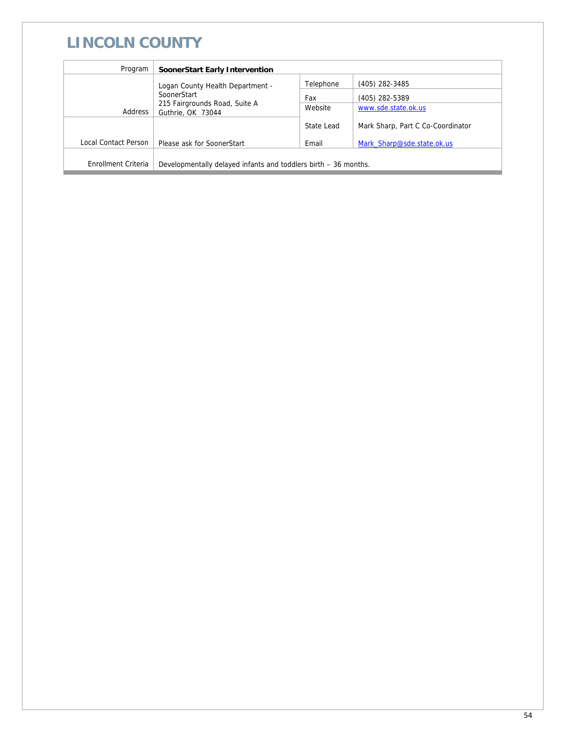# **LINCOLN COUNTY**

| Program              | <b>SoonerStart Early Intervention</b>                           |                |                                   |
|----------------------|-----------------------------------------------------------------|----------------|-----------------------------------|
|                      | Logan County Health Department -                                | Telephone      | (405) 282-3485                    |
| SoonerStart          | Fax                                                             | (405) 282-5389 |                                   |
| Address              | 215 Fairgrounds Road, Suite A<br>Guthrie, OK 73044              | Website        | www.sde.state.ok.us               |
|                      |                                                                 | State Lead     | Mark Sharp, Part C Co-Coordinator |
| Local Contact Person | Please ask for SoonerStart                                      | Email          | Mark Sharp@sde.state.ok.us        |
|                      |                                                                 |                |                                   |
| Enrollment Criteria  | Developmentally delayed infants and toddlers birth – 36 months. |                |                                   |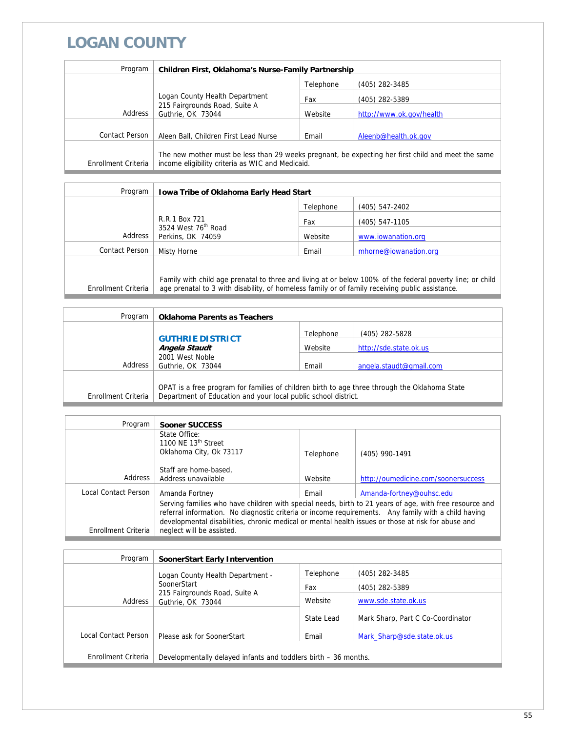### **LOGAN COUNTY**

| Program             | <b>Children First, Oklahoma's Nurse-Family Partnership</b> |           |                                                                                                    |
|---------------------|------------------------------------------------------------|-----------|----------------------------------------------------------------------------------------------------|
|                     |                                                            | Telephone | (405) 282-3485                                                                                     |
|                     | Logan County Health Department                             | Fax       | (405) 282-5389                                                                                     |
| Address             | 215 Fairgrounds Road, Suite A<br>Guthrie, OK 73044         | Website   | http://www.ok.gov/health                                                                           |
|                     |                                                            |           |                                                                                                    |
| Contact Person      | Aleen Ball, Children First Lead Nurse                      | Email     | Aleenb@health.ok.gov                                                                               |
| Enrollment Criteria | income eligibility criteria as WIC and Medicaid.           |           | The new mother must be less than 29 weeks pregnant, be expecting her first child and meet the same |

| Program             | <b>Iowa Tribe of Oklahoma Early Head Start</b>                                                            |           |                       |
|---------------------|-----------------------------------------------------------------------------------------------------------|-----------|-----------------------|
|                     |                                                                                                           | Telephone | (405) 547-2402        |
|                     | R.R.1 Box 721                                                                                             | Fax       | (405) 547-1105        |
| Address             | 3524 West 76 <sup>th</sup> Road<br>Perkins, OK 74059                                                      | Website   | www.iowanation.org    |
| Contact Person      | Misty Horne                                                                                               | Email     | mhorne@iowanation.org |
|                     |                                                                                                           |           |                       |
|                     | Family with child age prenatal to three and living at or below 100% of the federal poverty line; or child |           |                       |
| Enrollment Criteria | age prenatal to 3 with disability, of homeless family or of family receiving public assistance.           |           |                       |

| Program             | <b>Oklahoma Parents as Teachers</b>                                                                                                                             |           |                         |
|---------------------|-----------------------------------------------------------------------------------------------------------------------------------------------------------------|-----------|-------------------------|
|                     |                                                                                                                                                                 | Telephone | (405) 282-5828          |
|                     | <b>GUTHRIE DISTRICT</b><br>Angela Staudt                                                                                                                        | Website   | http://sde.state.ok.us  |
| Address             | 2001 West Noble<br>Guthrie, OK 73044                                                                                                                            | Email     | angela.staudt@gmail.com |
| Enrollment Criteria | OPAT is a free program for families of children birth to age three through the Oklahoma State<br>Department of Education and your local public school district. |           |                         |

| Program              | Sooner SUCCESS                                                                                                                                                                                                                                                                                                                                    |           |                                     |
|----------------------|---------------------------------------------------------------------------------------------------------------------------------------------------------------------------------------------------------------------------------------------------------------------------------------------------------------------------------------------------|-----------|-------------------------------------|
|                      | State Office:<br>1100 NE $13th$ Street<br>Oklahoma City, Ok 73117                                                                                                                                                                                                                                                                                 | Telephone | (405) 990-1491                      |
| Address              | Staff are home-based.<br>Address unavailable                                                                                                                                                                                                                                                                                                      | Website   | http://oumedicine.com/soonersuccess |
| Local Contact Person | Amanda Fortney                                                                                                                                                                                                                                                                                                                                    | Email     | Amanda-fortney@ouhsc.edu            |
| Enrollment Criteria  | Serving families who have children with special needs, birth to 21 years of age, with free resource and<br>referral information. No diagnostic criteria or income requirements. Any family with a child having<br>developmental disabilities, chronic medical or mental health issues or those at risk for abuse and<br>neglect will be assisted. |           |                                     |

| Program              | SoonerStart Early Intervention                                  |            |                                   |
|----------------------|-----------------------------------------------------------------|------------|-----------------------------------|
|                      | Logan County Health Department -                                | Telephone  | (405) 282-3485                    |
|                      | SoonerStart                                                     | Fax        | (405) 282-5389                    |
| Address              | 215 Fairgrounds Road, Suite A<br>Guthrie, OK 73044              | Website    | www.sde.state.ok.us               |
|                      |                                                                 | State Lead | Mark Sharp, Part C Co-Coordinator |
| Local Contact Person | Please ask for SoonerStart                                      | Email      | Mark Sharp@sde.state.ok.us        |
|                      |                                                                 |            |                                   |
| Enrollment Criteria  | Developmentally delayed infants and toddlers birth – 36 months. |            |                                   |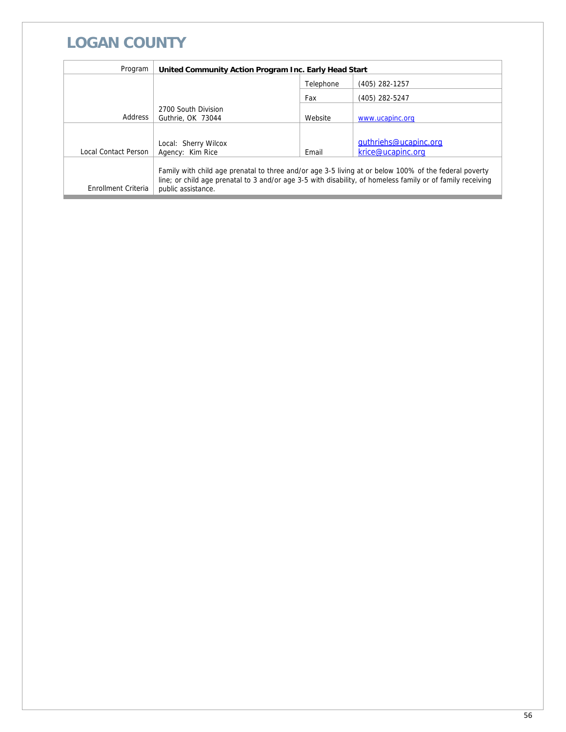## **LOGAN COUNTY**

| Program              | United Community Action Program Inc. Early Head Start |           |                                                                                                                                                                                                                     |
|----------------------|-------------------------------------------------------|-----------|---------------------------------------------------------------------------------------------------------------------------------------------------------------------------------------------------------------------|
|                      |                                                       | Telephone | (405) 282-1257                                                                                                                                                                                                      |
|                      |                                                       | Fax       | (405) 282-5247                                                                                                                                                                                                      |
| Address              | 2700 South Division<br>Guthrie, OK 73044              | Website   | www.ucapinc.org                                                                                                                                                                                                     |
|                      |                                                       |           |                                                                                                                                                                                                                     |
|                      | Local: Sherry Wilcox                                  |           | quthriehs@ucapinc.org                                                                                                                                                                                               |
| Local Contact Person | Agency: Kim Rice                                      | Email     | krice@ucapinc.org                                                                                                                                                                                                   |
| Enrollment Criteria  | public assistance.                                    |           | Family with child age prenatal to three and/or age 3-5 living at or below 100% of the federal poverty<br>line; or child age prenatal to 3 and/or age 3-5 with disability, of homeless family or of family receiving |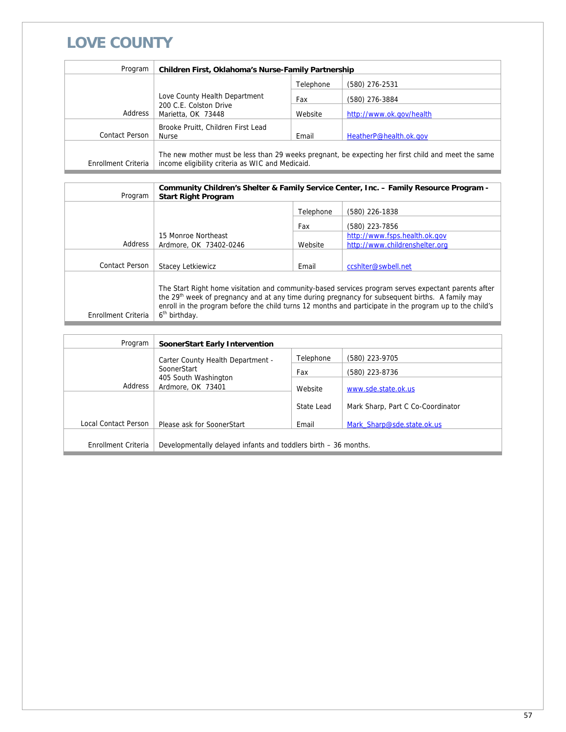### **LOVE COUNTY**

| Program             | Children First, Oklahoma's Nurse-Family Partnership                                                                                                    |           |                          |
|---------------------|--------------------------------------------------------------------------------------------------------------------------------------------------------|-----------|--------------------------|
|                     |                                                                                                                                                        | Telephone | (580) 276-2531           |
|                     | Love County Health Department<br>200 C.E. Colston Drive<br>Address<br>Marietta, OK 73448                                                               | Fax       | (580) 276-3884           |
|                     |                                                                                                                                                        | Website   | http://www.ok.gov/health |
| Contact Person      | Brooke Pruitt, Children First Lead<br>Nurse                                                                                                            | Email     | HeatherP@health.ok.gov   |
| Enrollment Criteria | The new mother must be less than 29 weeks pregnant, be expecting her first child and meet the same<br>income eligibility criteria as WIC and Medicaid. |           |                          |

| Program             | <b>Start Right Program</b>                                                                                                                                                                                                                                                                                                                                 |           | Community Children's Shelter & Family Service Center, Inc. - Family Resource Program - |
|---------------------|------------------------------------------------------------------------------------------------------------------------------------------------------------------------------------------------------------------------------------------------------------------------------------------------------------------------------------------------------------|-----------|----------------------------------------------------------------------------------------|
|                     |                                                                                                                                                                                                                                                                                                                                                            | Telephone | (580) 226-1838                                                                         |
|                     |                                                                                                                                                                                                                                                                                                                                                            | Fax       | (580) 223-7856                                                                         |
|                     | 15 Monroe Northeast                                                                                                                                                                                                                                                                                                                                        |           | http://www.fsps.health.ok.gov                                                          |
| Address             | Ardmore, OK 73402-0246                                                                                                                                                                                                                                                                                                                                     | Website   | http://www.childrenshelter.org                                                         |
|                     |                                                                                                                                                                                                                                                                                                                                                            |           |                                                                                        |
| Contact Person      | <b>Stacev Letkiewicz</b>                                                                                                                                                                                                                                                                                                                                   | Email     | ccshiter@swbell.net                                                                    |
| Enrollment Criteria | The Start Right home visitation and community-based services program serves expectant parents after<br>the 29 <sup>th</sup> week of pregnancy and at any time during pregnancy for subsequent births. A family may<br>enroll in the program before the child turns 12 months and participate in the program up to the child's<br>6 <sup>th</sup> birthday. |           |                                                                                        |

| Program              | SoonerStart Early Intervention                                  |            |                                   |
|----------------------|-----------------------------------------------------------------|------------|-----------------------------------|
|                      | Carter County Health Department -                               | Telephone  | (580) 223-9705                    |
|                      | SoonerStart                                                     | Fax        | (580) 223-8736                    |
| Address              | 405 South Washington<br>Ardmore, OK 73401                       | Website    | www.sde.state.ok.us               |
|                      |                                                                 | State Lead | Mark Sharp, Part C Co-Coordinator |
|                      |                                                                 |            |                                   |
| Local Contact Person | Please ask for SoonerStart                                      | Email      | Mark Sharp@sde.state.ok.us        |
| Enrollment Criteria  | Developmentally delayed infants and toddlers birth – 36 months. |            |                                   |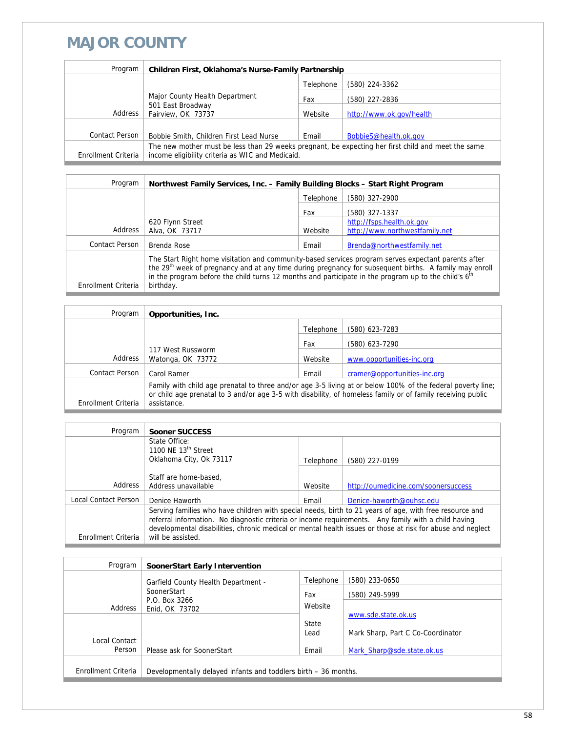### **MAJOR COUNTY**

| Program             | Children First, Oklahoma's Nurse-Family Partnership                                                                                                    |           |                          |
|---------------------|--------------------------------------------------------------------------------------------------------------------------------------------------------|-----------|--------------------------|
|                     |                                                                                                                                                        | Telephone | (580) 224-3362           |
|                     | Major County Health Department<br>501 East Broadway<br>Fairview, OK 73737                                                                              | Fax       | (580) 227-2836           |
| Address             |                                                                                                                                                        | Website   | http://www.ok.gov/health |
|                     |                                                                                                                                                        |           |                          |
| Contact Person      | Bobbie Smith, Children First Lead Nurse                                                                                                                | Email     | BobbieS@health.ok.gov    |
| Enrollment Criteria | The new mother must be less than 29 weeks pregnant, be expecting her first child and meet the same<br>income eligibility criteria as WIC and Medicaid. |           |                          |

| Program             | Northwest Family Services, Inc. - Family Building Blocks - Start Right Program                                                                                                                                                                                                                                                                             |           |                                |
|---------------------|------------------------------------------------------------------------------------------------------------------------------------------------------------------------------------------------------------------------------------------------------------------------------------------------------------------------------------------------------------|-----------|--------------------------------|
|                     |                                                                                                                                                                                                                                                                                                                                                            | Telephone | (580) 327-2900                 |
|                     |                                                                                                                                                                                                                                                                                                                                                            | Fax       | (580) 327-1337                 |
|                     | 620 Flynn Street                                                                                                                                                                                                                                                                                                                                           |           | http://fsps.health.ok.gov      |
| Address             | Alva, OK 73717                                                                                                                                                                                                                                                                                                                                             | Website   | http://www.northwestfamily.net |
| Contact Person      | Brenda Rose                                                                                                                                                                                                                                                                                                                                                | Email     | Brenda@northwestfamily.net     |
| Enrollment Criteria | The Start Right home visitation and community-based services program serves expectant parents after<br>the 29 <sup>th</sup> week of pregnancy and at any time during pregnancy for subsequent births. A family may enroll<br>in the program before the child turns 12 months and participate in the program up to the child's 6 <sup>th</sup><br>birthday. |           |                                |

| Program             | Opportunities, Inc.                                                                                                                                                                                                                       |           |                              |
|---------------------|-------------------------------------------------------------------------------------------------------------------------------------------------------------------------------------------------------------------------------------------|-----------|------------------------------|
|                     |                                                                                                                                                                                                                                           | Telephone | (580) 623-7283               |
|                     | 117 West Russworm<br>Watonga, OK 73772                                                                                                                                                                                                    | Fax       | (580) 623-7290               |
| Address             |                                                                                                                                                                                                                                           | Website   | www.opportunities-inc.org    |
| Contact Person      | Carol Ramer                                                                                                                                                                                                                               | Email     | cramer@opportunities-inc.org |
| Enrollment Criteria | Family with child age prenatal to three and/or age 3-5 living at or below 100% of the federal poverty line;<br>or child age prenatal to 3 and/or age 3-5 with disability, of homeless family or of family receiving public<br>assistance. |           |                              |

| Program              | <b>Sooner SUCCESS</b>                                                                                   |           |                                                                                                            |
|----------------------|---------------------------------------------------------------------------------------------------------|-----------|------------------------------------------------------------------------------------------------------------|
|                      | State Office:                                                                                           |           |                                                                                                            |
|                      | 1100 NF $13th$ Street                                                                                   |           |                                                                                                            |
|                      | Oklahoma City, Ok 73117                                                                                 | Telephone | (580) 227-0199                                                                                             |
|                      |                                                                                                         |           |                                                                                                            |
|                      | Staff are home-based.                                                                                   |           |                                                                                                            |
| Address              | Address unavailable                                                                                     | Website   | http://oumedicine.com/soonersuccess                                                                        |
| Local Contact Person | Denice Haworth                                                                                          | Email     | Denice-haworth@ouhsc.edu                                                                                   |
|                      | Serving families who have children with special needs, birth to 21 years of age, with free resource and |           |                                                                                                            |
|                      | referral information. No diagnostic criteria or income requirements. Any family with a child having     |           |                                                                                                            |
|                      |                                                                                                         |           | developmental disabilities, chronic medical or mental health issues or those at risk for abuse and neglect |
| Enrollment Criteria  | will be assisted.                                                                                       |           |                                                                                                            |

| Program             | SoonerStart Early Intervention                                  |               |                                                          |
|---------------------|-----------------------------------------------------------------|---------------|----------------------------------------------------------|
|                     | Garfield County Health Department -                             | Telephone     | (580) 233-0650                                           |
|                     | SoonerStart                                                     | Fax           | (580) 249-5999                                           |
| Address             | P.O. Box 3266<br>Enid, OK 73702                                 | Website       |                                                          |
|                     |                                                                 | State<br>Lead | www.sde.state.ok.us<br>Mark Sharp, Part C Co-Coordinator |
| Local Contact       |                                                                 |               |                                                          |
| Person              | Please ask for SoonerStart                                      | Email         | Mark Sharp@sde.state.ok.us                               |
| Enrollment Criteria | Developmentally delayed infants and toddlers birth – 36 months. |               |                                                          |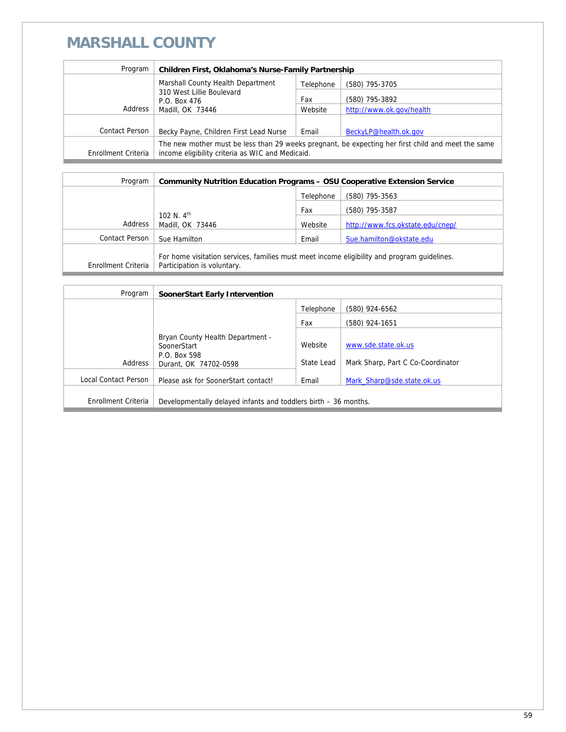# **MARSHALL COUNTY**

| Program             | Children First, Oklahoma's Nurse-Family Partnership                                                                                                    |           |                          |
|---------------------|--------------------------------------------------------------------------------------------------------------------------------------------------------|-----------|--------------------------|
|                     | Marshall County Health Department                                                                                                                      | Telephone | (580) 795-3705           |
|                     | 310 West Lillie Boulevard<br>P.O. Box 476                                                                                                              | Fax       | (580) 795-3892           |
| Address             | Madill, OK 73446                                                                                                                                       | Website   | http://www.ok.gov/health |
|                     |                                                                                                                                                        |           |                          |
| Contact Person      | Becky Payne, Children First Lead Nurse                                                                                                                 | Email     | BeckyLP@health.ok.gov    |
| Enrollment Criteria | The new mother must be less than 29 weeks pregnant, be expecting her first child and meet the same<br>income eligibility criteria as WIC and Medicaid. |           |                          |

| Program             | <b>Community Nutrition Education Programs - OSU Cooperative Extension Service</b>                                          |           |                                  |
|---------------------|----------------------------------------------------------------------------------------------------------------------------|-----------|----------------------------------|
|                     |                                                                                                                            | Telephone | (580) 795-3563                   |
|                     | 102 N. $4^{th}$                                                                                                            | Fax       | (580) 795-3587                   |
| Address             | Madill, OK 73446                                                                                                           | Website   | http://www.fcs.okstate.edu/cnep/ |
| Contact Person      | Sue Hamilton                                                                                                               | Email     | Sue.hamilton@okstate.edu         |
| Enrollment Criteria | For home visitation services, families must meet income eligibility and program quidelines.<br>Participation is voluntary. |           |                                  |

| Program              | <b>SoonerStart Early Intervention</b>                                                    |                       |                                                          |
|----------------------|------------------------------------------------------------------------------------------|-----------------------|----------------------------------------------------------|
|                      |                                                                                          | Telephone             | (580) 924-6562                                           |
|                      |                                                                                          | Fax                   | (580) 924-1651                                           |
| Address              | Bryan County Health Department -<br>SoonerStart<br>P.O. Box 598<br>Durant, OK 74702-0598 | Website<br>State Lead | www.sde.state.ok.us<br>Mark Sharp, Part C Co-Coordinator |
| Local Contact Person | Please ask for SoonerStart contact!                                                      | Email                 | Mark Sharp@sde.state.ok.us                               |
| Enrollment Criteria  | Developmentally delayed infants and toddlers birth – 36 months.                          |                       |                                                          |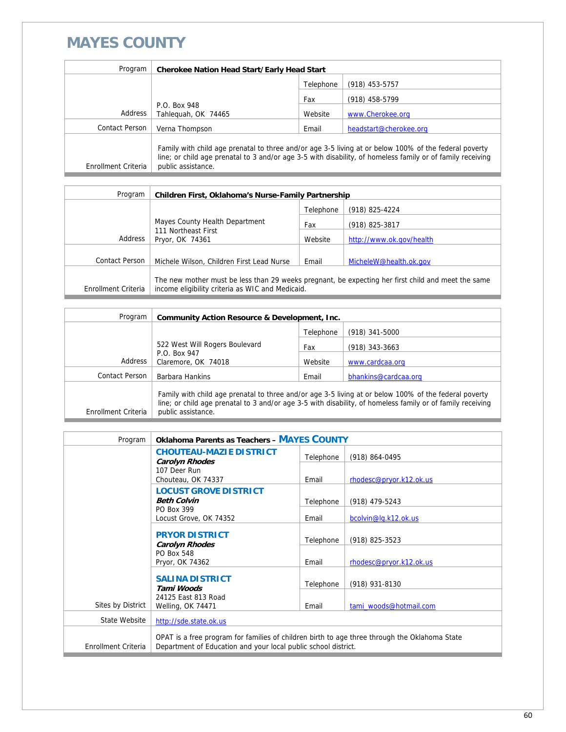### **MAYES COUNTY**

| Program             | <b>Cherokee Nation Head Start/Early Head Start</b>                                                                                                                                                                                        |           |                        |
|---------------------|-------------------------------------------------------------------------------------------------------------------------------------------------------------------------------------------------------------------------------------------|-----------|------------------------|
|                     |                                                                                                                                                                                                                                           | Telephone | (918) 453-5757         |
|                     |                                                                                                                                                                                                                                           | Fax       | (918) 458-5799         |
| Address             | P.O. Box 948<br>Tahlequah, OK 74465                                                                                                                                                                                                       | Website   | www.Cherokee.org       |
| Contact Person      | Verna Thompson                                                                                                                                                                                                                            | Email     | headstart@cherokee.org |
| Enrollment Criteria | Family with child age prenatal to three and/or age 3-5 living at or below 100% of the federal poverty<br>line; or child age prenatal to 3 and/or age 3-5 with disability, of homeless family or of family receiving<br>public assistance. |           |                        |

| Program             | Children First, Oklahoma's Nurse-Family Partnership                                                                                                    |           |                          |  |
|---------------------|--------------------------------------------------------------------------------------------------------------------------------------------------------|-----------|--------------------------|--|
|                     |                                                                                                                                                        | Telephone | (918) 825-4224           |  |
|                     | Mayes County Health Department                                                                                                                         | Fax       | (918) 825-3817           |  |
| Address             | 111 Northeast First<br>Pryor, OK 74361                                                                                                                 | Website   | http://www.ok.gov/health |  |
|                     |                                                                                                                                                        |           |                          |  |
| Contact Person      | Michele Wilson, Children First Lead Nurse                                                                                                              | Email     | MicheleW@health.ok.gov   |  |
| Enrollment Criteria | The new mother must be less than 29 weeks pregnant, be expecting her first child and meet the same<br>income eligibility criteria as WIC and Medicaid. |           |                          |  |

| Program             | <b>Community Action Resource &amp; Development, Inc.</b>                                                                                                                                                                                  |           |                      |  |
|---------------------|-------------------------------------------------------------------------------------------------------------------------------------------------------------------------------------------------------------------------------------------|-----------|----------------------|--|
|                     |                                                                                                                                                                                                                                           | Telephone | $(918)$ 341-5000     |  |
|                     | 522 West Will Rogers Boulevard                                                                                                                                                                                                            | Fax       | $(918)$ 343-3663     |  |
| Address             | P.O. Box 947<br>Claremore, OK 74018                                                                                                                                                                                                       | Website   | www.cardcaa.org      |  |
| Contact Person      | Barbara Hankins                                                                                                                                                                                                                           | Email     | bhankins@cardcaa.org |  |
| Enrollment Criteria | Family with child age prenatal to three and/or age 3-5 living at or below 100% of the federal poverty<br>line; or child age prenatal to 3 and/or age 3-5 with disability, of homeless family or of family receiving<br>public assistance. |           |                      |  |

| Program             | <b>Oklahoma Parents as Teachers - MAYES COUNTY</b>                                                                                                              |           |                         |
|---------------------|-----------------------------------------------------------------------------------------------------------------------------------------------------------------|-----------|-------------------------|
|                     | <b>CHOUTEAU-MAZIE DISTRICT</b><br><b>Carolyn Rhodes</b>                                                                                                         | Telephone | (918) 864-0495          |
|                     | 107 Deer Run                                                                                                                                                    |           |                         |
|                     | Chouteau, OK 74337                                                                                                                                              | Email     | rhodesc@pryor.k12.ok.us |
|                     | <b>LOCUST GROVE DISTRICT</b><br><b>Beth Colvin</b>                                                                                                              | Telephone | (918) 479-5243          |
|                     | PO Box 399<br>Locust Grove, OK 74352                                                                                                                            | Email     | bcolvin@lg.k12.ok.us    |
|                     | <b>PRYOR DISTRICT</b><br><b>Carolyn Rhodes</b>                                                                                                                  | Telephone | (918) 825-3523          |
|                     | PO Box 548<br>Pryor, OK 74362                                                                                                                                   | Email     | rhodesc@pryor.k12.ok.us |
|                     | <b>SALINA DISTRICT</b><br>Tami Woods                                                                                                                            | Telephone | (918) 931-8130          |
| Sites by District   | 24125 East 813 Road<br>Welling, OK 74471                                                                                                                        | Email     | tami woods@hotmail.com  |
| State Website       | http://sde.state.ok.us                                                                                                                                          |           |                         |
| Enrollment Criteria | OPAT is a free program for families of children birth to age three through the Oklahoma State<br>Department of Education and your local public school district. |           |                         |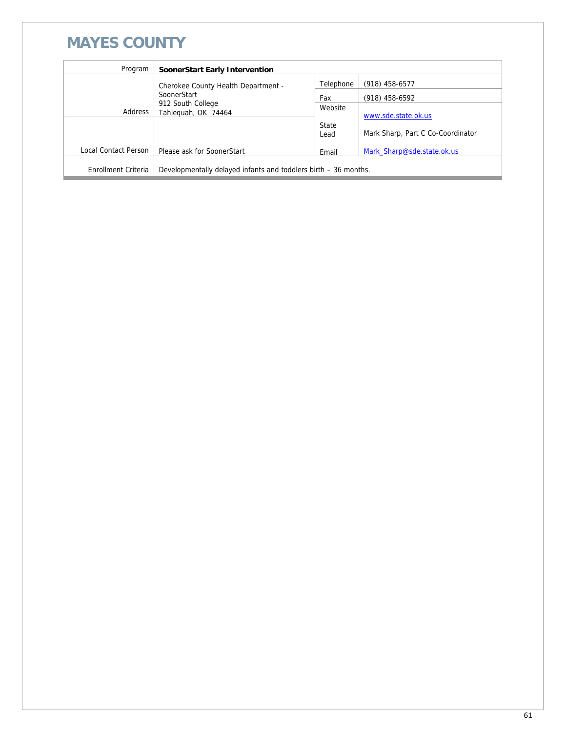### **MAYES COUNTY**

| Program              | SoonerStart Early Intervention                                  |           |                                   |  |
|----------------------|-----------------------------------------------------------------|-----------|-----------------------------------|--|
|                      | Cherokee County Health Department -                             | Telephone | (918) 458-6577                    |  |
|                      | SoonerStart<br>912 South College<br>Tahleguah, OK 74464         | Fax       | (918) 458-6592                    |  |
| Address              |                                                                 | Website   | www.sde.state.ok.us               |  |
|                      |                                                                 | State     |                                   |  |
|                      |                                                                 | Lead      | Mark Sharp, Part C Co-Coordinator |  |
| Local Contact Person | Please ask for SoonerStart                                      | Email     | Mark Sharp@sde.state.ok.us        |  |
| Enrollment Criteria  | Developmentally delayed infants and toddlers birth – 36 months. |           |                                   |  |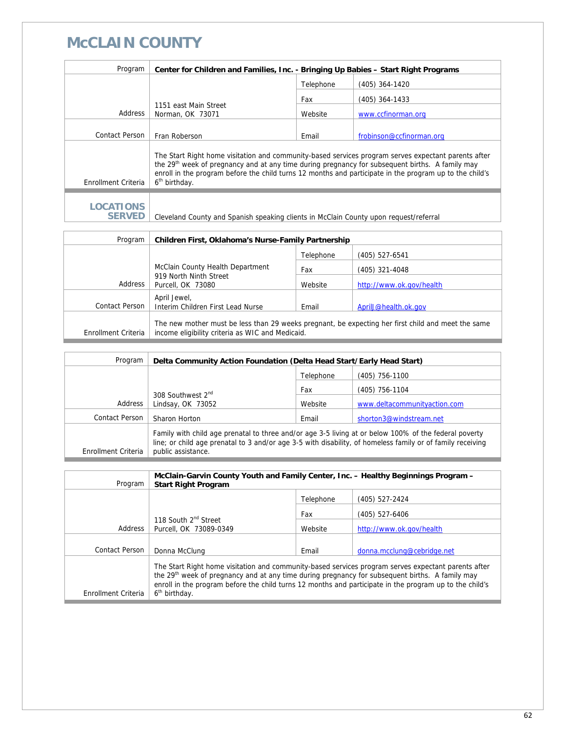### **McCLAIN COUNTY**

| Program                           | Center for Children and Families, Inc. - Bringing Up Babies - Start Right Programs                                                                                                                                                                                                                                                                         |           |                          |  |
|-----------------------------------|------------------------------------------------------------------------------------------------------------------------------------------------------------------------------------------------------------------------------------------------------------------------------------------------------------------------------------------------------------|-----------|--------------------------|--|
|                                   |                                                                                                                                                                                                                                                                                                                                                            | Telephone | (405) 364-1420           |  |
|                                   |                                                                                                                                                                                                                                                                                                                                                            | Fax       | (405) 364-1433           |  |
| Address                           | 1151 east Main Street<br>Norman, OK 73071                                                                                                                                                                                                                                                                                                                  | Website   | www.ccfinorman.org       |  |
|                                   |                                                                                                                                                                                                                                                                                                                                                            |           |                          |  |
| Contact Person                    | Fran Roberson                                                                                                                                                                                                                                                                                                                                              | Email     | frobinson@ccfinorman.org |  |
| Enrollment Criteria               | The Start Right home visitation and community-based services program serves expectant parents after<br>the 29 <sup>th</sup> week of pregnancy and at any time during pregnancy for subsequent births. A family may<br>enroll in the program before the child turns 12 months and participate in the program up to the child's<br>6 <sup>th</sup> birthday. |           |                          |  |
| <b>LOCATIONS</b><br><b>SERVED</b> | Cleveland County and Spanish speaking clients in McClain County upon request/referral                                                                                                                                                                                                                                                                      |           |                          |  |

| Program             | Children First, Oklahoma's Nurse-Family Partnership                                                                                                    |           |                          |  |
|---------------------|--------------------------------------------------------------------------------------------------------------------------------------------------------|-----------|--------------------------|--|
|                     |                                                                                                                                                        | Telephone | (405) 527-6541           |  |
|                     | McClain County Health Department                                                                                                                       |           | (405) 321-4048           |  |
| Address             | 919 North Ninth Street<br>Purcell, OK 73080                                                                                                            | Website   | http://www.ok.gov/health |  |
|                     | April Jewel,                                                                                                                                           |           |                          |  |
| Contact Person      | Interim Children First Lead Nurse                                                                                                                      | Email     | April J@health.ok.gov    |  |
| Enrollment Criteria | The new mother must be less than 29 weeks pregnant, be expecting her first child and meet the same<br>income eligibility criteria as WIC and Medicaid. |           |                          |  |

| Program             | Delta Community Action Foundation (Delta Head Start/Early Head Start)                                                                                                                                                                     |           |                              |  |
|---------------------|-------------------------------------------------------------------------------------------------------------------------------------------------------------------------------------------------------------------------------------------|-----------|------------------------------|--|
|                     |                                                                                                                                                                                                                                           | Telephone | (405) 756-1100               |  |
|                     |                                                                                                                                                                                                                                           | Fax       | (405) 756-1104               |  |
| Address             | 308 Southwest 2 <sup>nd</sup><br>Lindsay, OK 73052                                                                                                                                                                                        | Website   | www.deltacommunityaction.com |  |
| Contact Person      | Sharon Horton                                                                                                                                                                                                                             | Email     | shorton3@windstream.net      |  |
| Enrollment Criteria | Family with child age prenatal to three and/or age 3-5 living at or below 100% of the federal poverty<br>line; or child age prenatal to 3 and/or age 3-5 with disability, of homeless family or of family receiving<br>public assistance. |           |                              |  |

| Program             | McClain-Garvin County Youth and Family Center, Inc. - Healthy Beginnings Program -<br><b>Start Right Program</b>                                                                                                                                                                                                                                           |           |                            |  |
|---------------------|------------------------------------------------------------------------------------------------------------------------------------------------------------------------------------------------------------------------------------------------------------------------------------------------------------------------------------------------------------|-----------|----------------------------|--|
|                     |                                                                                                                                                                                                                                                                                                                                                            | Telephone | (405) 527-2424             |  |
|                     | 118 South 2 <sup>nd</sup> Street                                                                                                                                                                                                                                                                                                                           | Fax       | (405) 527-6406             |  |
| Address             | Purcell, OK 73089-0349                                                                                                                                                                                                                                                                                                                                     | Website   | http://www.ok.gov/health   |  |
| Contact Person      | Donna McClung                                                                                                                                                                                                                                                                                                                                              | Email     |                            |  |
|                     |                                                                                                                                                                                                                                                                                                                                                            |           | donna.mcclung@cebridge.net |  |
| Enrollment Criteria | The Start Right home visitation and community-based services program serves expectant parents after<br>the 29 <sup>th</sup> week of pregnancy and at any time during pregnancy for subsequent births. A family may<br>enroll in the program before the child turns 12 months and participate in the program up to the child's<br>6 <sup>th</sup> birthday. |           |                            |  |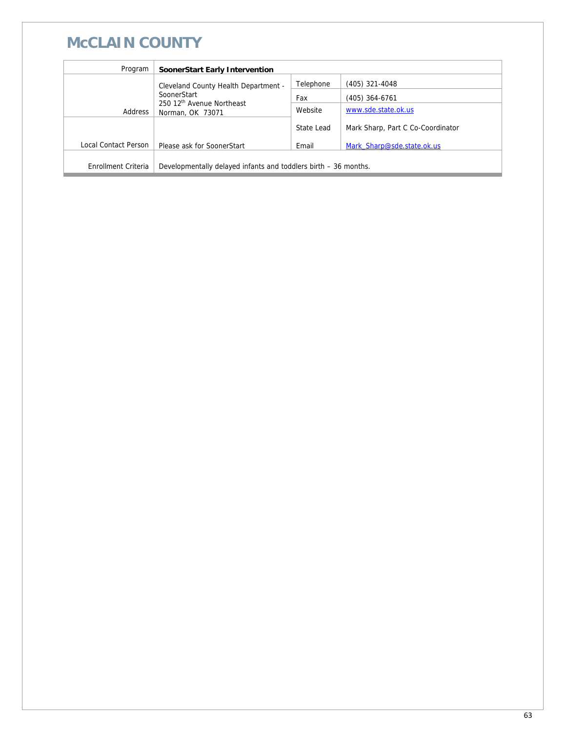# **McCLAIN COUNTY**

| Program              | SoonerStart Early Intervention                                           |            |                                   |
|----------------------|--------------------------------------------------------------------------|------------|-----------------------------------|
|                      | Cleveland County Health Department -                                     | Telephone  | (405) 321-4048                    |
|                      | SoonerStart<br>250 12 <sup>th</sup> Avenue Northeast<br>Norman, OK 73071 | Fax        | (405) 364-6761                    |
| Address              |                                                                          | Website    | www.sde.state.ok.us               |
|                      |                                                                          | State Lead | Mark Sharp, Part C Co-Coordinator |
| Local Contact Person | Please ask for SoonerStart                                               | Email      | Mark Sharp@sde.state.ok.us        |
|                      |                                                                          |            |                                   |
| Enrollment Criteria  | Developmentally delayed infants and toddlers birth – 36 months.          |            |                                   |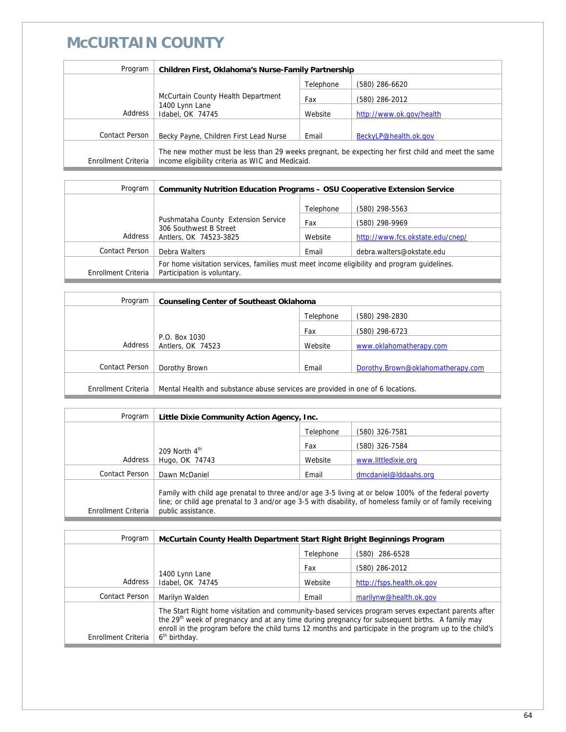## **McCURTAIN COUNTY**

| Program               | Children First, Oklahoma's Nurse-Family Partnership                                                                                                    |           |                          |  |
|-----------------------|--------------------------------------------------------------------------------------------------------------------------------------------------------|-----------|--------------------------|--|
|                       |                                                                                                                                                        | Telephone | (580) 286-6620           |  |
|                       | McCurtain County Health Department<br>1400 Lynn Lane<br>Address<br>Idabel, OK 74745                                                                    | Fax       | (580) 286-2012           |  |
|                       |                                                                                                                                                        | Website   | http://www.ok.gov/health |  |
| <b>Contact Person</b> | Becky Payne, Children First Lead Nurse                                                                                                                 | Email     | BeckyLP@health.ok.gov    |  |
| Enrollment Criteria   | The new mother must be less than 29 weeks pregnant, be expecting her first child and meet the same<br>income eligibility criteria as WIC and Medicaid. |           |                          |  |

| Program             | <b>Community Nutrition Education Programs - OSU Cooperative Extension Service</b>                                          |           |                                  |
|---------------------|----------------------------------------------------------------------------------------------------------------------------|-----------|----------------------------------|
|                     |                                                                                                                            | Telephone | (580) 298-5563                   |
|                     | Pushmataha County Extension Service                                                                                        | Fax       | (580) 298-9969                   |
| Address             | 306 Southwest B Street<br>Antlers, OK 74523-3825                                                                           | Website   | http://www.fcs.okstate.edu/cnep/ |
| Contact Person      | Debra Walters                                                                                                              | Email     | debra.walters@okstate.edu        |
| Enrollment Criteria | For home visitation services, families must meet income eligibility and program guidelines.<br>Participation is voluntary. |           |                                  |

| <b>Counseling Center of Southeast Oklahoma</b>                                 |           |                                   |
|--------------------------------------------------------------------------------|-----------|-----------------------------------|
|                                                                                | Telephone | (580) 298-2830                    |
| P.O. Box 1030<br>Address<br>Antlers, OK 74523                                  | Fax       | (580) 298-6723                    |
|                                                                                | Website   | www.oklahomatherapy.com           |
|                                                                                |           |                                   |
| Dorothy Brown                                                                  | Email     | Dorothy.Brown@oklahomatherapy.com |
| Mental Health and substance abuse services are provided in one of 6 locations. |           |                                   |
|                                                                                |           |                                   |

| Program             | Little Dixie Community Action Agency, Inc.                                                                                                                                                                                                |           |                       |
|---------------------|-------------------------------------------------------------------------------------------------------------------------------------------------------------------------------------------------------------------------------------------|-----------|-----------------------|
|                     |                                                                                                                                                                                                                                           | Telephone | (580) 326-7581        |
|                     | 209 North $4th$<br>Hugo, OK 74743                                                                                                                                                                                                         | Fax       | (580) 326-7584        |
| Address             |                                                                                                                                                                                                                                           | Website   | www.littledixie.org   |
| Contact Person      | Dawn McDaniel                                                                                                                                                                                                                             | Email     | dmcdaniel@lddaahs.org |
| Enrollment Criteria | Family with child age prenatal to three and/or age 3-5 living at or below 100% of the federal poverty<br>line; or child age prenatal to 3 and/or age 3-5 with disability, of homeless family or of family receiving<br>public assistance. |           |                       |

| Program             | McCurtain County Health Department Start Right Bright Beginnings Program                                                                                                                                                                                                                                                                                   |           |                           |
|---------------------|------------------------------------------------------------------------------------------------------------------------------------------------------------------------------------------------------------------------------------------------------------------------------------------------------------------------------------------------------------|-----------|---------------------------|
|                     |                                                                                                                                                                                                                                                                                                                                                            | Telephone | (580) 286-6528            |
|                     | 1400 Lynn Lane<br>Idabel, OK 74745                                                                                                                                                                                                                                                                                                                         | Fax       | (580) 286-2012            |
| Address             |                                                                                                                                                                                                                                                                                                                                                            | Website   | http://fsps.health.ok.gov |
| Contact Person      | Marilyn Walden                                                                                                                                                                                                                                                                                                                                             | Email     | marilynw@health.ok.gov    |
| Enrollment Criteria | The Start Right home visitation and community-based services program serves expectant parents after<br>the 29 <sup>th</sup> week of pregnancy and at any time during pregnancy for subsequent births. A family may<br>enroll in the program before the child turns 12 months and participate in the program up to the child's<br>6 <sup>th</sup> birthday. |           |                           |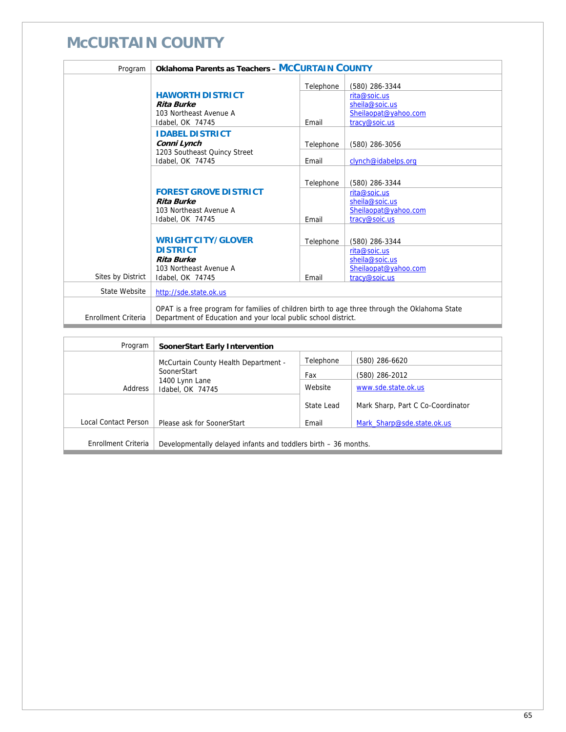## **McCURTAIN COUNTY**

| Program             | <b>Oklahoma Parents as Teachers - MCCURTAIN COUNTY</b>                                        |           |                      |
|---------------------|-----------------------------------------------------------------------------------------------|-----------|----------------------|
|                     |                                                                                               | Telephone | (580) 286-3344       |
|                     | <b>HAWORTH DISTRICT</b>                                                                       |           | rita@soic.us         |
|                     | <b>Rita Burke</b>                                                                             |           | sheila@soic.us       |
|                     | 103 Northeast Avenue A                                                                        |           | Sheilaopat@yahoo.com |
|                     | Idabel, OK 74745                                                                              | Email     | tracy@soic.us        |
|                     | <b>IDABEL DISTRICT</b>                                                                        |           |                      |
|                     | Conni Lynch                                                                                   | Telephone | (580) 286-3056       |
|                     | 1203 Southeast Quincy Street                                                                  |           |                      |
|                     | Idabel, OK 74745                                                                              | Email     | clynch@idabelps.org  |
|                     |                                                                                               |           |                      |
|                     |                                                                                               | Telephone | (580) 286-3344       |
|                     | <b>FOREST GROVE DISTRICT</b>                                                                  |           | rita@soic.us         |
|                     | <b>Rita Burke</b>                                                                             |           | sheila@soic.us       |
|                     | 103 Northeast Avenue A                                                                        |           | Sheilaopat@yahoo.com |
|                     | Idabel, OK 74745                                                                              | Email     | tracy@soic.us        |
|                     |                                                                                               |           |                      |
|                     | <b>WRIGHT CITY/GLOVER</b>                                                                     | Telephone | (580) 286-3344       |
|                     | <b>DISTRICT</b>                                                                               |           | rita@soic.us         |
|                     | <b>Rita Burke</b>                                                                             |           | sheila@soic.us       |
|                     | 103 Northeast Avenue A                                                                        |           | Sheilaopat@yahoo.com |
| Sites by District   | Idabel, OK 74745                                                                              | Email     | tracy@soic.us        |
| State Website       | http://sde.state.ok.us                                                                        |           |                      |
|                     |                                                                                               |           |                      |
|                     | OPAT is a free program for families of children birth to age three through the Oklahoma State |           |                      |
| Enrollment Criteria | Department of Education and your local public school district.                                |           |                      |

| Program              | SoonerStart Early Intervention                                  |            |                                   |
|----------------------|-----------------------------------------------------------------|------------|-----------------------------------|
|                      | McCurtain County Health Department -                            | Telephone  | (580) 286-6620                    |
|                      | SoonerStart                                                     | Fax        | (580) 286-2012                    |
| Address              | 1400 Lynn Lane<br>Idabel, OK 74745                              | Website    | www.sde.state.ok.us               |
|                      |                                                                 | State Lead | Mark Sharp, Part C Co-Coordinator |
| Local Contact Person | Please ask for SoonerStart                                      | Email      | Mark Sharp@sde.state.ok.us        |
| Enrollment Criteria  | Developmentally delayed infants and toddlers birth - 36 months. |            |                                   |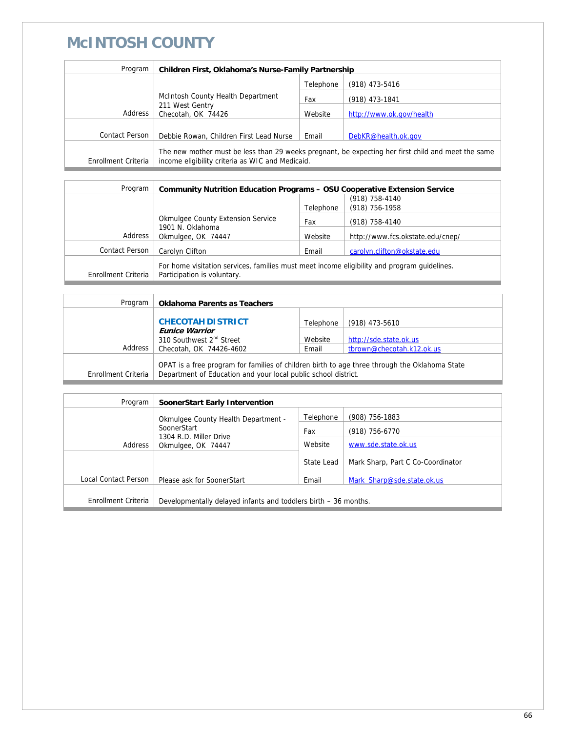### **McINTOSH COUNTY**

| Program             | Children First, Oklahoma's Nurse-Family Partnership                                                                                                    |           |                          |
|---------------------|--------------------------------------------------------------------------------------------------------------------------------------------------------|-----------|--------------------------|
|                     |                                                                                                                                                        | Telephone | $(918)$ 473-5416         |
|                     | McIntosh County Health Department<br>211 West Gentry<br>Checotah, OK 74426                                                                             | Fax       | (918) 473-1841           |
| Address             |                                                                                                                                                        | Website   | http://www.ok.gov/health |
| Contact Person      | Debbie Rowan, Children First Lead Nurse                                                                                                                | Email     | DebKR@health.ok.gov      |
| Enrollment Criteria | The new mother must be less than 29 weeks pregnant, be expecting her first child and meet the same<br>income eligibility criteria as WIC and Medicaid. |           |                          |

| Program               | <b>Community Nutrition Education Programs - OSU Cooperative Extension Service</b>                                          |           |                                  |
|-----------------------|----------------------------------------------------------------------------------------------------------------------------|-----------|----------------------------------|
|                       |                                                                                                                            |           | (918) 758-4140                   |
|                       |                                                                                                                            | Telephone | (918) 756-1958                   |
|                       | <b>Okmulgee County Extension Service</b><br>1901 N. Oklahoma                                                               | Fax       | (918) 758-4140                   |
| Address               | Okmulgee, OK 74447                                                                                                         | Website   | http://www.fcs.okstate.edu/cnep/ |
|                       |                                                                                                                            |           |                                  |
| <b>Contact Person</b> | Carolyn Clifton                                                                                                            | Email     | carolyn.clifton@okstate.edu      |
| Enrollment Criteria   | For home visitation services, families must meet income eligibility and program guidelines.<br>Participation is voluntary. |           |                                  |

| Program             | <b>Oklahoma Parents as Teachers</b>                                                                                                                             |           |                           |
|---------------------|-----------------------------------------------------------------------------------------------------------------------------------------------------------------|-----------|---------------------------|
|                     | <b>CHECOTAH DISTRICT</b>                                                                                                                                        | Telephone | $(918)$ 473-5610          |
|                     | <b>Eunice Warrior</b><br>310 Southwest 2 <sup>nd</sup> Street                                                                                                   | Website   | http://sde.state.ok.us    |
| Address             | Checotah, OK 74426-4602                                                                                                                                         | Email     | tbrown@checotah.k12.ok.us |
| Enrollment Criteria | OPAT is a free program for families of children birth to age three through the Oklahoma State<br>Department of Education and your local public school district. |           |                           |

| Program              | SoonerStart Early Intervention                                         |            |                                   |
|----------------------|------------------------------------------------------------------------|------------|-----------------------------------|
|                      | Okmulgee County Health Department -                                    | Telephone  | $(908)$ 756-1883                  |
|                      | SoonerStart<br>1304 R.D. Miller Drive<br>Address<br>Okmulgee, OK 74447 | Fax        | $(918)$ 756-6770                  |
|                      |                                                                        | Website    | www.sde.state.ok.us               |
|                      |                                                                        | State Lead | Mark Sharp, Part C Co-Coordinator |
| Local Contact Person | Please ask for SoonerStart                                             | Email      | Mark Sharp@sde.state.ok.us        |
| Enrollment Criteria  | Developmentally delayed infants and toddlers birth – 36 months.        |            |                                   |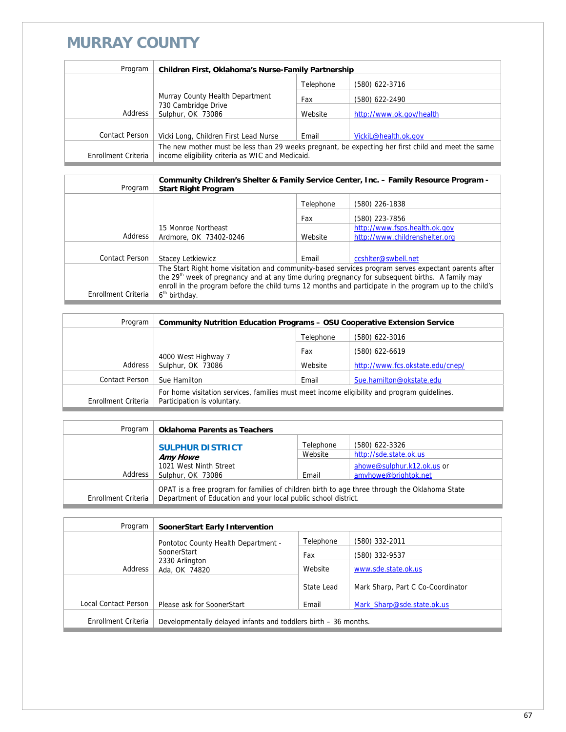### **MURRAY COUNTY**

| Program             | Children First, Oklahoma's Nurse-Family Partnership                                                                                                    |           |                          |
|---------------------|--------------------------------------------------------------------------------------------------------------------------------------------------------|-----------|--------------------------|
|                     |                                                                                                                                                        | Telephone | (580) 622-3716           |
|                     | Murray County Health Department<br>730 Cambridge Drive<br>Sulphur, OK 73086                                                                            | Fax       | (580) 622-2490           |
| Address             |                                                                                                                                                        | Website   | http://www.ok.gov/health |
|                     |                                                                                                                                                        |           |                          |
| Contact Person      | Vicki Long, Children First Lead Nurse                                                                                                                  | Email     | VickiL@health.ok.gov     |
| Enrollment Criteria | The new mother must be less than 29 weeks pregnant, be expecting her first child and meet the same<br>income eligibility criteria as WIC and Medicaid. |           |                          |

| Program               | Community Children's Shelter & Family Service Center, Inc. - Family Resource Program -<br><b>Start Right Program</b>                                                                                                                                                                                                          |           |                                |
|-----------------------|-------------------------------------------------------------------------------------------------------------------------------------------------------------------------------------------------------------------------------------------------------------------------------------------------------------------------------|-----------|--------------------------------|
|                       |                                                                                                                                                                                                                                                                                                                               | Telephone | (580) 226-1838                 |
|                       |                                                                                                                                                                                                                                                                                                                               | Fax       | (580) 223-7856                 |
|                       | 15 Monroe Northeast                                                                                                                                                                                                                                                                                                           |           | http://www.fsps.health.ok.gov  |
| Address               | Ardmore, OK 73402-0246                                                                                                                                                                                                                                                                                                        | Website   | http://www.childrenshelter.org |
|                       |                                                                                                                                                                                                                                                                                                                               |           |                                |
| <b>Contact Person</b> | Stacey Letkiewicz                                                                                                                                                                                                                                                                                                             | Email     | ccshiter@swbell.net            |
|                       | The Start Right home visitation and community-based services program serves expectant parents after<br>the 29 <sup>th</sup> week of pregnancy and at any time during pregnancy for subsequent births. A family may<br>enroll in the program before the child turns 12 months and participate in the program up to the child's |           |                                |
| Enrollment Criteria   | 6 <sup>th</sup> birthday.                                                                                                                                                                                                                                                                                                     |           |                                |

| Program             | <b>Community Nutrition Education Programs - OSU Cooperative Extension Service</b>                                          |           |                                  |
|---------------------|----------------------------------------------------------------------------------------------------------------------------|-----------|----------------------------------|
|                     |                                                                                                                            | Telephone | (580) 622-3016                   |
|                     |                                                                                                                            | Fax       | (580) 622-6619                   |
| Address             | 4000 West Highway 7<br>Sulphur, OK 73086                                                                                   | Website   | http://www.fcs.okstate.edu/cnep/ |
| Contact Person      | Sue Hamilton                                                                                                               | Email     | Sue.hamilton@okstate.edu         |
| Enrollment Criteria | For home visitation services, families must meet income eligibility and program guidelines.<br>Participation is voluntary. |           |                                  |

| Program             | <b>Oklahoma Parents as Teachers</b>                                                                                                                             |                      |                                                    |
|---------------------|-----------------------------------------------------------------------------------------------------------------------------------------------------------------|----------------------|----------------------------------------------------|
|                     | <b>SULPHUR DISTRICT</b><br><b>Amy Howe</b>                                                                                                                      | Telephone<br>Website | (580) 622-3326<br>http://sde.state.ok.us           |
| Address             | 1021 West Ninth Street<br>Sulphur, OK 73086                                                                                                                     | Email                | ahowe@sulphur.k12.ok.us or<br>amyhowe@brightok.net |
| Enrollment Criteria | OPAT is a free program for families of children birth to age three through the Oklahoma State<br>Department of Education and your local public school district. |                      |                                                    |

| Program              | <b>SoonerStart Early Intervention</b>                           |            |                                   |
|----------------------|-----------------------------------------------------------------|------------|-----------------------------------|
|                      | Pontotoc County Health Department -                             | Telephone  | (580) 332-2011                    |
|                      | SoonerStart                                                     | Fax        | (580) 332-9537                    |
| Address              | 2330 Arlington<br>Ada, OK 74820                                 | Website    | www.sde.state.ok.us               |
|                      |                                                                 | State Lead | Mark Sharp, Part C Co-Coordinator |
| Local Contact Person | Please ask for SoonerStart                                      | Email      | Mark Sharp@sde.state.ok.us        |
| Enrollment Criteria  | Developmentally delayed infants and toddlers birth – 36 months. |            |                                   |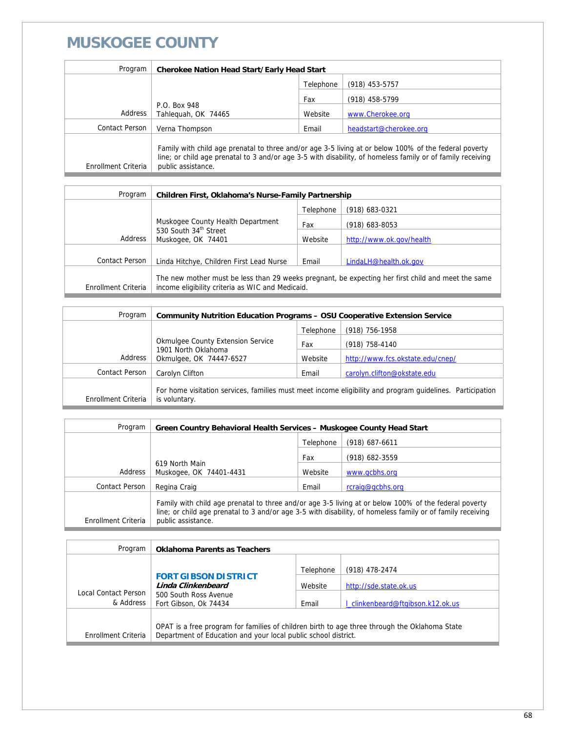## **MUSKOGEE COUNTY**

| Program             | <b>Cherokee Nation Head Start/Early Head Start</b>                                                                                                                                                                                        |           |                        |
|---------------------|-------------------------------------------------------------------------------------------------------------------------------------------------------------------------------------------------------------------------------------------|-----------|------------------------|
|                     |                                                                                                                                                                                                                                           | Telephone | (918) 453-5757         |
|                     |                                                                                                                                                                                                                                           | Fax       | (918) 458-5799         |
| Address             | P.O. Box 948<br>Tahleguah, OK 74465                                                                                                                                                                                                       | Website   | www.Cherokee.org       |
| Contact Person      | Verna Thompson                                                                                                                                                                                                                            | Email     | headstart@cherokee.org |
| Enrollment Criteria | Family with child age prenatal to three and/or age 3-5 living at or below 100% of the federal poverty<br>line; or child age prenatal to 3 and/or age 3-5 with disability, of homeless family or of family receiving<br>public assistance. |           |                        |

| Program             | Children First, Oklahoma's Nurse-Family Partnership                                                                                                    |           |                          |
|---------------------|--------------------------------------------------------------------------------------------------------------------------------------------------------|-----------|--------------------------|
|                     |                                                                                                                                                        | Telephone | (918) 683-0321           |
|                     | Muskogee County Health Department                                                                                                                      | Fax       | (918) 683-8053           |
| Address             | 530 South 34th Street<br>Muskogee, OK 74401                                                                                                            | Website   | http://www.ok.gov/health |
|                     |                                                                                                                                                        |           |                          |
| Contact Person      | Linda Hitchye, Children First Lead Nurse                                                                                                               | Email     | LindaLH@health.ok.gov    |
| Enrollment Criteria | The new mother must be less than 29 weeks pregnant, be expecting her first child and meet the same<br>income eligibility criteria as WIC and Medicaid. |           |                          |

| Program             | <b>Community Nutrition Education Programs - OSU Cooperative Extension Service</b> |           |                                                                                                           |
|---------------------|-----------------------------------------------------------------------------------|-----------|-----------------------------------------------------------------------------------------------------------|
|                     |                                                                                   | Telephone | (918) 756-1958                                                                                            |
|                     | <b>Okmulgee County Extension Service</b><br>1901 North Oklahoma                   | Fax       | (918) 758-4140                                                                                            |
| Address             | Okmulgee, OK 74447-6527                                                           | Website   | http://www.fcs.okstate.edu/cnep/                                                                          |
| Contact Person      | Carolyn Clifton                                                                   | Email     | carolyn.clifton@okstate.edu                                                                               |
| Enrollment Criteria | is voluntary.                                                                     |           | For home visitation services, families must meet income eligibility and program quidelines. Participation |

| Program             | Green Country Behavioral Health Services - Muskogee County Head Start                                                                                                                                                                     |           |                  |
|---------------------|-------------------------------------------------------------------------------------------------------------------------------------------------------------------------------------------------------------------------------------------|-----------|------------------|
|                     |                                                                                                                                                                                                                                           | Telephone | $(918)$ 687-6611 |
|                     |                                                                                                                                                                                                                                           | Fax       | (918) 682-3559   |
| Address             | 619 North Main<br>Muskogee, OK 74401-4431                                                                                                                                                                                                 | Website   | www.gcbhs.org    |
| Contact Person      | Regina Craig                                                                                                                                                                                                                              | Email     | rcraig@gcbhs.org |
| Enrollment Criteria | Family with child age prenatal to three and/or age 3-5 living at or below 100% of the federal poverty<br>line; or child age prenatal to 3 and/or age 3-5 with disability, of homeless family or of family receiving<br>public assistance. |           |                  |

| Program                           | <b>Oklahoma Parents as Teachers</b>                                                                                                                             |           |                                   |
|-----------------------------------|-----------------------------------------------------------------------------------------------------------------------------------------------------------------|-----------|-----------------------------------|
|                                   |                                                                                                                                                                 | Telephone | (918) 478-2474                    |
|                                   | <b>FORT GIBSON DISTRICT</b><br>Linda Clinkenbeard<br>500 South Ross Avenue<br>Fort Gibson, Ok 74434                                                             | Website   | http://sde.state.ok.us            |
| Local Contact Person<br>& Address |                                                                                                                                                                 | Email     | I clinkenbeard@ftgibson.k12.ok.us |
| Enrollment Criteria               | OPAT is a free program for families of children birth to age three through the Oklahoma State<br>Department of Education and your local public school district. |           |                                   |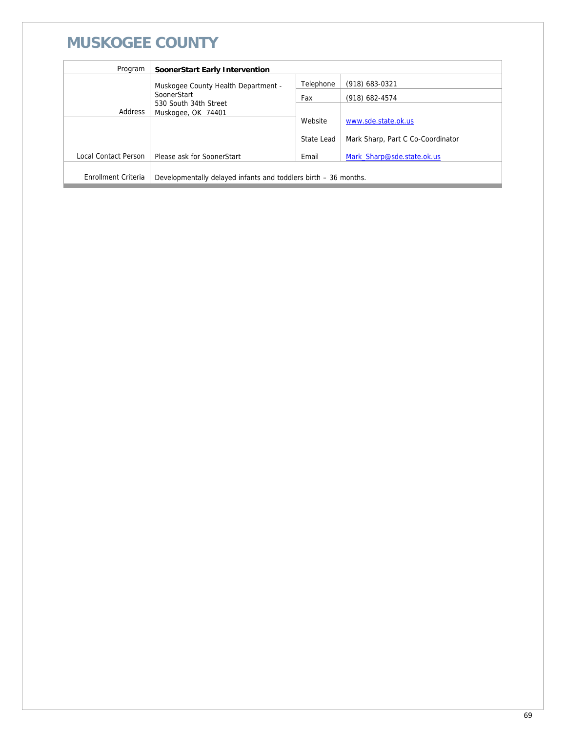# **MUSKOGEE COUNTY**

| Program                    | SoonerStart Early Intervention                                  |            |                                   |
|----------------------------|-----------------------------------------------------------------|------------|-----------------------------------|
|                            | Muskogee County Health Department -                             | Telephone  | (918) 683-0321                    |
|                            | SoonerStart                                                     | Fax        | (918) 682-4574                    |
| Address                    | 530 South 34th Street<br>Muskogee, OK 74401                     |            |                                   |
|                            |                                                                 | Website    | www.sde.state.ok.us               |
|                            |                                                                 | State Lead | Mark Sharp, Part C Co-Coordinator |
| Local Contact Person       | Please ask for SoonerStart                                      | Email      | Mark Sharp@sde.state.ok.us        |
|                            |                                                                 |            |                                   |
| <b>Enrollment Criteria</b> | Developmentally delayed infants and toddlers birth – 36 months. |            |                                   |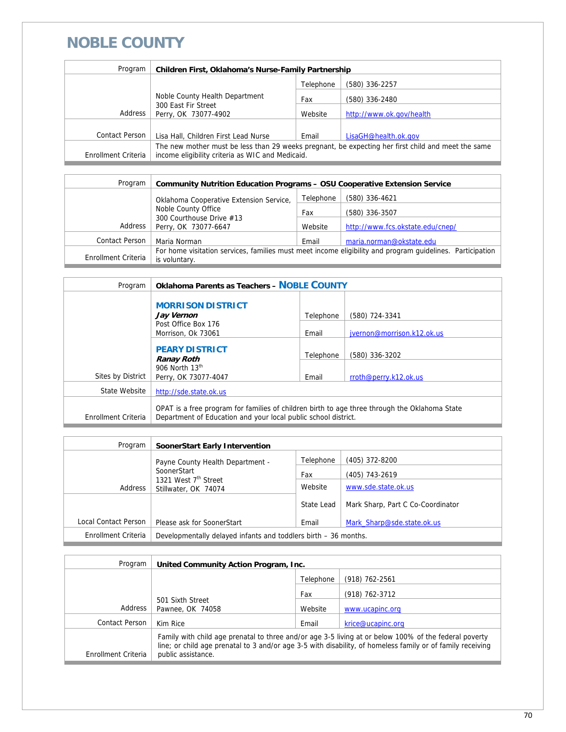### **NOBLE COUNTY**

| Program             | Children First, Oklahoma's Nurse-Family Partnership                                                                                                    |           |                          |
|---------------------|--------------------------------------------------------------------------------------------------------------------------------------------------------|-----------|--------------------------|
|                     |                                                                                                                                                        | Telephone | (580) 336-2257           |
|                     | Noble County Health Department                                                                                                                         | Fax       | (580) 336-2480           |
| Address             | 300 East Fir Street<br>Perry, OK 73077-4902                                                                                                            | Website   | http://www.ok.gov/health |
|                     |                                                                                                                                                        |           |                          |
| Contact Person      | Lisa Hall, Children First Lead Nurse                                                                                                                   | Email     | LisaGH@health.ok.gov     |
| Enrollment Criteria | The new mother must be less than 29 weeks pregnant, be expecting her first child and meet the same<br>income eligibility criteria as WIC and Medicaid. |           |                          |

| Program             | <b>Community Nutrition Education Programs - OSU Cooperative Extension Service</b>                                          |           |                                  |
|---------------------|----------------------------------------------------------------------------------------------------------------------------|-----------|----------------------------------|
|                     | Oklahoma Cooperative Extension Service,<br>Noble County Office                                                             | Telephone | (580) 336-4621                   |
|                     |                                                                                                                            | Fax       | (580) 336-3507                   |
| Address             | 300 Courthouse Drive #13<br>Perry, OK 73077-6647                                                                           | Website   | http://www.fcs.okstate.edu/cnep/ |
| Contact Person      | Maria Norman                                                                                                               | Email     | maria.norman@okstate.edu         |
| Enrollment Criteria | For home visitation services, families must meet income eligibility and program quidelines. Participation<br>is voluntary. |           |                                  |
|                     |                                                                                                                            |           |                                  |

| Program             | <b>Oklahoma Parents as Teachers - NOBLE COUNTY</b>                                                                                                              |           |                            |
|---------------------|-----------------------------------------------------------------------------------------------------------------------------------------------------------------|-----------|----------------------------|
|                     | <b>MORRISON DISTRICT</b><br>Jay Vernon                                                                                                                          | Telephone | (580) 724-3341             |
|                     | Post Office Box 176<br>Morrison, Ok 73061                                                                                                                       | Email     | jvernon@morrison.k12.ok.us |
|                     | <b>PEARY DISTRICT</b><br><b>Ranay Roth</b>                                                                                                                      | Telephone | (580) 336-3202             |
| Sites by District   | 906 North 13th<br>Perry, OK 73077-4047                                                                                                                          | Email     | rroth@perry.k12.ok.us      |
| State Website       | http://sde.state.ok.us                                                                                                                                          |           |                            |
| Enrollment Criteria | OPAT is a free program for families of children birth to age three through the Oklahoma State<br>Department of Education and your local public school district. |           |                            |

| Program              | SoonerStart Early Intervention                                  |            |                                   |
|----------------------|-----------------------------------------------------------------|------------|-----------------------------------|
|                      | Payne County Health Department -                                | Telephone  | (405) 372-8200                    |
|                      | SoonerStart                                                     | Fax        | (405) 743-2619                    |
| Address              | 1321 West 7 <sup>th</sup> Street<br>Stillwater, OK 74074        | Website    | www.sde.state.ok.us               |
|                      |                                                                 | State Lead | Mark Sharp, Part C Co-Coordinator |
| Local Contact Person | Please ask for SoonerStart                                      | Email      | Mark Sharp@sde.state.ok.us        |
| Enrollment Criteria  | Developmentally delayed infants and toddlers birth - 36 months. |            |                                   |

| Program             | United Community Action Program, Inc.                                                                                                                                                                                                     |           |                   |
|---------------------|-------------------------------------------------------------------------------------------------------------------------------------------------------------------------------------------------------------------------------------------|-----------|-------------------|
|                     |                                                                                                                                                                                                                                           | Telephone | (918) 762-2561    |
|                     |                                                                                                                                                                                                                                           | Fax       | (918) 762-3712    |
| Address             | 501 Sixth Street<br>Pawnee, OK 74058                                                                                                                                                                                                      | Website   | www.ucapinc.org   |
| Contact Person      | Kim Rice                                                                                                                                                                                                                                  | Email     | krice@ucapinc.org |
| Enrollment Criteria | Family with child age prenatal to three and/or age 3-5 living at or below 100% of the federal poverty<br>line; or child age prenatal to 3 and/or age 3-5 with disability, of homeless family or of family receiving<br>public assistance. |           |                   |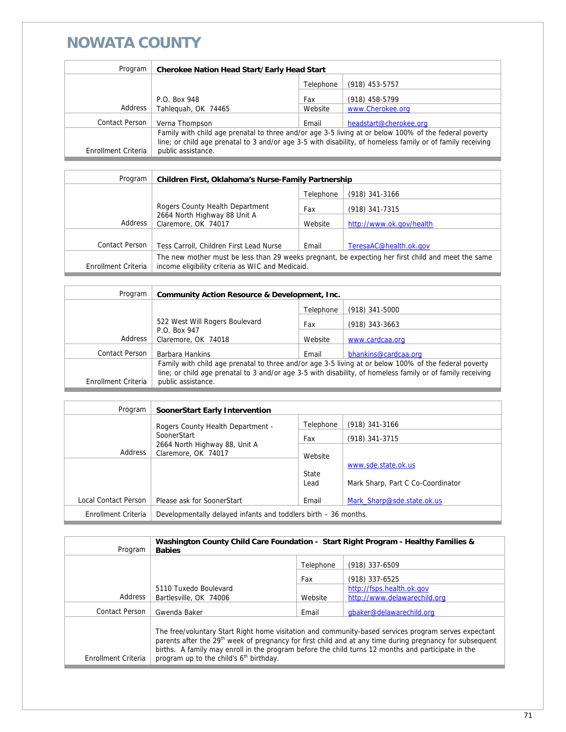#### **NOWATA COUNTY**

| Program             | <b>Cherokee Nation Head Start/Early Head Start</b>                                                                                                                                                                                        |           |                        |
|---------------------|-------------------------------------------------------------------------------------------------------------------------------------------------------------------------------------------------------------------------------------------|-----------|------------------------|
|                     |                                                                                                                                                                                                                                           | Telephone | $(918)$ 453-5757       |
|                     | P.O. Box 948                                                                                                                                                                                                                              | Fax       | (918) 458-5799         |
| Address             | Tahleguah, OK 74465                                                                                                                                                                                                                       | Website   | www.Cherokee.org       |
| Contact Person      | Verna Thompson                                                                                                                                                                                                                            | Email     | headstart@cherokee.org |
| Enrollment Criteria | Family with child age prenatal to three and/or age 3-5 living at or below 100% of the federal poverty<br>line; or child age prenatal to 3 and/or age 3-5 with disability, of homeless family or of family receiving<br>public assistance. |           |                        |

| Program             | Children First, Oklahoma's Nurse-Family Partnership                                                                                                    |                  |                          |
|---------------------|--------------------------------------------------------------------------------------------------------------------------------------------------------|------------------|--------------------------|
|                     |                                                                                                                                                        | $(918)$ 341-3166 |                          |
|                     | Rogers County Health Department<br>2664 North Highway 88 Unit A<br>Claremore, OK 74017                                                                 | Fax              | (918) 341-7315           |
| Address             |                                                                                                                                                        | Website          | http://www.ok.gov/health |
|                     |                                                                                                                                                        |                  |                          |
| Contact Person      | Tess Carroll, Children First Lead Nurse                                                                                                                | Email            | TeresaAC@health.ok.gov   |
| Enrollment Criteria | The new mother must be less than 29 weeks pregnant, be expecting her first child and meet the same<br>income eligibility criteria as WIC and Medicaid. |                  |                          |

| <b>Community Action Resource &amp; Development, Inc.</b>                                                                                                                                                                                  |  |  |
|-------------------------------------------------------------------------------------------------------------------------------------------------------------------------------------------------------------------------------------------|--|--|
|                                                                                                                                                                                                                                           |  |  |
|                                                                                                                                                                                                                                           |  |  |
|                                                                                                                                                                                                                                           |  |  |
|                                                                                                                                                                                                                                           |  |  |
| Family with child age prenatal to three and/or age 3-5 living at or below 100% of the federal poverty<br>line; or child age prenatal to 3 and/or age 3-5 with disability, of homeless family or of family receiving<br>public assistance. |  |  |
|                                                                                                                                                                                                                                           |  |  |

| Program              | SoonerStart Early Intervention                                  |               |                                   |
|----------------------|-----------------------------------------------------------------|---------------|-----------------------------------|
|                      | Rogers County Health Department -                               | Telephone     | $(918)$ 341-3166                  |
|                      | SoonerStart                                                     | Fax           | (918) 341-3715                    |
| Address              | 2664 North Highway 88, Unit A<br>Claremore, OK 74017            | Website       |                                   |
|                      |                                                                 |               | www.sde.state.ok.us               |
|                      |                                                                 | State<br>Lead | Mark Sharp, Part C Co-Coordinator |
| Local Contact Person | Please ask for SoonerStart                                      | Email         | Mark Sharp@sde.state.ok.us        |
| Enrollment Criteria  | Developmentally delayed infants and toddlers birth – 36 months. |               |                                   |

| Program             | Washington County Child Care Foundation - Start Right Program - Healthy Families &<br><b>Babies</b>                                                                                                                                                                                                                                                                                       |           |                              |
|---------------------|-------------------------------------------------------------------------------------------------------------------------------------------------------------------------------------------------------------------------------------------------------------------------------------------------------------------------------------------------------------------------------------------|-----------|------------------------------|
|                     |                                                                                                                                                                                                                                                                                                                                                                                           | Telephone | (918) 337-6509               |
|                     |                                                                                                                                                                                                                                                                                                                                                                                           | Fax       | (918) 337-6525               |
|                     | 5110 Tuxedo Boulevard                                                                                                                                                                                                                                                                                                                                                                     |           | http://fsps.health.ok.gov    |
| Address             | Bartlesville, OK 74006                                                                                                                                                                                                                                                                                                                                                                    | Website   | http://www.delawarechild.org |
| Contact Person      | Gwenda Baker                                                                                                                                                                                                                                                                                                                                                                              | Email     | gbaker@delawarechild.org     |
| Enrollment Criteria | The free/voluntary Start Right home visitation and community-based services program serves expectant<br>parents after the 29 <sup>th</sup> week of pregnancy for first child and at any time during pregnancy for subsequent<br>births. A family may enroll in the program before the child turns 12 months and participate in the<br>program up to the child's 6 <sup>th</sup> birthday. |           |                              |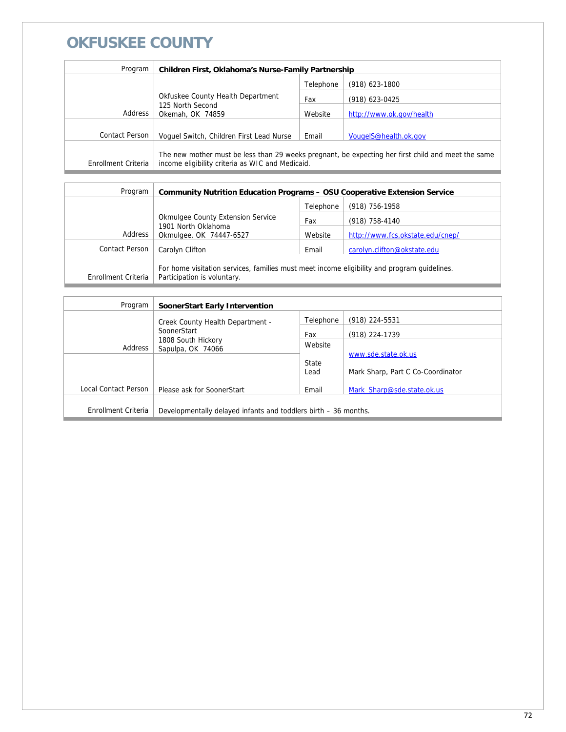## **OKFUSKEE COUNTY**

| Program             | Children First, Oklahoma's Nurse-Family Partnership                                                                                                    |           |                          |
|---------------------|--------------------------------------------------------------------------------------------------------------------------------------------------------|-----------|--------------------------|
|                     |                                                                                                                                                        | Telephone | (918) 623-1800           |
|                     | Okfuskee County Health Department                                                                                                                      | Fax       | (918) 623-0425           |
| Address             | 125 North Second<br>Okemah, OK 74859                                                                                                                   | Website   | http://www.ok.gov/health |
| Contact Person      | Voquel Switch, Children First Lead Nurse                                                                                                               | Email     | VougeIS@health.ok.gov    |
| Enrollment Criteria | The new mother must be less than 29 weeks pregnant, be expecting her first child and meet the same<br>income eligibility criteria as WIC and Medicaid. |           |                          |

| Program             | <b>Community Nutrition Education Programs - OSU Cooperative Extension Service</b>                                          |           |                                  |
|---------------------|----------------------------------------------------------------------------------------------------------------------------|-----------|----------------------------------|
|                     |                                                                                                                            | Telephone | (918) 756-1958                   |
|                     | <b>Okmulgee County Extension Service</b><br>1901 North Oklahoma                                                            | Fax       | (918) 758-4140                   |
| Address             | Okmulgee, OK 74447-6527                                                                                                    | Website   | http://www.fcs.okstate.edu/cnep/ |
| Contact Person      | Carolyn Clifton                                                                                                            | Email     | carolyn.clifton@okstate.edu      |
| Enrollment Criteria | For home visitation services, families must meet income eligibility and program quidelines.<br>Participation is voluntary. |           |                                  |

| Program              | SoonerStart Early Intervention                                  |           |                                   |
|----------------------|-----------------------------------------------------------------|-----------|-----------------------------------|
|                      | Creek County Health Department -                                | Telephone | (918) 224-5531                    |
|                      | SoonerStart<br>1808 South Hickory<br>Sapulpa, OK 74066          | Fax       | (918) 224-1739                    |
| Address              |                                                                 | Website   |                                   |
|                      |                                                                 | State     | www.sde.state.ok.us               |
|                      |                                                                 | Lead      | Mark Sharp, Part C Co-Coordinator |
| Local Contact Person | Please ask for SoonerStart                                      | Email     | Mark Sharp@sde.state.ok.us        |
|                      |                                                                 |           |                                   |
| Enrollment Criteria  | Developmentally delayed infants and toddlers birth – 36 months. |           |                                   |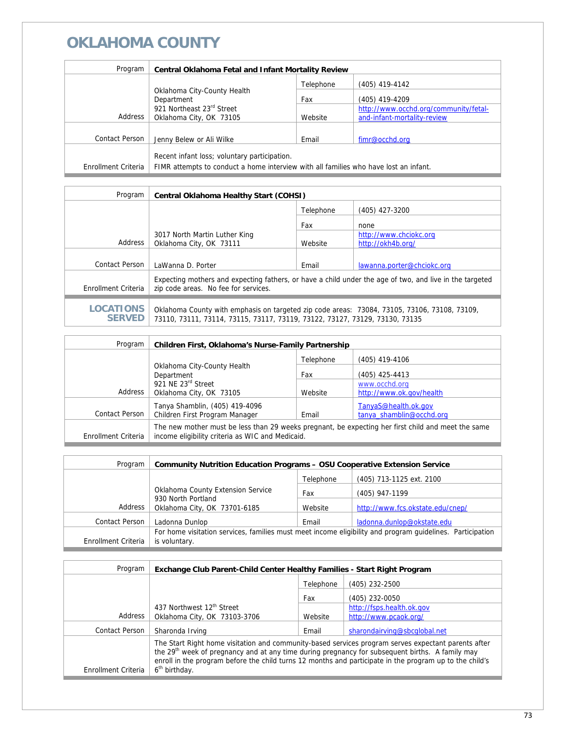| Program             | <b>Central Oklahoma Fetal and Infant Mortality Review</b>                            |           |                                       |
|---------------------|--------------------------------------------------------------------------------------|-----------|---------------------------------------|
|                     |                                                                                      | Telephone | (405) 419-4142                        |
|                     | Oklahoma City-County Health<br>Department<br>921 Northeast 23rd Street               | Fax       | (405) 419-4209                        |
|                     |                                                                                      |           | http://www.occhd.org/community/fetal- |
| Address             | Oklahoma City, OK 73105                                                              | Website   | and-infant-mortality-review           |
|                     |                                                                                      |           |                                       |
| Contact Person      | Jenny Belew or Ali Wilke                                                             | Email     | fimr@occhd.org                        |
|                     |                                                                                      |           |                                       |
|                     | Recent infant loss; voluntary participation.                                         |           |                                       |
| Enrollment Criteria | FIMR attempts to conduct a home interview with all families who have lost an infant. |           |                                       |

| Program                           | <b>Central Oklahoma Healthy Start (COHSI)</b>                                                                                                                               |           |                            |
|-----------------------------------|-----------------------------------------------------------------------------------------------------------------------------------------------------------------------------|-----------|----------------------------|
|                                   |                                                                                                                                                                             | Telephone | (405) 427-3200             |
|                                   |                                                                                                                                                                             | Fax       | none                       |
|                                   | 3017 North Martin Luther King                                                                                                                                               |           | http://www.chciokc.org     |
| Address                           | Oklahoma City, OK 73111                                                                                                                                                     | Website   | http://okh4b.org/          |
|                                   |                                                                                                                                                                             |           |                            |
| Contact Person                    | LaWanna D. Porter                                                                                                                                                           | Email     | lawanna.porter@chciokc.org |
| Enrollment Criteria               | Expecting mothers and expecting fathers, or have a child under the age of two, and live in the targeted<br>zip code areas. No fee for services.                             |           |                            |
|                                   |                                                                                                                                                                             |           |                            |
| <b>LOCATIONS</b><br><b>SERVED</b> | Oklahoma County with emphasis on targeted zip code areas: 73084, 73105, 73106, 73108, 73109,<br>73110, 73111, 73114, 73115, 73117, 73119, 73122, 73127, 73129, 73130, 73135 |           |                            |

| Program               | Children First, Oklahoma's Nurse-Family Partnership                                                                                                    |           |                                           |
|-----------------------|--------------------------------------------------------------------------------------------------------------------------------------------------------|-----------|-------------------------------------------|
|                       |                                                                                                                                                        | Telephone | (405) 419-4106                            |
|                       | Oklahoma City-County Health<br>Department<br>921 NE 23rd Street<br>Oklahoma City, OK 73105                                                             | Fax       | (405) 425-4413                            |
| Address               |                                                                                                                                                        | Website   | www.occhd.org<br>http://www.ok.gov/health |
|                       | Tanya Shamblin, (405) 419-4096                                                                                                                         |           | TanyaS@health.ok.gov                      |
| <b>Contact Person</b> | Children First Program Manager                                                                                                                         | Email     | tanya shamblin@occhd.org                  |
| Enrollment Criteria   | The new mother must be less than 29 weeks pregnant, be expecting her first child and meet the same<br>income eligibility criteria as WIC and Medicaid. |           |                                           |

| Program             | <b>Community Nutrition Education Programs - OSU Cooperative Extension Service</b>                         |           |                                  |
|---------------------|-----------------------------------------------------------------------------------------------------------|-----------|----------------------------------|
|                     |                                                                                                           | Telephone | (405) 713-1125 ext. 2100         |
|                     | Oklahoma County Extension Service<br>930 North Portland                                                   | Fax       | (405) 947-1199                   |
| Address             | Oklahoma City, OK 73701-6185                                                                              | Website   | http://www.fcs.okstate.edu/cnep/ |
| Contact Person      | Ladonna Dunlop                                                                                            | Email     | ladonna.dunlop@okstate.edu       |
|                     | For home visitation services, families must meet income eligibility and program quidelines. Participation |           |                                  |
| Enrollment Criteria | is voluntary.                                                                                             |           |                                  |

| Program               | Exchange Club Parent-Child Center Healthy Families - Start Right Program                                                                                                                                                                                                                                                                                   |           |                              |
|-----------------------|------------------------------------------------------------------------------------------------------------------------------------------------------------------------------------------------------------------------------------------------------------------------------------------------------------------------------------------------------------|-----------|------------------------------|
|                       |                                                                                                                                                                                                                                                                                                                                                            | Telephone | (405) 232-2500               |
|                       |                                                                                                                                                                                                                                                                                                                                                            | Fax       | (405) 232-0050               |
|                       | 437 Northwest 12th Street                                                                                                                                                                                                                                                                                                                                  |           | http://fsps.health.ok.gov    |
| Address               | Oklahoma City, OK 73103-3706                                                                                                                                                                                                                                                                                                                               | Website   | http://www.pcaok.org/        |
| <b>Contact Person</b> | Sharonda Irving                                                                                                                                                                                                                                                                                                                                            | Email     | sharondairving@sbcqlobal.net |
| Enrollment Criteria   | The Start Right home visitation and community-based services program serves expectant parents after<br>the 29 <sup>th</sup> week of pregnancy and at any time during pregnancy for subsequent births. A family may<br>enroll in the program before the child turns 12 months and participate in the program up to the child's<br>6 <sup>th</sup> birthday. |           |                              |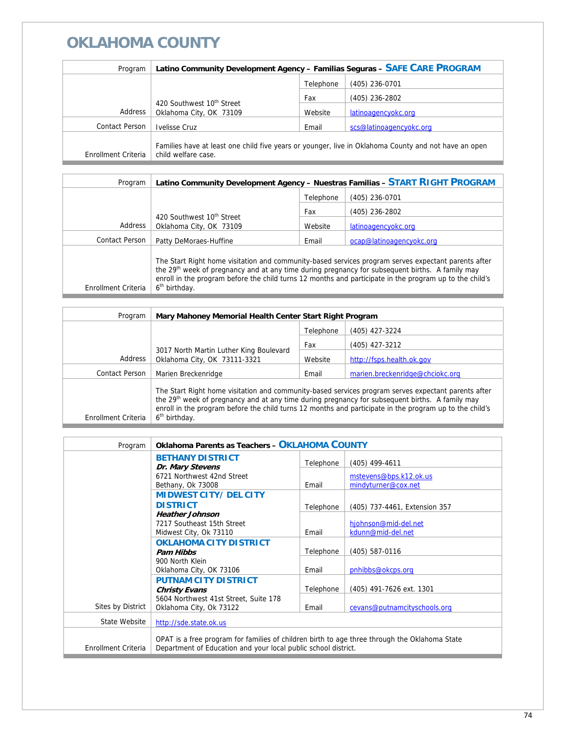| Program             | Latino Community Development Agency - Familias Seguras - SAFE CARE PROGRAM                                                  |           |                         |
|---------------------|-----------------------------------------------------------------------------------------------------------------------------|-----------|-------------------------|
|                     |                                                                                                                             | Telephone | (405) 236-0701          |
|                     | 420 Southwest 10 <sup>th</sup> Street<br>Oklahoma City, OK 73109                                                            | Fax       | (405) 236-2802          |
| Address             |                                                                                                                             | Website   | latinoagencyokc.org     |
| Contact Person      | Ivelisse Cruz                                                                                                               | Email     | scs@latinoagencyokc.org |
| Enrollment Criteria | Families have at least one child five years or younger, live in Oklahoma County and not have an open<br>child welfare case. |           |                         |

| Program               | Latino Community Development Agency - Nuestras Familias - START RIGHT PROGRAM                                                                                                                                                                                                                                                                              |           |                          |
|-----------------------|------------------------------------------------------------------------------------------------------------------------------------------------------------------------------------------------------------------------------------------------------------------------------------------------------------------------------------------------------------|-----------|--------------------------|
|                       |                                                                                                                                                                                                                                                                                                                                                            | Telephone | $(405)$ 236-0701         |
|                       |                                                                                                                                                                                                                                                                                                                                                            | Fax       | $(405)$ 236-2802         |
| Address               | 420 Southwest 10th Street<br>Oklahoma City, OK 73109                                                                                                                                                                                                                                                                                                       | Website   | latinoagencyokc.org      |
| <b>Contact Person</b> | Patty DeMoraes-Huffine                                                                                                                                                                                                                                                                                                                                     | Email     | ocap@latinoagencyokc.org |
| Enrollment Criteria   | The Start Right home visitation and community-based services program serves expectant parents after<br>the 29 <sup>th</sup> week of pregnancy and at any time during pregnancy for subsequent births. A family may<br>enroll in the program before the child turns 12 months and participate in the program up to the child's<br>6 <sup>th</sup> birthday. |           |                          |

| Program             | Mary Mahoney Memorial Health Center Start Right Program                                                                                                                                                                                                                                                                                                    |           |                                 |
|---------------------|------------------------------------------------------------------------------------------------------------------------------------------------------------------------------------------------------------------------------------------------------------------------------------------------------------------------------------------------------------|-----------|---------------------------------|
|                     |                                                                                                                                                                                                                                                                                                                                                            | Telephone | (405) 427-3224                  |
|                     | 3017 North Martin Luther King Boulevard<br>Oklahoma City, OK 73111-3321                                                                                                                                                                                                                                                                                    | Fax       | (405) 427-3212                  |
| Address             |                                                                                                                                                                                                                                                                                                                                                            | Website   | http://fsps.health.ok.gov       |
| Contact Person      | Marien Breckenridge                                                                                                                                                                                                                                                                                                                                        | Email     | marien.breckenridge@chciokc.org |
| Enrollment Criteria | The Start Right home visitation and community-based services program serves expectant parents after<br>the 29 <sup>th</sup> week of pregnancy and at any time during pregnancy for subsequent births. A family may<br>enroll in the program before the child turns 12 months and participate in the program up to the child's<br>6 <sup>th</sup> birthday. |           |                                 |

| Program             | <b>Oklahoma Parents as Teachers - OKLAHOMA COUNTY</b>                                                                                                           |           |                                               |
|---------------------|-----------------------------------------------------------------------------------------------------------------------------------------------------------------|-----------|-----------------------------------------------|
|                     | <b>BETHANY DISTRICT</b><br>Dr. Mary Stevens                                                                                                                     | Telephone | $(405)$ 499-4611                              |
|                     | 6721 Northwest 42nd Street<br>Bethany, Ok 73008                                                                                                                 | Email     | mstevens@bps.k12.ok.us<br>mindyturner@cox.net |
|                     | <b>MIDWEST CITY/DELCITY</b>                                                                                                                                     |           |                                               |
|                     | <b>DISTRICT</b><br><b>Heather Johnson</b>                                                                                                                       | Telephone | (405) 737-4461, Extension 357                 |
|                     | 7217 Southeast 15th Street<br>Midwest City, Ok 73110                                                                                                            | Email     | hjohnson@mid-del.net<br>kdunn@mid-del.net     |
|                     | <b>OKLAHOMA CITY DISTRICT</b><br><b>Pam Hibbs</b>                                                                                                               | Telephone | (405) 587-0116                                |
|                     | 900 North Klein<br>Oklahoma City, OK 73106                                                                                                                      | Email     | pnhibbs@okcps.org                             |
|                     | <b>PUTNAM CITY DISTRICT</b><br><b>Christy Evans</b>                                                                                                             | Telephone | (405) 491-7626 ext. 1301                      |
| Sites by District   | 5604 Northwest 41st Street, Suite 178<br>Oklahoma City, Ok 73122                                                                                                | Email     | cevans@putnamcityschools.org                  |
| State Website       | http://sde.state.ok.us                                                                                                                                          |           |                                               |
| Enrollment Criteria | OPAT is a free program for families of children birth to age three through the Oklahoma State<br>Department of Education and your local public school district. |           |                                               |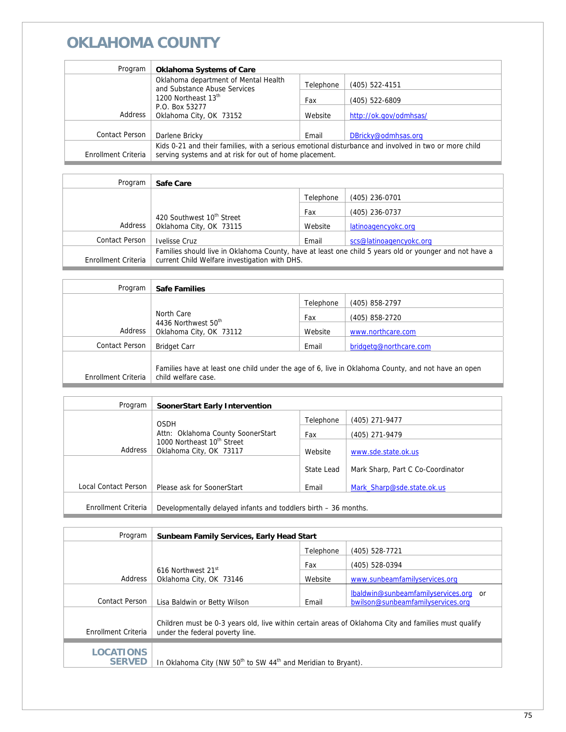| Program             | <b>Oklahoma Systems of Care</b>                                                                      |           |                        |
|---------------------|------------------------------------------------------------------------------------------------------|-----------|------------------------|
|                     | Oklahoma department of Mental Health<br>and Substance Abuse Services                                 | Telephone | $(405)$ 522-4151       |
|                     | 1200 Northeast 13th                                                                                  | Fax       | $(405)$ 522-6809       |
| Address             | P.O. Box 53277<br>Oklahoma City, OK 73152                                                            | Website   | http://ok.gov/odmhsas/ |
| Contact Person      | Darlene Bricky                                                                                       | Email     | DBricky@odmhsas.org    |
|                     | Kids 0-21 and their families, with a serious emotional disturbance and involved in two or more child |           |                        |
| Enrollment Criteria | serving systems and at risk for out of home placement.                                               |           |                        |

| Program             | Safe Care                                                                                                                                               |           |                         |
|---------------------|---------------------------------------------------------------------------------------------------------------------------------------------------------|-----------|-------------------------|
|                     |                                                                                                                                                         | Telephone | $(405)$ 236-0701        |
|                     | 420 Southwest 10th Street<br>Oklahoma City, OK 73115                                                                                                    | Fax       | (405) 236-0737          |
| Address             |                                                                                                                                                         | Website   | latinoagencyokc.org     |
| Contact Person      | Ivelisse Cruz                                                                                                                                           | Email     | scs@latinoagencyokc.org |
| Enrollment Criteria | Families should live in Oklahoma County, have at least one child 5 years old or younger and not have a<br>current Child Welfare investigation with DHS. |           |                         |

| Program             | <b>Safe Families</b>                                                                                                      |           |                        |
|---------------------|---------------------------------------------------------------------------------------------------------------------------|-----------|------------------------|
|                     |                                                                                                                           | Telephone | (405) 858-2797         |
|                     | North Care<br>4436 Northwest 50 <sup>th</sup><br>Oklahoma City, OK 73112                                                  | Fax       | (405) 858-2720         |
| Address             |                                                                                                                           | Website   | www.northcare.com      |
| Contact Person      | <b>Bridget Carr</b>                                                                                                       | Email     | bridgetg@northcare.com |
|                     |                                                                                                                           |           |                        |
| Enrollment Criteria | Families have at least one child under the age of 6, live in Oklahoma County, and not have an open<br>child welfare case. |           |                        |
|                     |                                                                                                                           |           |                        |

| Program              | SoonerStart Early Intervention                                                                                    |            |                                   |
|----------------------|-------------------------------------------------------------------------------------------------------------------|------------|-----------------------------------|
|                      | <b>OSDH</b>                                                                                                       | Telephone  | (405) 271-9477                    |
|                      | Attn: Oklahoma County SoonerStart<br>1000 Northeast 10 <sup>th</sup> Street<br>Address<br>Oklahoma City, OK 73117 | Fax        | (405) 271-9479                    |
|                      |                                                                                                                   | Website    | www.sde.state.ok.us               |
|                      |                                                                                                                   | State Lead | Mark Sharp, Part C Co-Coordinator |
| Local Contact Person | Please ask for SoonerStart                                                                                        | Email      | Mark Sharp@sde.state.ok.us        |
|                      |                                                                                                                   |            |                                   |
| Enrollment Criteria  | Developmentally delayed infants and toddlers birth – 36 months.                                                   |            |                                   |

| Program                           | <b>Sunbeam Family Services, Early Head Start</b>                                                                                        |           |                                       |
|-----------------------------------|-----------------------------------------------------------------------------------------------------------------------------------------|-----------|---------------------------------------|
|                                   |                                                                                                                                         | Telephone | (405) 528-7721                        |
|                                   |                                                                                                                                         | Fax       | (405) 528-0394                        |
| Address                           | 616 Northwest 21 <sup>st</sup><br>Oklahoma City, OK 73146                                                                               | Website   | www.sunbeamfamilyservices.org         |
|                                   |                                                                                                                                         |           | lbaldwin@sunbeamfamilyservices.org or |
| Contact Person                    | Lisa Baldwin or Betty Wilson                                                                                                            | Email     | bwilson@sunbeamfamilyservices.org     |
| Enrollment Criteria               | Children must be 0-3 years old, live within certain areas of Oklahoma City and families must qualify<br>under the federal poverty line. |           |                                       |
| <b>LOCATIONS</b><br><b>SERVED</b> | In Oklahoma City (NW 50 <sup>th</sup> to SW 44 <sup>th</sup> and Meridian to Bryant).                                                   |           |                                       |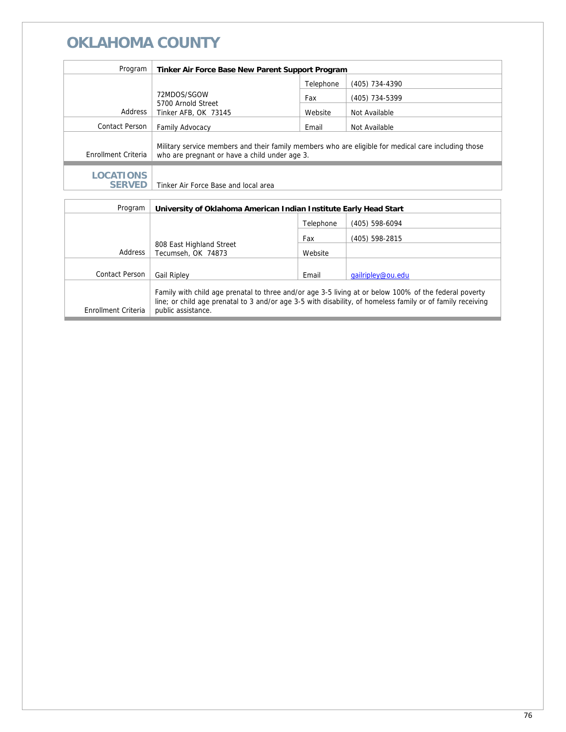| Program                           | Tinker Air Force Base New Parent Support Program                                                                                                     |           |                |
|-----------------------------------|------------------------------------------------------------------------------------------------------------------------------------------------------|-----------|----------------|
|                                   |                                                                                                                                                      | Telephone | (405) 734-4390 |
|                                   | 72MDOS/SGOW<br>5700 Arnold Street<br>Tinker AFB, OK 73145                                                                                            | Fax       | (405) 734-5399 |
| Address                           |                                                                                                                                                      | Website   | Not Available  |
| Contact Person                    | <b>Family Advocacy</b>                                                                                                                               | Email     | Not Available  |
| Enrollment Criteria               | Military service members and their family members who are eligible for medical care including those<br>who are pregnant or have a child under age 3. |           |                |
| <b>LOCATIONS</b><br><b>SERVED</b> | Tinker Air Force Base and local area                                                                                                                 |           |                |

| Program             | University of Oklahoma American Indian Institute Early Head Start |           |                                                                                                                                                                                                                     |
|---------------------|-------------------------------------------------------------------|-----------|---------------------------------------------------------------------------------------------------------------------------------------------------------------------------------------------------------------------|
|                     |                                                                   | Telephone | (405) 598-6094                                                                                                                                                                                                      |
|                     |                                                                   | Fax       | (405) 598-2815                                                                                                                                                                                                      |
| Address             | 808 East Highland Street<br>Tecumseh, OK 74873                    | Website   |                                                                                                                                                                                                                     |
|                     |                                                                   |           |                                                                                                                                                                                                                     |
| Contact Person      | <b>Gail Ripley</b>                                                | Email     | gailripley@ou.edu                                                                                                                                                                                                   |
| Enrollment Criteria | public assistance.                                                |           | Family with child age prenatal to three and/or age 3-5 living at or below 100% of the federal poverty<br>line; or child age prenatal to 3 and/or age 3-5 with disability, of homeless family or of family receiving |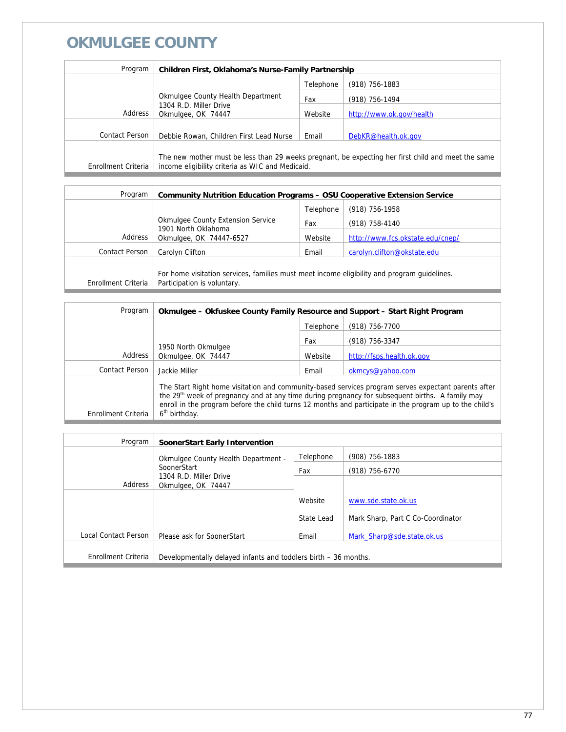## **OKMULGEE COUNTY**

| Program             | <b>Children First, Oklahoma's Nurse-Family Partnership</b>                        |           |                                                                                                    |
|---------------------|-----------------------------------------------------------------------------------|-----------|----------------------------------------------------------------------------------------------------|
|                     |                                                                                   | Telephone | $(918)$ 756-1883                                                                                   |
|                     | Okmulgee County Health Department<br>1304 R.D. Miller Drive<br>Okmulgee, OK 74447 | Fax       | (918) 756-1494                                                                                     |
| Address             |                                                                                   | Website   | http://www.ok.gov/health                                                                           |
|                     |                                                                                   |           |                                                                                                    |
| Contact Person      | Debbie Rowan, Children First Lead Nurse                                           | Email     | DebKR@health.ok.gov                                                                                |
| Enrollment Criteria | income eligibility criteria as WIC and Medicaid.                                  |           | The new mother must be less than 29 weeks pregnant, be expecting her first child and meet the same |

| Program             | <b>Community Nutrition Education Programs - OSU Cooperative Extension Service</b>                                          |           |                                  |
|---------------------|----------------------------------------------------------------------------------------------------------------------------|-----------|----------------------------------|
|                     |                                                                                                                            | Telephone | (918) 756-1958                   |
|                     | <b>Okmulgee County Extension Service</b>                                                                                   | Fax       | (918) 758-4140                   |
| Address             | 1901 North Oklahoma<br>Okmulgee, OK 74447-6527                                                                             | Website   | http://www.fcs.okstate.edu/cnep/ |
| Contact Person      | Carolyn Clifton                                                                                                            | Email     | carolyn.clifton@okstate.edu      |
| Enrollment Criteria | For home visitation services, families must meet income eligibility and program guidelines.<br>Participation is voluntary. |           |                                  |

| Program             | Okmulgee – Okfuskee County Family Resource and Support – Start Right Program                                                                                                                                                                                                                                                                               |           |                           |
|---------------------|------------------------------------------------------------------------------------------------------------------------------------------------------------------------------------------------------------------------------------------------------------------------------------------------------------------------------------------------------------|-----------|---------------------------|
|                     |                                                                                                                                                                                                                                                                                                                                                            | Telephone | (918) 756-7700            |
|                     |                                                                                                                                                                                                                                                                                                                                                            | Fax       | (918) 756-3347            |
| Address             | 1950 North Okmulgee<br>Okmulgee, OK 74447                                                                                                                                                                                                                                                                                                                  | Website   | http://fsps.health.ok.gov |
| Contact Person      | Jackie Miller                                                                                                                                                                                                                                                                                                                                              | Email     | okmcys@yahoo.com          |
| Enrollment Criteria | The Start Right home visitation and community-based services program serves expectant parents after<br>the 29 <sup>th</sup> week of pregnancy and at any time during pregnancy for subsequent births. A family may<br>enroll in the program before the child turns 12 months and participate in the program up to the child's<br>6 <sup>th</sup> birthday. |           |                           |

| Program              | <b>SoonerStart Early Intervention</b>                           |            |                                   |
|----------------------|-----------------------------------------------------------------|------------|-----------------------------------|
|                      | Okmulgee County Health Department -                             | Telephone  | (908) 756-1883                    |
|                      | SoonerStart                                                     | Fax        | (918) 756-6770                    |
| Address              | 1304 R.D. Miller Drive<br>Okmulgee, OK 74447                    |            |                                   |
|                      |                                                                 | Website    | www.sde.state.ok.us               |
|                      |                                                                 | State Lead | Mark Sharp, Part C Co-Coordinator |
| Local Contact Person | Please ask for SoonerStart                                      | Email      | Mark Sharp@sde.state.ok.us        |
|                      |                                                                 |            |                                   |
| Enrollment Criteria  | Developmentally delayed infants and toddlers birth – 36 months. |            |                                   |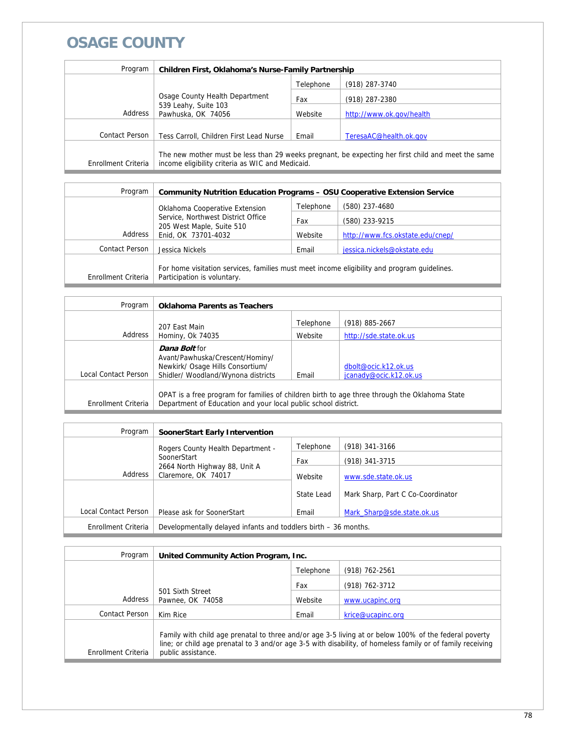## **OSAGE COUNTY**

| Program             | Children First, Oklahoma's Nurse-Family Partnership                          |           |                                                                                                    |
|---------------------|------------------------------------------------------------------------------|-----------|----------------------------------------------------------------------------------------------------|
|                     |                                                                              | Telephone | (918) 287-3740                                                                                     |
|                     | Osage County Health Department<br>539 Leahy, Suite 103<br>Pawhuska, OK 74056 | Fax       | (918) 287-2380                                                                                     |
| Address             |                                                                              | Website   | http://www.ok.gov/health                                                                           |
|                     |                                                                              |           |                                                                                                    |
| Contact Person      | Tess Carroll, Children First Lead Nurse                                      | Email     | TeresaAC@health.ok.gov                                                                             |
| Enrollment Criteria | income eligibility criteria as WIC and Medicaid.                             |           | The new mother must be less than 29 weeks pregnant, be expecting her first child and meet the same |

| Program               | <b>Community Nutrition Education Programs - OSU Cooperative Extension Service</b>                                          |           |                                  |
|-----------------------|----------------------------------------------------------------------------------------------------------------------------|-----------|----------------------------------|
|                       | Oklahoma Cooperative Extension                                                                                             | Telephone | (580) 237-4680                   |
|                       | Service, Northwest District Office<br>205 West Maple, Suite 510<br>Enid, OK 73701-4032                                     | Fax       | (580) 233-9215                   |
| Address               |                                                                                                                            | Website   | http://www.fcs.okstate.edu/cnep/ |
| <b>Contact Person</b> | Jessica Nickels                                                                                                            | Email     | jessica.nickels@okstate.edu      |
| Enrollment Criteria   | For home visitation services, families must meet income eligibility and program quidelines.<br>Participation is voluntary. |           |                                  |

| Program              | <b>Oklahoma Parents as Teachers</b>                                                                                                                             |           |                                                |
|----------------------|-----------------------------------------------------------------------------------------------------------------------------------------------------------------|-----------|------------------------------------------------|
|                      | 207 Fast Main                                                                                                                                                   | Telephone | $(918) 885 - 2667$                             |
| Address              | Hominy, Ok 74035                                                                                                                                                | Website   | http://sde.state.ok.us                         |
| Local Contact Person | <b>Dana Bolt</b> for<br>Avant/Pawhuska/Crescent/Hominy/<br>Newkirk/ Osage Hills Consortium/<br>Shidler/ Woodland/Wynona districts                               | Email     | dbolt@ocic.k12.ok.us<br>jcanady@ocic.k12.ok.us |
| Enrollment Criteria  | OPAT is a free program for families of children birth to age three through the Oklahoma State<br>Department of Education and your local public school district. |           |                                                |

| Program              | <b>SoonerStart Early Intervention</b>                                          |            |                                   |
|----------------------|--------------------------------------------------------------------------------|------------|-----------------------------------|
|                      | Rogers County Health Department -                                              | Telephone  | (918) 341-3166                    |
|                      | SoonerStart<br>2664 North Highway 88, Unit A<br>Address<br>Claremore, OK 74017 | Fax        | (918) 341-3715                    |
|                      |                                                                                | Website    | www.sde.state.ok.us               |
|                      |                                                                                | State Lead | Mark Sharp, Part C Co-Coordinator |
| Local Contact Person | Please ask for SoonerStart                                                     | Email      | Mark Sharp@sde.state.ok.us        |
| Enrollment Criteria  | Developmentally delayed infants and toddlers birth - 36 months.                |            |                                   |

| Program             | United Community Action Program, Inc.                                                                                                                                                                                                     |           |                   |
|---------------------|-------------------------------------------------------------------------------------------------------------------------------------------------------------------------------------------------------------------------------------------|-----------|-------------------|
|                     |                                                                                                                                                                                                                                           | Telephone | (918) 762-2561    |
|                     | 501 Sixth Street<br>Pawnee, OK 74058                                                                                                                                                                                                      | Fax       | (918) 762-3712    |
| Address             |                                                                                                                                                                                                                                           | Website   | www.ucapinc.org   |
| Contact Person      | Kim Rice                                                                                                                                                                                                                                  | Email     | krice@ucapinc.org |
| Enrollment Criteria | Family with child age prenatal to three and/or age 3-5 living at or below 100% of the federal poverty<br>line; or child age prenatal to 3 and/or age 3-5 with disability, of homeless family or of family receiving<br>public assistance. |           |                   |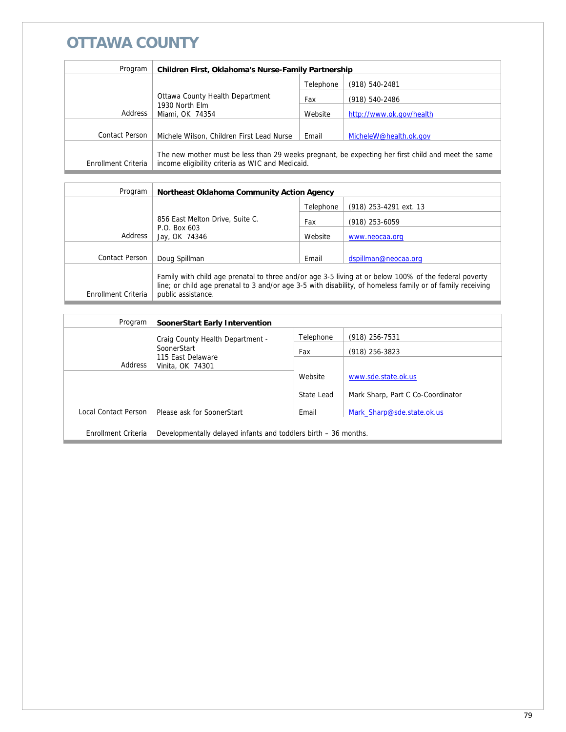## **OTTAWA COUNTY**

| Program             | Children First, Oklahoma's Nurse-Family Partnership                                                                                                    |           |                          |
|---------------------|--------------------------------------------------------------------------------------------------------------------------------------------------------|-----------|--------------------------|
|                     |                                                                                                                                                        | Telephone | (918) 540-2481           |
|                     | Ottawa County Health Department<br>1930 North Elm<br>Address<br>Miami, OK 74354                                                                        | Fax       | (918) 540-2486           |
|                     |                                                                                                                                                        | Website   | http://www.ok.gov/health |
| Contact Person      |                                                                                                                                                        |           |                          |
|                     | Michele Wilson, Children First Lead Nurse                                                                                                              | Email     | MicheleW@health.ok.gov   |
| Enrollment Criteria | The new mother must be less than 29 weeks pregnant, be expecting her first child and meet the same<br>income eligibility criteria as WIC and Medicaid. |           |                          |

| Program             | Northeast Oklahoma Community Action Agency                                                                                                                                                                                                |           |                        |
|---------------------|-------------------------------------------------------------------------------------------------------------------------------------------------------------------------------------------------------------------------------------------|-----------|------------------------|
|                     |                                                                                                                                                                                                                                           | Telephone | (918) 253-4291 ext. 13 |
|                     | 856 East Melton Drive, Suite C.                                                                                                                                                                                                           | Fax       | $(918)$ 253-6059       |
| Address             | P.O. Box 603<br>Jay, OK 74346                                                                                                                                                                                                             | Website   | www.neocaa.org         |
|                     |                                                                                                                                                                                                                                           |           |                        |
| Contact Person      | Doug Spillman                                                                                                                                                                                                                             | Email     | dspillman@neocaa.org   |
| Enrollment Criteria | Family with child age prenatal to three and/or age 3-5 living at or below 100% of the federal poverty<br>line; or child age prenatal to 3 and/or age 3-5 with disability, of homeless family or of family receiving<br>public assistance. |           |                        |

| Program              | SoonerStart Early Intervention                                  |            |                                   |
|----------------------|-----------------------------------------------------------------|------------|-----------------------------------|
|                      | Craig County Health Department -                                | Telephone  | $(918)$ 256-7531                  |
|                      | SoonerStart                                                     | Fax        | $(918)$ 256-3823                  |
| Address              | 115 East Delaware<br>Vinita, OK 74301                           |            |                                   |
|                      |                                                                 | Website    | www.sde.state.ok.us               |
|                      |                                                                 | State Lead | Mark Sharp, Part C Co-Coordinator |
| Local Contact Person | Please ask for SoonerStart                                      | Email      | Mark Sharp@sde.state.ok.us        |
| Enrollment Criteria  | Developmentally delayed infants and toddlers birth – 36 months. |            |                                   |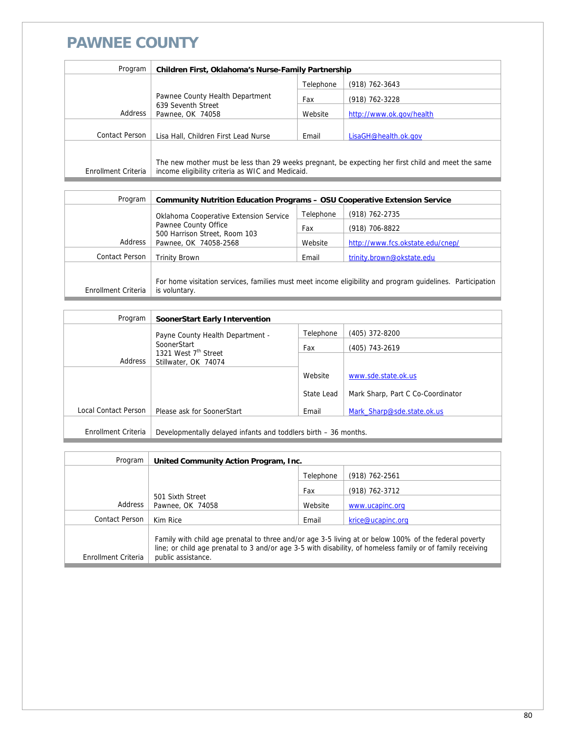#### **PAWNEE COUNTY**

| Program               | Children First, Oklahoma's Nurse-Family Partnership                                                                                                    |           |                          |
|-----------------------|--------------------------------------------------------------------------------------------------------------------------------------------------------|-----------|--------------------------|
|                       |                                                                                                                                                        | Telephone | $(918) 762 - 3643$       |
|                       | Pawnee County Health Department<br>639 Seventh Street<br>Address<br>Pawnee, OK 74058                                                                   | Fax       | (918) 762-3228           |
|                       |                                                                                                                                                        | Website   | http://www.ok.gov/health |
| <b>Contact Person</b> | Lisa Hall, Children First Lead Nurse                                                                                                                   | Email     | LisaGH@health.ok.gov     |
|                       |                                                                                                                                                        |           |                          |
| Enrollment Criteria   | The new mother must be less than 29 weeks pregnant, be expecting her first child and meet the same<br>income eligibility criteria as WIC and Medicaid. |           |                          |

| Program               | <b>Community Nutrition Education Programs - OSU Cooperative Extension Service</b>                                                   |           |                                  |
|-----------------------|-------------------------------------------------------------------------------------------------------------------------------------|-----------|----------------------------------|
|                       | Oklahoma Cooperative Extension Service<br>Pawnee County Office<br>500 Harrison Street, Room 103<br>Address<br>Pawnee, OK 74058-2568 | Telephone | (918) 762-2735                   |
|                       |                                                                                                                                     | Fax       | (918) 706-8822                   |
|                       |                                                                                                                                     | Website   | http://www.fcs.okstate.edu/cnep/ |
| <b>Contact Person</b> | <b>Trinity Brown</b>                                                                                                                | Email     | trinity.brown@okstate.edu        |
|                       |                                                                                                                                     |           |                                  |
|                       | For home visitation services, families must meet income eligibility and program guidelines. Participation<br>is voluntary.          |           |                                  |
| Enrollment Criteria   |                                                                                                                                     |           |                                  |

| Program              | SoonerStart Early Intervention                                  |            |                                   |
|----------------------|-----------------------------------------------------------------|------------|-----------------------------------|
|                      | Payne County Health Department -                                | Telephone  | (405) 372-8200                    |
|                      | SoonerStart                                                     | Fax        | (405) 743-2619                    |
| Address              | 1321 West 7 <sup>th</sup> Street<br>Stillwater, OK 74074        |            |                                   |
|                      |                                                                 | Website    | www.sde.state.ok.us               |
|                      |                                                                 | State Lead | Mark Sharp, Part C Co-Coordinator |
| Local Contact Person | Please ask for SoonerStart                                      | Email      | Mark Sharp@sde.state.ok.us        |
| Enrollment Criteria  | Developmentally delayed infants and toddlers birth – 36 months. |            |                                   |

| Program             | United Community Action Program, Inc. |           |                                                                                                                                                                                                                     |
|---------------------|---------------------------------------|-----------|---------------------------------------------------------------------------------------------------------------------------------------------------------------------------------------------------------------------|
|                     |                                       | Telephone | $(918)$ 762-2561                                                                                                                                                                                                    |
|                     | 501 Sixth Street<br>Pawnee, OK 74058  | Fax       | (918) 762-3712                                                                                                                                                                                                      |
| Address             |                                       | Website   | www.ucapinc.org                                                                                                                                                                                                     |
| Contact Person      | Kim Rice                              | Email     | krice@ucapinc.org                                                                                                                                                                                                   |
| Enrollment Criteria | public assistance.                    |           | Family with child age prenatal to three and/or age 3-5 living at or below 100% of the federal poverty<br>line; or child age prenatal to 3 and/or age 3-5 with disability, of homeless family or of family receiving |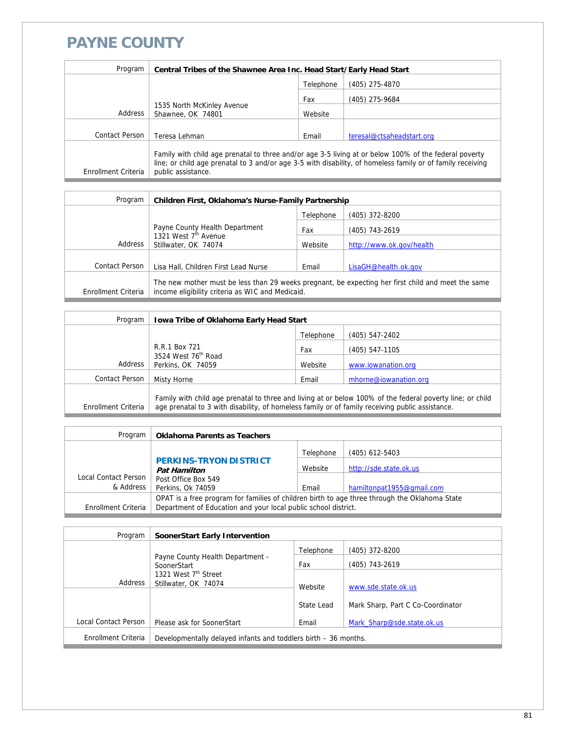#### **PAYNE COUNTY**

| Program             | Central Tribes of the Shawnee Area Inc. Head Start/Early Head Start                                                                                                                                                                       |           |                           |
|---------------------|-------------------------------------------------------------------------------------------------------------------------------------------------------------------------------------------------------------------------------------------|-----------|---------------------------|
|                     |                                                                                                                                                                                                                                           | Telephone | (405) 275-4870            |
|                     |                                                                                                                                                                                                                                           | Fax       | (405) 275-9684            |
| Address             | 1535 North McKinley Avenue<br>Shawnee, OK 74801                                                                                                                                                                                           | Website   |                           |
|                     |                                                                                                                                                                                                                                           |           |                           |
| Contact Person      | Teresa Lehman                                                                                                                                                                                                                             | Email     | teresal@ctsaheadstart.org |
| Enrollment Criteria | Family with child age prenatal to three and/or age 3-5 living at or below 100% of the federal poverty<br>line; or child age prenatal to 3 and/or age 3-5 with disability, of homeless family or of family receiving<br>public assistance. |           |                           |

| Program             | Children First, Oklahoma's Nurse-Family Partnership                                                                                                    |           |                          |
|---------------------|--------------------------------------------------------------------------------------------------------------------------------------------------------|-----------|--------------------------|
|                     |                                                                                                                                                        | Telephone | (405) 372-8200           |
|                     | Payne County Health Department                                                                                                                         | Fax       | (405) 743-2619           |
| Address             | 1321 West 7 <sup>th</sup> Avenue<br>Stillwater, OK 74074                                                                                               | Website   | http://www.ok.gov/health |
|                     |                                                                                                                                                        |           |                          |
| Contact Person      | Lisa Hall, Children First Lead Nurse                                                                                                                   | Email     | LisaGH@health.ok.gov     |
| Enrollment Criteria | The new mother must be less than 29 weeks pregnant, be expecting her first child and meet the same<br>income eligibility criteria as WIC and Medicaid. |           |                          |

| Program             | <b>Iowa Tribe of Oklahoma Early Head Start</b>                                                                                                                                                               |           |                       |
|---------------------|--------------------------------------------------------------------------------------------------------------------------------------------------------------------------------------------------------------|-----------|-----------------------|
|                     |                                                                                                                                                                                                              | Telephone | $(405)$ 547-2402      |
|                     | R.R.1 Box 721<br>3524 West 76 <sup>th</sup> Road<br>Perkins, OK 74059                                                                                                                                        | Fax       | $(405)$ 547-1105      |
| Address             |                                                                                                                                                                                                              | Website   | www.iowanation.org    |
| Contact Person      | Misty Horne                                                                                                                                                                                                  | Email     | mhorne@iowanation.org |
| Enrollment Criteria | Family with child age prenatal to three and living at or below 100% of the federal poverty line; or child<br>age prenatal to 3 with disability, of homeless family or of family receiving public assistance. |           |                       |

| Program              | <b>Oklahoma Parents as Teachers</b>                                                                                                                             |           |                           |
|----------------------|-----------------------------------------------------------------------------------------------------------------------------------------------------------------|-----------|---------------------------|
|                      |                                                                                                                                                                 | Telephone | $(405)$ 612-5403          |
|                      | <b>PERKINS-TRYON DISTRICT</b><br><b>Pat Hamilton</b>                                                                                                            | Website   | http://sde.state.ok.us    |
| Local Contact Person | Post Office Box 549                                                                                                                                             |           |                           |
| & Address            | Perkins, Ok 74059                                                                                                                                               | Email     | hamiltonpat1955@gmail.com |
| Enrollment Criteria  | OPAT is a free program for families of children birth to age three through the Oklahoma State<br>Department of Education and your local public school district. |           |                           |

| Program              | SoonerStart Early Intervention                                  |            |                                   |
|----------------------|-----------------------------------------------------------------|------------|-----------------------------------|
|                      |                                                                 | Telephone  | (405) 372-8200                    |
|                      | Payne County Health Department -<br>SoonerStart                 | Fax        | (405) 743-2619                    |
| Address              | 1321 West 7 <sup>th</sup> Street                                |            |                                   |
|                      | Stillwater, OK 74074                                            | Website    | www.sde.state.ok.us               |
|                      |                                                                 | State Lead | Mark Sharp, Part C Co-Coordinator |
| Local Contact Person | Please ask for SoonerStart                                      | Email      | Mark Sharp@sde.state.ok.us        |
| Enrollment Criteria  | Developmentally delayed infants and toddlers birth – 36 months. |            |                                   |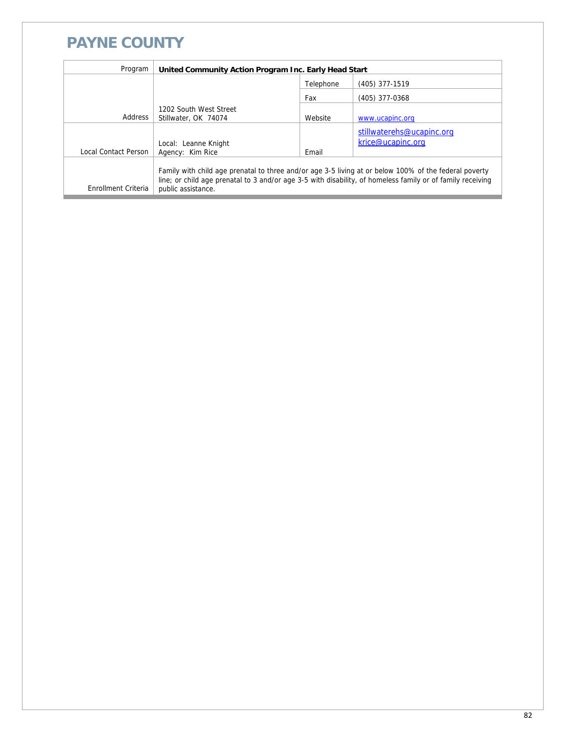## **PAYNE COUNTY**

| Program                     | United Community Action Program Inc. Early Head Start |           |                                                                                                                                                                                                                     |
|-----------------------------|-------------------------------------------------------|-----------|---------------------------------------------------------------------------------------------------------------------------------------------------------------------------------------------------------------------|
|                             |                                                       | Telephone | (405) 377-1519                                                                                                                                                                                                      |
|                             |                                                       | Fax       | (405) 377-0368                                                                                                                                                                                                      |
| Address                     | 1202 South West Street<br>Stillwater, OK 74074        | Website   | www.ucapinc.org                                                                                                                                                                                                     |
| <b>Local Contact Person</b> | Local: Leanne Knight<br>Agency: Kim Rice              | Email     | stillwaterehs@ucapinc.org<br>krice@ucapinc.org                                                                                                                                                                      |
| Enrollment Criteria         | public assistance.                                    |           | Family with child age prenatal to three and/or age 3-5 living at or below 100% of the federal poverty<br>line; or child age prenatal to 3 and/or age 3-5 with disability, of homeless family or of family receiving |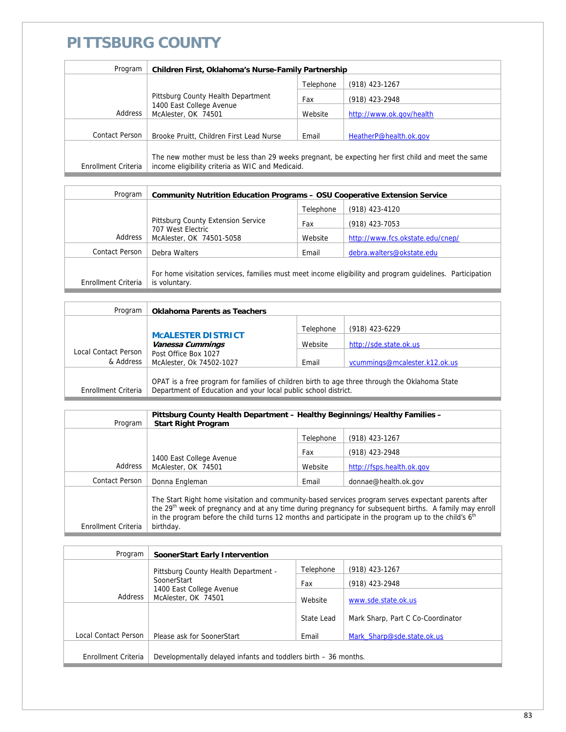#### **PITTSBURG COUNTY**

| Program             | Children First, Oklahoma's Nurse-Family Partnership                                              |           |                                                                                                    |
|---------------------|--------------------------------------------------------------------------------------------------|-----------|----------------------------------------------------------------------------------------------------|
|                     |                                                                                                  | Telephone | $(918)$ 423-1267                                                                                   |
|                     | Pittsburg County Health Department<br>1400 East College Avenue<br>Address<br>McAlester, OK 74501 | Fax       | (918) 423-2948                                                                                     |
|                     |                                                                                                  | Website   | http://www.ok.gov/health                                                                           |
|                     |                                                                                                  |           |                                                                                                    |
| Contact Person      | Brooke Pruitt, Children First Lead Nurse                                                         | Email     | HeatherP@health.ok.gov                                                                             |
| Enrollment Criteria | income eligibility criteria as WIC and Medicaid.                                                 |           | The new mother must be less than 29 weeks pregnant, be expecting her first child and meet the same |

| Program             | <b>Community Nutrition Education Programs - OSU Cooperative Extension Service</b>   |           |                                                                                                           |
|---------------------|-------------------------------------------------------------------------------------|-----------|-----------------------------------------------------------------------------------------------------------|
|                     |                                                                                     | Telephone | (918) 423-4120                                                                                            |
|                     | Pittsburg County Extension Service<br>707 West Electric<br>McAlester, OK 74501-5058 | Fax       | (918) 423-7053                                                                                            |
| Address             |                                                                                     | Website   | http://www.fcs.okstate.edu/cnep/                                                                          |
| Contact Person      | Debra Walters                                                                       | Email     | debra.walters@okstate.edu                                                                                 |
| Enrollment Criteria | is voluntary.                                                                       |           | For home visitation services, families must meet income eligibility and program guidelines. Participation |

| Program                                       | <b>Oklahoma Parents as Teachers</b>                                                                                                                             |           |                               |
|-----------------------------------------------|-----------------------------------------------------------------------------------------------------------------------------------------------------------------|-----------|-------------------------------|
|                                               |                                                                                                                                                                 | Telephone | (918) 423-6229                |
| <b>MCALESTER DISTRICT</b><br>Vanessa Cummings |                                                                                                                                                                 | Website   | http://sde.state.ok.us        |
| Local Contact Person<br>& Address             | Post Office Box 1027<br>McAlester, Ok 74502-1027                                                                                                                | Email     | vcummings@mcalester.k12.ok.us |
| Enrollment Criteria                           | OPAT is a free program for families of children birth to age three through the Oklahoma State<br>Department of Education and your local public school district. |           |                               |

| Program             | Pittsburg County Health Department - Healthy Beginnings/Healthy Families -<br><b>Start Right Program</b>                                                                                                                                                                                                                                                   |           |                           |
|---------------------|------------------------------------------------------------------------------------------------------------------------------------------------------------------------------------------------------------------------------------------------------------------------------------------------------------------------------------------------------------|-----------|---------------------------|
|                     |                                                                                                                                                                                                                                                                                                                                                            | Telephone | (918) 423-1267            |
|                     | 1400 East College Avenue<br>McAlester, OK 74501                                                                                                                                                                                                                                                                                                            | Fax       | (918) 423-2948            |
| Address             |                                                                                                                                                                                                                                                                                                                                                            | Website   | http://fsps.health.ok.gov |
| Contact Person      | Donna Engleman                                                                                                                                                                                                                                                                                                                                             | Email     | donnae@health.ok.gov      |
| Enrollment Criteria | The Start Right home visitation and community-based services program serves expectant parents after<br>the 29 <sup>th</sup> week of pregnancy and at any time during pregnancy for subsequent births. A family may enroll<br>in the program before the child turns 12 months and participate in the program up to the child's 6 <sup>th</sup><br>birthday. |           |                           |

| Program              | SoonerStart Early Intervention                                            |            |                                   |
|----------------------|---------------------------------------------------------------------------|------------|-----------------------------------|
|                      | Pittsburg County Health Department -                                      | Telephone  | $(918)$ 423-1267                  |
|                      | SoonerStart<br>1400 East College Avenue<br>Address<br>McAlester, OK 74501 | Fax        | (918) 423-2948                    |
|                      |                                                                           | Website    | www.sde.state.ok.us               |
|                      |                                                                           | State Lead | Mark Sharp, Part C Co-Coordinator |
| Local Contact Person | Please ask for SoonerStart                                                | Email      | Mark_Sharp@sde.state.ok.us        |
| Enrollment Criteria  | Developmentally delayed infants and toddlers birth – 36 months.           |            |                                   |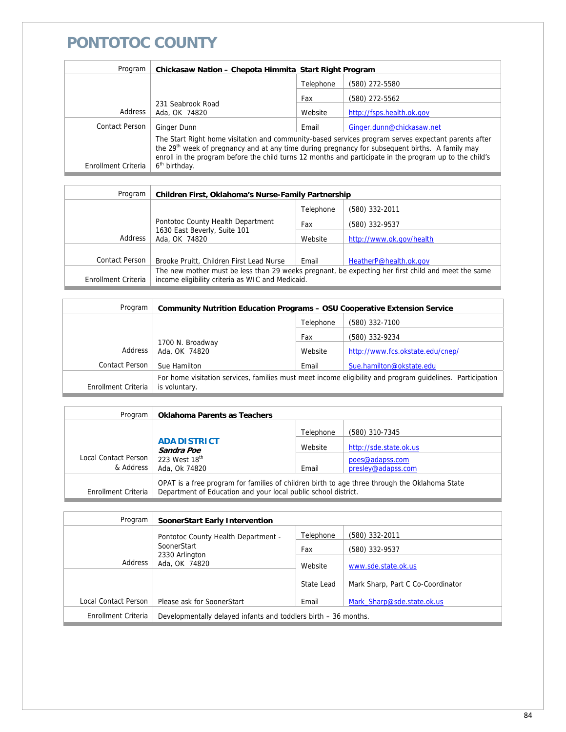#### **PONTOTOC COUNTY**

| Program               | Chickasaw Nation - Chepota Himmita Start Right Program                                                                                                                                                                                                                                                                                                     |           |                           |
|-----------------------|------------------------------------------------------------------------------------------------------------------------------------------------------------------------------------------------------------------------------------------------------------------------------------------------------------------------------------------------------------|-----------|---------------------------|
|                       |                                                                                                                                                                                                                                                                                                                                                            | Telephone | (580) 272-5580            |
|                       |                                                                                                                                                                                                                                                                                                                                                            | Fax       | (580) 272-5562            |
| Address               | 231 Seabrook Road<br>Ada, OK 74820                                                                                                                                                                                                                                                                                                                         | Website   | http://fsps.health.ok.gov |
| <b>Contact Person</b> | Ginger Dunn                                                                                                                                                                                                                                                                                                                                                | Email     | Ginger.dunn@chickasaw.net |
| Enrollment Criteria   | The Start Right home visitation and community-based services program serves expectant parents after<br>the 29 <sup>th</sup> week of pregnancy and at any time during pregnancy for subsequent births. A family may<br>enroll in the program before the child turns 12 months and participate in the program up to the child's<br>6 <sup>th</sup> birthday. |           |                           |

| Program               | Children First, Oklahoma's Nurse-Family Partnership                                                                                                    |           |                          |
|-----------------------|--------------------------------------------------------------------------------------------------------------------------------------------------------|-----------|--------------------------|
|                       |                                                                                                                                                        | Telephone | (580) 332-2011           |
|                       | Pontotoc County Health Department                                                                                                                      | Fax       | (580) 332-9537           |
| Address               | 1630 East Beverly, Suite 101<br>Ada, OK 74820                                                                                                          | Website   | http://www.ok.gov/health |
|                       |                                                                                                                                                        |           |                          |
| <b>Contact Person</b> | Brooke Pruitt, Children First Lead Nurse                                                                                                               | Email     | HeatherP@health.ok.gov   |
| Enrollment Criteria   | The new mother must be less than 29 weeks pregnant, be expecting her first child and meet the same<br>income eligibility criteria as WIC and Medicaid. |           |                          |

| Program             | <b>Community Nutrition Education Programs - OSU Cooperative Extension Service</b>                                          |           |                                  |
|---------------------|----------------------------------------------------------------------------------------------------------------------------|-----------|----------------------------------|
|                     |                                                                                                                            | Telephone | (580) 332-7100                   |
|                     |                                                                                                                            | Fax       | (580) 332-9234                   |
| Address             | 1700 N. Broadway<br>Ada, OK 74820                                                                                          | Website   | http://www.fcs.okstate.edu/cnep/ |
| Contact Person      | Sue Hamilton                                                                                                               | Email     | Sue.hamilton@okstate.edu         |
| Enrollment Criteria | For home visitation services, families must meet income eligibility and program guidelines. Participation<br>is voluntary. |           |                                  |
|                     |                                                                                                                            |           |                                  |

| Program              | <b>Oklahoma Parents as Teachers</b>                                                                                                                             |           |                        |
|----------------------|-----------------------------------------------------------------------------------------------------------------------------------------------------------------|-----------|------------------------|
|                      |                                                                                                                                                                 | Telephone | (580) 310-7345         |
|                      | <b>ADA DISTRICT</b><br>Sandra Poe                                                                                                                               | Website   | http://sde.state.ok.us |
| Local Contact Person | 223 West 18 <sup>th</sup>                                                                                                                                       |           | poes@adapss.com        |
| & Address            | Ada, Ok 74820                                                                                                                                                   | Email     | presley@adapss.com     |
| Enrollment Criteria  | OPAT is a free program for families of children birth to age three through the Oklahoma State<br>Department of Education and your local public school district. |           |                        |

| Program              | SoonerStart Early Intervention                                  |            |                                   |
|----------------------|-----------------------------------------------------------------|------------|-----------------------------------|
|                      | Pontotoc County Health Department -                             | Telephone  | (580) 332-2011                    |
|                      | SoonerStart<br>2330 Arlington<br>Address<br>Ada, OK 74820       | Fax        | (580) 332-9537                    |
|                      |                                                                 | Website    | www.sde.state.ok.us               |
|                      |                                                                 | State Lead | Mark Sharp, Part C Co-Coordinator |
| Local Contact Person | Please ask for SoonerStart                                      | Email      | Mark Sharp@sde.state.ok.us        |
| Enrollment Criteria  | Developmentally delayed infants and toddlers birth – 36 months. |            |                                   |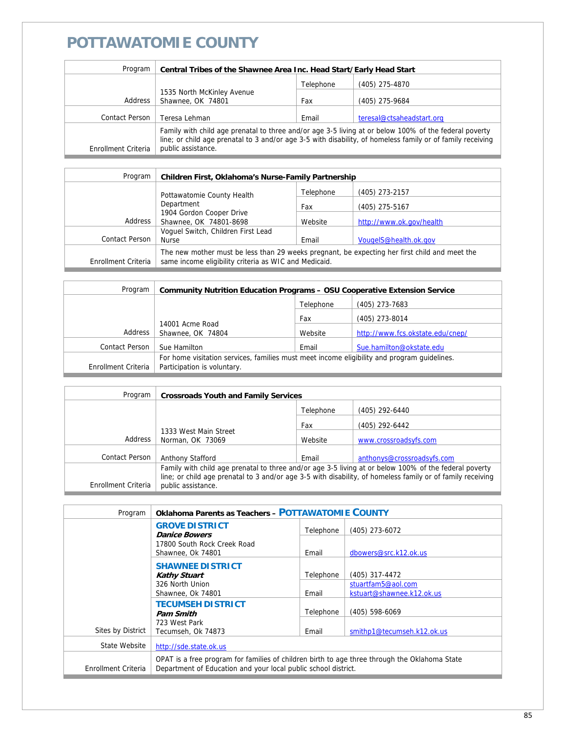## **POTTAWATOMIE COUNTY**

| Program             | Central Tribes of the Shawnee Area Inc. Head Start/Early Head Start                                                                                                                                                                       |           |                           |
|---------------------|-------------------------------------------------------------------------------------------------------------------------------------------------------------------------------------------------------------------------------------------|-----------|---------------------------|
|                     |                                                                                                                                                                                                                                           | Telephone | (405) 275-4870            |
|                     | 1535 North McKinley Avenue                                                                                                                                                                                                                |           |                           |
| Address             | Shawnee, OK 74801                                                                                                                                                                                                                         | Fax       | (405) 275-9684            |
|                     |                                                                                                                                                                                                                                           |           |                           |
| Contact Person      | Teresa Lehman                                                                                                                                                                                                                             | Email     | teresal@ctsaheadstart.org |
| Enrollment Criteria | Family with child age prenatal to three and/or age 3-5 living at or below 100% of the federal poverty<br>line; or child age prenatal to 3 and/or age 3-5 with disability, of homeless family or of family receiving<br>public assistance. |           |                           |

| Program             | Children First, Oklahoma's Nurse-Family Partnership                                                                                                    |           |                          |
|---------------------|--------------------------------------------------------------------------------------------------------------------------------------------------------|-----------|--------------------------|
|                     | Pottawatomie County Health                                                                                                                             | Telephone | (405) 273-2157           |
|                     | Department<br>1904 Gordon Cooper Drive<br>Shawnee, OK 74801-8698                                                                                       | Fax       | (405) 275-5167           |
| Address             |                                                                                                                                                        | Website   | http://www.ok.gov/health |
|                     | Voquel Switch, Children First Lead                                                                                                                     |           |                          |
| Contact Person      | <b>Nurse</b>                                                                                                                                           | Email     | VougeIS@health.ok.gov    |
| Enrollment Criteria | The new mother must be less than 29 weeks pregnant, be expecting her first child and meet the<br>same income eligibility criteria as WIC and Medicaid. |           |                          |

| Program               | <b>Community Nutrition Education Programs - OSU Cooperative Extension Service</b>                                          |           |                                  |
|-----------------------|----------------------------------------------------------------------------------------------------------------------------|-----------|----------------------------------|
|                       |                                                                                                                            | Telephone | (405) 273-7683                   |
|                       | 14001 Acme Road<br>Shawnee, OK 74804                                                                                       | Fax       | (405) 273-8014                   |
| Address               |                                                                                                                            | Website   | http://www.fcs.okstate.edu/cnep/ |
| <b>Contact Person</b> | Sue Hamilton                                                                                                               | Email     | Sue.hamilton@okstate.edu         |
| Enrollment Criteria   | For home visitation services, families must meet income eligibility and program guidelines.<br>Participation is voluntary. |           |                                  |

| Program             | <b>Crossroads Youth and Family Services</b>                                                                                                                    |           |                       |
|---------------------|----------------------------------------------------------------------------------------------------------------------------------------------------------------|-----------|-----------------------|
|                     |                                                                                                                                                                | Telephone | (405) 292-6440        |
|                     |                                                                                                                                                                | Fax       | (405) 292-6442        |
| Address             | 1333 West Main Street<br>Norman, OK 73069                                                                                                                      | Website   | www.crossroadsyfs.com |
| Contact Person      |                                                                                                                                                                | Email     |                       |
|                     | anthonys@crossroadsyfs.com<br><b>Anthony Stafford</b><br>Family with child age prenatal to three and/or age 3-5 living at or below 100% of the federal poverty |           |                       |
|                     | line; or child age prenatal to 3 and/or age 3-5 with disability, of homeless family or of family receiving                                                     |           |                       |
| Enrollment Criteria | public assistance.                                                                                                                                             |           |                       |

| Program             | <b>Oklahoma Parents as Teachers - POTTAWATOMIE COUNTY</b>                                                                                                       |           |                                                 |
|---------------------|-----------------------------------------------------------------------------------------------------------------------------------------------------------------|-----------|-------------------------------------------------|
|                     | <b>GROVE DISTRICT</b><br><b>Danice Bowers</b>                                                                                                                   | Telephone | (405) 273-6072                                  |
|                     | 17800 South Rock Creek Road<br>Shawnee, Ok 74801                                                                                                                | Email     | dbowers@src.k12.ok.us                           |
|                     | <b>SHAWNEE DISTRICT</b><br><b>Kathy Stuart</b>                                                                                                                  | Telephone | (405) 317-4472                                  |
|                     | 326 North Union<br>Shawnee, Ok 74801                                                                                                                            | Email     | stuartfam5@aol.com<br>kstuart@shawnee.k12.ok.us |
|                     | <b>TECUMSEH DISTRICT</b><br>Pam Smith                                                                                                                           | Telephone | $(405)$ 598-6069                                |
| Sites by District   | 723 West Park<br>Tecumseh, Ok 74873                                                                                                                             | Email     | smithp1@tecumseh.k12.ok.us                      |
| State Website       | http://sde.state.ok.us                                                                                                                                          |           |                                                 |
| Enrollment Criteria | OPAT is a free program for families of children birth to age three through the Oklahoma State<br>Department of Education and your local public school district. |           |                                                 |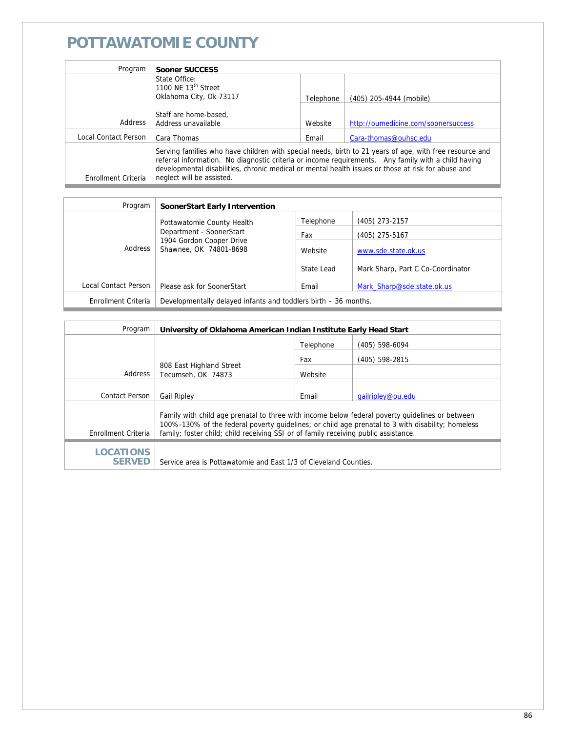## **POTTAWATOMIE COUNTY**

| Program              | Sooner SUCCESS                                                                                                                                                                                                                                                                                                                                    |           |                                     |
|----------------------|---------------------------------------------------------------------------------------------------------------------------------------------------------------------------------------------------------------------------------------------------------------------------------------------------------------------------------------------------|-----------|-------------------------------------|
|                      | State Office:<br>1100 NE 13 <sup>th</sup> Street                                                                                                                                                                                                                                                                                                  |           |                                     |
|                      | Oklahoma City, Ok 73117                                                                                                                                                                                                                                                                                                                           | Telephone | (405) 205-4944 (mobile)             |
|                      |                                                                                                                                                                                                                                                                                                                                                   |           |                                     |
|                      | Staff are home-based.                                                                                                                                                                                                                                                                                                                             |           |                                     |
| Address              | Address unavailable                                                                                                                                                                                                                                                                                                                               | Website   | http://oumedicine.com/soonersuccess |
| Local Contact Person | Cara Thomas                                                                                                                                                                                                                                                                                                                                       | Email     | Cara-thomas@ouhsc.edu               |
| Enrollment Criteria  | Serving families who have children with special needs, birth to 21 years of age, with free resource and<br>referral information. No diagnostic criteria or income requirements. Any family with a child having<br>developmental disabilities, chronic medical or mental health issues or those at risk for abuse and<br>neglect will be assisted. |           |                                     |

| Program              | SoonerStart Early Intervention                                                            |            |                                   |
|----------------------|-------------------------------------------------------------------------------------------|------------|-----------------------------------|
|                      | Pottawatomie County Health                                                                | Telephone  | (405) 273-2157                    |
|                      | Department - SoonerStart<br>1904 Gordon Cooper Drive<br>Address<br>Shawnee, OK 74801-8698 | Fax        | (405) 275-5167                    |
|                      |                                                                                           | Website    | www.sde.state.ok.us               |
|                      |                                                                                           | State Lead | Mark Sharp, Part C Co-Coordinator |
| Local Contact Person | Please ask for SoonerStart                                                                | Email      | Mark Sharp@sde.state.ok.us        |
| Enrollment Criteria  | Developmentally delayed infants and toddlers birth - 36 months.                           |            |                                   |

| Program                           | University of Oklahoma American Indian Institute Early Head Start                                                                                                                                                                                                                           |           |                   |
|-----------------------------------|---------------------------------------------------------------------------------------------------------------------------------------------------------------------------------------------------------------------------------------------------------------------------------------------|-----------|-------------------|
|                                   |                                                                                                                                                                                                                                                                                             | Telephone | (405) 598-6094    |
|                                   |                                                                                                                                                                                                                                                                                             | Fax       | (405) 598-2815    |
| Address                           | 808 East Highland Street<br>Tecumseh, OK 74873                                                                                                                                                                                                                                              | Website   |                   |
|                                   |                                                                                                                                                                                                                                                                                             |           |                   |
| Contact Person                    | <b>Gail Ripley</b>                                                                                                                                                                                                                                                                          | Email     | gailripley@ou.edu |
| Enrollment Criteria               | Family with child age prenatal to three with income below federal poverty quidelines or between<br>100%-130% of the federal poverty quidelines; or child age prenatal to 3 with disability; homeless<br>family; foster child; child receiving SSI or of family receiving public assistance. |           |                   |
| <b>LOCATIONS</b><br><b>SERVED</b> | Service area is Pottawatomie and East 1/3 of Cleveland Counties.                                                                                                                                                                                                                            |           |                   |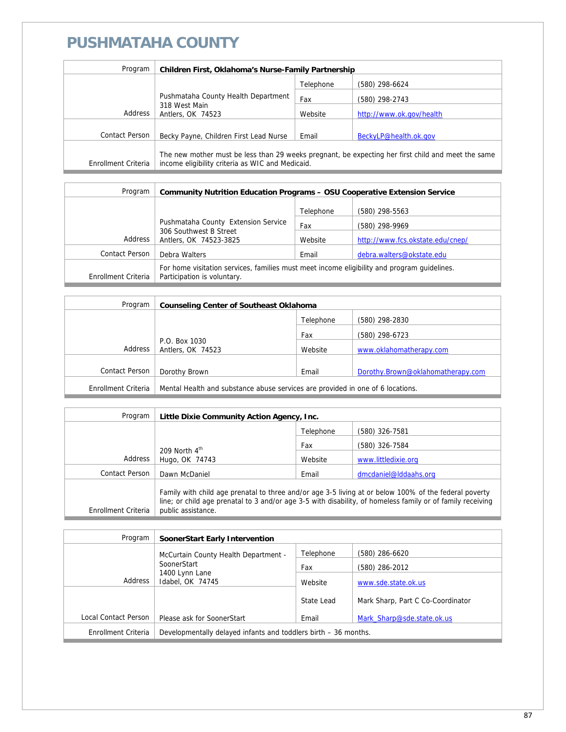## **PUSHMATAHA COUNTY**

| Program             | Children First, Oklahoma's Nurse-Family Partnership                                                                                                    |           |                          |
|---------------------|--------------------------------------------------------------------------------------------------------------------------------------------------------|-----------|--------------------------|
|                     |                                                                                                                                                        | Telephone | (580) 298-6624           |
|                     | Pushmataha County Health Department<br>318 West Main<br>Antlers, OK 74523                                                                              | Fax       | (580) 298-2743           |
| Address             |                                                                                                                                                        | Website   | http://www.ok.gov/health |
|                     |                                                                                                                                                        |           |                          |
| Contact Person      | Becky Payne, Children First Lead Nurse                                                                                                                 | Email     | BeckyLP@health.ok.gov    |
| Enrollment Criteria | The new mother must be less than 29 weeks pregnant, be expecting her first child and meet the same<br>income eligibility criteria as WIC and Medicaid. |           |                          |

| Program             | <b>Community Nutrition Education Programs - OSU Cooperative Extension Service</b>                                          |           |                                  |
|---------------------|----------------------------------------------------------------------------------------------------------------------------|-----------|----------------------------------|
|                     |                                                                                                                            | Telephone | (580) 298-5563                   |
|                     | Pushmataha County Extension Service                                                                                        | Fax       | (580) 298-9969                   |
| Address             | 306 Southwest B Street<br>Antlers, OK 74523-3825                                                                           | Website   | http://www.fcs.okstate.edu/cnep/ |
| Contact Person      | Debra Walters                                                                                                              | Email     | debra.walters@okstate.edu        |
| Enrollment Criteria | For home visitation services, families must meet income eligibility and program quidelines.<br>Participation is voluntary. |           |                                  |

| Program             | <b>Counseling Center of Southeast Oklahoma</b>                                 |           |                                   |
|---------------------|--------------------------------------------------------------------------------|-----------|-----------------------------------|
|                     |                                                                                | Telephone | (580) 298-2830                    |
|                     |                                                                                | Fax       | (580) 298-6723                    |
| Address             | P.O. Box 1030<br>Antlers, OK 74523                                             | Website   | www.oklahomatherapy.com           |
|                     |                                                                                |           |                                   |
| Contact Person      | Dorothy Brown                                                                  | Email     | Dorothy.Brown@oklahomatherapy.com |
| Enrollment Criteria | Mental Health and substance abuse services are provided in one of 6 locations. |           |                                   |

| Program             | Little Dixie Community Action Agency, Inc.                                                                                                                                                                                                |           |                       |
|---------------------|-------------------------------------------------------------------------------------------------------------------------------------------------------------------------------------------------------------------------------------------|-----------|-----------------------|
|                     |                                                                                                                                                                                                                                           | Telephone | (580) 326-7581        |
|                     | 209 North $4^{\text{th}}$<br>Hugo, OK 74743                                                                                                                                                                                               | Fax       | (580) 326-7584        |
| Address             |                                                                                                                                                                                                                                           | Website   | www.littledixie.org   |
| Contact Person      | Dawn McDaniel                                                                                                                                                                                                                             | Email     | dmcdaniel@lddaahs.org |
| Enrollment Criteria | Family with child age prenatal to three and/or age 3-5 living at or below 100% of the federal poverty<br>line; or child age prenatal to 3 and/or age 3-5 with disability, of homeless family or of family receiving<br>public assistance. |           |                       |

| Program              | SoonerStart Early Intervention                                  |            |                                   |
|----------------------|-----------------------------------------------------------------|------------|-----------------------------------|
|                      | McCurtain County Health Department -                            | Telephone  | (580) 286-6620                    |
|                      | SoonerStart<br>1400 Lynn Lane<br>Address<br>Idabel, OK 74745    | Fax        | (580) 286-2012                    |
|                      |                                                                 | Website    | www.sde.state.ok.us               |
|                      |                                                                 | State Lead | Mark Sharp, Part C Co-Coordinator |
| Local Contact Person | Please ask for SoonerStart                                      | Email      | Mark Sharp@sde.state.ok.us        |
| Enrollment Criteria  | Developmentally delayed infants and toddlers birth – 36 months. |            |                                   |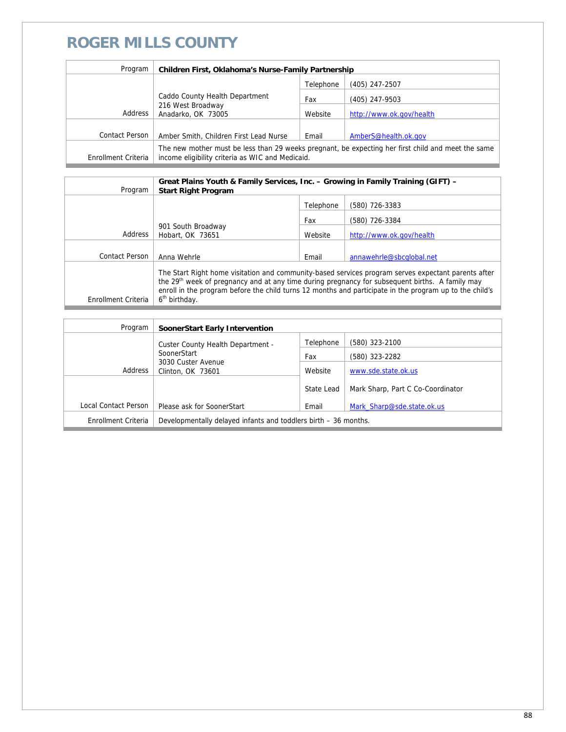#### **ROGER MILLS COUNTY**

| Program             | Children First, Oklahoma's Nurse-Family Partnership                                                                                                    |           |                          |
|---------------------|--------------------------------------------------------------------------------------------------------------------------------------------------------|-----------|--------------------------|
|                     |                                                                                                                                                        | Telephone | (405) 247-2507           |
|                     | Caddo County Health Department<br>216 West Broadway<br>Anadarko, OK 73005                                                                              | Fax       | (405) 247-9503           |
| Address             |                                                                                                                                                        | Website   | http://www.ok.gov/health |
|                     |                                                                                                                                                        |           |                          |
| Contact Person      | Amber Smith, Children First Lead Nurse                                                                                                                 | Email     | AmberS@health.ok.gov     |
| Enrollment Criteria | The new mother must be less than 29 weeks pregnant, be expecting her first child and meet the same<br>income eligibility criteria as WIC and Medicaid. |           |                          |

| Program             | Great Plains Youth & Family Services, Inc. - Growing in Family Training (GIFT) -<br><b>Start Right Program</b>                                                                                                                                                                                                                                             |           |                          |
|---------------------|------------------------------------------------------------------------------------------------------------------------------------------------------------------------------------------------------------------------------------------------------------------------------------------------------------------------------------------------------------|-----------|--------------------------|
|                     |                                                                                                                                                                                                                                                                                                                                                            | Telephone | (580) 726-3383           |
|                     |                                                                                                                                                                                                                                                                                                                                                            | Fax       | (580) 726-3384           |
| Address             | 901 South Broadway<br>Hobart, OK 73651                                                                                                                                                                                                                                                                                                                     | Website   | http://www.ok.gov/health |
|                     |                                                                                                                                                                                                                                                                                                                                                            |           |                          |
| Contact Person      | Anna Wehrle                                                                                                                                                                                                                                                                                                                                                | Email     | annawehrle@sbcqlobal.net |
| Enrollment Criteria | The Start Right home visitation and community-based services program serves expectant parents after<br>the 29 <sup>th</sup> week of pregnancy and at any time during pregnancy for subsequent births. A family may<br>enroll in the program before the child turns 12 months and participate in the program up to the child's<br>6 <sup>th</sup> birthday. |           |                          |

| Program              | SoonerStart Early Intervention                                  |            |                                   |
|----------------------|-----------------------------------------------------------------|------------|-----------------------------------|
|                      | Custer County Health Department -                               | Telephone  | (580) 323-2100                    |
|                      | SoonerStart<br>3030 Custer Avenue<br>Clinton, OK 73601          | Fax        | (580) 323-2282                    |
| Address              |                                                                 | Website    | www.sde.state.ok.us               |
|                      |                                                                 | State Lead | Mark Sharp, Part C Co-Coordinator |
| Local Contact Person | Please ask for SoonerStart                                      | Email      | Mark Sharp@sde.state.ok.us        |
| Enrollment Criteria  | Developmentally delayed infants and toddlers birth – 36 months. |            |                                   |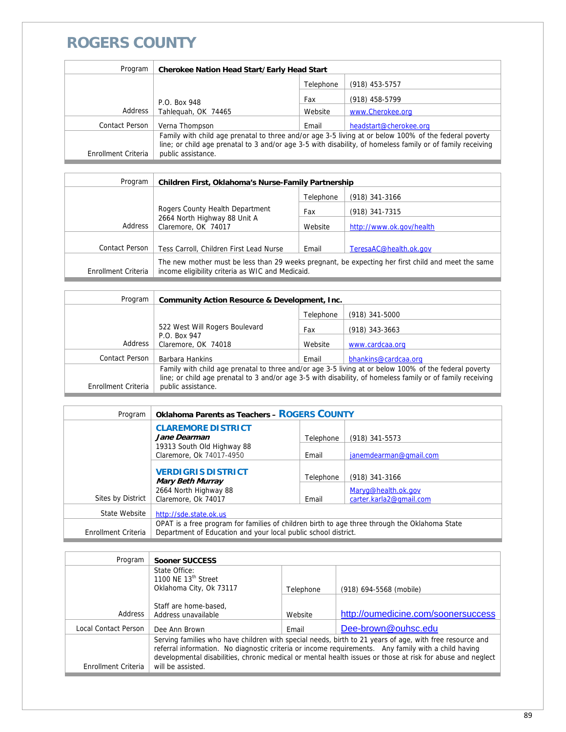#### **ROGERS COUNTY**

| Program             | <b>Cherokee Nation Head Start/Early Head Start</b>                                                                                                                                                                                        |           |                        |
|---------------------|-------------------------------------------------------------------------------------------------------------------------------------------------------------------------------------------------------------------------------------------|-----------|------------------------|
|                     |                                                                                                                                                                                                                                           | Telephone | $(918)$ 453-5757       |
|                     | P.O. Box 948                                                                                                                                                                                                                              | Fax       | (918) 458-5799         |
| <b>Address</b>      | Tahleguah, OK 74465                                                                                                                                                                                                                       | Website   | www.Cherokee.org       |
| Contact Person      | Verna Thompson                                                                                                                                                                                                                            | Email     | headstart@cherokee.org |
| Enrollment Criteria | Family with child age prenatal to three and/or age 3-5 living at or below 100% of the federal poverty<br>line; or child age prenatal to 3 and/or age 3-5 with disability, of homeless family or of family receiving<br>public assistance. |           |                        |

| Program             | <b>Children First, Oklahoma's Nurse-Family Partnership</b>                                                                                             |           |                          |
|---------------------|--------------------------------------------------------------------------------------------------------------------------------------------------------|-----------|--------------------------|
|                     |                                                                                                                                                        | Telephone | $(918)$ 341-3166         |
|                     | Rogers County Health Department<br>2664 North Highway 88 Unit A<br>Claremore, OK 74017                                                                 | Fax       | $(918)$ 341-7315         |
| Address             |                                                                                                                                                        | Website   | http://www.ok.gov/health |
|                     |                                                                                                                                                        |           |                          |
| Contact Person      | Tess Carroll, Children First Lead Nurse                                                                                                                | Email     | TeresaAC@health.ok.gov   |
| Enrollment Criteria | The new mother must be less than 29 weeks pregnant, be expecting her first child and meet the same<br>income eligibility criteria as WIC and Medicaid. |           |                          |

| Program             | Community Action Resource & Development, Inc.                                                                                                                                                                                             |           |                      |
|---------------------|-------------------------------------------------------------------------------------------------------------------------------------------------------------------------------------------------------------------------------------------|-----------|----------------------|
|                     |                                                                                                                                                                                                                                           | Telephone | $(918)$ 341-5000     |
|                     | 522 West Will Rogers Boulevard                                                                                                                                                                                                            | Fax       | $(918)$ 343-3663     |
| Address             | P.O. Box 947<br>Claremore, OK 74018                                                                                                                                                                                                       | Website   | www.cardcaa.org      |
| Contact Person      | Barbara Hankins                                                                                                                                                                                                                           | Email     | bhankins@cardcaa.org |
| Enrollment Criteria | Family with child age prenatal to three and/or age 3-5 living at or below 100% of the federal poverty<br>line; or child age prenatal to 3 and/or age 3-5 with disability, of homeless family or of family receiving<br>public assistance. |           |                      |

| Program             | <b>Oklahoma Parents as Teachers - ROGERS COUNTY</b>                                                                                                             |           |                                                |
|---------------------|-----------------------------------------------------------------------------------------------------------------------------------------------------------------|-----------|------------------------------------------------|
|                     | <b>CLAREMORE DISTRICT</b><br>Jane Dearman                                                                                                                       | Telephone | $(918)$ 341-5573                               |
|                     | 19313 South Old Highway 88<br>Claremore, Ok 74017-4950                                                                                                          | Email     | janemdearman@gmail.com                         |
|                     | <b>VERDIGRIS DISTRICT</b><br><b>Mary Beth Murray</b>                                                                                                            | Telephone | $(918)$ 341-3166                               |
| Sites by District   | 2664 North Highway 88<br>Claremore, Ok 74017                                                                                                                    | Email     | Maryg@health.ok.gov<br>carter.karla2@gmail.com |
| State Website       | http://sde.state.ok.us                                                                                                                                          |           |                                                |
| Enrollment Criteria | OPAT is a free program for families of children birth to age three through the Oklahoma State<br>Department of Education and your local public school district. |           |                                                |

| Program              | <b>Sooner SUCCESS</b>                                                                                                                                                                                                                                                                                                        |           |                                     |
|----------------------|------------------------------------------------------------------------------------------------------------------------------------------------------------------------------------------------------------------------------------------------------------------------------------------------------------------------------|-----------|-------------------------------------|
|                      | State Office:<br>1100 NE 13 <sup>th</sup> Street                                                                                                                                                                                                                                                                             |           |                                     |
|                      | Oklahoma City, Ok 73117                                                                                                                                                                                                                                                                                                      | Telephone | (918) 694-5568 (mobile)             |
|                      |                                                                                                                                                                                                                                                                                                                              |           |                                     |
|                      | Staff are home-based,                                                                                                                                                                                                                                                                                                        |           |                                     |
| Address              | Address unavailable                                                                                                                                                                                                                                                                                                          | Website   | http://oumedicine.com/soonersuccess |
| Local Contact Person | Dee Ann Brown                                                                                                                                                                                                                                                                                                                | Email     | Dee-brown@ouhsc.edu                 |
|                      | Serving families who have children with special needs, birth to 21 years of age, with free resource and<br>referral information. No diagnostic criteria or income requirements. Any family with a child having<br>developmental disabilities, chronic medical or mental health issues or those at risk for abuse and neglect |           |                                     |
| Enrollment Criteria  | will be assisted.                                                                                                                                                                                                                                                                                                            |           |                                     |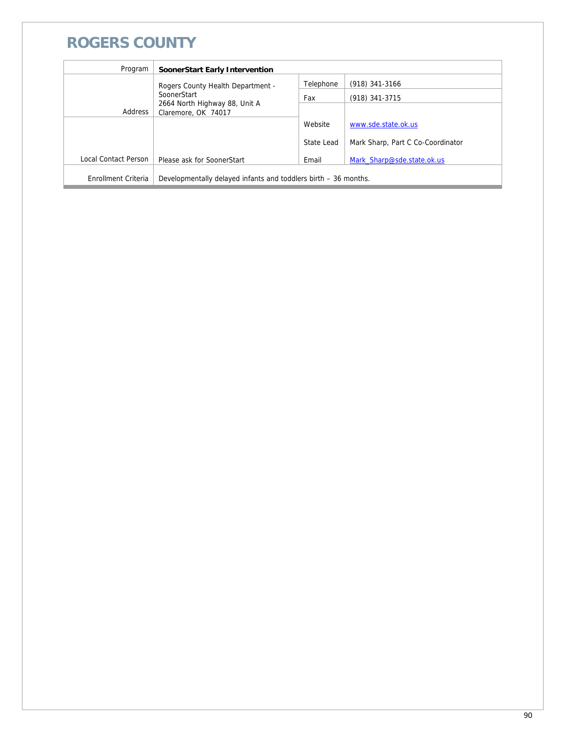#### **ROGERS COUNTY**

| Program              | SoonerStart Early Intervention                                  |            |                                   |
|----------------------|-----------------------------------------------------------------|------------|-----------------------------------|
|                      | Rogers County Health Department -                               | Telephone  | $(918)$ 341-3166                  |
|                      | SoonerStart                                                     | Fax        | (918) 341-3715                    |
| Address              | 2664 North Highway 88, Unit A<br>Claremore, OK 74017            |            |                                   |
|                      |                                                                 | Website    | www.sde.state.ok.us               |
|                      |                                                                 | State Lead | Mark Sharp, Part C Co-Coordinator |
| Local Contact Person | Please ask for SoonerStart                                      | Email      | Mark Sharp@sde.state.ok.us        |
| Enrollment Criteria  | Developmentally delayed infants and toddlers birth – 36 months. |            |                                   |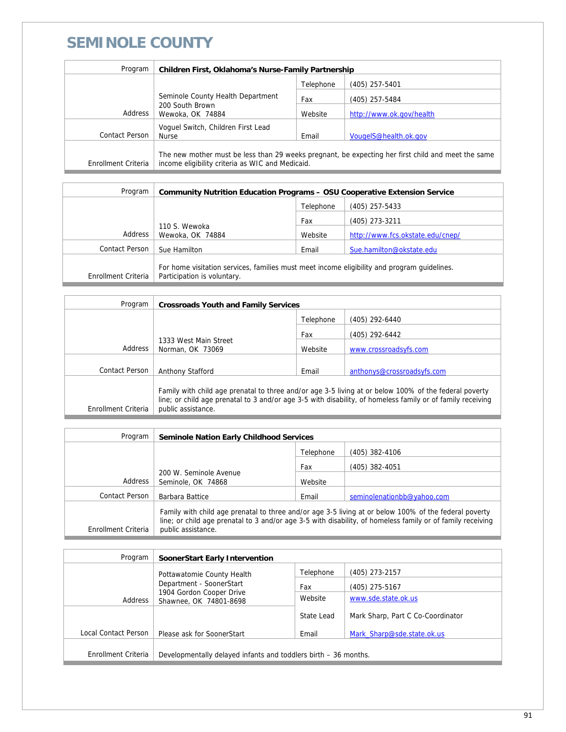### **SEMINOLE COUNTY**

| Program             | Children First, Oklahoma's Nurse-Family Partnership                                                                                                    |           |                          |
|---------------------|--------------------------------------------------------------------------------------------------------------------------------------------------------|-----------|--------------------------|
|                     |                                                                                                                                                        | Telephone | $(405)$ 257-5401         |
|                     | Seminole County Health Department<br>200 South Brown<br>Wewoka, OK 74884                                                                               | Fax       | (405) 257-5484           |
| Address             |                                                                                                                                                        | Website   | http://www.ok.gov/health |
| Contact Person      | Voquel Switch, Children First Lead<br><b>Nurse</b>                                                                                                     | Email     | VougeIS@health.ok.gov    |
| Enrollment Criteria | The new mother must be less than 29 weeks pregnant, be expecting her first child and meet the same<br>income eligibility criteria as WIC and Medicaid. |           |                          |

| Program             | Community Nutrition Education Programs – OSU Cooperative Extension Service                  |           |                                  |
|---------------------|---------------------------------------------------------------------------------------------|-----------|----------------------------------|
|                     |                                                                                             | Telephone | (405) 257-5433                   |
|                     | 110 S. Wewoka<br>Wewoka, OK 74884                                                           | Fax       | (405) 273-3211                   |
| Address             |                                                                                             | Website   | http://www.fcs.okstate.edu/cnep/ |
| Contact Person      | Sue Hamilton                                                                                | Email     | Sue.hamilton@okstate.edu         |
| Enrollment Criteria | For home visitation services, families must meet income eligibility and program quidelines. |           |                                  |
|                     | Participation is voluntary.                                                                 |           |                                  |

| Program             | <b>Crossroads Youth and Family Services</b>                                                                                                                                                                                               |           |                            |
|---------------------|-------------------------------------------------------------------------------------------------------------------------------------------------------------------------------------------------------------------------------------------|-----------|----------------------------|
|                     |                                                                                                                                                                                                                                           | Telephone | (405) 292-6440             |
|                     |                                                                                                                                                                                                                                           | Fax       | (405) 292-6442             |
| Address             | 1333 West Main Street<br>Norman, OK 73069                                                                                                                                                                                                 | Website   | www.crossroadsyfs.com      |
|                     |                                                                                                                                                                                                                                           |           |                            |
| Contact Person      | <b>Anthony Stafford</b>                                                                                                                                                                                                                   | Email     | anthonys@crossroadsyfs.com |
| Enrollment Criteria | Family with child age prenatal to three and/or age 3-5 living at or below 100% of the federal poverty<br>line; or child age prenatal to 3 and/or age 3-5 with disability, of homeless family or of family receiving<br>public assistance. |           |                            |
|                     |                                                                                                                                                                                                                                           |           |                            |

| Program             | <b>Seminole Nation Early Childhood Services</b>                                                                                                                                                                                           |           |                            |
|---------------------|-------------------------------------------------------------------------------------------------------------------------------------------------------------------------------------------------------------------------------------------|-----------|----------------------------|
|                     |                                                                                                                                                                                                                                           | Telephone | (405) 382-4106             |
|                     | 200 W. Seminole Avenue<br>Seminole, OK 74868                                                                                                                                                                                              | Fax       | (405) 382-4051             |
| Address             |                                                                                                                                                                                                                                           | Website   |                            |
| Contact Person      | Barbara Battice                                                                                                                                                                                                                           | Email     | seminolenationbb@yahoo.com |
| Enrollment Criteria | Family with child age prenatal to three and/or age 3-5 living at or below 100% of the federal poverty<br>line; or child age prenatal to 3 and/or age 3-5 with disability, of homeless family or of family receiving<br>public assistance. |           |                            |

| Program              | <b>SoonerStart Early Intervention</b>                                                     |            |                                   |
|----------------------|-------------------------------------------------------------------------------------------|------------|-----------------------------------|
|                      | Pottawatomie County Health                                                                | Telephone  | (405) 273-2157                    |
|                      | Department - SoonerStart<br>1904 Gordon Cooper Drive<br>Address<br>Shawnee, OK 74801-8698 | Fax        | $(405)$ 275-5167                  |
|                      |                                                                                           | Website    | www.sde.state.ok.us               |
|                      |                                                                                           | State Lead | Mark Sharp, Part C Co-Coordinator |
| Local Contact Person | Please ask for SoonerStart                                                                | Email      | Mark Sharp@sde.state.ok.us        |
| Enrollment Criteria  | Developmentally delayed infants and toddlers birth - 36 months.                           |            |                                   |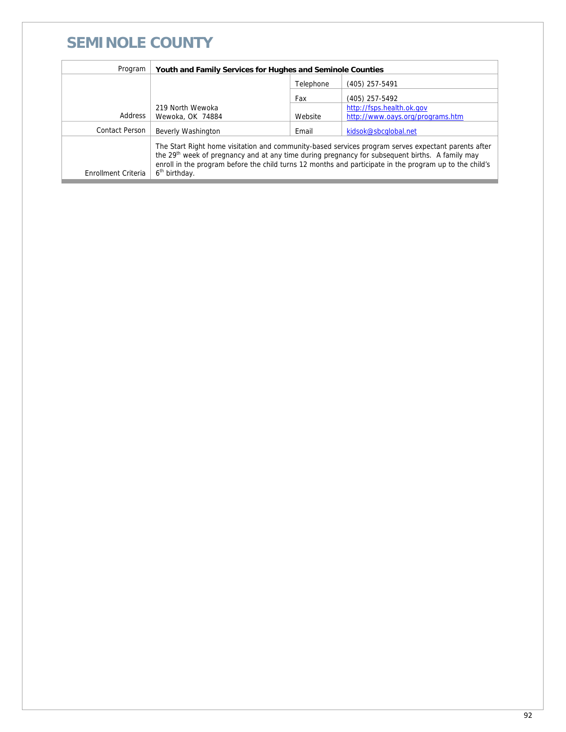#### **SEMINOLE COUNTY**

| Program             | Youth and Family Services for Hughes and Seminole Counties                                                                                                                                                                                                                                                                                                 |           |                                  |
|---------------------|------------------------------------------------------------------------------------------------------------------------------------------------------------------------------------------------------------------------------------------------------------------------------------------------------------------------------------------------------------|-----------|----------------------------------|
|                     |                                                                                                                                                                                                                                                                                                                                                            | Telephone | (405) 257-5491                   |
|                     |                                                                                                                                                                                                                                                                                                                                                            | Fax       | (405) 257-5492                   |
|                     | 219 North Wewoka                                                                                                                                                                                                                                                                                                                                           |           | http://fsps.health.ok.gov        |
| Address             | Wewoka, OK 74884                                                                                                                                                                                                                                                                                                                                           | Website   | http://www.oays.org/programs.htm |
| Contact Person      | Beverly Washington                                                                                                                                                                                                                                                                                                                                         | Email     | kidsok@sbcqlobal.net             |
| Enrollment Criteria | The Start Right home visitation and community-based services program serves expectant parents after<br>the 29 <sup>th</sup> week of pregnancy and at any time during pregnancy for subsequent births. A family may<br>enroll in the program before the child turns 12 months and participate in the program up to the child's<br>6 <sup>th</sup> birthday. |           |                                  |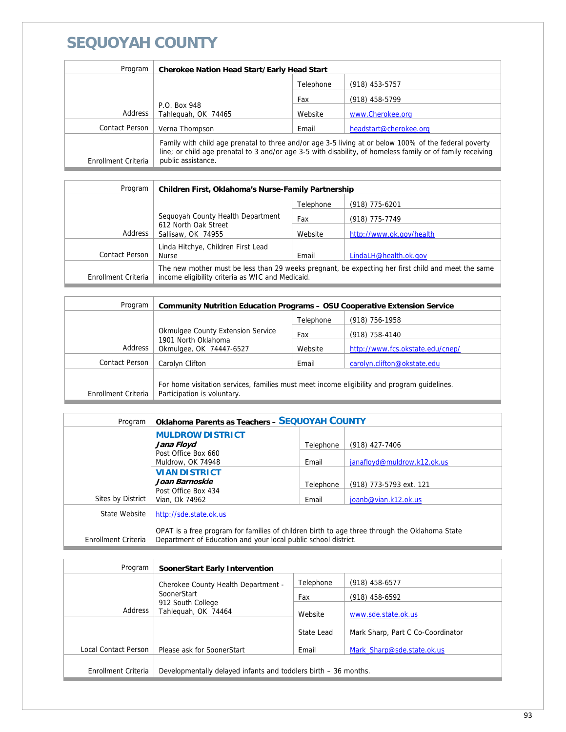## **SEQUOYAH COUNTY**

| Program             | <b>Cherokee Nation Head Start/Early Head Start</b>                                                                                                                                                                                        |           |                        |
|---------------------|-------------------------------------------------------------------------------------------------------------------------------------------------------------------------------------------------------------------------------------------|-----------|------------------------|
|                     |                                                                                                                                                                                                                                           | Telephone | $(918)$ 453-5757       |
|                     | P.O. Box 948<br>Tahleguah, OK 74465                                                                                                                                                                                                       | Fax       | (918) 458-5799         |
| Address             |                                                                                                                                                                                                                                           | Website   | www.Cherokee.org       |
| Contact Person      | Verna Thompson                                                                                                                                                                                                                            | Email     | headstart@cherokee.org |
| Enrollment Criteria | Family with child age prenatal to three and/or age 3-5 living at or below 100% of the federal poverty<br>line; or child age prenatal to 3 and/or age 3-5 with disability, of homeless family or of family receiving<br>public assistance. |           |                        |

| Program             | Children First, Oklahoma's Nurse-Family Partnership                                                                                                    |           |                          |
|---------------------|--------------------------------------------------------------------------------------------------------------------------------------------------------|-----------|--------------------------|
|                     |                                                                                                                                                        | Telephone | $(918)$ 775-6201         |
|                     | Sequoyah County Health Department<br>612 North Oak Street<br>Sallisaw, OK 74955                                                                        | Fax       | (918) 775-7749           |
| Address             |                                                                                                                                                        | Website   | http://www.ok.gov/health |
| Contact Person      | Linda Hitchye, Children First Lead<br><b>Nurse</b>                                                                                                     | Email     | LindaLH@health.ok.gov    |
| Enrollment Criteria | The new mother must be less than 29 weeks pregnant, be expecting her first child and meet the same<br>income eligibility criteria as WIC and Medicaid. |           |                          |

| Program             | <b>Community Nutrition Education Programs - OSU Cooperative Extension Service</b>                                          |           |                                  |
|---------------------|----------------------------------------------------------------------------------------------------------------------------|-----------|----------------------------------|
|                     |                                                                                                                            | Telephone | $(918)$ 756-1958                 |
|                     | <b>Okmulgee County Extension Service</b><br>1901 North Oklahoma<br>Okmulgee, OK 74447-6527                                 | Fax       | (918) 758-4140                   |
| Address             |                                                                                                                            | Website   | http://www.fcs.okstate.edu/cnep/ |
| Contact Person      | Carolyn Clifton                                                                                                            | Email     | carolyn.clifton@okstate.edu      |
| Enrollment Criteria | For home visitation services, families must meet income eligibility and program quidelines.<br>Participation is voluntary. |           |                                  |

| Program             | <b>Oklahoma Parents as Teachers - SEQUOYAH COUNTY</b>                                                                                                           |           |                             |
|---------------------|-----------------------------------------------------------------------------------------------------------------------------------------------------------------|-----------|-----------------------------|
|                     | <b>MULDROW DISTRICT</b><br>Jana Floyd                                                                                                                           | Telephone | (918) 427-7406              |
|                     | Post Office Box 660<br>Muldrow, OK 74948                                                                                                                        | Email     | janafloyd@muldrow.k12.ok.us |
|                     | <b>VIAN DISTRICT</b><br>Joan Barnoskie                                                                                                                          | Telephone | (918) 773-5793 ext. 121     |
| Sites by District   | Post Office Box 434<br>Vian, Ok 74962                                                                                                                           | Email     | joanb@vian.k12.ok.us        |
| State Website       | http://sde.state.ok.us                                                                                                                                          |           |                             |
| Enrollment Criteria | OPAT is a free program for families of children birth to age three through the Oklahoma State<br>Department of Education and your local public school district. |           |                             |

| Program              | SoonerStart Early Intervention                                  |            |                                   |
|----------------------|-----------------------------------------------------------------|------------|-----------------------------------|
|                      | Cherokee County Health Department -                             | Telephone  | $(918)$ 458-6577                  |
|                      | SoonerStart                                                     | Fax        | (918) 458-6592                    |
| Address              | 912 South College<br>Tahleguah, OK 74464                        | Website    | www.sde.state.ok.us               |
|                      |                                                                 | State Lead | Mark Sharp, Part C Co-Coordinator |
| Local Contact Person | Please ask for SoonerStart                                      | Email      | Mark Sharp@sde.state.ok.us        |
| Enrollment Criteria  | Developmentally delayed infants and toddlers birth – 36 months. |            |                                   |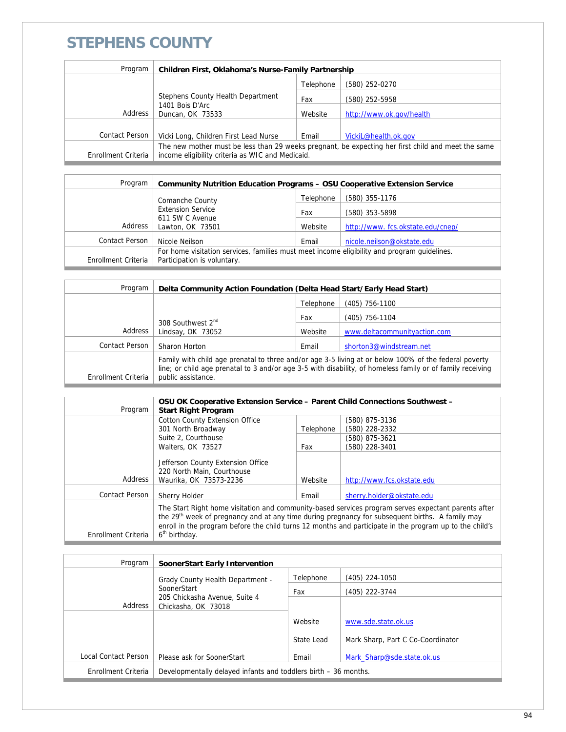### **STEPHENS COUNTY**

| Program             | Children First, Oklahoma's Nurse-Family Partnership                                                                                                    |           |                          |
|---------------------|--------------------------------------------------------------------------------------------------------------------------------------------------------|-----------|--------------------------|
|                     |                                                                                                                                                        | Telephone | (580) 252-0270           |
|                     | Stephens County Health Department                                                                                                                      | Fax       | (580) 252-5958           |
| Address             | 1401 Bois D'Arc<br>Duncan, OK 73533                                                                                                                    | Website   | http://www.ok.gov/health |
|                     |                                                                                                                                                        |           |                          |
| Contact Person      | Vicki Long, Children First Lead Nurse                                                                                                                  | Email     | VickiL@health.ok.gov     |
| Enrollment Criteria | The new mother must be less than 29 weeks pregnant, be expecting her first child and meet the same<br>income eligibility criteria as WIC and Medicaid. |           |                          |

| Program               | <b>Community Nutrition Education Programs - OSU Cooperative Extension Service</b>           |           |                                  |
|-----------------------|---------------------------------------------------------------------------------------------|-----------|----------------------------------|
|                       | Comanche County                                                                             | Telephone | (580) 355-1176                   |
|                       | <b>Extension Service</b><br>611 SW C Avenue<br>Address<br>Lawton, OK 73501                  | Fax       | (580) 353-5898                   |
|                       |                                                                                             | Website   | http://www.fcs.okstate.edu/cnep/ |
| <b>Contact Person</b> | Nicole Neilson                                                                              | Email     | nicole.neilson@okstate.edu       |
|                       | For home visitation services, families must meet income eligibility and program quidelines. |           |                                  |
| Enrollment Criteria   | Participation is voluntary.                                                                 |           |                                  |

| Program             | Delta Community Action Foundation (Delta Head Start/Early Head Start)                                                                                                                                                                     |           |                              |
|---------------------|-------------------------------------------------------------------------------------------------------------------------------------------------------------------------------------------------------------------------------------------|-----------|------------------------------|
|                     |                                                                                                                                                                                                                                           | Telephone | (405) 756-1100               |
|                     |                                                                                                                                                                                                                                           | Fax       | (405) 756-1104               |
| Address             | 308 Southwest 2 <sup>nd</sup><br>Lindsay, OK 73052                                                                                                                                                                                        | Website   | www.deltacommunityaction.com |
| Contact Person      | Sharon Horton                                                                                                                                                                                                                             | Email     | shorton3@windstream.net      |
| Enrollment Criteria | Family with child age prenatal to three and/or age 3-5 living at or below 100% of the federal poverty<br>line; or child age prenatal to 3 and/or age 3-5 with disability, of homeless family or of family receiving<br>public assistance. |           |                              |

| Program             | OSU OK Cooperative Extension Service - Parent Child Connections Southwest -<br><b>Start Right Program</b>                                                                                                                                                                                                                                                  |           |                            |
|---------------------|------------------------------------------------------------------------------------------------------------------------------------------------------------------------------------------------------------------------------------------------------------------------------------------------------------------------------------------------------------|-----------|----------------------------|
|                     | <b>Cotton County Extension Office</b>                                                                                                                                                                                                                                                                                                                      |           | (580) 875-3136             |
|                     | 301 North Broadway                                                                                                                                                                                                                                                                                                                                         | Telephone | (580) 228-2332             |
|                     | Suite 2, Courthouse                                                                                                                                                                                                                                                                                                                                        |           | (580) 875-3621             |
|                     | Walters, OK 73527                                                                                                                                                                                                                                                                                                                                          | Fax       | (580) 228-3401             |
| Address             | Jefferson County Extension Office<br>220 North Main, Courthouse<br>Waurika, OK 73573-2236                                                                                                                                                                                                                                                                  | Website   | http://www.fcs.okstate.edu |
| Contact Person      | Sherry Holder                                                                                                                                                                                                                                                                                                                                              | Email     | sherry.holder@okstate.edu  |
| Enrollment Criteria | The Start Right home visitation and community-based services program serves expectant parents after<br>the 29 <sup>th</sup> week of pregnancy and at any time during pregnancy for subsequent births. A family may<br>enroll in the program before the child turns 12 months and participate in the program up to the child's<br>6 <sup>th</sup> birthday. |           |                            |

| Program              | SoonerStart Early Intervention                                  |            |                                   |
|----------------------|-----------------------------------------------------------------|------------|-----------------------------------|
|                      | <b>Grady County Health Department -</b><br>SoonerStart          | Telephone  | (405) 224-1050                    |
|                      |                                                                 | Fax        | (405) 222-3744                    |
| Address              | 205 Chickasha Avenue, Suite 4<br>Chickasha, OK 73018            |            |                                   |
|                      |                                                                 | Website    | www.sde.state.ok.us               |
|                      |                                                                 | State Lead | Mark Sharp, Part C Co-Coordinator |
| Local Contact Person | Please ask for SoonerStart                                      | Email      | Mark Sharp@sde.state.ok.us        |
| Enrollment Criteria  | Developmentally delayed infants and toddlers birth – 36 months. |            |                                   |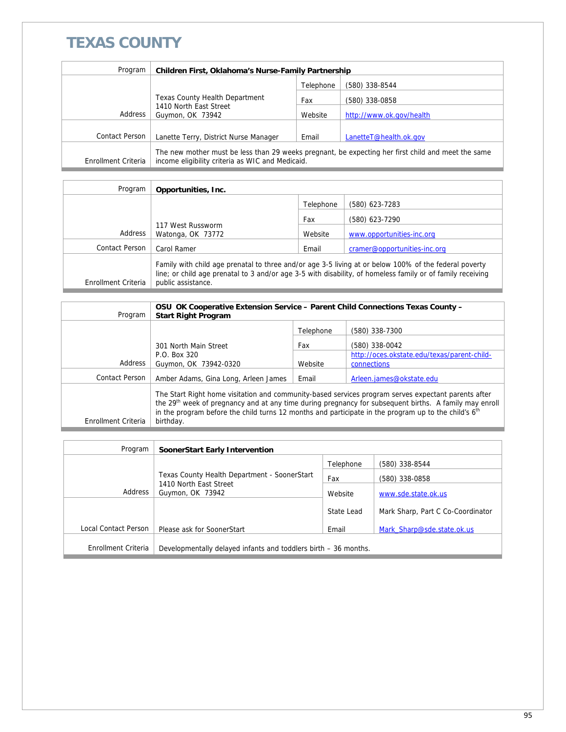## **TEXAS COUNTY**

| Program             | Children First, Oklahoma's Nurse-Family Partnership                                                                                                    |           |                          |
|---------------------|--------------------------------------------------------------------------------------------------------------------------------------------------------|-----------|--------------------------|
|                     |                                                                                                                                                        | Telephone | (580) 338-8544           |
|                     | <b>Texas County Health Department</b>                                                                                                                  | Fax       | (580) 338-0858           |
| Address             | 1410 North East Street<br>Guymon, OK 73942                                                                                                             | Website   | http://www.ok.gov/health |
|                     |                                                                                                                                                        |           |                          |
| Contact Person      | Lanette Terry, District Nurse Manager                                                                                                                  | Email     | LanetteT@health.ok.gov   |
| Enrollment Criteria | The new mother must be less than 29 weeks pregnant, be expecting her first child and meet the same<br>income eligibility criteria as WIC and Medicaid. |           |                          |

| Program             | Opportunities, Inc.                                                                                                                                                                                                                       |           |                              |
|---------------------|-------------------------------------------------------------------------------------------------------------------------------------------------------------------------------------------------------------------------------------------|-----------|------------------------------|
|                     |                                                                                                                                                                                                                                           | Telephone | (580) 623-7283               |
|                     |                                                                                                                                                                                                                                           | Fax       | (580) 623-7290               |
| Address             | 117 West Russworm<br>Watonga, OK 73772                                                                                                                                                                                                    | Website   | www.opportunities-inc.org    |
| Contact Person      | Carol Ramer                                                                                                                                                                                                                               | Email     | cramer@opportunities-inc.org |
| Enrollment Criteria | Family with child age prenatal to three and/or age 3-5 living at or below 100% of the federal poverty<br>line; or child age prenatal to 3 and/or age 3-5 with disability, of homeless family or of family receiving<br>public assistance. |           |                              |

| Program             | OSU OK Cooperative Extension Service - Parent Child Connections Texas County -<br><b>Start Right Program</b>                                                                                                                                                                                                                                               |           |                                             |
|---------------------|------------------------------------------------------------------------------------------------------------------------------------------------------------------------------------------------------------------------------------------------------------------------------------------------------------------------------------------------------------|-----------|---------------------------------------------|
|                     |                                                                                                                                                                                                                                                                                                                                                            | Telephone | (580) 338-7300                              |
|                     | 301 North Main Street                                                                                                                                                                                                                                                                                                                                      | Fax       | (580) 338-0042                              |
|                     | P.O. Box 320                                                                                                                                                                                                                                                                                                                                               |           | http://oces.okstate.edu/texas/parent-child- |
| Address             | Guymon, OK 73942-0320                                                                                                                                                                                                                                                                                                                                      | Website   | connections                                 |
| Contact Person      | Amber Adams, Gina Long, Arleen James                                                                                                                                                                                                                                                                                                                       | Email     | Arleen.james@okstate.edu                    |
| Enrollment Criteria | The Start Right home visitation and community-based services program serves expectant parents after<br>the 29 <sup>th</sup> week of pregnancy and at any time during pregnancy for subsequent births. A family may enroll<br>in the program before the child turns 12 months and participate in the program up to the child's 6 <sup>th</sup><br>birthday. |           |                                             |

| Program              | SoonerStart Early Intervention                                  |            |                                   |
|----------------------|-----------------------------------------------------------------|------------|-----------------------------------|
|                      |                                                                 | Telephone  | (580) 338-8544                    |
|                      | Texas County Health Department - SoonerStart                    |            | (580) 338-0858                    |
| Address              | 1410 North East Street<br>Guymon, OK 73942                      | Website    | www.sde.state.ok.us               |
|                      |                                                                 | State Lead | Mark Sharp, Part C Co-Coordinator |
| Local Contact Person | Please ask for SoonerStart                                      | Email      | Mark Sharp@sde.state.ok.us        |
| Enrollment Criteria  | Developmentally delayed infants and toddlers birth – 36 months. |            |                                   |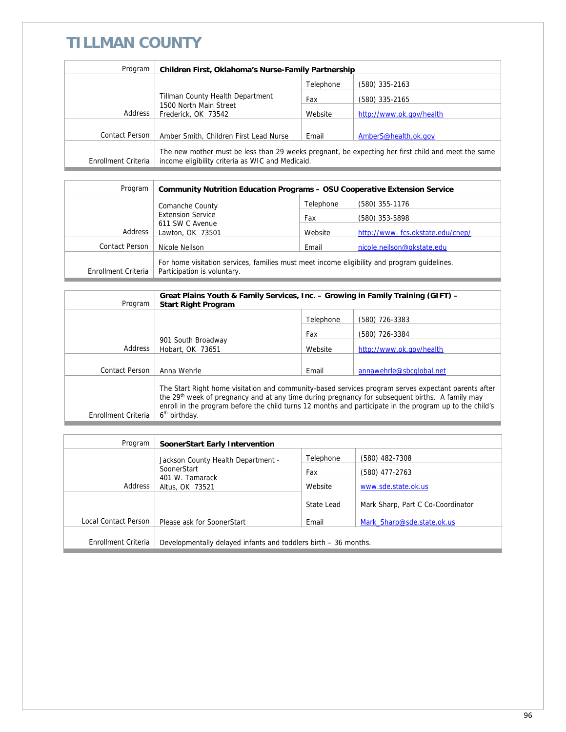## **TILLMAN COUNTY**

| Program             | Children First, Oklahoma's Nurse-Family Partnership                                                                                                    |           |                          |
|---------------------|--------------------------------------------------------------------------------------------------------------------------------------------------------|-----------|--------------------------|
|                     |                                                                                                                                                        | Telephone | (580) 335-2163           |
|                     | Tillman County Health Department<br>1500 North Main Street<br>Frederick, OK 73542                                                                      | Fax       | (580) 335-2165           |
| Address             |                                                                                                                                                        | Website   | http://www.ok.gov/health |
| Contact Person      | Amber Smith, Children First Lead Nurse                                                                                                                 | Email     | AmberS@health.ok.gov     |
| Enrollment Criteria | The new mother must be less than 29 weeks pregnant, be expecting her first child and meet the same<br>income eligibility criteria as WIC and Medicaid. |           |                          |

| Program                  | <b>Community Nutrition Education Programs - OSU Cooperative Extension Service</b>                                          |           |                                  |
|--------------------------|----------------------------------------------------------------------------------------------------------------------------|-----------|----------------------------------|
|                          | Comanche County                                                                                                            | Telephone | (580) 355-1176                   |
| <b>Extension Service</b> |                                                                                                                            | Fax       | (580) 353-5898                   |
| Address                  | 611 SW C Avenue<br>Lawton, OK 73501                                                                                        | Website   | http://www.fcs.okstate.edu/cnep/ |
| Contact Person           | Nicole Neilson                                                                                                             | Email     | nicole.neilson@okstate.edu       |
| Enrollment Criteria      | For home visitation services, families must meet income eligibility and program quidelines.<br>Participation is voluntary. |           |                                  |

| Program             | Great Plains Youth & Family Services, Inc. – Growing in Family Training (GIFT) –<br><b>Start Right Program</b>                                                                                                                                                                                                                                             |           |                          |
|---------------------|------------------------------------------------------------------------------------------------------------------------------------------------------------------------------------------------------------------------------------------------------------------------------------------------------------------------------------------------------------|-----------|--------------------------|
|                     |                                                                                                                                                                                                                                                                                                                                                            | Telephone | (580) 726-3383           |
|                     |                                                                                                                                                                                                                                                                                                                                                            | Fax       | (580) 726-3384           |
| Address             | 901 South Broadway<br>Hobart, OK 73651                                                                                                                                                                                                                                                                                                                     | Website   | http://www.ok.gov/health |
| Contact Person      |                                                                                                                                                                                                                                                                                                                                                            |           |                          |
|                     | Anna Wehrle                                                                                                                                                                                                                                                                                                                                                | Email     | annawehrle@sbcqlobal.net |
| Enrollment Criteria | The Start Right home visitation and community-based services program serves expectant parents after<br>the 29 <sup>th</sup> week of pregnancy and at any time during pregnancy for subsequent births. A family may<br>enroll in the program before the child turns 12 months and participate in the program up to the child's<br>6 <sup>th</sup> birthday. |           |                          |

| Program              | <b>SoonerStart Early Intervention</b>                           |            |                                   |
|----------------------|-----------------------------------------------------------------|------------|-----------------------------------|
|                      | Jackson County Health Department -                              | Telephone  | $(580)$ 482-7308                  |
|                      | SoonerStart<br>401 W. Tamarack<br>Address<br>Altus, OK 73521    | Fax        | (580) 477-2763                    |
|                      |                                                                 | Website    | www.sde.state.ok.us               |
|                      |                                                                 | State Lead | Mark Sharp, Part C Co-Coordinator |
| Local Contact Person | Please ask for SoonerStart                                      | Email      | Mark Sharp@sde.state.ok.us        |
| Enrollment Criteria  | Developmentally delayed infants and toddlers birth - 36 months. |            |                                   |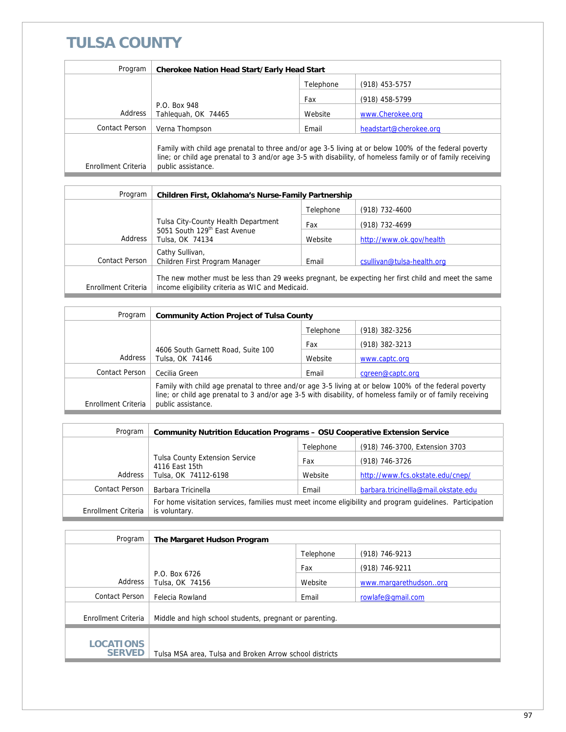## **TULSA COUNTY**

| Program               | <b>Cherokee Nation Head Start/Early Head Start</b>                                                                                                                                                                                        |           |                        |
|-----------------------|-------------------------------------------------------------------------------------------------------------------------------------------------------------------------------------------------------------------------------------------|-----------|------------------------|
|                       |                                                                                                                                                                                                                                           | Telephone | $(918)$ 453-5757       |
|                       |                                                                                                                                                                                                                                           | Fax       | (918) 458-5799         |
| Address               | P.O. Box 948<br>Tahlequah, OK 74465                                                                                                                                                                                                       | Website   | www.Cherokee.org       |
| <b>Contact Person</b> | Verna Thompson                                                                                                                                                                                                                            | Email     | headstart@cherokee.org |
| Enrollment Criteria   | Family with child age prenatal to three and/or age 3-5 living at or below 100% of the federal poverty<br>line; or child age prenatal to 3 and/or age 3-5 with disability, of homeless family or of family receiving<br>public assistance. |           |                        |

| Program             | Children First, Oklahoma's Nurse-Family Partnership                                                                                                    |           |                            |
|---------------------|--------------------------------------------------------------------------------------------------------------------------------------------------------|-----------|----------------------------|
|                     |                                                                                                                                                        | Telephone | $(918)$ 732-4600           |
|                     | Tulsa City-County Health Department                                                                                                                    | Fax       | (918) 732-4699             |
| Address             | 5051 South 129 <sup>th</sup> East Avenue<br>Tulsa, OK 74134                                                                                            | Website   | http://www.ok.gov/health   |
|                     | Cathy Sullivan,                                                                                                                                        |           |                            |
| Contact Person      | Children First Program Manager                                                                                                                         | Email     | csullivan@tulsa-health.org |
| Enrollment Criteria | The new mother must be less than 29 weeks pregnant, be expecting her first child and meet the same<br>income eligibility criteria as WIC and Medicaid. |           |                            |

| Program             | <b>Community Action Project of Tulsa County</b>                                                                                                                                                                                           |           |                  |
|---------------------|-------------------------------------------------------------------------------------------------------------------------------------------------------------------------------------------------------------------------------------------|-----------|------------------|
|                     |                                                                                                                                                                                                                                           | Telephone | (918) 382-3256   |
|                     | 4606 South Garnett Road, Suite 100<br>Tulsa, OK 74146                                                                                                                                                                                     | Fax       | (918) 382-3213   |
| Address             |                                                                                                                                                                                                                                           | Website   | www.captc.org    |
| Contact Person      | Cecilia Green                                                                                                                                                                                                                             | Email     | cgreen@captc.org |
| Enrollment Criteria | Family with child age prenatal to three and/or age 3-5 living at or below 100% of the federal poverty<br>line; or child age prenatal to 3 and/or age 3-5 with disability, of homeless family or of family receiving<br>public assistance. |           |                  |

| Program               | <b>Community Nutrition Education Programs – OSU Cooperative Extension Service</b>                                          |           |                                      |
|-----------------------|----------------------------------------------------------------------------------------------------------------------------|-----------|--------------------------------------|
|                       |                                                                                                                            | Telephone | (918) 746-3700, Extension 3703       |
|                       | <b>Tulsa County Extension Service</b>                                                                                      | Fax       | (918) 746-3726                       |
| Address               | 4116 East 15th<br>Tulsa, OK 74112-6198                                                                                     | Website   | http://www.fcs.okstate.edu/cnep/     |
| <b>Contact Person</b> | Barbara Tricinella                                                                                                         | Email     | barbara.tricinellla@mail.okstate.edu |
| Enrollment Criteria   | For home visitation services, families must meet income eligibility and program quidelines. Participation<br>is voluntary. |           |                                      |

| Program                           | The Margaret Hudson Program                             |           |                       |
|-----------------------------------|---------------------------------------------------------|-----------|-----------------------|
|                                   |                                                         | Telephone | (918) 746-9213        |
|                                   |                                                         | Fax       | (918) 746-9211        |
| Address                           | P.O. Box 6726<br>Tulsa, OK 74156                        | Website   | www.margarethudsonorg |
| Contact Person                    | Felecia Rowland                                         | Email     | rowlafe@gmail.com     |
| Enrollment Criteria               | Middle and high school students, pregnant or parenting. |           |                       |
| <b>LOCATIONS</b><br><b>SERVED</b> | Tulsa MSA area, Tulsa and Broken Arrow school districts |           |                       |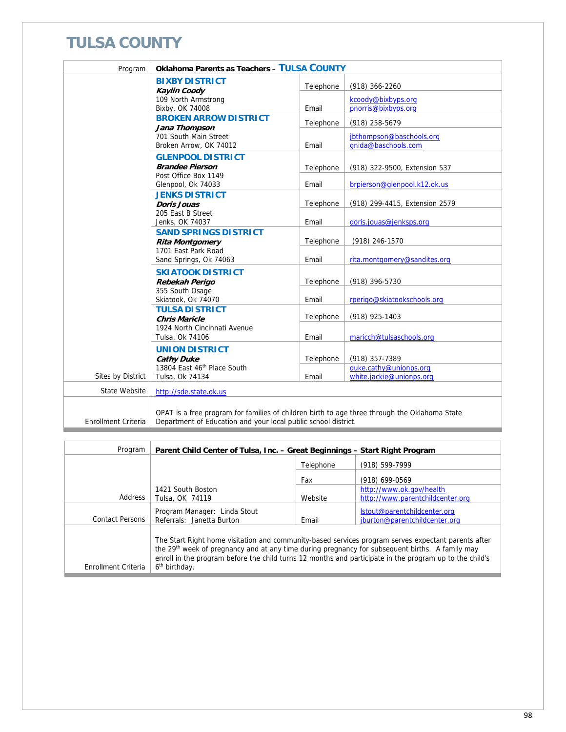## **TULSA COUNTY**

| Program                    | Oklahoma Parents as Teachers - TULSA COUNTY                                                                                                                     |                    |                                                               |
|----------------------------|-----------------------------------------------------------------------------------------------------------------------------------------------------------------|--------------------|---------------------------------------------------------------|
|                            | <b>BIXBY DISTRICT</b><br><b>Kaylin Coody</b>                                                                                                                    | Telephone          | (918) 366-2260                                                |
|                            | 109 North Armstrong<br>Bixby, OK 74008                                                                                                                          | Email              | kcoody@bixbyps.org<br>pnorris@bixbyps.org                     |
|                            | <b>BROKEN ARROW DISTRICT</b><br>Jana Thompson                                                                                                                   | Telephone          | (918) 258-5679                                                |
|                            | 701 South Main Street<br>Broken Arrow, OK 74012                                                                                                                 | Email              | jbthompson@baschools.org<br>anida@baschools.com               |
|                            | <b>GLENPOOL DISTRICT</b>                                                                                                                                        |                    |                                                               |
|                            | <b>Brandee Pierson</b><br>Post Office Box 1149<br>Glenpool, Ok 74033                                                                                            | Telephone<br>Email | (918) 322-9500, Extension 537<br>brpierson@glenpool.k12.ok.us |
|                            | <b>JENKS DISTRICT</b>                                                                                                                                           | Telephone          | (918) 299-4415, Extension 2579                                |
|                            | Doris Jouas<br>205 East B Street<br>Jenks, OK 74037                                                                                                             | Email              | doris.jouas@jenksps.org                                       |
|                            | <b>SAND SPRINGS DISTRICT</b><br><b>Rita Montgomery</b>                                                                                                          | Telephone          | (918) 246-1570                                                |
|                            | 1701 East Park Road<br>Sand Springs, Ok 74063                                                                                                                   | Email              | rita.montgomery@sandites.org                                  |
|                            | <b>SKIATOOK DISTRICT</b><br>Rebekah Perigo                                                                                                                      | Telephone          | (918) 396-5730                                                |
|                            | 355 South Osage<br>Skiatook, Ok 74070                                                                                                                           | Email              | rperigo@skiatookschools.org                                   |
|                            | <b>TULSA DISTRICT</b><br><b>Chris Maricle</b>                                                                                                                   | Telephone          | (918) 925-1403                                                |
|                            | 1924 North Cincinnati Avenue<br>Tulsa, Ok 74106                                                                                                                 | Email              | maricch@tulsaschools.org                                      |
|                            | <b>UNION DISTRICT</b><br><b>Cathy Duke</b>                                                                                                                      | Telephone          | (918) 357-7389                                                |
| Sites by District          | 13804 East 46th Place South<br>Tulsa, Ok 74134                                                                                                                  | Email              | duke.cathy@unionps.org<br>white.jackie@unionps.org            |
| State Website              | http://sde.state.ok.us                                                                                                                                          |                    |                                                               |
| <b>Enrollment Criteria</b> | OPAT is a free program for families of children birth to age three through the Oklahoma State<br>Department of Education and your local public school district. |                    |                                                               |

| Program                | Parent Child Center of Tulsa, Inc. - Great Beginnings - Start Right Program                                                                                                                                                                                                                                                                                |           |                                                               |
|------------------------|------------------------------------------------------------------------------------------------------------------------------------------------------------------------------------------------------------------------------------------------------------------------------------------------------------------------------------------------------------|-----------|---------------------------------------------------------------|
|                        |                                                                                                                                                                                                                                                                                                                                                            | Telephone | (918) 599-7999                                                |
|                        |                                                                                                                                                                                                                                                                                                                                                            | Fax       | (918) 699-0569                                                |
|                        | 1421 South Boston                                                                                                                                                                                                                                                                                                                                          |           | http://www.ok.gov/health                                      |
| Address                | Tulsa, OK 74119                                                                                                                                                                                                                                                                                                                                            | Website   | http://www.parentchildcenter.org                              |
| <b>Contact Persons</b> | Program Manager: Linda Stout<br>Referrals: Janetta Burton                                                                                                                                                                                                                                                                                                  | Email     | Istout@parentchildcenter.org<br>jburton@parentchildcenter.org |
| Enrollment Criteria    | The Start Right home visitation and community-based services program serves expectant parents after<br>the 29 <sup>th</sup> week of pregnancy and at any time during pregnancy for subsequent births. A family may<br>enroll in the program before the child turns 12 months and participate in the program up to the child's<br>6 <sup>th</sup> birthday. |           |                                                               |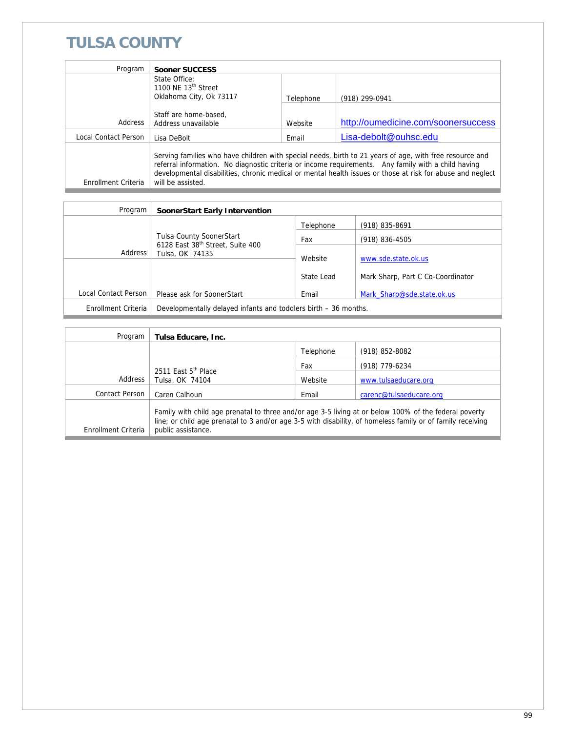## **TULSA COUNTY**

| Program              | Sooner SUCCESS                                                                                                                                                                                                                                                                                                                                    |           |                                     |  |
|----------------------|---------------------------------------------------------------------------------------------------------------------------------------------------------------------------------------------------------------------------------------------------------------------------------------------------------------------------------------------------|-----------|-------------------------------------|--|
|                      | State Office:<br>1100 NE 13 <sup>th</sup> Street                                                                                                                                                                                                                                                                                                  |           |                                     |  |
|                      | Oklahoma City, Ok 73117                                                                                                                                                                                                                                                                                                                           | Telephone | (918) 299-0941                      |  |
|                      |                                                                                                                                                                                                                                                                                                                                                   |           |                                     |  |
|                      | Staff are home-based,                                                                                                                                                                                                                                                                                                                             |           |                                     |  |
| Address              | Address unavailable                                                                                                                                                                                                                                                                                                                               | Website   | http://oumedicine.com/soonersuccess |  |
| Local Contact Person | Lisa DeBolt                                                                                                                                                                                                                                                                                                                                       | Email     | Lisa-debolt@ouhsc.edu               |  |
| Enrollment Criteria  | Serving families who have children with special needs, birth to 21 years of age, with free resource and<br>referral information. No diagnostic criteria or income requirements. Any family with a child having<br>developmental disabilities, chronic medical or mental health issues or those at risk for abuse and neglect<br>will be assisted. |           |                                     |  |

| Program              | SoonerStart Early Intervention                                  |                       |                                                          |
|----------------------|-----------------------------------------------------------------|-----------------------|----------------------------------------------------------|
|                      |                                                                 | Telephone             | (918) 835-8691                                           |
|                      | <b>Tulsa County SoonerStart</b>                                 | Fax                   | $(918) 836 - 4505$                                       |
| Address              | 6128 East 38 <sup>th</sup> Street, Suite 400<br>Tulsa, OK 74135 | Website<br>State Lead | www.sde.state.ok.us<br>Mark Sharp, Part C Co-Coordinator |
| Local Contact Person | Please ask for SoonerStart                                      | Email                 | Mark Sharp@sde.state.ok.us                               |
| Enrollment Criteria  | Developmentally delayed infants and toddlers birth – 36 months. |                       |                                                          |

| Program             | Tulsa Educare, Inc.                                                                                                                                                                                                                       |           |                         |
|---------------------|-------------------------------------------------------------------------------------------------------------------------------------------------------------------------------------------------------------------------------------------|-----------|-------------------------|
|                     |                                                                                                                                                                                                                                           | Telephone | $(918)$ 852-8082        |
|                     |                                                                                                                                                                                                                                           | Fax       | (918) 779-6234          |
| Address             | 2511 East 5 <sup>th</sup> Place<br>Tulsa, OK 74104                                                                                                                                                                                        | Website   | www.tulsaeducare.org    |
| Contact Person      | Caren Calhoun                                                                                                                                                                                                                             | Email     | carenc@tulsaeducare.org |
| Enrollment Criteria | Family with child age prenatal to three and/or age 3-5 living at or below 100% of the federal poverty<br>line; or child age prenatal to 3 and/or age 3-5 with disability, of homeless family or of family receiving<br>public assistance. |           |                         |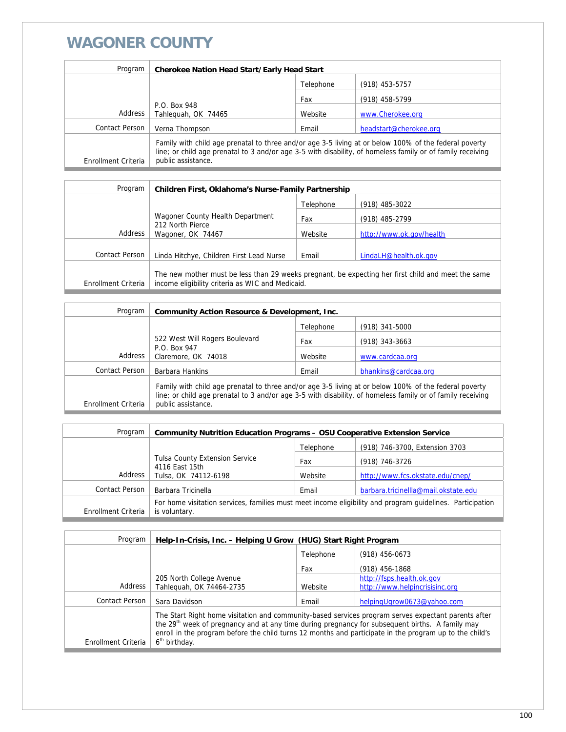#### **WAGONER COUNTY**

| Program             | <b>Cherokee Nation Head Start/Early Head Start</b>                                                                                                                                                                                        |           |                        |
|---------------------|-------------------------------------------------------------------------------------------------------------------------------------------------------------------------------------------------------------------------------------------|-----------|------------------------|
|                     |                                                                                                                                                                                                                                           | Telephone | $(918)$ 453-5757       |
|                     |                                                                                                                                                                                                                                           | Fax       | (918) 458-5799         |
| Address             | P.O. Box 948<br>Tahleguah, OK 74465                                                                                                                                                                                                       | Website   | www.Cherokee.org       |
| Contact Person      | Verna Thompson                                                                                                                                                                                                                            | Email     | headstart@cherokee.org |
| Enrollment Criteria | Family with child age prenatal to three and/or age 3-5 living at or below 100% of the federal poverty<br>line; or child age prenatal to 3 and/or age 3-5 with disability, of homeless family or of family receiving<br>public assistance. |           |                        |

| Program             | Children First, Oklahoma's Nurse-Family Partnership                                                                                                    |           |                          |
|---------------------|--------------------------------------------------------------------------------------------------------------------------------------------------------|-----------|--------------------------|
|                     |                                                                                                                                                        | Telephone | $(918)$ 485-3022         |
|                     | Wagoner County Health Department                                                                                                                       | Fax       | (918) 485-2799           |
| Address             | 212 North Pierce<br>Wagoner, OK 74467                                                                                                                  | Website   | http://www.ok.gov/health |
|                     |                                                                                                                                                        |           |                          |
| Contact Person      | Linda Hitchye, Children First Lead Nurse                                                                                                               | Email     | LindaLH@health.ok.gov    |
| Enrollment Criteria | The new mother must be less than 29 weeks pregnant, be expecting her first child and meet the same<br>income eligibility criteria as WIC and Medicaid. |           |                          |

| Program             | Community Action Resource & Development, Inc.                                                                                                                                                                                             |           |                      |
|---------------------|-------------------------------------------------------------------------------------------------------------------------------------------------------------------------------------------------------------------------------------------|-----------|----------------------|
|                     |                                                                                                                                                                                                                                           | Telephone | $(918)$ 341-5000     |
|                     | 522 West Will Rogers Boulevard                                                                                                                                                                                                            | Fax       | $(918)$ 343-3663     |
| Address             | P.O. Box 947<br>Claremore, OK 74018                                                                                                                                                                                                       | Website   | www.cardcaa.org      |
| Contact Person      | Barbara Hankins                                                                                                                                                                                                                           | Email     | bhankins@cardcaa.org |
| Enrollment Criteria | Family with child age prenatal to three and/or age 3-5 living at or below 100% of the federal poverty<br>line; or child age prenatal to 3 and/or age 3-5 with disability, of homeless family or of family receiving<br>public assistance. |           |                      |

| Program             | <b>Community Nutrition Education Programs - OSU Cooperative Extension Service</b>                                          |           |                                      |
|---------------------|----------------------------------------------------------------------------------------------------------------------------|-----------|--------------------------------------|
|                     |                                                                                                                            | Telephone | (918) 746-3700, Extension 3703       |
|                     | <b>Tulsa County Extension Service</b>                                                                                      | Fax       | (918) 746-3726                       |
| Address             | 4116 East 15th<br>Tulsa, OK 74112-6198                                                                                     | Website   | http://www.fcs.okstate.edu/cnep/     |
| Contact Person      | Barbara Tricinella                                                                                                         | Email     | barbara.tricinellla@mail.okstate.edu |
| Enrollment Criteria | For home visitation services, families must meet income eligibility and program quidelines. Participation<br>is voluntary. |           |                                      |

| Program             | Help-In-Crisis, Inc. - Helping U Grow (HUG) Start Right Program                                                                                                                                                                                                                                                                                            |           |                                |
|---------------------|------------------------------------------------------------------------------------------------------------------------------------------------------------------------------------------------------------------------------------------------------------------------------------------------------------------------------------------------------------|-----------|--------------------------------|
|                     |                                                                                                                                                                                                                                                                                                                                                            | Telephone | $(918)$ 456-0673               |
|                     |                                                                                                                                                                                                                                                                                                                                                            | Fax       | $(918)$ 456-1868               |
|                     | 205 North College Avenue                                                                                                                                                                                                                                                                                                                                   |           | http://fsps.health.ok.gov      |
| Address             | Tahleguah, OK 74464-2735                                                                                                                                                                                                                                                                                                                                   | Website   | http://www.helpincrisisinc.org |
| Contact Person      | Sara Davidson                                                                                                                                                                                                                                                                                                                                              | Email     | helpingUgrow0673@yahoo.com     |
| Enrollment Criteria | The Start Right home visitation and community-based services program serves expectant parents after<br>the 29 <sup>th</sup> week of pregnancy and at any time during pregnancy for subsequent births. A family may<br>enroll in the program before the child turns 12 months and participate in the program up to the child's<br>6 <sup>th</sup> birthday. |           |                                |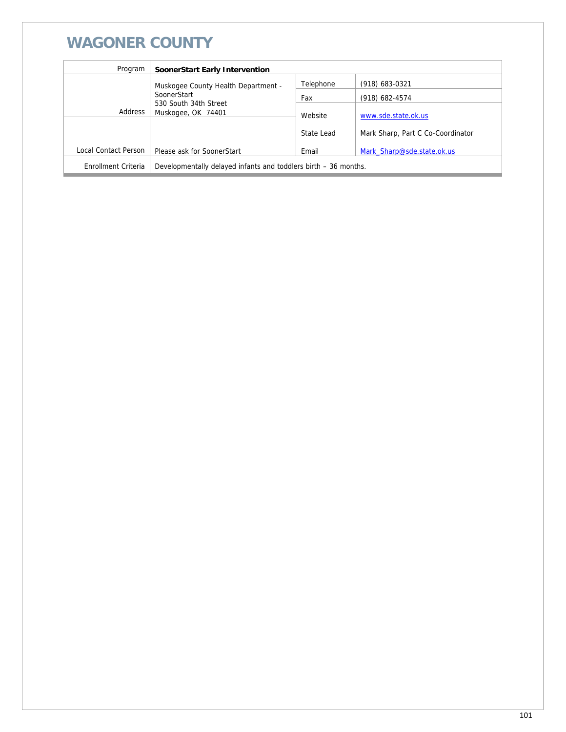## **WAGONER COUNTY**

| Program              | SoonerStart Early Intervention                                        |            |                                   |
|----------------------|-----------------------------------------------------------------------|------------|-----------------------------------|
|                      | Muskogee County Health Department -                                   | Telephone  | (918) 683-0321                    |
|                      | SoonerStart<br>530 South 34th Street<br>Address<br>Muskogee, OK 74401 | Fax        | (918) 682-4574                    |
|                      |                                                                       | Website    | www.sde.state.ok.us               |
|                      |                                                                       | State Lead | Mark Sharp, Part C Co-Coordinator |
| Local Contact Person | Please ask for SoonerStart                                            | Email      | Mark Sharp@sde.state.ok.us        |
| Enrollment Criteria  | Developmentally delayed infants and toddlers birth – 36 months.       |            |                                   |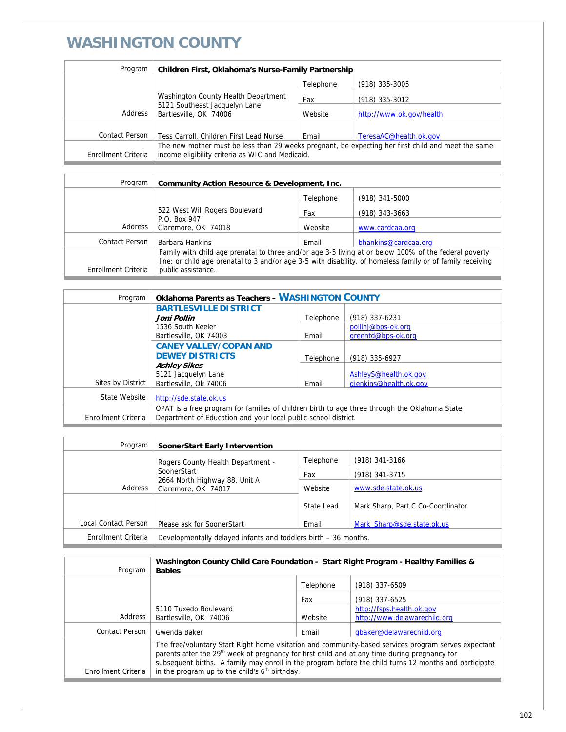#### **WASHINGTON COUNTY**

| Program             | Children First, Oklahoma's Nurse-Family Partnership                                                                                                    |           |                          |
|---------------------|--------------------------------------------------------------------------------------------------------------------------------------------------------|-----------|--------------------------|
|                     |                                                                                                                                                        | Telephone | (918) 335-3005           |
|                     | Washington County Health Department                                                                                                                    | Fax       | (918) 335-3012           |
| Address             | 5121 Southeast Jacquelyn Lane<br>Bartlesville, OK 74006                                                                                                | Website   | http://www.ok.gov/health |
|                     |                                                                                                                                                        |           |                          |
| Contact Person      | Tess Carroll, Children First Lead Nurse                                                                                                                | Email     | TeresaAC@health.ok.gov   |
| Enrollment Criteria | The new mother must be less than 29 weeks pregnant, be expecting her first child and meet the same<br>income eligibility criteria as WIC and Medicaid. |           |                          |

| Program             | Community Action Resource & Development, Inc.                                                                                    |           |                      |
|---------------------|----------------------------------------------------------------------------------------------------------------------------------|-----------|----------------------|
|                     |                                                                                                                                  | Telephone | $(918)$ 341-5000     |
|                     | 522 West Will Rogers Boulevard                                                                                                   | Fax       | $(918)$ 343-3663     |
| Address             | P.O. Box 947<br>Claremore, OK 74018                                                                                              | Website   | www.cardcaa.org      |
| Contact Person      | Barbara Hankins                                                                                                                  | Email     | bhankins@cardcaa.org |
|                     | Family with child age prenatal to three and/or age 3-5 living at or below 100% of the federal poverty                            |           |                      |
| Enrollment Criteria | line; or child age prenatal to 3 and/or age 3-5 with disability, of homeless family or of family receiving<br>public assistance. |           |                      |

| Program             | <b>Oklahoma Parents as Teachers - WASHINGTON COUNTY</b>                                       |           |                        |
|---------------------|-----------------------------------------------------------------------------------------------|-----------|------------------------|
|                     | <b>BARTLESVILLE DISTRICT</b>                                                                  |           |                        |
|                     | Joni Pollin                                                                                   | Telephone | (918) 337-6231         |
|                     | 1536 South Keeler                                                                             |           | pollinj@bps-ok.org     |
|                     | Bartlesville, OK 74003                                                                        | Email     | greentd@bps-ok.org     |
|                     | <b>CANEY VALLEY/COPAN AND</b>                                                                 |           |                        |
|                     | <b>DEWEY DISTRICTS</b>                                                                        | Telephone | (918) 335-6927         |
|                     | <b>Ashley Sikes</b>                                                                           |           |                        |
|                     | 5121 Jacquelyn Lane                                                                           |           | AshleyS@health.ok.gov  |
| Sites by District   | Bartlesville, Ok 74006                                                                        | Email     | djenkins@health.ok.gov |
| State Website       | http://sde.state.ok.us                                                                        |           |                        |
|                     | OPAT is a free program for families of children birth to age three through the Oklahoma State |           |                        |
| Enrollment Criteria | Department of Education and your local public school district.                                |           |                        |

| Program              | SoonerStart Early Intervention                                  |            |                                   |
|----------------------|-----------------------------------------------------------------|------------|-----------------------------------|
|                      | Rogers County Health Department -                               | Telephone  | $(918)$ 341-3166                  |
|                      | SoonerStart                                                     | Fax        | (918) 341-3715                    |
| Address              | 2664 North Highway 88, Unit A<br>Claremore, OK 74017            | Website    | www.sde.state.ok.us               |
|                      |                                                                 | State Lead | Mark Sharp, Part C Co-Coordinator |
| Local Contact Person | Please ask for SoonerStart                                      | Email      | Mark Sharp@sde.state.ok.us        |
| Enrollment Criteria  | Developmentally delayed infants and toddlers birth – 36 months. |            |                                   |

| Program             | Washington County Child Care Foundation - Start Right Program - Healthy Families &<br><b>Babies</b>                                                                                                                                                                                                                                                                                       |           |                              |
|---------------------|-------------------------------------------------------------------------------------------------------------------------------------------------------------------------------------------------------------------------------------------------------------------------------------------------------------------------------------------------------------------------------------------|-----------|------------------------------|
|                     |                                                                                                                                                                                                                                                                                                                                                                                           | Telephone | $(918)$ 337-6509             |
|                     |                                                                                                                                                                                                                                                                                                                                                                                           | Fax       | (918) 337-6525               |
|                     | 5110 Tuxedo Boulevard                                                                                                                                                                                                                                                                                                                                                                     |           | http://fsps.health.ok.gov    |
| Address             | Bartlesville, OK 74006                                                                                                                                                                                                                                                                                                                                                                    | Website   | http://www.delawarechild.org |
| Contact Person      | Gwenda Baker                                                                                                                                                                                                                                                                                                                                                                              | Email     | gbaker@delawarechild.org     |
| Enrollment Criteria | The free/voluntary Start Right home visitation and community-based services program serves expectant<br>parents after the 29 <sup>th</sup> week of pregnancy for first child and at any time during pregnancy for<br>subsequent births. A family may enroll in the program before the child turns 12 months and participate<br>in the program up to the child's 6 <sup>th</sup> birthday. |           |                              |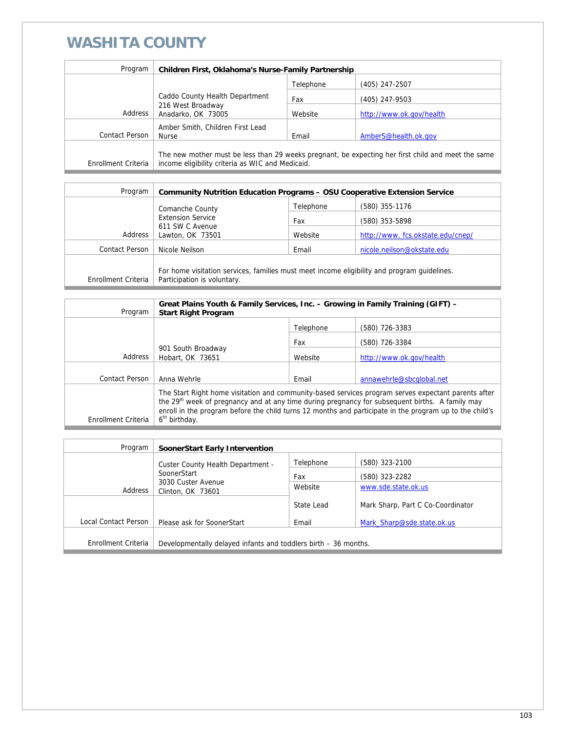### **WASHITA COUNTY**

| Program             | <b>Children First, Oklahoma's Nurse-Family Partnership</b>                                                                                             |           |                          |
|---------------------|--------------------------------------------------------------------------------------------------------------------------------------------------------|-----------|--------------------------|
|                     |                                                                                                                                                        | Telephone | (405) 247-2507           |
|                     | Caddo County Health Department                                                                                                                         | Fax       | (405) 247-9503           |
| Address             | 216 West Broadway<br>Anadarko, OK 73005                                                                                                                | Website   | http://www.ok.gov/health |
|                     | Amber Smith, Children First Lead                                                                                                                       |           |                          |
| Contact Person      | <b>Nurse</b>                                                                                                                                           | Email     | AmberS@health.ok.gov     |
| Enrollment Criteria | The new mother must be less than 29 weeks pregnant, be expecting her first child and meet the same<br>income eligibility criteria as WIC and Medicaid. |           |                          |

| <b>Community Nutrition Education Programs - OSU Cooperative Extension Service</b>                                          |                                    |                                  |
|----------------------------------------------------------------------------------------------------------------------------|------------------------------------|----------------------------------|
|                                                                                                                            | Telephone                          | (580) 355-1176                   |
| <b>Extension Service</b>                                                                                                   | Fax                                | (580) 353-5898                   |
| Lawton, OK 73501                                                                                                           | Website                            | http://www.fcs.okstate.edu/cnep/ |
| Nicole Neilson                                                                                                             | Email                              | nicole.neilson@okstate.edu       |
|                                                                                                                            |                                    |                                  |
| For home visitation services, families must meet income eligibility and program quidelines.<br>Participation is voluntary. |                                    |                                  |
|                                                                                                                            | Comanche County<br>611 SW C Avenue |                                  |

| Program               | Great Plains Youth & Family Services, Inc. – Growing in Family Training (GIFT) –<br><b>Start Right Program</b>                                                                                                                                                                                                                                             |           |                          |
|-----------------------|------------------------------------------------------------------------------------------------------------------------------------------------------------------------------------------------------------------------------------------------------------------------------------------------------------------------------------------------------------|-----------|--------------------------|
|                       |                                                                                                                                                                                                                                                                                                                                                            | Telephone | (580) 726-3383           |
|                       |                                                                                                                                                                                                                                                                                                                                                            | Fax       | (580) 726-3384           |
| Address               | 901 South Broadway<br>Hobart, OK 73651                                                                                                                                                                                                                                                                                                                     | Website   | http://www.ok.gov/health |
|                       |                                                                                                                                                                                                                                                                                                                                                            |           |                          |
| <b>Contact Person</b> | Anna Wehrle                                                                                                                                                                                                                                                                                                                                                | Email     | annawehrle@sbcqlobal.net |
| Enrollment Criteria   | The Start Right home visitation and community-based services program serves expectant parents after<br>the 29 <sup>th</sup> week of pregnancy and at any time during pregnancy for subsequent births. A family may<br>enroll in the program before the child turns 12 months and participate in the program up to the child's<br>6 <sup>th</sup> birthday. |           |                          |

| Program              | SoonerStart Early Intervention                                  |            |                                   |
|----------------------|-----------------------------------------------------------------|------------|-----------------------------------|
|                      | Custer County Health Department -                               | Telephone  | (580) 323-2100                    |
|                      | SoonerStart                                                     | Fax        | (580) 323-2282                    |
| Address              | 3030 Custer Avenue<br>Clinton, OK 73601                         | Website    | www.sde.state.ok.us               |
|                      |                                                                 | State Lead | Mark Sharp, Part C Co-Coordinator |
| Local Contact Person | Please ask for SoonerStart                                      | Email      | Mark Sharp@sde.state.ok.us        |
|                      |                                                                 |            |                                   |
| Enrollment Criteria  | Developmentally delayed infants and toddlers birth – 36 months. |            |                                   |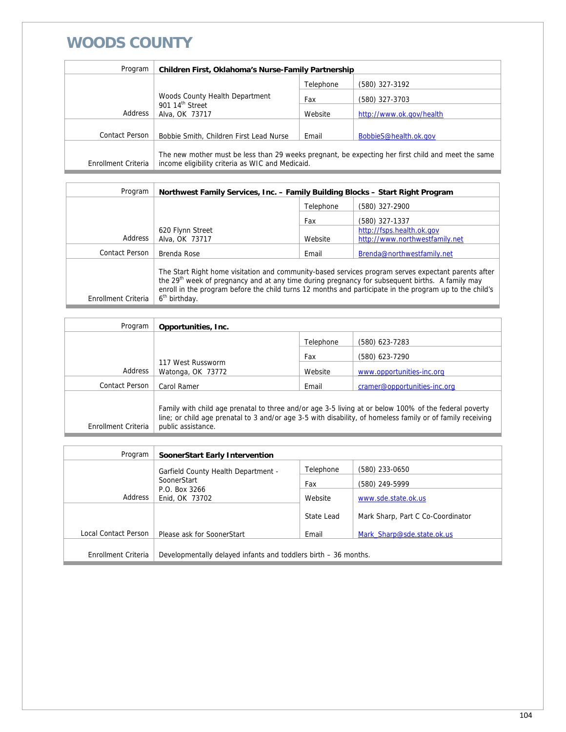#### **WOODS COUNTY**

| Program             | Children First, Oklahoma's Nurse-Family Partnership                                                                                                    |           |                          |
|---------------------|--------------------------------------------------------------------------------------------------------------------------------------------------------|-----------|--------------------------|
|                     |                                                                                                                                                        | Telephone | (580) 327-3192           |
|                     | Woods County Health Department<br>901 14 <sup>th</sup> Street<br>Alva, OK 73717                                                                        | Fax       | (580) 327-3703           |
| Address             |                                                                                                                                                        | Website   | http://www.ok.gov/health |
|                     |                                                                                                                                                        |           |                          |
| Contact Person      | Bobbie Smith, Children First Lead Nurse                                                                                                                | Email     | BobbieS@health.ok.gov    |
| Enrollment Criteria | The new mother must be less than 29 weeks pregnant, be expecting her first child and meet the same<br>income eligibility criteria as WIC and Medicaid. |           |                          |

| Program             | Northwest Family Services, Inc. - Family Building Blocks - Start Right Program                                                                                                                                                                                                                                                                             |           |                                |
|---------------------|------------------------------------------------------------------------------------------------------------------------------------------------------------------------------------------------------------------------------------------------------------------------------------------------------------------------------------------------------------|-----------|--------------------------------|
|                     |                                                                                                                                                                                                                                                                                                                                                            | Telephone | (580) 327-2900                 |
|                     |                                                                                                                                                                                                                                                                                                                                                            | Fax       | (580) 327-1337                 |
|                     | 620 Flynn Street                                                                                                                                                                                                                                                                                                                                           |           | http://fsps.health.ok.gov      |
| Address             | Alva, OK 73717                                                                                                                                                                                                                                                                                                                                             | Website   | http://www.northwestfamily.net |
| Contact Person      | Brenda Rose                                                                                                                                                                                                                                                                                                                                                | Email     | Brenda@northwestfamily.net     |
| Enrollment Criteria | The Start Right home visitation and community-based services program serves expectant parents after<br>the 29 <sup>th</sup> week of pregnancy and at any time during pregnancy for subsequent births. A family may<br>enroll in the program before the child turns 12 months and participate in the program up to the child's<br>6 <sup>th</sup> birthday. |           |                                |

| Program             | Opportunities, Inc.                                                                                                                                                                                                                       |           |                              |
|---------------------|-------------------------------------------------------------------------------------------------------------------------------------------------------------------------------------------------------------------------------------------|-----------|------------------------------|
|                     |                                                                                                                                                                                                                                           | Telephone | (580) 623-7283               |
|                     |                                                                                                                                                                                                                                           | Fax       | (580) 623-7290               |
| Address             | 117 West Russworm<br>Watonga, OK 73772                                                                                                                                                                                                    | Website   | www.opportunities-inc.org    |
| Contact Person      | Carol Ramer                                                                                                                                                                                                                               | Email     | cramer@opportunities-inc.org |
| Enrollment Criteria | Family with child age prenatal to three and/or age 3-5 living at or below 100% of the federal poverty<br>line; or child age prenatal to 3 and/or age 3-5 with disability, of homeless family or of family receiving<br>public assistance. |           |                              |

| Program              | SoonerStart Early Intervention                                  |            |                                   |
|----------------------|-----------------------------------------------------------------|------------|-----------------------------------|
|                      | <b>Garfield County Health Department -</b>                      | Telephone  | (580) 233-0650                    |
| SoonerStart          |                                                                 | Fax        | (580) 249-5999                    |
| Address              | P.O. Box 3266<br>Enid, OK 73702                                 | Website    | www.sde.state.ok.us               |
|                      |                                                                 | State Lead | Mark Sharp, Part C Co-Coordinator |
|                      |                                                                 |            |                                   |
| Local Contact Person | Please ask for SoonerStart                                      | Email      | Mark Sharp@sde.state.ok.us        |
|                      |                                                                 |            |                                   |
| Enrollment Criteria  | Developmentally delayed infants and toddlers birth – 36 months. |            |                                   |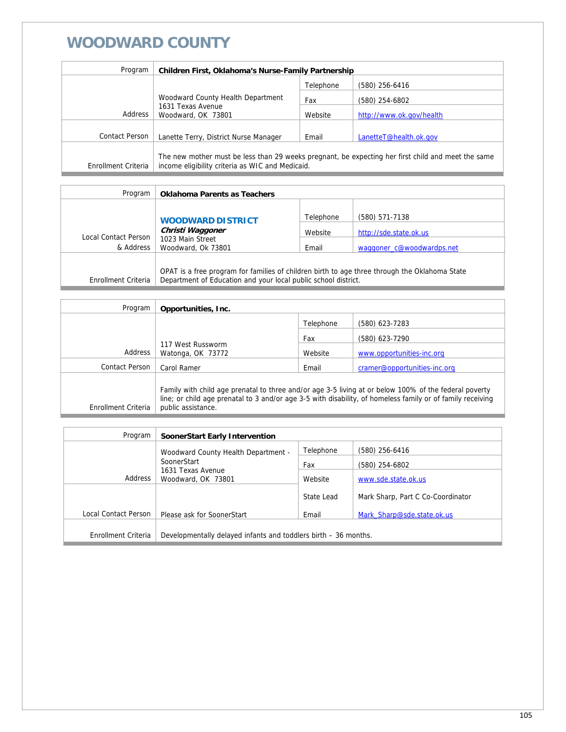## **WOODWARD COUNTY**

| Program             | Children First, Oklahoma's Nurse-Family Partnership                                                                                                    |           |                          |
|---------------------|--------------------------------------------------------------------------------------------------------------------------------------------------------|-----------|--------------------------|
|                     |                                                                                                                                                        | Telephone | (580) 256-6416           |
|                     | Woodward County Health Department                                                                                                                      | Fax       | (580) 254-6802           |
| Address             | 1631 Texas Avenue<br>Woodward, OK 73801                                                                                                                | Website   | http://www.ok.gov/health |
|                     |                                                                                                                                                        |           |                          |
| Contact Person      | Lanette Terry, District Nurse Manager                                                                                                                  | Email     | LanetteT@health.ok.gov   |
| Enrollment Criteria | The new mother must be less than 29 weeks pregnant, be expecting her first child and meet the same<br>income eligibility criteria as WIC and Medicaid. |           |                          |

| Program                                  | <b>Oklahoma Parents as Teachers</b>                                                           |                  |                                                     |
|------------------------------------------|-----------------------------------------------------------------------------------------------|------------------|-----------------------------------------------------|
|                                          | <b>WOODWARD DISTRICT</b>                                                                      | Telephone        | (580) 571-7138                                      |
| <b>Local Contact Person</b><br>& Address | Christi Waggoner<br>1023 Main Street<br>Woodward, Ok 73801                                    | Website<br>Email | http://sde.state.ok.us<br>waggoner c@woodwardps.net |
|                                          | OPAT is a free program for families of children birth to age three through the Oklahoma State |                  |                                                     |
| Enrollment Criteria                      | Department of Education and your local public school district.                                |                  |                                                     |

| Program             | Opportunities, Inc.                                                                                                                                                                                                                       |           |                              |
|---------------------|-------------------------------------------------------------------------------------------------------------------------------------------------------------------------------------------------------------------------------------------|-----------|------------------------------|
|                     |                                                                                                                                                                                                                                           | Telephone | (580) 623-7283               |
|                     |                                                                                                                                                                                                                                           | Fax       | (580) 623-7290               |
| Address             | 117 West Russworm<br>Watonga, OK 73772                                                                                                                                                                                                    | Website   | www.opportunities-inc.org    |
| Contact Person      | Carol Ramer                                                                                                                                                                                                                               | Email     | cramer@opportunities-inc.org |
| Enrollment Criteria | Family with child age prenatal to three and/or age 3-5 living at or below 100% of the federal poverty<br>line; or child age prenatal to 3 and/or age 3-5 with disability, of homeless family or of family receiving<br>public assistance. |           |                              |

| Program              | SoonerStart Early Intervention                                  |            |                                   |
|----------------------|-----------------------------------------------------------------|------------|-----------------------------------|
|                      | Woodward County Health Department -                             | Telephone  | (580) 256-6416                    |
|                      | SoonerStart                                                     | Fax        | (580) 254-6802                    |
| Address              | 1631 Texas Avenue<br>Woodward, OK 73801                         | Website    | www.sde.state.ok.us               |
|                      |                                                                 | State Lead | Mark Sharp, Part C Co-Coordinator |
| Local Contact Person | Please ask for SoonerStart                                      | Email      | Mark Sharp@sde.state.ok.us        |
| Enrollment Criteria  |                                                                 |            |                                   |
|                      | Developmentally delayed infants and toddlers birth – 36 months. |            |                                   |